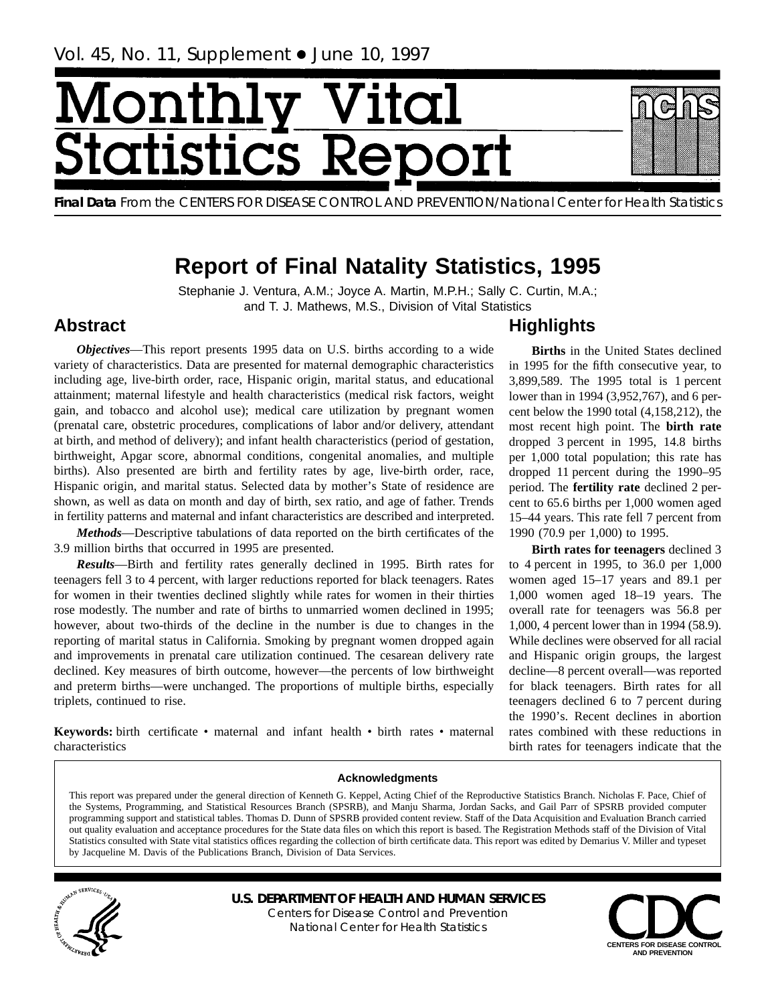# <u>/Ionth</u> **tatist** lics F

**Final Data** From the CENTERS FOR DISEASE CONTROL AND PREVENTION/National Center for Health Statistics

# **Report of Final Natality Statistics, 1995**

Stephanie J. Ventura, A.M.; Joyce A. Martin, M.P.H.; Sally C. Curtin, M.A.; and T. J. Mathews, M.S., Division of Vital Statistics

# **Abstract**

*Objectives*—This report presents 1995 data on U.S. births according to a wide variety of characteristics. Data are presented for maternal demographic characteristics including age, live-birth order, race, Hispanic origin, marital status, and educational attainment; maternal lifestyle and health characteristics (medical risk factors, weight gain, and tobacco and alcohol use); medical care utilization by pregnant women (prenatal care, obstetric procedures, complications of labor and/or delivery, attendant at birth, and method of delivery); and infant health characteristics (period of gestation, birthweight, Apgar score, abnormal conditions, congenital anomalies, and multiple births). Also presented are birth and fertility rates by age, live-birth order, race, Hispanic origin, and marital status. Selected data by mother's State of residence are shown, as well as data on month and day of birth, sex ratio, and age of father. Trends in fertility patterns and maternal and infant characteristics are described and interpreted.

*Methods*—Descriptive tabulations of data reported on the birth certificates of the 3.9 million births that occurred in 1995 are presented.

*Results*—Birth and fertility rates generally declined in 1995. Birth rates for teenagers fell 3 to 4 percent, with larger reductions reported for black teenagers. Rates for women in their twenties declined slightly while rates for women in their thirties rose modestly. The number and rate of births to unmarried women declined in 1995; however, about two-thirds of the decline in the number is due to changes in the reporting of marital status in California. Smoking by pregnant women dropped again and improvements in prenatal care utilization continued. The cesarean delivery rate declined. Key measures of birth outcome, however—the percents of low birthweight and preterm births—were unchanged. The proportions of multiple births, especially triplets, continued to rise.

Keywords: birth certificate • maternal and infant health • birth rates • maternal characteristics

# **Highlights**

**Births** in the United States declined in 1995 for the fifth consecutive year, to 3,899,589. The 1995 total is 1 percent lower than in 1994 (3,952,767), and 6 percent below the 1990 total (4,158,212), the most recent high point. The **birth rate** dropped 3 percent in 1995, 14.8 births per 1,000 total population; this rate has dropped 11 percent during the 1990–95 period. The **fertility rate** declined 2 percent to 65.6 births per 1,000 women aged 15–44 years. This rate fell 7 percent from 1990 (70.9 per 1,000) to 1995.

**Birth rates for teenagers** declined 3 to 4 percent in 1995, to 36.0 per 1,000 women aged 15–17 years and 89.1 per 1,000 women aged 18–19 years. The overall rate for teenagers was 56.8 per 1,000, 4 percent lower than in 1994 (58.9). While declines were observed for all racial and Hispanic origin groups, the largest decline—8 percent overall—was reported for black teenagers. Birth rates for all teenagers declined 6 to 7 percent during the 1990's. Recent declines in abortion rates combined with these reductions in birth rates for teenagers indicate that the

#### **Acknowledgments**

This report was prepared under the general direction of Kenneth G. Keppel, Acting Chief of the Reproductive Statistics Branch. Nicholas F. Pace, Chief of the Systems, Programming, and Statistical Resources Branch (SPSRB), and Manju Sharma, Jordan Sacks, and Gail Parr of SPSRB provided computer programming support and statistical tables. Thomas D. Dunn of SPSRB provided content review. Staff of the Data Acquisition and Evaluation Branch carried out quality evaluation and acceptance procedures for the State data files on which this report is based. The Registration Methods staff of the Division of Vital Statistics consulted with State vital statistics offices regarding the collection of birth certificate data. This report was edited by Demarius V. Miller and typeset by Jacqueline M. Davis of the Publications Branch, Division of Data Services.



**U.S. DEPARTMENT OF HEALTH AND HUMAN SERVICES** Centers for Disease Control and Prevention National Center for Health Statistics

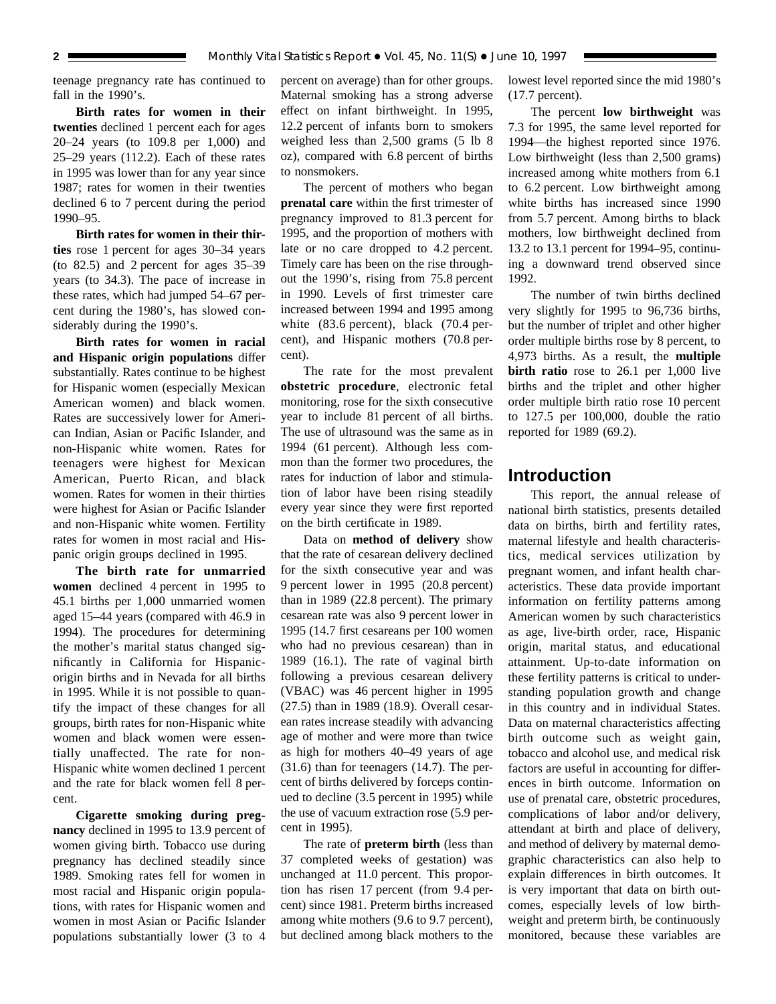teenage pregnancy rate has continued to fall in the 1990's.

**Birth rates for women in their twenties** declined 1 percent each for ages 20–24 years (to 109.8 per 1,000) and 25–29 years (112.2). Each of these rates in 1995 was lower than for any year since 1987; rates for women in their twenties declined 6 to 7 percent during the period 1990–95.

**Birth rates for women in their thirties** rose 1 percent for ages 30–34 years (to 82.5) and 2 percent for ages 35–39 years (to 34.3). The pace of increase in these rates, which had jumped 54–67 percent during the 1980's, has slowed considerably during the 1990's.

**Birth rates for women in racial and Hispanic origin populations** differ substantially. Rates continue to be highest for Hispanic women (especially Mexican American women) and black women. Rates are successively lower for American Indian, Asian or Pacific Islander, and non-Hispanic white women. Rates for teenagers were highest for Mexican American, Puerto Rican, and black women. Rates for women in their thirties were highest for Asian or Pacific Islander and non-Hispanic white women. Fertility rates for women in most racial and Hispanic origin groups declined in 1995.

**The birth rate for unmarried women** declined 4 percent in 1995 to 45.1 births per 1,000 unmarried women aged 15–44 years (compared with 46.9 in 1994). The procedures for determining the mother's marital status changed significantly in California for Hispanicorigin births and in Nevada for all births in 1995. While it is not possible to quantify the impact of these changes for all groups, birth rates for non-Hispanic white women and black women were essentially unaffected. The rate for non-Hispanic white women declined 1 percent and the rate for black women fell 8 percent.

**Cigarette smoking during pregnancy** declined in 1995 to 13.9 percent of women giving birth. Tobacco use during pregnancy has declined steadily since 1989. Smoking rates fell for women in most racial and Hispanic origin populations, with rates for Hispanic women and women in most Asian or Pacific Islander populations substantially lower (3 to 4 percent on average) than for other groups. Maternal smoking has a strong adverse effect on infant birthweight. In 1995, 12.2 percent of infants born to smokers weighed less than 2,500 grams (5 lb 8 oz), compared with 6.8 percent of births to nonsmokers.

The percent of mothers who began **prenatal care** within the first trimester of pregnancy improved to 81.3 percent for 1995, and the proportion of mothers with late or no care dropped to 4.2 percent. Timely care has been on the rise throughout the 1990's, rising from 75.8 percent in 1990. Levels of first trimester care increased between 1994 and 1995 among white (83.6 percent), black (70.4 percent), and Hispanic mothers (70.8 percent).

The rate for the most prevalent **obstetric procedure**, electronic fetal monitoring, rose for the sixth consecutive year to include 81 percent of all births. The use of ultrasound was the same as in 1994 (61 percent). Although less common than the former two procedures, the rates for induction of labor and stimulation of labor have been rising steadily every year since they were first reported on the birth certificate in 1989.

Data on **method of delivery** show that the rate of cesarean delivery declined for the sixth consecutive year and was 9 percent lower in 1995 (20.8 percent) than in 1989 (22.8 percent). The primary cesarean rate was also 9 percent lower in 1995 (14.7 first cesareans per 100 women who had no previous cesarean) than in 1989 (16.1). The rate of vaginal birth following a previous cesarean delivery (VBAC) was 46 percent higher in 1995 (27.5) than in 1989 (18.9). Overall cesarean rates increase steadily with advancing age of mother and were more than twice as high for mothers 40–49 years of age (31.6) than for teenagers (14.7). The percent of births delivered by forceps continued to decline (3.5 percent in 1995) while the use of vacuum extraction rose (5.9 percent in 1995).

The rate of **preterm birth** (less than 37 completed weeks of gestation) was unchanged at 11.0 percent. This proportion has risen 17 percent (from 9.4 percent) since 1981. Preterm births increased among white mothers (9.6 to 9.7 percent), but declined among black mothers to the lowest level reported since the mid 1980's (17.7 percent).

The percent **low birthweight** was 7.3 for 1995, the same level reported for 1994—the highest reported since 1976. Low birthweight (less than 2,500 grams) increased among white mothers from 6.1 to 6.2 percent. Low birthweight among white births has increased since 1990 from 5.7 percent. Among births to black mothers, low birthweight declined from 13.2 to 13.1 percent for 1994–95, continuing a downward trend observed since 1992.

The number of twin births declined very slightly for 1995 to 96,736 births, but the number of triplet and other higher order multiple births rose by 8 percent, to 4,973 births. As a result, the **multiple birth ratio** rose to 26.1 per 1,000 live births and the triplet and other higher order multiple birth ratio rose 10 percent to 127.5 per 100,000, double the ratio reported for 1989 (69.2).

# **Introduction**

This report, the annual release of national birth statistics, presents detailed data on births, birth and fertility rates, maternal lifestyle and health characteristics, medical services utilization by pregnant women, and infant health characteristics. These data provide important information on fertility patterns among American women by such characteristics as age, live-birth order, race, Hispanic origin, marital status, and educational attainment. Up-to-date information on these fertility patterns is critical to understanding population growth and change in this country and in individual States. Data on maternal characteristics affecting birth outcome such as weight gain, tobacco and alcohol use, and medical risk factors are useful in accounting for differences in birth outcome. Information on use of prenatal care, obstetric procedures, complications of labor and/or delivery, attendant at birth and place of delivery, and method of delivery by maternal demographic characteristics can also help to explain differences in birth outcomes. It is very important that data on birth outcomes, especially levels of low birthweight and preterm birth, be continuously monitored, because these variables are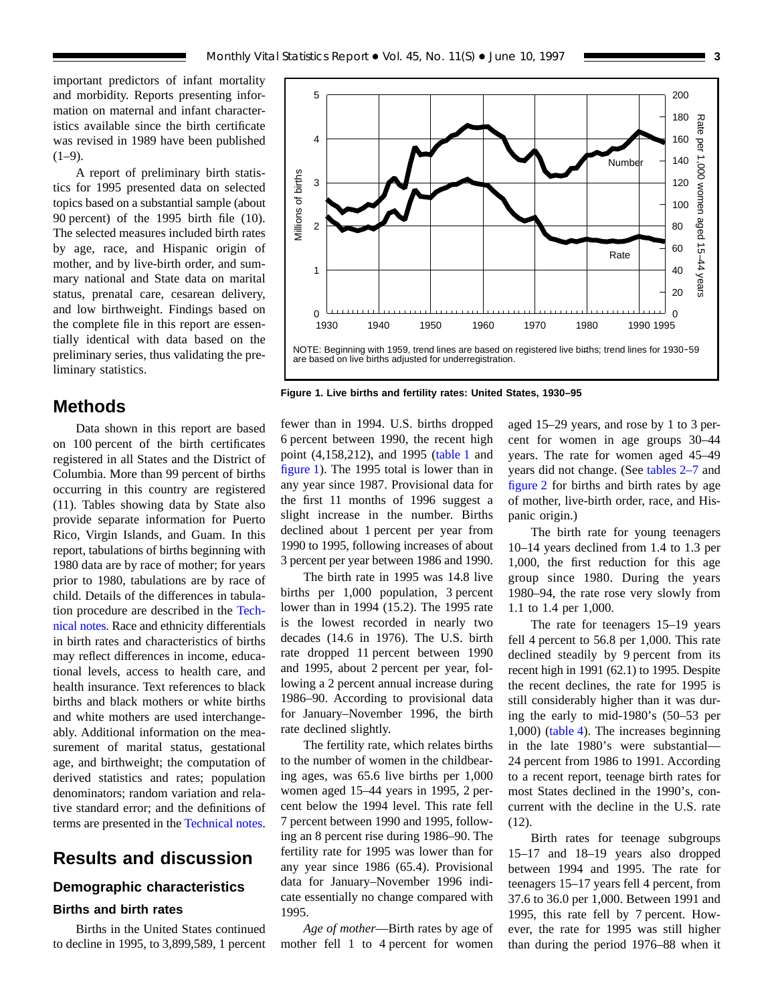important predictors of infant mortality and morbidity. Reports presenting information on maternal and infant characteristics available since the birth certificate was revised in 1989 have been published  $(1-9)$ .

A report of preliminary birth statistics for 1995 presented data on selected topics based on a substantial sample (about 90 percent) of the 1995 birth file (10). The selected measures included birth rates by age, race, and Hispanic origin of mother, and by live-birth order, and summary national and State data on marital status, prenatal care, cesarean delivery, and low birthweight. Findings based on the complete file in this report are essentially identical with data based on the preliminary series, thus validating the preliminary statistics.

# **Methods**

Data shown in this report are based on 100 percent of the birth certificates registered in all States and the District of Columbia. More than 99 percent of births occurring in this country are registered (11). Tables showing data by State also provide separate information for Puerto Rico, Virgin Islands, and Guam. In this report, tabulations of births beginning with 1980 data are by race of mother; for years prior to 1980, tabulations are by race of child. Details of the differences in tabulation procedure are described in the [Tech](#page-75-0)[nical notes.](#page-75-0) Race and ethnicity differentials in birth rates and characteristics of births may reflect differences in income, educational levels, access to health care, and health insurance. Text references to black births and black mothers or white births and white mothers are used interchangeably. Additional information on the measurement of marital status, gestational age, and birthweight; the computation of derived statistics and rates; population denominators; random variation and relative standard error; and the definitions of terms are presented in the [Technical notes.](#page-75-0)

# **Results and discussion**

#### **Demographic characteristics**

#### **Births and birth rates**

Births in the United States continued to decline in 1995, to 3,899,589, 1 percent



**Figure 1. Live births and fertility rates: United States, 1930–95**

fewer than in 1994. U.S. births dropped 6 percent between 1990, the recent high point (4,158,212), and 1995 [\(table 1](#page-24-0) and figure 1). The 1995 total is lower than in any year since 1987. Provisional data for the first 11 months of 1996 suggest a slight increase in the number. Births declined about 1 percent per year from 1990 to 1995, following increases of about 3 percent per year between 1986 and 1990.

The birth rate in 1995 was 14.8 live births per 1,000 population, 3 percent lower than in 1994 (15.2). The 1995 rate is the lowest recorded in nearly two decades (14.6 in 1976). The U.S. birth rate dropped 11 percent between 1990 and 1995, about 2 percent per year, following a 2 percent annual increase during 1986–90. According to provisional data for January–November 1996, the birth rate declined slightly.

The fertility rate, which relates births to the number of women in the childbearing ages, was 65.6 live births per 1,000 women aged 15–44 years in 1995, 2 percent below the 1994 level. This rate fell 7 percent between 1990 and 1995, following an 8 percent rise during 1986–90. The fertility rate for 1995 was lower than for any year since 1986 (65.4). Provisional data for January–November 1996 indicate essentially no change compared with 1995.

*Age of mother*—Birth rates by age of mother fell 1 to 4 percent for women aged 15–29 years, and rose by 1 to 3 percent for women in age groups 30–44 years. The rate for women aged 45–49 years did not change. (See [tables 2–7](#page-25-0) and [figure 2](#page-3-0) for births and birth rates by age of mother, live-birth order, race, and Hispanic origin.)

The birth rate for young teenagers 10–14 years declined from 1.4 to 1.3 per 1,000, the first reduction for this age group since 1980. During the years 1980–94, the rate rose very slowly from 1.1 to 1.4 per 1,000.

The rate for teenagers 15–19 years fell 4 percent to 56.8 per 1,000. This rate declined steadily by 9 percent from its recent high in 1991 (62.1) to 1995. Despite the recent declines, the rate for 1995 is still considerably higher than it was during the early to mid-1980's (50–53 per 1,000) [\(table 4\).](#page-27-0) The increases beginning in the late 1980's were substantial— 24 percent from 1986 to 1991. According to a recent report, teenage birth rates for most States declined in the 1990's, concurrent with the decline in the U.S. rate (12).

Birth rates for teenage subgroups 15–17 and 18–19 years also dropped between 1994 and 1995. The rate for teenagers 15–17 years fell 4 percent, from 37.6 to 36.0 per 1,000. Between 1991 and 1995, this rate fell by 7 percent. However, the rate for 1995 was still higher than during the period 1976–88 when it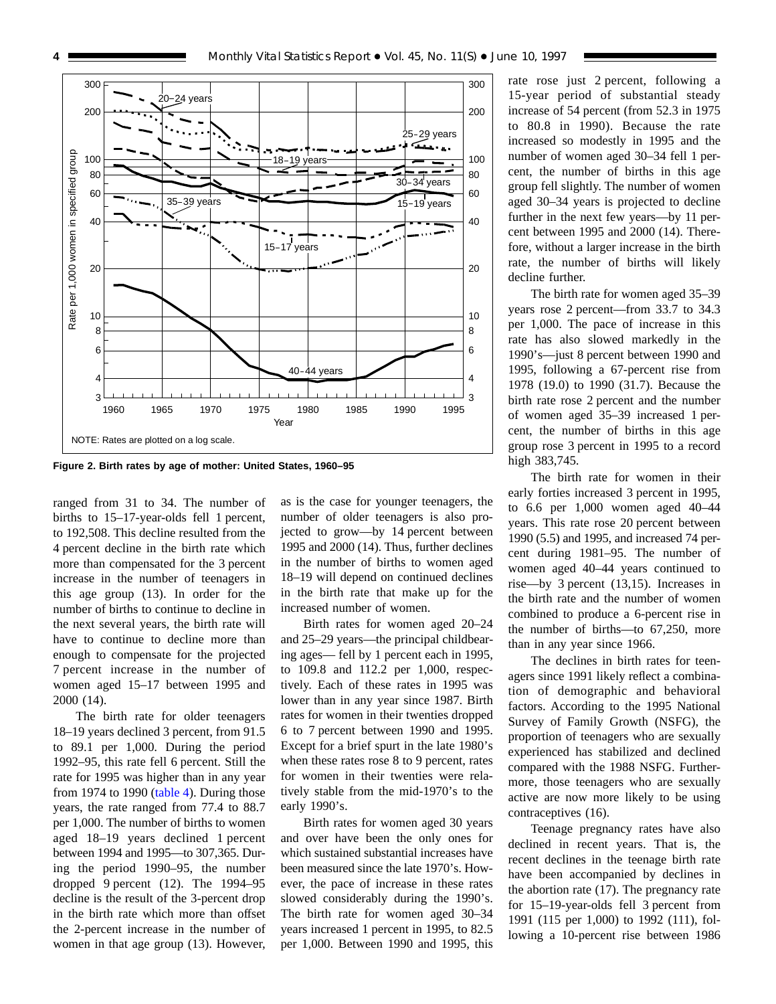<span id="page-3-0"></span>

**Figure 2. Birth rates by age of mother: United States, 1960–95**

ranged from 31 to 34. The number of births to 15–17-year-olds fell 1 percent, to 192,508. This decline resulted from the 4 percent decline in the birth rate which more than compensated for the 3 percent increase in the number of teenagers in this age group (13). In order for the number of births to continue to decline in the next several years, the birth rate will have to continue to decline more than enough to compensate for the projected 7 percent increase in the number of women aged 15–17 between 1995 and 2000 (14).

The birth rate for older teenagers 18–19 years declined 3 percent, from 91.5 to 89.1 per 1,000. During the period 1992–95, this rate fell 6 percent. Still the rate for 1995 was higher than in any year from 1974 to 1990 [\(table 4\).](#page-27-0) During those years, the rate ranged from 77.4 to 88.7 per 1,000. The number of births to women aged 18–19 years declined 1 percent between 1994 and 1995—to 307,365. During the period 1990–95, the number dropped 9 percent (12). The 1994–95 decline is the result of the 3-percent drop in the birth rate which more than offset the 2-percent increase in the number of women in that age group (13). However,

as is the case for younger teenagers, the number of older teenagers is also projected to grow—by 14 percent between 1995 and 2000 (14). Thus, further declines in the number of births to women aged 18–19 will depend on continued declines in the birth rate that make up for the increased number of women.

Birth rates for women aged 20–24 and 25–29 years—the principal childbearing ages— fell by 1 percent each in 1995, to 109.8 and 112.2 per 1,000, respectively. Each of these rates in 1995 was lower than in any year since 1987. Birth rates for women in their twenties dropped 6 to 7 percent between 1990 and 1995. Except for a brief spurt in the late 1980's when these rates rose 8 to 9 percent, rates for women in their twenties were relatively stable from the mid-1970's to the early 1990's.

Birth rates for women aged 30 years and over have been the only ones for which sustained substantial increases have been measured since the late 1970's. However, the pace of increase in these rates slowed considerably during the 1990's. The birth rate for women aged 30–34 years increased 1 percent in 1995, to 82.5 per 1,000. Between 1990 and 1995, this

rate rose just 2 percent, following a 15-year period of substantial steady increase of 54 percent (from 52.3 in 1975 to 80.8 in 1990). Because the rate increased so modestly in 1995 and the number of women aged 30–34 fell 1 percent, the number of births in this age group fell slightly. The number of women aged 30–34 years is projected to decline further in the next few years—by 11 percent between 1995 and 2000 (14). Therefore, without a larger increase in the birth rate, the number of births will likely decline further.

The birth rate for women aged 35–39 years rose 2 percent—from 33.7 to 34.3 per 1,000. The pace of increase in this rate has also slowed markedly in the 1990's—just 8 percent between 1990 and 1995, following a 67-percent rise from 1978 (19.0) to 1990 (31.7). Because the birth rate rose 2 percent and the number of women aged 35–39 increased 1 percent, the number of births in this age group rose 3 percent in 1995 to a record high 383,745.

The birth rate for women in their early forties increased 3 percent in 1995, to 6.6 per 1,000 women aged 40–44 years. This rate rose 20 percent between 1990 (5.5) and 1995, and increased 74 percent during 1981–95. The number of women aged 40–44 years continued to rise—by 3 percent (13,15). Increases in the birth rate and the number of women combined to produce a 6-percent rise in the number of births—to 67,250, more than in any year since 1966.

The declines in birth rates for teenagers since 1991 likely reflect a combination of demographic and behavioral factors. According to the 1995 National Survey of Family Growth (NSFG), the proportion of teenagers who are sexually experienced has stabilized and declined compared with the 1988 NSFG. Furthermore, those teenagers who are sexually active are now more likely to be using contraceptives (16).

Teenage pregnancy rates have also declined in recent years. That is, the recent declines in the teenage birth rate have been accompanied by declines in the abortion rate (17). The pregnancy rate for 15–19-year-olds fell 3 percent from 1991 (115 per 1,000) to 1992 (111), following a 10-percent rise between 1986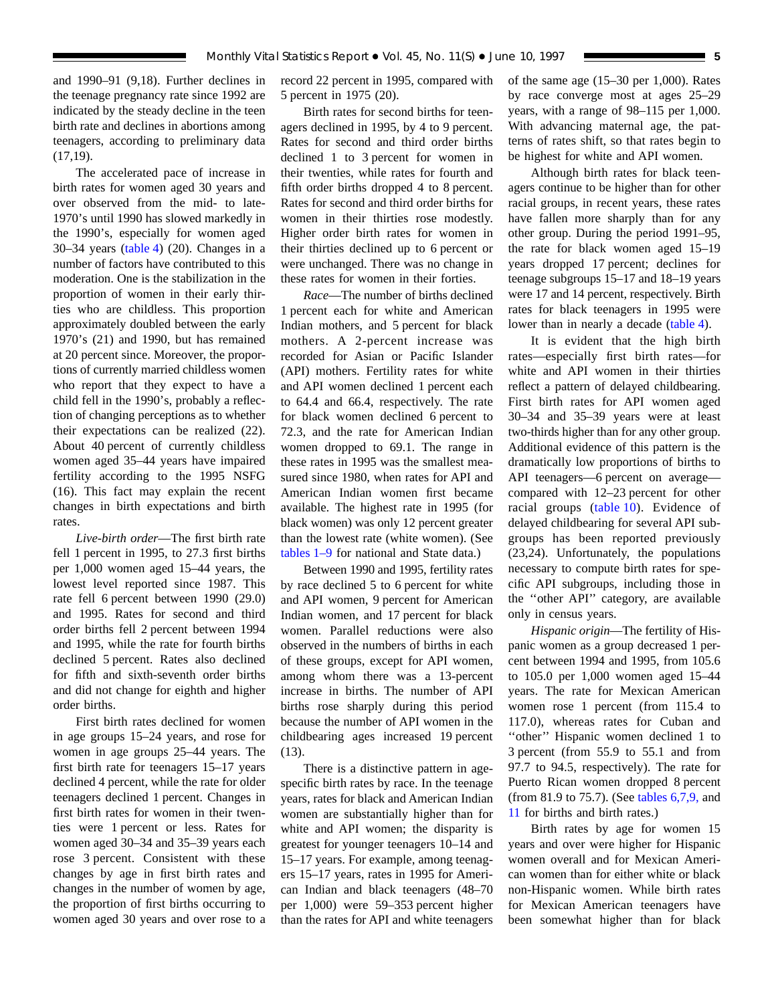and 1990–91 (9,18). Further declines in the teenage pregnancy rate since 1992 are indicated by the steady decline in the teen birth rate and declines in abortions among teenagers, according to preliminary data  $(17,19)$ .

The accelerated pace of increase in birth rates for women aged 30 years and over observed from the mid- to late-1970's until 1990 has slowed markedly in the 1990's, especially for women aged 30–34 years [\(table 4\)](#page-27-0) (20). Changes in a number of factors have contributed to this moderation. One is the stabilization in the proportion of women in their early thirties who are childless. This proportion approximately doubled between the early 1970's (21) and 1990, but has remained at 20 percent since. Moreover, the proportions of currently married childless women who report that they expect to have a child fell in the 1990's, probably a reflection of changing perceptions as to whether their expectations can be realized (22). About 40 percent of currently childless women aged 35–44 years have impaired fertility according to the 1995 NSFG (16). This fact may explain the recent changes in birth expectations and birth rates.

*Live-birth order*—The first birth rate fell 1 percent in 1995, to 27.3 first births per 1,000 women aged 15–44 years, the lowest level reported since 1987. This rate fell 6 percent between 1990 (29.0) and 1995. Rates for second and third order births fell 2 percent between 1994 and 1995, while the rate for fourth births declined 5 percent. Rates also declined for fifth and sixth-seventh order births and did not change for eighth and higher order births.

First birth rates declined for women in age groups 15–24 years, and rose for women in age groups 25–44 years. The first birth rate for teenagers 15–17 years declined 4 percent, while the rate for older teenagers declined 1 percent. Changes in first birth rates for women in their twenties were 1 percent or less. Rates for women aged 30–34 and 35–39 years each rose 3 percent. Consistent with these changes by age in first birth rates and changes in the number of women by age, the proportion of first births occurring to women aged 30 years and over rose to a record 22 percent in 1995, compared with 5 percent in 1975 (20).

Birth rates for second births for teenagers declined in 1995, by 4 to 9 percent. Rates for second and third order births declined 1 to 3 percent for women in their twenties, while rates for fourth and fifth order births dropped 4 to 8 percent. Rates for second and third order births for women in their thirties rose modestly. Higher order birth rates for women in their thirties declined up to 6 percent or were unchanged. There was no change in these rates for women in their forties.

*Race*—The number of births declined 1 percent each for white and American Indian mothers, and 5 percent for black mothers. A 2-percent increase was recorded for Asian or Pacific Islander (API) mothers. Fertility rates for white and API women declined 1 percent each to 64.4 and 66.4, respectively. The rate for black women declined 6 percent to 72.3, and the rate for American Indian women dropped to 69.1. The range in these rates in 1995 was the smallest measured since 1980, when rates for API and American Indian women first became available. The highest rate in 1995 (for black women) was only 12 percent greater than the lowest rate (white women). (See [tables 1–9](#page-24-0) for national and State data.)

Between 1990 and 1995, fertility rates by race declined 5 to 6 percent for white and API women, 9 percent for American Indian women, and 17 percent for black women. Parallel reductions were also observed in the numbers of births in each of these groups, except for API women, among whom there was a 13-percent increase in births. The number of API births rose sharply during this period because the number of API women in the childbearing ages increased 19 percent (13).

There is a distinctive pattern in agespecific birth rates by race. In the teenage years, rates for black and American Indian women are substantially higher than for white and API women; the disparity is greatest for younger teenagers 10–14 and 15–17 years. For example, among teenagers 15–17 years, rates in 1995 for American Indian and black teenagers (48–70 per 1,000) were 59–353 percent higher than the rates for API and white teenagers of the same age (15–30 per 1,000). Rates by race converge most at ages 25–29 years, with a range of 98–115 per 1,000. With advancing maternal age, the patterns of rates shift, so that rates begin to be highest for white and API women.

Although birth rates for black teenagers continue to be higher than for other racial groups, in recent years, these rates have fallen more sharply than for any other group. During the period 1991–95, the rate for black women aged 15–19 years dropped 17 percent; declines for teenage subgroups 15–17 and 18–19 years were 17 and 14 percent, respectively. Birth rates for black teenagers in 1995 were lower than in nearly a decade [\(table 4\)](#page-27-0).

It is evident that the high birth rates—especially first birth rates—for white and API women in their thirties reflect a pattern of delayed childbearing. First birth rates for API women aged 30–34 and 35–39 years were at least two-thirds higher than for any other group. Additional evidence of this pattern is the dramatically low proportions of births to API teenagers—6 percent on average compared with 12–23 percent for other racial groups [\(table 10\).](#page-37-0) Evidence of delayed childbearing for several API subgroups has been reported previously (23,24). Unfortunately, the populations necessary to compute birth rates for specific API subgroups, including those in the ''other API'' category, are available only in census years.

*Hispanic origin*—The fertility of Hispanic women as a group decreased 1 percent between 1994 and 1995, from 105.6 to 105.0 per 1,000 women aged 15–44 years. The rate for Mexican American women rose 1 percent (from 115.4 to 117.0), whereas rates for Cuban and ''other'' Hispanic women declined 1 to 3 percent (from 55.9 to 55.1 and from 97.7 to 94.5, respectively). The rate for Puerto Rican women dropped 8 percent (from 81.9 to 75.7). (See [tables 6,](#page-31-0)[7,](#page-33-0)[9,](#page-36-0) and [11](#page-37-0) for births and birth rates.)

Birth rates by age for women 15 years and over were higher for Hispanic women overall and for Mexican American women than for either white or black non-Hispanic women. While birth rates for Mexican American teenagers have been somewhat higher than for black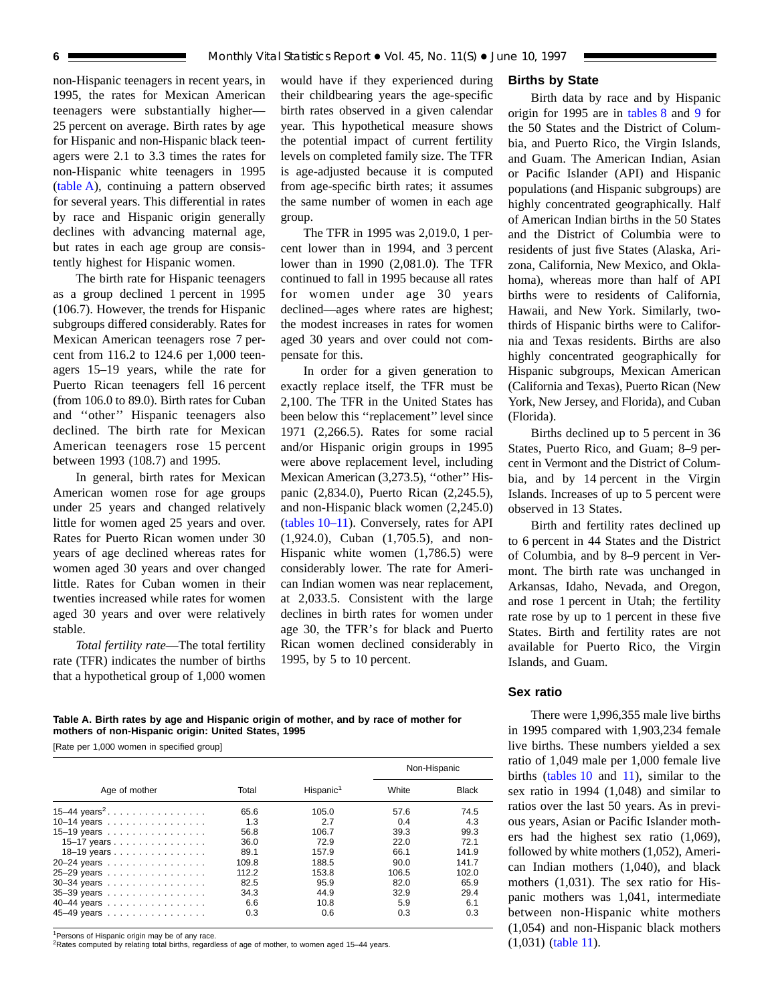non-Hispanic teenagers in recent years, in 1995, the rates for Mexican American teenagers were substantially higher— 25 percent on average. Birth rates by age for Hispanic and non-Hispanic black teenagers were 2.1 to 3.3 times the rates for non-Hispanic white teenagers in 1995 (table A), continuing a pattern observed for several years. This differential in rates by race and Hispanic origin generally declines with advancing maternal age, but rates in each age group are consistently highest for Hispanic women.

The birth rate for Hispanic teenagers as a group declined 1 percent in 1995 (106.7). However, the trends for Hispanic subgroups differed considerably. Rates for Mexican American teenagers rose 7 percent from 116.2 to 124.6 per 1,000 teenagers 15–19 years, while the rate for Puerto Rican teenagers fell 16 percent (from 106.0 to 89.0). Birth rates for Cuban and ''other'' Hispanic teenagers also declined. The birth rate for Mexican American teenagers rose 15 percent between 1993 (108.7) and 1995.

In general, birth rates for Mexican American women rose for age groups under 25 years and changed relatively little for women aged 25 years and over. Rates for Puerto Rican women under 30 years of age declined whereas rates for women aged 30 years and over changed little. Rates for Cuban women in their twenties increased while rates for women aged 30 years and over were relatively stable.

*Total fertility rate*—The total fertility rate (TFR) indicates the number of births that a hypothetical group of 1,000 women

would have if they experienced during their childbearing years the age-specific birth rates observed in a given calendar year. This hypothetical measure shows the potential impact of current fertility levels on completed family size. The TFR is age-adjusted because it is computed from age-specific birth rates; it assumes the same number of women in each age group.

The TFR in 1995 was 2,019.0, 1 percent lower than in 1994, and 3 percent lower than in 1990 (2,081.0). The TFR continued to fall in 1995 because all rates for women under age 30 years declined—ages where rates are highest; the modest increases in rates for women aged 30 years and over could not compensate for this.

In order for a given generation to exactly replace itself, the TFR must be 2,100. The TFR in the United States has been below this ''replacement'' level since 1971 (2,266.5). Rates for some racial and/or Hispanic origin groups in 1995 were above replacement level, including Mexican American (3,273.5), "other" Hispanic (2,834.0), Puerto Rican (2,245.5), and non-Hispanic black women (2,245.0) [\(tables 10–11\).](#page-37-0) Conversely, rates for API (1,924.0), Cuban (1,705.5), and non-Hispanic white women  $(1,786.5)$  were considerably lower. The rate for American Indian women was near replacement, at 2,033.5. Consistent with the large declines in birth rates for women under age 30, the TFR's for black and Puerto Rican women declined considerably in 1995, by 5 to 10 percent.

#### **Births by State**

Birth data by race and by Hispanic origin for 1995 are in [tables 8](#page-35-0) and [9](#page-36-0) for the 50 States and the District of Columbia, and Puerto Rico, the Virgin Islands, and Guam. The American Indian, Asian or Pacific Islander (API) and Hispanic populations (and Hispanic subgroups) are highly concentrated geographically. Half of American Indian births in the 50 States and the District of Columbia were to residents of just five States (Alaska, Arizona, California, New Mexico, and Oklahoma), whereas more than half of API births were to residents of California, Hawaii, and New York. Similarly, twothirds of Hispanic births were to California and Texas residents. Births are also highly concentrated geographically for Hispanic subgroups, Mexican American (California and Texas), Puerto Rican (New York, New Jersey, and Florida), and Cuban (Florida).

Births declined up to 5 percent in 36 States, Puerto Rico, and Guam; 8–9 percent in Vermont and the District of Columbia, and by 14 percent in the Virgin Islands. Increases of up to 5 percent were observed in 13 States.

Birth and fertility rates declined up to 6 percent in 44 States and the District of Columbia, and by 8–9 percent in Vermont. The birth rate was unchanged in Arkansas, Idaho, Nevada, and Oregon, and rose 1 percent in Utah; the fertility rate rose by up to 1 percent in these five States. Birth and fertility rates are not available for Puerto Rico, the Virgin Islands, and Guam.

#### **Sex ratio**

There were 1,996,355 male live births in 1995 compared with 1,903,234 female live births. These numbers yielded a sex ratio of 1,049 male per 1,000 female live births [\(tables 10](#page-37-0) and [11\),](#page-37-0) similar to the sex ratio in 1994 (1,048) and similar to ratios over the last 50 years. As in previous years, Asian or Pacific Islander mothers had the highest sex ratio (1,069), followed by white mothers (1,052), American Indian mothers (1,040), and black mothers (1,031). The sex ratio for Hispanic mothers was 1,041, intermediate between non-Hispanic white mothers (1,054) and non-Hispanic black mothers (1,031) [\(table 11\)](#page-37-0).

#### **Table A. Birth rates by age and Hispanic origin of mother, and by race of mother for mothers of non-Hispanic origin: United States, 1995**

[Rate per 1,000 women in specified group]

|                            |       |                       |       | Non-Hispanic |
|----------------------------|-------|-----------------------|-------|--------------|
| Age of mother              | Total | Hispanic <sup>1</sup> | White | <b>Black</b> |
| 15-44 years <sup>2</sup> . | 65.6  | 105.0                 | 57.6  | 74.5         |
| 10-14 years                | 1.3   | 2.7                   | 0.4   | 4.3          |
| 15–19 years                | 56.8  | 106.7                 | 39.3  | 99.3         |
| 15–17 years                | 36.0  | 72.9                  | 22.0  | 72.1         |
| 18–19 years                | 89.1  | 157.9                 | 66.1  | 141.9        |
| 20-24 years                | 109.8 | 188.5                 | 90.0  | 141.7        |
| 25-29 years                | 112.2 | 153.8                 | 106.5 | 102.0        |
| $30-34$ years              | 82.5  | 95.9                  | 82.0  | 65.9         |
| 35-39 years                | 34.3  | 44.9                  | 32.9  | 29.4         |
| 40-44 years                | 6.6   | 10.8                  | 5.9   | 6.1          |
| 45-49 years                | 0.3   | 0.6                   | 0.3   | 0.3          |

<sup>1</sup>Persons of Hispanic origin may be of any race

<sup>2</sup>Rates computed by relating total births, regardless of age of mother, to women aged 15-44 years.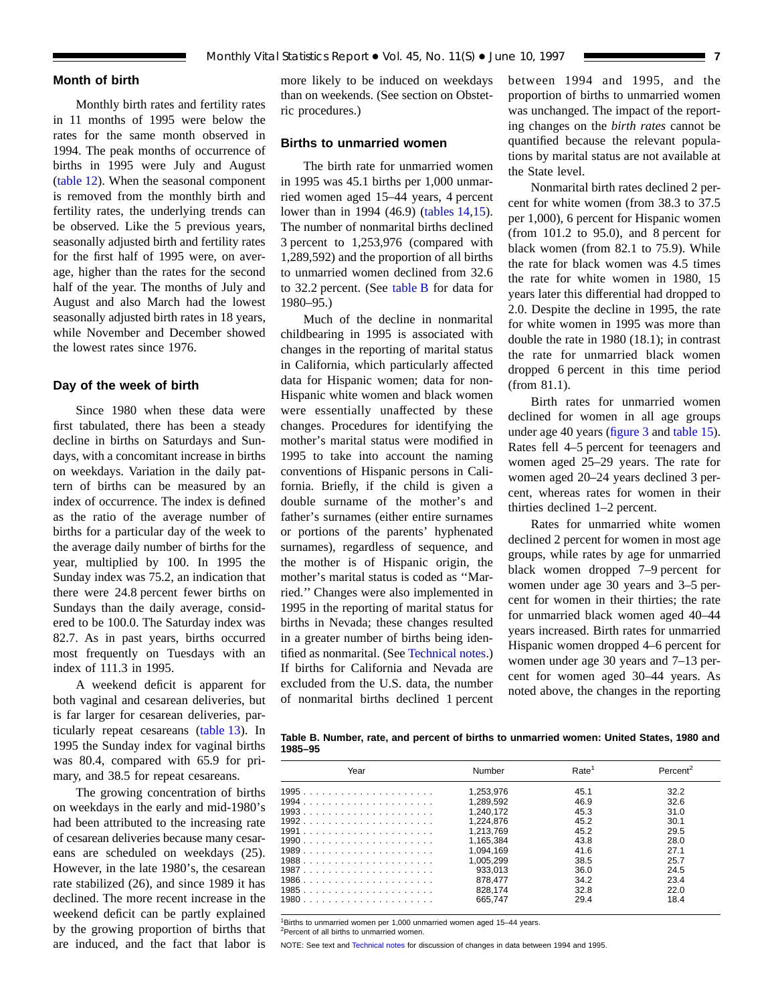#### **Month of birth**

Monthly birth rates and fertility rates in 11 months of 1995 were below the rates for the same month observed in 1994. The peak months of occurrence of births in 1995 were July and August [\(table 12\)](#page-38-0). When the seasonal component is removed from the monthly birth and fertility rates, the underlying trends can be observed. Like the 5 previous years, seasonally adjusted birth and fertility rates for the first half of 1995 were, on average, higher than the rates for the second half of the year. The months of July and August and also March had the lowest seasonally adjusted birth rates in 18 years, while November and December showed the lowest rates since 1976.

#### **Day of the week of birth**

Since 1980 when these data were first tabulated, there has been a steady decline in births on Saturdays and Sundays, with a concomitant increase in births on weekdays. Variation in the daily pattern of births can be measured by an index of occurrence. The index is defined as the ratio of the average number of births for a particular day of the week to the average daily number of births for the year, multiplied by 100. In 1995 the Sunday index was 75.2, an indication that there were 24.8 percent fewer births on Sundays than the daily average, considered to be 100.0. The Saturday index was 82.7. As in past years, births occurred most frequently on Tuesdays with an index of 111.3 in 1995.

A weekend deficit is apparent for both vaginal and cesarean deliveries, but is far larger for cesarean deliveries, particularly repeat cesareans [\(table 13\)](#page-38-0). In 1995 the Sunday index for vaginal births was 80.4, compared with 65.9 for primary, and 38.5 for repeat cesareans.

The growing concentration of births on weekdays in the early and mid-1980's had been attributed to the increasing rate of cesarean deliveries because many cesareans are scheduled on weekdays (25). However, in the late 1980's, the cesarean rate stabilized (26), and since 1989 it has declined. The more recent increase in the weekend deficit can be partly explained by the growing proportion of births that are induced, and the fact that labor is

more likely to be induced on weekdays than on weekends. (See section on Obstetric procedures.)

#### **Births to unmarried women**

The birth rate for unmarried women in 1995 was 45.1 births per 1,000 unmarried women aged 15–44 years, 4 percent lower than in 1994 (46.9) [\(tables 14,](#page-39-0)[15\)](#page-40-0). The number of nonmarital births declined 3 percent to 1,253,976 (compared with 1,289,592) and the proportion of all births to unmarried women declined from 32.6 to 32.2 percent. (See table B for data for 1980–95.)

Much of the decline in nonmarital childbearing in 1995 is associated with changes in the reporting of marital status in California, which particularly affected data for Hispanic women; data for non-Hispanic white women and black women were essentially unaffected by these changes. Procedures for identifying the mother's marital status were modified in 1995 to take into account the naming conventions of Hispanic persons in California. Briefly, if the child is given a double surname of the mother's and father's surnames (either entire surnames or portions of the parents' hyphenated surnames), regardless of sequence, and the mother is of Hispanic origin, the mother's marital status is coded as ''Married.'' Changes were also implemented in 1995 in the reporting of marital status for births in Nevada; these changes resulted in a greater number of births being identified as nonmarital. (See [Technical notes.\)](#page-75-0) If births for California and Nevada are excluded from the U.S. data, the number of nonmarital births declined 1 percent between 1994 and 1995, and the proportion of births to unmarried women was unchanged. The impact of the reporting changes on the *birth rates* cannot be quantified because the relevant populations by marital status are not available at the State level.

Nonmarital birth rates declined 2 percent for white women (from 38.3 to 37.5 per 1,000), 6 percent for Hispanic women (from 101.2 to 95.0), and 8 percent for black women (from 82.1 to 75.9). While the rate for black women was 4.5 times the rate for white women in 1980, 15 years later this differential had dropped to 2.0. Despite the decline in 1995, the rate for white women in 1995 was more than double the rate in 1980 (18.1); in contrast the rate for unmarried black women dropped 6 percent in this time period (from 81.1).

Birth rates for unmarried women declined for women in all age groups under age 40 years [\(figure 3](#page-7-0) and [table 15\)](#page-40-0). Rates fell 4–5 percent for teenagers and women aged 25–29 years. The rate for women aged 20–24 years declined 3 percent, whereas rates for women in their thirties declined 1–2 percent.

Rates for unmarried white women declined 2 percent for women in most age groups, while rates by age for unmarried black women dropped 7–9 percent for women under age 30 years and 3–5 percent for women in their thirties; the rate for unmarried black women aged 40–44 years increased. Birth rates for unmarried Hispanic women dropped 4–6 percent for women under age 30 years and 7–13 percent for women aged 30–44 years. As noted above, the changes in the reporting

**Table B. Number, rate, and percent of births to unmarried women: United States, 1980 and 1985–95**

| Year | Number    | Rate <sup>1</sup> | Percent <sup>2</sup> |
|------|-----------|-------------------|----------------------|
|      | 1.253.976 | 45.1              | 32.2                 |
|      | 1.289.592 | 46.9              | 32.6                 |
|      | 1.240.172 | 45.3              | 31.0                 |
|      | 1.224.876 | 45.2              | 30.1                 |
|      | 1.213.769 | 45.2              | 29.5                 |
|      | 1.165.384 | 43.8              | 28.0                 |
|      | 1.094.169 | 41.6              | 27.1                 |
|      | 1.005.299 | 38.5              | 25.7                 |
|      | 933.013   | 36.0              | 24.5                 |
|      | 878.477   | 34.2              | 23.4                 |
|      | 828.174   | 32.8              | 22.0                 |
|      | 665.747   | 29.4              | 18.4                 |
|      |           |                   |                      |

<sup>1</sup>Births to unmarried women per 1,000 unmarried women aged 15-44 years.

<sup>2</sup>Percent of all births to unmarried women.

NOTE: See text and [Technical notes](#page-75-0) for discussion of changes in data between 1994 and 1995.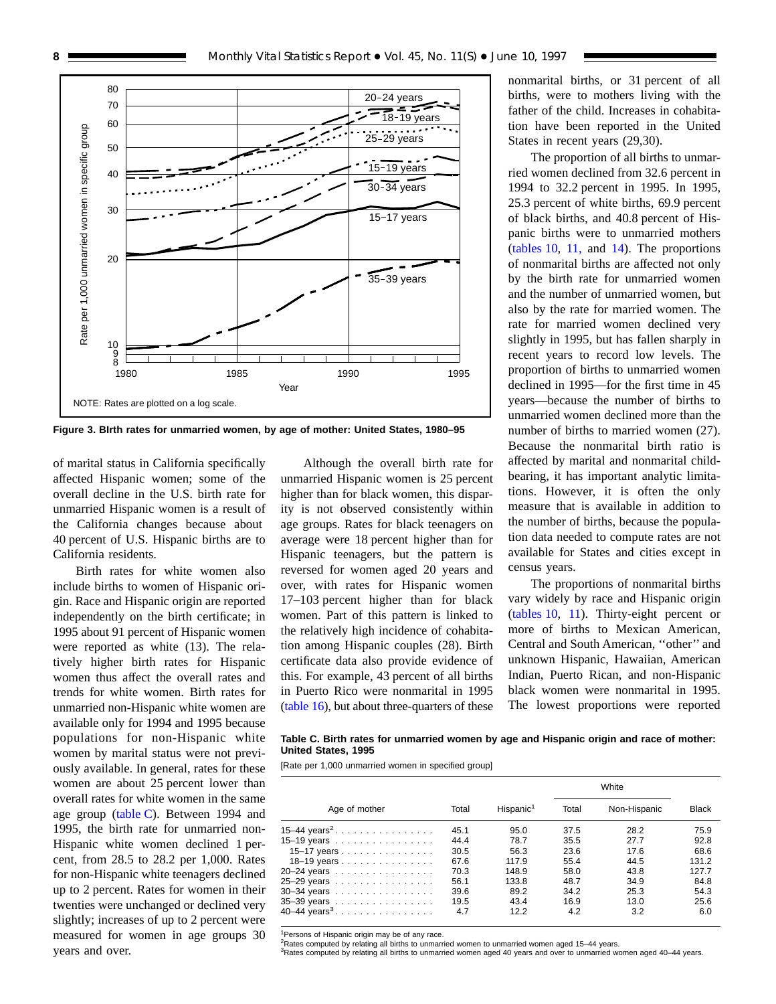<span id="page-7-0"></span>

**Figure 3. BIrth rates for unmarried women, by age of mother: United States, 1980–95**

of marital status in California specifically affected Hispanic women; some of the overall decline in the U.S. birth rate for unmarried Hispanic women is a result of the California changes because about 40 percent of U.S. Hispanic births are to California residents.

Birth rates for white women also include births to women of Hispanic origin. Race and Hispanic origin are reported independently on the birth certificate; in 1995 about 91 percent of Hispanic women were reported as white (13). The relatively higher birth rates for Hispanic women thus affect the overall rates and trends for white women. Birth rates for unmarried non-Hispanic white women are available only for 1994 and 1995 because populations for non-Hispanic white women by marital status were not previously available. In general, rates for these women are about 25 percent lower than overall rates for white women in the same age group (table C). Between 1994 and 1995, the birth rate for unmarried non-Hispanic white women declined 1 percent, from 28.5 to 28.2 per 1,000. Rates for non-Hispanic white teenagers declined up to 2 percent. Rates for women in their twenties were unchanged or declined very slightly; increases of up to 2 percent were measured for women in age groups 30 years and over.

Although the overall birth rate for unmarried Hispanic women is 25 percent higher than for black women, this disparity is not observed consistently within age groups. Rates for black teenagers on average were 18 percent higher than for Hispanic teenagers, but the pattern is reversed for women aged 20 years and over, with rates for Hispanic women 17–103 percent higher than for black women. Part of this pattern is linked to the relatively high incidence of cohabitation among Hispanic couples (28). Birth certificate data also provide evidence of this. For example, 43 percent of all births in Puerto Rico were nonmarital in 1995 [\(table 16\)](#page-42-0), but about three-quarters of these nonmarital births, or 31 percent of all births, were to mothers living with the father of the child. Increases in cohabitation have been reported in the United States in recent years (29,30).

The proportion of all births to unmarried women declined from 32.6 percent in 1994 to 32.2 percent in 1995. In 1995, 25.3 percent of white births, 69.9 percent of black births, and 40.8 percent of Hispanic births were to unmarried mothers [\(tables 10,](#page-37-0) [11,](#page-37-0) and [14\)](#page-39-0). The proportions of nonmarital births are affected not only by the birth rate for unmarried women and the number of unmarried women, but also by the rate for married women. The rate for married women declined very slightly in 1995, but has fallen sharply in recent years to record low levels. The proportion of births to unmarried women declined in 1995—for the first time in 45 years—because the number of births to unmarried women declined more than the number of births to married women (27). Because the nonmarital birth ratio is affected by marital and nonmarital childbearing, it has important analytic limitations. However, it is often the only measure that is available in addition to the number of births, because the population data needed to compute rates are not available for States and cities except in census years.

The proportions of nonmarital births vary widely by race and Hispanic origin [\(tables 10,](#page-37-0) [11\)](#page-37-0). Thirty-eight percent or more of births to Mexican American, Central and South American, ''other'' and unknown Hispanic, Hawaiian, American Indian, Puerto Rican, and non-Hispanic black women were nonmarital in 1995. The lowest proportions were reported

**Table C. Birth rates for unmarried women by age and Hispanic origin and race of mother: United States, 1995**

[Rate per 1,000 unmarried women in specified group]

|                          |       |                       |       | White        |              |
|--------------------------|-------|-----------------------|-------|--------------|--------------|
| Age of mother            | Total | Hispanic <sup>1</sup> | Total | Non-Hispanic | <b>Black</b> |
| 15–44 $\text{years}^2$   | 45.1  | 95.0                  | 37.5  | 28.2         | 75.9         |
| 15–19 years $\ldots$     | 44.4  | 78.7                  | 35.5  | 27.7         | 92.8         |
| 15–17 years              | 30.5  | 56.3                  | 23.6  | 17.6         | 68.6         |
| 18–19 years              | 67.6  | 117.9                 | 55.4  | 44.5         | 131.2        |
| 20-24 years              | 70.3  | 148.9                 | 58.0  | 43.8         | 127.7        |
| 25-29 years              | 56.1  | 133.8                 | 48.7  | 34.9         | 84.8         |
| 30-34 years              | 39.6  | 89.2                  | 34.2  | 25.3         | 54.3         |
| 35-39 years              | 19.5  | 43.4                  | 16.9  | 13.0         | 25.6         |
| 40–44 years <sup>3</sup> | 4.7   | 12.2                  | 4.2   | 3.2          | 6.0          |

<sup>1</sup>Persons of Hispanic origin may be of any race

 $2$ Rates computed by relating all births to unmarried women to unmarried women aged 15–44 years.

3Rates computed by relating all births to unmarried women aged 40 years and over to unmarried women aged 40–44 years.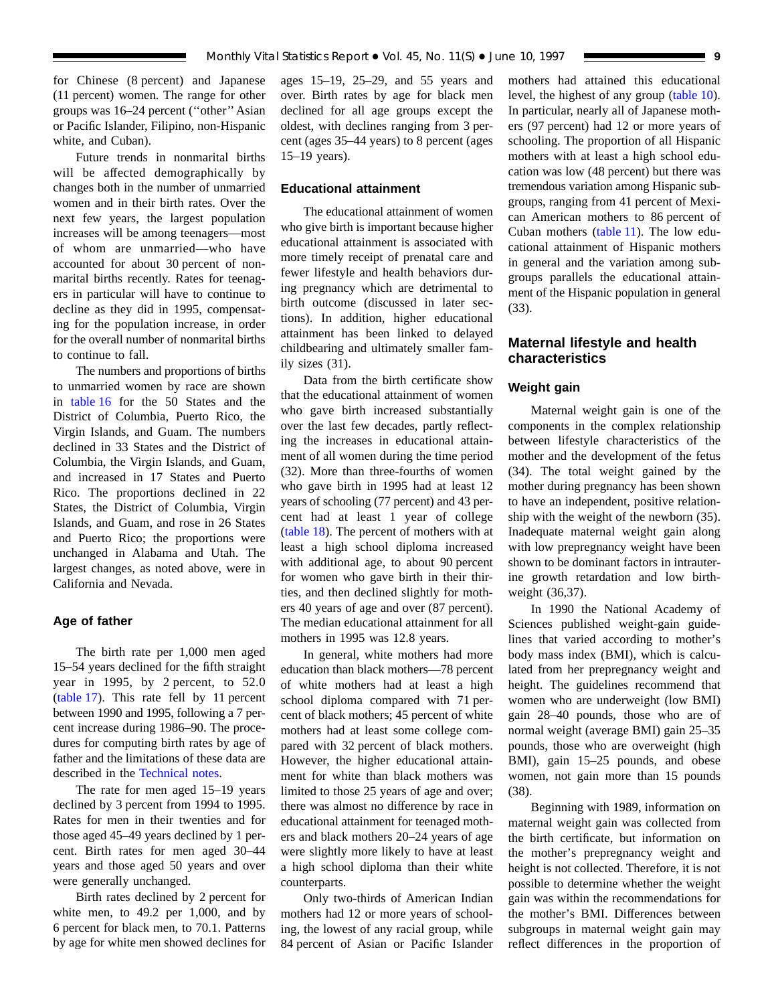for Chinese (8 percent) and Japanese (11 percent) women. The range for other groups was 16–24 percent (''other'' Asian or Pacific Islander, Filipino, non-Hispanic white, and Cuban).

Future trends in nonmarital births will be affected demographically by changes both in the number of unmarried women and in their birth rates. Over the next few years, the largest population increases will be among teenagers—most of whom are unmarried—who have accounted for about 30 percent of nonmarital births recently. Rates for teenagers in particular will have to continue to decline as they did in 1995, compensating for the population increase, in order for the overall number of nonmarital births to continue to fall.

The numbers and proportions of births to unmarried women by race are shown in [table 16](#page-42-0) for the 50 States and the District of Columbia, Puerto Rico, the Virgin Islands, and Guam. The numbers declined in 33 States and the District of Columbia, the Virgin Islands, and Guam, and increased in 17 States and Puerto Rico. The proportions declined in 22 States, the District of Columbia, Virgin Islands, and Guam, and rose in 26 States and Puerto Rico; the proportions were unchanged in Alabama and Utah. The largest changes, as noted above, were in California and Nevada.

#### **Age of father**

The birth rate per 1,000 men aged 15–54 years declined for the fifth straight year in 1995, by 2 percent, to 52.0 [\(table 17\)](#page-43-0). This rate fell by 11 percent between 1990 and 1995, following a 7 percent increase during 1986–90. The procedures for computing birth rates by age of father and the limitations of these data are described in the [Technical notes.](#page-75-0)

The rate for men aged 15–19 years declined by 3 percent from 1994 to 1995. Rates for men in their twenties and for those aged 45–49 years declined by 1 percent. Birth rates for men aged 30–44 years and those aged 50 years and over were generally unchanged.

Birth rates declined by 2 percent for white men, to 49.2 per 1,000, and by 6 percent for black men, to 70.1. Patterns by age for white men showed declines for ages 15–19, 25–29, and 55 years and over. Birth rates by age for black men declined for all age groups except the oldest, with declines ranging from 3 percent (ages 35–44 years) to 8 percent (ages 15–19 years).

#### **Educational attainment**

The educational attainment of women who give birth is important because higher educational attainment is associated with more timely receipt of prenatal care and fewer lifestyle and health behaviors during pregnancy which are detrimental to birth outcome (discussed in later sections). In addition, higher educational attainment has been linked to delayed childbearing and ultimately smaller family sizes (31).

Data from the birth certificate show that the educational attainment of women who gave birth increased substantially over the last few decades, partly reflecting the increases in educational attainment of all women during the time period (32). More than three-fourths of women who gave birth in 1995 had at least 12 years of schooling (77 percent) and 43 percent had at least 1 year of college [\(table 18\).](#page-44-0) The percent of mothers with at least a high school diploma increased with additional age, to about 90 percent for women who gave birth in their thirties, and then declined slightly for mothers 40 years of age and over (87 percent). The median educational attainment for all mothers in 1995 was 12.8 years.

In general, white mothers had more education than black mothers—78 percent of white mothers had at least a high school diploma compared with 71 percent of black mothers; 45 percent of white mothers had at least some college compared with 32 percent of black mothers. However, the higher educational attainment for white than black mothers was limited to those 25 years of age and over; there was almost no difference by race in educational attainment for teenaged mothers and black mothers 20–24 years of age were slightly more likely to have at least a high school diploma than their white counterparts.

Only two-thirds of American Indian mothers had 12 or more years of schooling, the lowest of any racial group, while 84 percent of Asian or Pacific Islander mothers had attained this educational level, the highest of any group [\(table 10\)](#page-37-0). In particular, nearly all of Japanese mothers (97 percent) had 12 or more years of schooling. The proportion of all Hispanic mothers with at least a high school education was low (48 percent) but there was tremendous variation among Hispanic subgroups, ranging from 41 percent of Mexican American mothers to 86 percent of Cuban mothers [\(table 11\)](#page-37-0). The low educational attainment of Hispanic mothers in general and the variation among subgroups parallels the educational attainment of the Hispanic population in general (33).

#### **Maternal lifestyle and health characteristics**

#### **Weight gain**

Maternal weight gain is one of the components in the complex relationship between lifestyle characteristics of the mother and the development of the fetus (34). The total weight gained by the mother during pregnancy has been shown to have an independent, positive relationship with the weight of the newborn (35). Inadequate maternal weight gain along with low prepregnancy weight have been shown to be dominant factors in intrauterine growth retardation and low birthweight (36,37).

In 1990 the National Academy of Sciences published weight-gain guidelines that varied according to mother's body mass index (BMI), which is calculated from her prepregnancy weight and height. The guidelines recommend that women who are underweight (low BMI) gain 28–40 pounds, those who are of normal weight (average BMI) gain 25–35 pounds, those who are overweight (high BMI), gain 15–25 pounds, and obese women, not gain more than 15 pounds (38).

Beginning with 1989, information on maternal weight gain was collected from the birth certificate, but information on the mother's prepregnancy weight and height is not collected. Therefore, it is not possible to determine whether the weight gain was within the recommendations for the mother's BMI. Differences between subgroups in maternal weight gain may reflect differences in the proportion of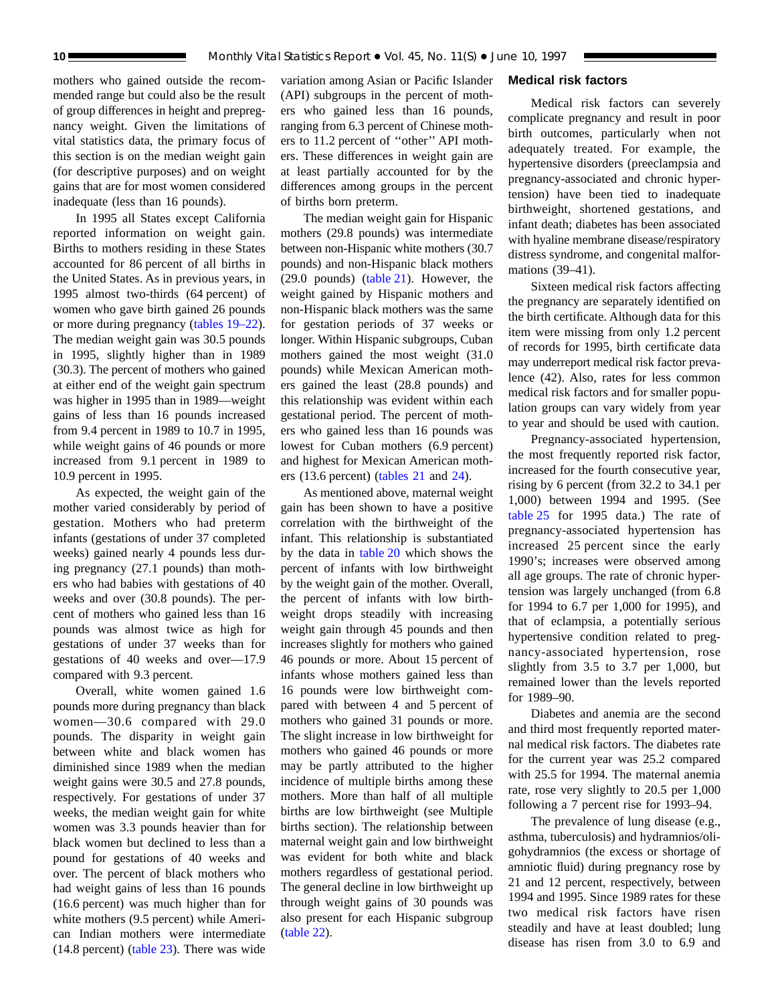mothers who gained outside the recommended range but could also be the result of group differences in height and prepregnancy weight. Given the limitations of vital statistics data, the primary focus of this section is on the median weight gain (for descriptive purposes) and on weight gains that are for most women considered inadequate (less than 16 pounds).

In 1995 all States except California reported information on weight gain. Births to mothers residing in these States accounted for 86 percent of all births in the United States. As in previous years, in 1995 almost two-thirds (64 percent) of women who gave birth gained 26 pounds or more during pregnancy [\(tables 19–22\)](#page-45-0). The median weight gain was 30.5 pounds in 1995, slightly higher than in 1989 (30.3). The percent of mothers who gained at either end of the weight gain spectrum was higher in 1995 than in 1989—weight gains of less than 16 pounds increased from 9.4 percent in 1989 to 10.7 in 1995, while weight gains of 46 pounds or more increased from 9.1 percent in 1989 to 10.9 percent in 1995.

As expected, the weight gain of the mother varied considerably by period of gestation. Mothers who had preterm infants (gestations of under 37 completed weeks) gained nearly 4 pounds less during pregnancy (27.1 pounds) than mothers who had babies with gestations of 40 weeks and over (30.8 pounds). The percent of mothers who gained less than 16 pounds was almost twice as high for gestations of under 37 weeks than for gestations of 40 weeks and over—17.9 compared with 9.3 percent.

Overall, white women gained 1.6 pounds more during pregnancy than black women—30.6 compared with 29.0 pounds. The disparity in weight gain between white and black women has diminished since 1989 when the median weight gains were 30.5 and 27.8 pounds, respectively. For gestations of under 37 weeks, the median weight gain for white women was 3.3 pounds heavier than for black women but declined to less than a pound for gestations of 40 weeks and over. The percent of black mothers who had weight gains of less than 16 pounds (16.6 percent) was much higher than for white mothers (9.5 percent) while American Indian mothers were intermediate (14.8 percent) [\(table 23\)](#page-48-0). There was wide

variation among Asian or Pacific Islander (API) subgroups in the percent of mothers who gained less than 16 pounds, ranging from 6.3 percent of Chinese mothers to 11.2 percent of ''other'' API mothers. These differences in weight gain are at least partially accounted for by the differences among groups in the percent of births born preterm.

The median weight gain for Hispanic mothers (29.8 pounds) was intermediate between non-Hispanic white mothers (30.7 pounds) and non-Hispanic black mothers (29.0 pounds) [\(table 21\).](#page-47-0) However, the weight gained by Hispanic mothers and non-Hispanic black mothers was the same for gestation periods of 37 weeks or longer. Within Hispanic subgroups, Cuban mothers gained the most weight (31.0 pounds) while Mexican American mothers gained the least (28.8 pounds) and this relationship was evident within each gestational period. The percent of mothers who gained less than 16 pounds was lowest for Cuban mothers (6.9 percent) and highest for Mexican American mothers (13.6 percent) [\(tables 21](#page-47-0) and [24\)](#page-49-0).

As mentioned above, maternal weight gain has been shown to have a positive correlation with the birthweight of the infant. This relationship is substantiated by the data in [table 20](#page-46-0) which shows the percent of infants with low birthweight by the weight gain of the mother. Overall, the percent of infants with low birthweight drops steadily with increasing weight gain through 45 pounds and then increases slightly for mothers who gained 46 pounds or more. About 15 percent of infants whose mothers gained less than 16 pounds were low birthweight compared with between 4 and 5 percent of mothers who gained 31 pounds or more. The slight increase in low birthweight for mothers who gained 46 pounds or more may be partly attributed to the higher incidence of multiple births among these mothers. More than half of all multiple births are low birthweight (see Multiple births section). The relationship between maternal weight gain and low birthweight was evident for both white and black mothers regardless of gestational period. The general decline in low birthweight up through weight gains of 30 pounds was also present for each Hispanic subgroup [\(table 22\)](#page-48-0).

#### **Medical risk factors**

Medical risk factors can severely complicate pregnancy and result in poor birth outcomes, particularly when not adequately treated. For example, the hypertensive disorders (preeclampsia and pregnancy-associated and chronic hypertension) have been tied to inadequate birthweight, shortened gestations, and infant death; diabetes has been associated with hyaline membrane disease/respiratory distress syndrome, and congenital malformations (39–41).

Sixteen medical risk factors affecting the pregnancy are separately identified on the birth certificate. Although data for this item were missing from only 1.2 percent of records for 1995, birth certificate data may underreport medical risk factor prevalence (42). Also, rates for less common medical risk factors and for smaller population groups can vary widely from year to year and should be used with caution.

Pregnancy-associated hypertension, the most frequently reported risk factor, increased for the fourth consecutive year, rising by 6 percent (from 32.2 to 34.1 per 1,000) between 1994 and 1995. (See [table 25](#page-50-0) for 1995 data.) The rate of pregnancy-associated hypertension has increased 25 percent since the early 1990's; increases were observed among all age groups. The rate of chronic hypertension was largely unchanged (from 6.8 for 1994 to 6.7 per 1,000 for 1995), and that of eclampsia, a potentially serious hypertensive condition related to pregnancy-associated hypertension, rose slightly from 3.5 to 3.7 per 1,000, but remained lower than the levels reported for 1989–90.

Diabetes and anemia are the second and third most frequently reported maternal medical risk factors. The diabetes rate for the current year was 25.2 compared with 25.5 for 1994. The maternal anemia rate, rose very slightly to 20.5 per 1,000 following a 7 percent rise for 1993–94.

The prevalence of lung disease (e.g., asthma, tuberculosis) and hydramnios/oligohydramnios (the excess or shortage of amniotic fluid) during pregnancy rose by 21 and 12 percent, respectively, between 1994 and 1995. Since 1989 rates for these two medical risk factors have risen steadily and have at least doubled; lung disease has risen from 3.0 to 6.9 and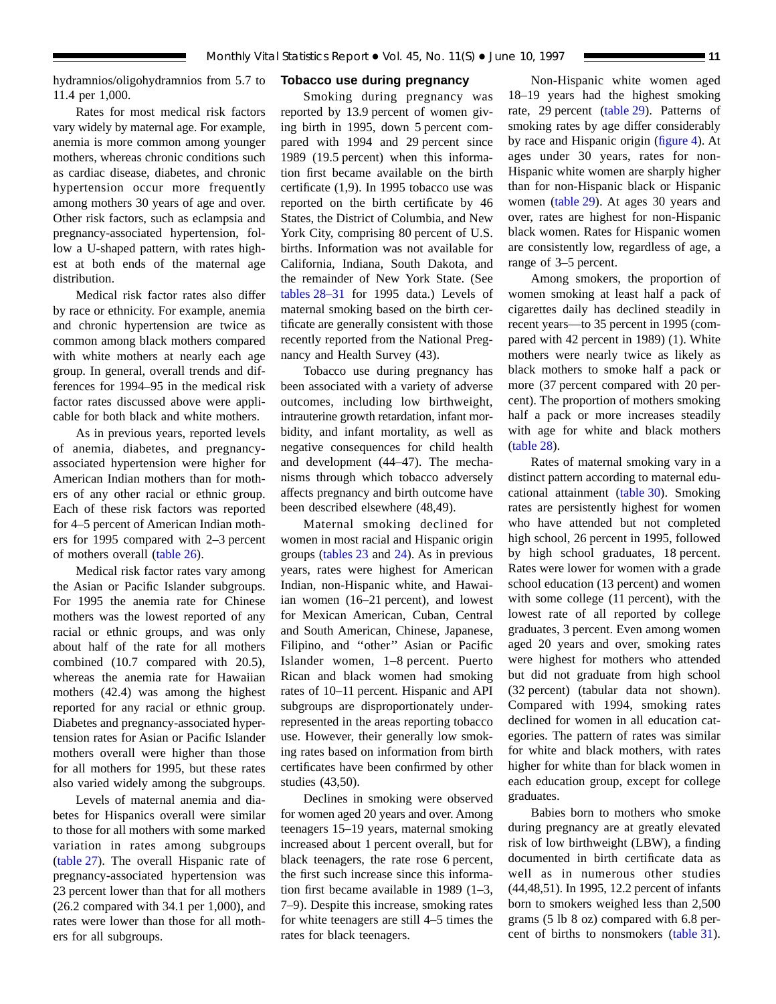hydramnios/oligohydramnios from 5.7 to 11.4 per 1,000.

Rates for most medical risk factors vary widely by maternal age. For example, anemia is more common among younger mothers, whereas chronic conditions such as cardiac disease, diabetes, and chronic hypertension occur more frequently among mothers 30 years of age and over. Other risk factors, such as eclampsia and pregnancy-associated hypertension, follow a U-shaped pattern, with rates highest at both ends of the maternal age distribution.

Medical risk factor rates also differ by race or ethnicity. For example, anemia and chronic hypertension are twice as common among black mothers compared with white mothers at nearly each age group. In general, overall trends and differences for 1994–95 in the medical risk factor rates discussed above were applicable for both black and white mothers.

As in previous years, reported levels of anemia, diabetes, and pregnancyassociated hypertension were higher for American Indian mothers than for mothers of any other racial or ethnic group. Each of these risk factors was reported for 4–5 percent of American Indian mothers for 1995 compared with 2–3 percent of mothers overall [\(table 26\).](#page-51-0)

Medical risk factor rates vary among the Asian or Pacific Islander subgroups. For 1995 the anemia rate for Chinese mothers was the lowest reported of any racial or ethnic groups, and was only about half of the rate for all mothers combined (10.7 compared with 20.5), whereas the anemia rate for Hawaiian mothers (42.4) was among the highest reported for any racial or ethnic group. Diabetes and pregnancy-associated hypertension rates for Asian or Pacific Islander mothers overall were higher than those for all mothers for 1995, but these rates also varied widely among the subgroups.

Levels of maternal anemia and diabetes for Hispanics overall were similar to those for all mothers with some marked variation in rates among subgroups [\(table 27\).](#page-52-0) The overall Hispanic rate of pregnancy-associated hypertension was 23 percent lower than that for all mothers (26.2 compared with 34.1 per 1,000), and rates were lower than those for all mothers for all subgroups.

#### **Tobacco use during pregnancy**

Smoking during pregnancy was reported by 13.9 percent of women giving birth in 1995, down 5 percent compared with 1994 and 29 percent since 1989 (19.5 percent) when this information first became available on the birth certificate (1,9). In 1995 tobacco use was reported on the birth certificate by 46 States, the District of Columbia, and New York City, comprising 80 percent of U.S. births. Information was not available for California, Indiana, South Dakota, and the remainder of New York State. (See [tables 28–31](#page-53-0) for 1995 data.) Levels of maternal smoking based on the birth certificate are generally consistent with those recently reported from the National Pregnancy and Health Survey (43).

Tobacco use during pregnancy has been associated with a variety of adverse outcomes, including low birthweight, intrauterine growth retardation, infant morbidity, and infant mortality, as well as negative consequences for child health and development (44–47). The mechanisms through which tobacco adversely affects pregnancy and birth outcome have been described elsewhere (48,49).

Maternal smoking declined for women in most racial and Hispanic origin groups [\(tables 23](#page-48-0) and [24\).](#page-49-0) As in previous years, rates were highest for American Indian, non-Hispanic white, and Hawaiian women (16–21 percent), and lowest for Mexican American, Cuban, Central and South American, Chinese, Japanese, Filipino, and ''other'' Asian or Pacific Islander women, 1–8 percent. Puerto Rican and black women had smoking rates of 10–11 percent. Hispanic and API subgroups are disproportionately underrepresented in the areas reporting tobacco use. However, their generally low smoking rates based on information from birth certificates have been confirmed by other studies (43,50).

Declines in smoking were observed for women aged 20 years and over. Among teenagers 15–19 years, maternal smoking increased about 1 percent overall, but for black teenagers, the rate rose 6 percent, the first such increase since this information first became available in 1989 (1–3, 7–9). Despite this increase, smoking rates for white teenagers are still 4–5 times the rates for black teenagers.

Non-Hispanic white women aged 18–19 years had the highest smoking rate, 29 percent [\(table 29\).](#page-54-0) Patterns of smoking rates by age differ considerably by race and Hispanic origin [\(figure 4\).](#page-11-0) At ages under 30 years, rates for non-Hispanic white women are sharply higher than for non-Hispanic black or Hispanic women [\(table 29\)](#page-54-0). At ages 30 years and over, rates are highest for non-Hispanic black women. Rates for Hispanic women are consistently low, regardless of age, a range of 3–5 percent.

Among smokers, the proportion of women smoking at least half a pack of cigarettes daily has declined steadily in recent years—to 35 percent in 1995 (compared with 42 percent in 1989) (1). White mothers were nearly twice as likely as black mothers to smoke half a pack or more (37 percent compared with 20 percent). The proportion of mothers smoking half a pack or more increases steadily with age for white and black mothers [\(table 28\).](#page-53-0)

Rates of maternal smoking vary in a distinct pattern according to maternal educational attainment [\(table 30\).](#page-55-0) Smoking rates are persistently highest for women who have attended but not completed high school, 26 percent in 1995, followed by high school graduates, 18 percent. Rates were lower for women with a grade school education (13 percent) and women with some college (11 percent), with the lowest rate of all reported by college graduates, 3 percent. Even among women aged 20 years and over, smoking rates were highest for mothers who attended but did not graduate from high school (32 percent) (tabular data not shown). Compared with 1994, smoking rates declined for women in all education categories. The pattern of rates was similar for white and black mothers, with rates higher for white than for black women in each education group, except for college graduates.

Babies born to mothers who smoke during pregnancy are at greatly elevated risk of low birthweight (LBW), a finding documented in birth certificate data as well as in numerous other studies (44,48,51). In 1995, 12.2 percent of infants born to smokers weighed less than 2,500 grams (5 lb 8 oz) compared with 6.8 percent of births to nonsmokers [\(table 31\)](#page-56-0).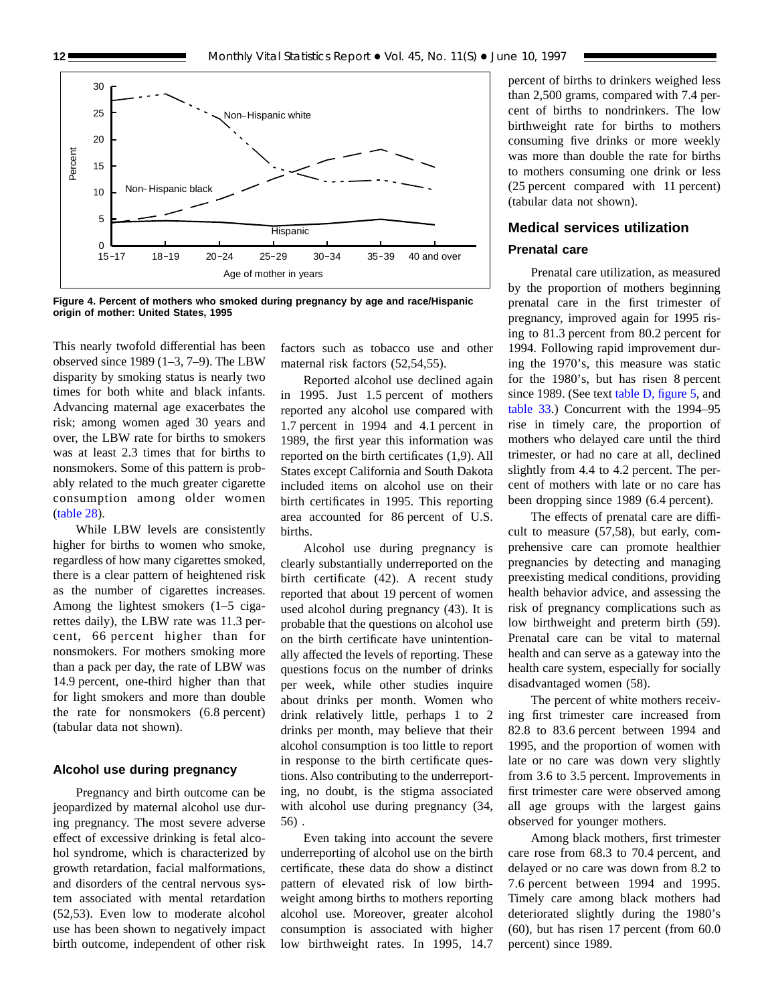<span id="page-11-0"></span>

**Figure 4. Percent of mothers who smoked during pregnancy by age and race/Hispanic origin of mother: United States, 1995**

This nearly twofold differential has been observed since 1989 (1–3, 7–9). The LBW disparity by smoking status is nearly two times for both white and black infants. Advancing maternal age exacerbates the risk; among women aged 30 years and over, the LBW rate for births to smokers was at least 2.3 times that for births to nonsmokers. Some of this pattern is probably related to the much greater cigarette consumption among older women [\(table 28\)](#page-53-0).

While LBW levels are consistently higher for births to women who smoke, regardless of how many cigarettes smoked, there is a clear pattern of heightened risk as the number of cigarettes increases. Among the lightest smokers (1–5 cigarettes daily), the LBW rate was 11.3 percent, 66 percent higher than for nonsmokers. For mothers smoking more than a pack per day, the rate of LBW was 14.9 percent, one-third higher than that for light smokers and more than double the rate for nonsmokers (6.8 percent) (tabular data not shown).

#### **Alcohol use during pregnancy**

Pregnancy and birth outcome can be jeopardized by maternal alcohol use during pregnancy. The most severe adverse effect of excessive drinking is fetal alcohol syndrome, which is characterized by growth retardation, facial malformations, and disorders of the central nervous system associated with mental retardation (52,53). Even low to moderate alcohol use has been shown to negatively impact birth outcome, independent of other risk factors such as tobacco use and other maternal risk factors (52,54,55).

Reported alcohol use declined again in 1995. Just 1.5 percent of mothers reported any alcohol use compared with 1.7 percent in 1994 and 4.1 percent in 1989, the first year this information was reported on the birth certificates (1,9). All States except California and South Dakota included items on alcohol use on their birth certificates in 1995. This reporting area accounted for 86 percent of U.S. births.

Alcohol use during pregnancy is clearly substantially underreported on the birth certificate (42). A recent study reported that about 19 percent of women used alcohol during pregnancy (43). It is probable that the questions on alcohol use on the birth certificate have unintentionally affected the levels of reporting. These questions focus on the number of drinks per week, while other studies inquire about drinks per month. Women who drink relatively little, perhaps 1 to 2 drinks per month, may believe that their alcohol consumption is too little to report in response to the birth certificate questions. Also contributing to the underreporting, no doubt, is the stigma associated with alcohol use during pregnancy (34, 56) .

Even taking into account the severe underreporting of alcohol use on the birth certificate, these data do show a distinct pattern of elevated risk of low birthweight among births to mothers reporting alcohol use. Moreover, greater alcohol consumption is associated with higher low birthweight rates. In 1995, 14.7

percent of births to drinkers weighed less than 2,500 grams, compared with 7.4 percent of births to nondrinkers. The low birthweight rate for births to mothers consuming five drinks or more weekly was more than double the rate for births to mothers consuming one drink or less (25 percent compared with 11 percent) (tabular data not shown).

### **Medical services utilization Prenatal care**

Prenatal care utilization, as measured by the proportion of mothers beginning prenatal care in the first trimester of pregnancy, improved again for 1995 rising to 81.3 percent from 80.2 percent for 1994. Following rapid improvement during the 1970's, this measure was static for the 1980's, but has risen 8 percent since 1989. (See text [table D, figure 5,](#page-12-0) and [table 33.\)](#page-58-0) Concurrent with the 1994–95 rise in timely care, the proportion of mothers who delayed care until the third trimester, or had no care at all, declined slightly from 4.4 to 4.2 percent. The percent of mothers with late or no care has been dropping since 1989 (6.4 percent).

The effects of prenatal care are difficult to measure (57,58), but early, comprehensive care can promote healthier pregnancies by detecting and managing preexisting medical conditions, providing health behavior advice, and assessing the risk of pregnancy complications such as low birthweight and preterm birth (59). Prenatal care can be vital to maternal health and can serve as a gateway into the health care system, especially for socially disadvantaged women (58).

The percent of white mothers receiving first trimester care increased from 82.8 to 83.6 percent between 1994 and 1995, and the proportion of women with late or no care was down very slightly from 3.6 to 3.5 percent. Improvements in first trimester care were observed among all age groups with the largest gains observed for younger mothers.

Among black mothers, first trimester care rose from 68.3 to 70.4 percent, and delayed or no care was down from 8.2 to 7.6 percent between 1994 and 1995. Timely care among black mothers had deteriorated slightly during the 1980's (60), but has risen 17 percent (from 60.0 percent) since 1989.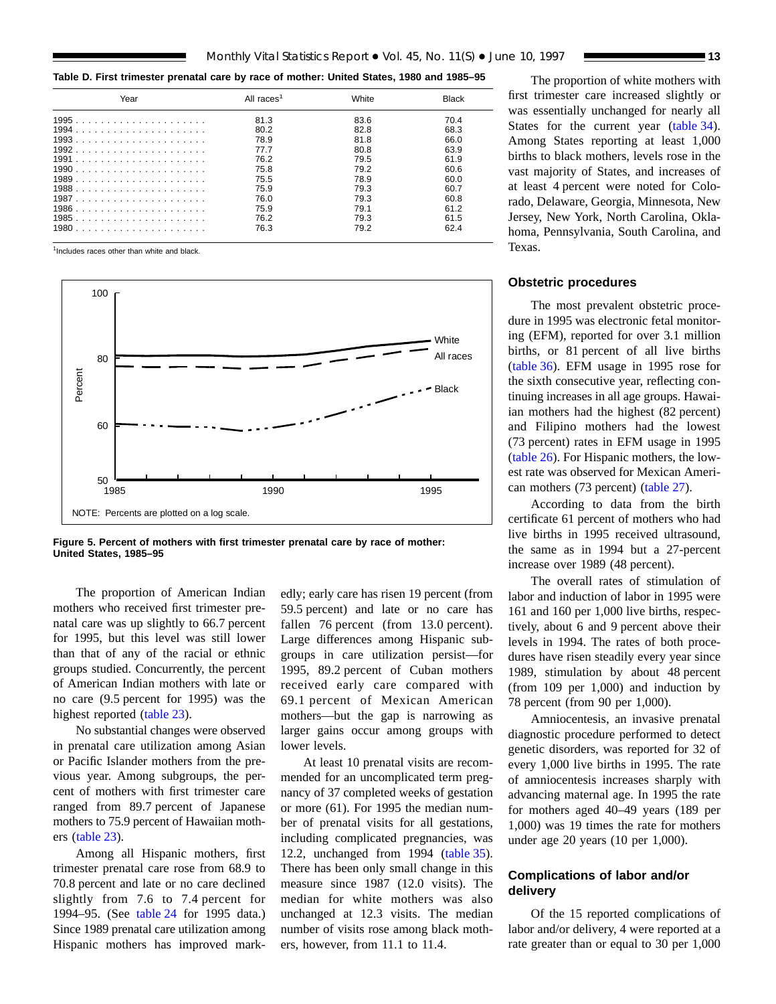<span id="page-12-0"></span>**Table D. First trimester prenatal care by race of mother: United States, 1980 and 1985–95**

| Year | All races <sup>1</sup> | White | <b>Black</b> |
|------|------------------------|-------|--------------|
|      | 81.3                   | 83.6  | 70.4         |
|      | 80.2                   | 82.8  | 68.3         |
|      | 78.9                   | 81.8  | 66.0         |
|      | 77.7                   | 80.8  | 63.9         |
|      | 76.2                   | 79.5  | 61.9         |
|      | 75.8                   | 79.2  | 60.6         |
|      | 75.5                   | 78.9  | 60.0         |
|      | 75.9                   | 79.3  | 60.7         |
|      | 76.0                   | 79.3  | 60.8         |
|      | 75.9                   | 791   | 61.2         |
|      | 76.2                   | 79.3  | 61.5         |
|      | 76.3                   | 79.2  | 62.4         |

<sup>1</sup>Includes races other than white and black



**Figure 5. Percent of mothers with first trimester prenatal care by race of mother: United States, 1985–95**

The proportion of American Indian mothers who received first trimester prenatal care was up slightly to 66.7 percent for 1995, but this level was still lower than that of any of the racial or ethnic groups studied. Concurrently, the percent of American Indian mothers with late or no care (9.5 percent for 1995) was the highest reported [\(table 23\)](#page-48-0).

No substantial changes were observed in prenatal care utilization among Asian or Pacific Islander mothers from the previous year. Among subgroups, the percent of mothers with first trimester care ranged from 89.7 percent of Japanese mothers to 75.9 percent of Hawaiian mothers [\(table 23\)](#page-48-0).

Among all Hispanic mothers, first trimester prenatal care rose from 68.9 to 70.8 percent and late or no care declined slightly from 7.6 to 7.4 percent for 1994–95. (See [table 24](#page-49-0) for 1995 data.) Since 1989 prenatal care utilization among Hispanic mothers has improved markedly; early care has risen 19 percent (from 59.5 percent) and late or no care has fallen 76 percent (from 13.0 percent). Large differences among Hispanic subgroups in care utilization persist—for 1995, 89.2 percent of Cuban mothers received early care compared with 69.1 percent of Mexican American mothers—but the gap is narrowing as larger gains occur among groups with lower levels.

At least 10 prenatal visits are recommended for an uncomplicated term pregnancy of 37 completed weeks of gestation or more (61). For 1995 the median number of prenatal visits for all gestations, including complicated pregnancies, was 12.2, unchanged from 1994 [\(table 35\)](#page-60-0). There has been only small change in this measure since 1987 (12.0 visits). The median for white mothers was also unchanged at 12.3 visits. The median number of visits rose among black mothers, however, from 11.1 to 11.4.

The proportion of white mothers with first trimester care increased slightly or was essentially unchanged for nearly all States for the current year [\(table 34\)](#page-59-0). Among States reporting at least 1,000 births to black mothers, levels rose in the vast majority of States, and increases of at least 4 percent were noted for Colorado, Delaware, Georgia, Minnesota, New Jersey, New York, North Carolina, Oklahoma, Pennsylvania, South Carolina, and Texas.

#### **Obstetric procedures**

The most prevalent obstetric procedure in 1995 was electronic fetal monitoring (EFM), reported for over 3.1 million births, or 81 percent of all live births [\(table 36\).](#page-61-0) EFM usage in 1995 rose for the sixth consecutive year, reflecting continuing increases in all age groups. Hawaiian mothers had the highest (82 percent) and Filipino mothers had the lowest (73 percent) rates in EFM usage in 1995 [\(table 26\).](#page-51-0) For Hispanic mothers, the lowest rate was observed for Mexican American mothers (73 percent) [\(table 27\).](#page-52-0)

According to data from the birth certificate 61 percent of mothers who had live births in 1995 received ultrasound, the same as in 1994 but a 27-percent increase over 1989 (48 percent).

The overall rates of stimulation of labor and induction of labor in 1995 were 161 and 160 per 1,000 live births, respectively, about 6 and 9 percent above their levels in 1994. The rates of both procedures have risen steadily every year since 1989, stimulation by about 48 percent (from 109 per 1,000) and induction by 78 percent (from 90 per 1,000).

Amniocentesis, an invasive prenatal diagnostic procedure performed to detect genetic disorders, was reported for 32 of every 1,000 live births in 1995. The rate of amniocentesis increases sharply with advancing maternal age. In 1995 the rate for mothers aged 40–49 years (189 per 1,000) was 19 times the rate for mothers under age 20 years (10 per 1,000).

#### **Complications of labor and/or delivery**

Of the 15 reported complications of labor and/or delivery, 4 were reported at a rate greater than or equal to 30 per 1,000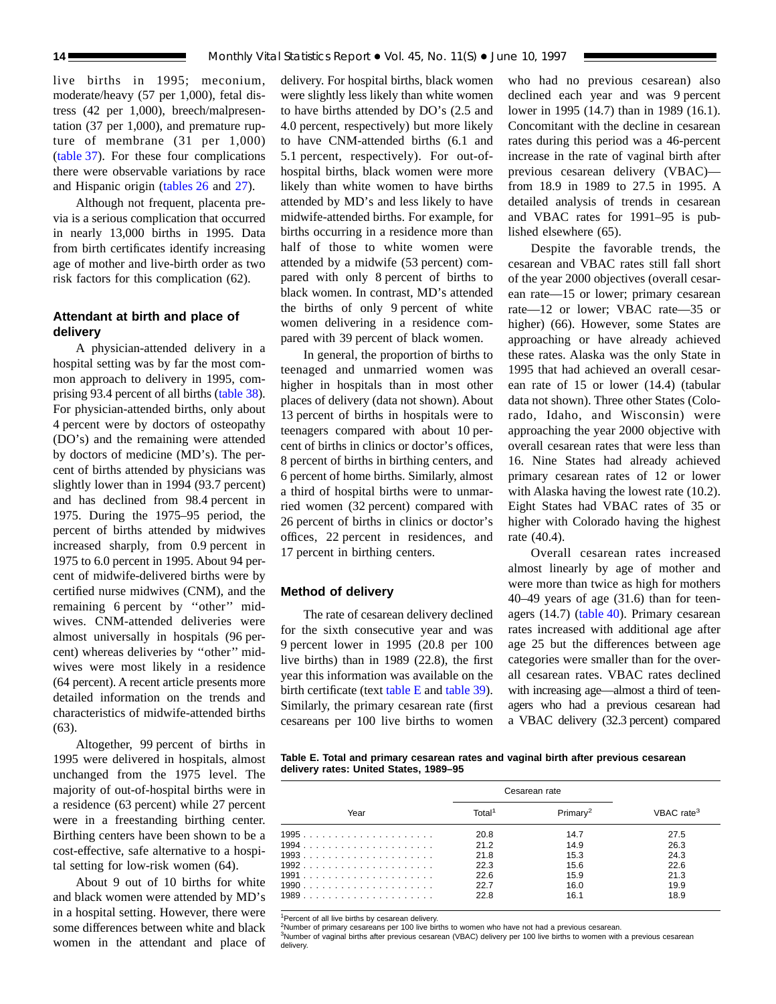live births in 1995; meconium, moderate/heavy (57 per 1,000), fetal distress (42 per 1,000), breech/malpresentation (37 per 1,000), and premature rupture of membrane (31 per 1,000) [\(table 37\).](#page-62-0) For these four complications there were observable variations by race and Hispanic origin [\(tables 26](#page-51-0) and [27\)](#page-52-0).

Although not frequent, placenta previa is a serious complication that occurred in nearly 13,000 births in 1995. Data from birth certificates identify increasing age of mother and live-birth order as two risk factors for this complication (62).

#### **Attendant at birth and place of delivery**

A physician-attended delivery in a hospital setting was by far the most common approach to delivery in 1995, comprising 93.4 percent of all births [\(table 38\)](#page-63-0). For physician-attended births, only about 4 percent were by doctors of osteopathy (DO's) and the remaining were attended by doctors of medicine (MD's). The percent of births attended by physicians was slightly lower than in 1994 (93.7 percent) and has declined from 98.4 percent in 1975. During the 1975–95 period, the percent of births attended by midwives increased sharply, from 0.9 percent in 1975 to 6.0 percent in 1995. About 94 percent of midwife-delivered births were by certified nurse midwives (CNM), and the remaining 6 percent by ''other'' midwives. CNM-attended deliveries were almost universally in hospitals (96 percent) whereas deliveries by ''other'' midwives were most likely in a residence (64 percent). A recent article presents more detailed information on the trends and characteristics of midwife-attended births (63).

Altogether, 99 percent of births in 1995 were delivered in hospitals, almost unchanged from the 1975 level. The majority of out-of-hospital births were in a residence (63 percent) while 27 percent were in a freestanding birthing center. Birthing centers have been shown to be a cost-effective, safe alternative to a hospital setting for low-risk women (64).

About 9 out of 10 births for white and black women were attended by MD's in a hospital setting. However, there were some differences between white and black women in the attendant and place of delivery. For hospital births, black women were slightly less likely than white women to have births attended by DO's (2.5 and 4.0 percent, respectively) but more likely to have CNM-attended births (6.1 and 5.1 percent, respectively). For out-ofhospital births, black women were more likely than white women to have births attended by MD's and less likely to have midwife-attended births. For example, for births occurring in a residence more than half of those to white women were attended by a midwife (53 percent) compared with only 8 percent of births to black women. In contrast, MD's attended the births of only 9 percent of white women delivering in a residence compared with 39 percent of black women.

In general, the proportion of births to teenaged and unmarried women was higher in hospitals than in most other places of delivery (data not shown). About 13 percent of births in hospitals were to teenagers compared with about 10 percent of births in clinics or doctor's offices, 8 percent of births in birthing centers, and 6 percent of home births. Similarly, almost a third of hospital births were to unmarried women (32 percent) compared with 26 percent of births in clinics or doctor's offices, 22 percent in residences, and 17 percent in birthing centers.

#### **Method of delivery**

The rate of cesarean delivery declined for the sixth consecutive year and was 9 percent lower in 1995 (20.8 per 100 live births) than in 1989 (22.8), the first year this information was available on the birth certificate (text table E and [table 39\)](#page-64-0). Similarly, the primary cesarean rate (first cesareans per 100 live births to women who had no previous cesarean) also declined each year and was 9 percent lower in 1995 (14.7) than in 1989 (16.1). Concomitant with the decline in cesarean rates during this period was a 46-percent increase in the rate of vaginal birth after previous cesarean delivery (VBAC) from 18.9 in 1989 to 27.5 in 1995. A detailed analysis of trends in cesarean and VBAC rates for 1991–95 is published elsewhere (65).

Despite the favorable trends, the cesarean and VBAC rates still fall short of the year 2000 objectives (overall cesarean rate—15 or lower; primary cesarean rate—12 or lower; VBAC rate—35 or higher) (66). However, some States are approaching or have already achieved these rates. Alaska was the only State in 1995 that had achieved an overall cesarean rate of 15 or lower (14.4) (tabular data not shown). Three other States (Colorado, Idaho, and Wisconsin) were approaching the year 2000 objective with overall cesarean rates that were less than 16. Nine States had already achieved primary cesarean rates of 12 or lower with Alaska having the lowest rate  $(10.2)$ . Eight States had VBAC rates of 35 or higher with Colorado having the highest rate (40.4).

Overall cesarean rates increased almost linearly by age of mother and were more than twice as high for mothers 40–49 years of age (31.6) than for teenagers (14.7) [\(table 40\)](#page-65-0). Primary cesarean rates increased with additional age after age 25 but the differences between age categories were smaller than for the overall cesarean rates. VBAC rates declined with increasing age—almost a third of teenagers who had a previous cesarean had a VBAC delivery (32.3 percent) compared

**Table E. Total and primary cesarean rates and vaginal birth after previous cesarean delivery rates: United States, 1989–95**

|      |                    | Cesarean rate        |                        |
|------|--------------------|----------------------|------------------------|
| Year | Total <sup>1</sup> | Primarv <sup>2</sup> | VBAC rate <sup>3</sup> |
|      | 20.8               | 14.7                 | 27.5                   |
|      | 21.2               | 14.9                 | 26.3                   |
|      | 21.8               | 15.3                 | 24.3                   |
|      | 22.3               | 15.6                 | 22.6                   |
|      | 22.6               | 15.9                 | 21.3                   |
|      | 22.7               | 16.0                 | 19.9                   |
|      | 22.8               | 16.1                 | 18.9                   |

<sup>1</sup>Percent of all live births by cesarean delivery.

<sup>2</sup>Number of primary cesareans per 100 live births to women who have not had a previous cesarean.

3Number of vaginal births after previous cesarean (VBAC) delivery per 100 live births to women with a previous cesarean delivery.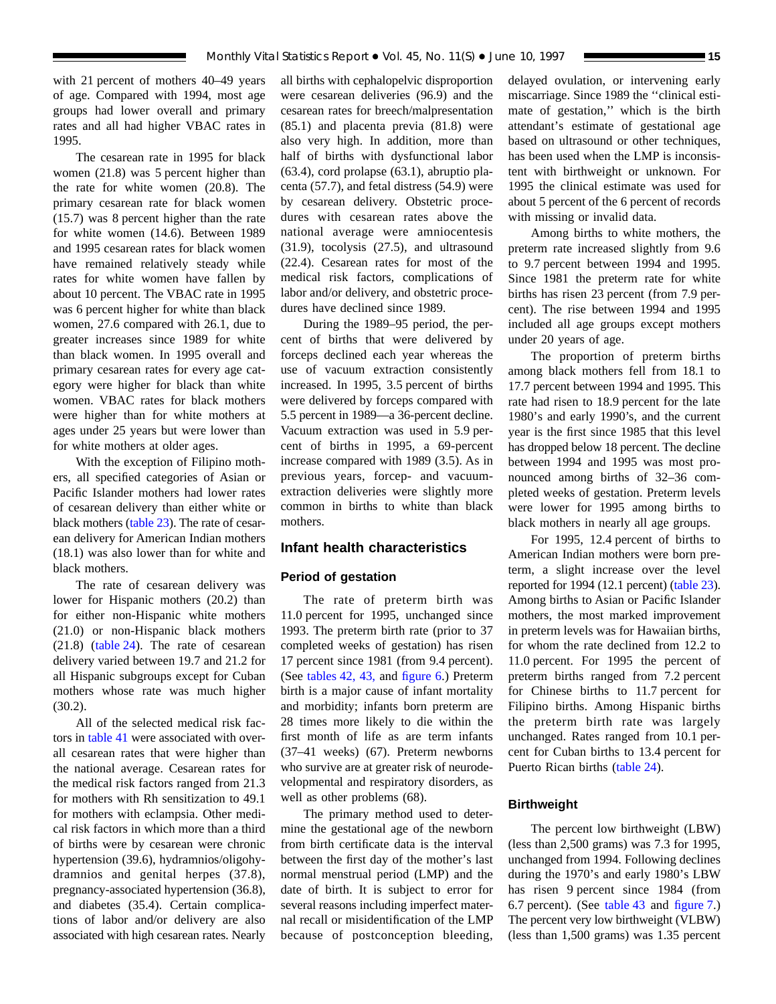with 21 percent of mothers 40–49 years of age. Compared with 1994, most age groups had lower overall and primary rates and all had higher VBAC rates in 1995.

The cesarean rate in 1995 for black women (21.8) was 5 percent higher than the rate for white women (20.8). The primary cesarean rate for black women (15.7) was 8 percent higher than the rate for white women (14.6). Between 1989 and 1995 cesarean rates for black women have remained relatively steady while rates for white women have fallen by about 10 percent. The VBAC rate in 1995 was 6 percent higher for white than black women, 27.6 compared with 26.1, due to greater increases since 1989 for white than black women. In 1995 overall and primary cesarean rates for every age category were higher for black than white women. VBAC rates for black mothers were higher than for white mothers at ages under 25 years but were lower than for white mothers at older ages.

With the exception of Filipino mothers, all specified categories of Asian or Pacific Islander mothers had lower rates of cesarean delivery than either white or black mothers [\(table 23\).](#page-48-0) The rate of cesarean delivery for American Indian mothers (18.1) was also lower than for white and black mothers.

The rate of cesarean delivery was lower for Hispanic mothers (20.2) than for either non-Hispanic white mothers (21.0) or non-Hispanic black mothers (21.8) [\(table 24\)](#page-49-0). The rate of cesarean delivery varied between 19.7 and 21.2 for all Hispanic subgroups except for Cuban mothers whose rate was much higher (30.2).

All of the selected medical risk factors in [table 41](#page-66-0) were associated with overall cesarean rates that were higher than the national average. Cesarean rates for the medical risk factors ranged from 21.3 for mothers with Rh sensitization to 49.1 for mothers with eclampsia. Other medical risk factors in which more than a third of births were by cesarean were chronic hypertension (39.6), hydramnios/oligohydramnios and genital herpes (37.8), pregnancy-associated hypertension (36.8), and diabetes (35.4). Certain complications of labor and/or delivery are also associated with high cesarean rates. Nearly

all births with cephalopelvic disproportion were cesarean deliveries (96.9) and the cesarean rates for breech/malpresentation (85.1) and placenta previa (81.8) were also very high. In addition, more than half of births with dysfunctional labor (63.4), cord prolapse (63.1), abruptio placenta (57.7), and fetal distress (54.9) were by cesarean delivery. Obstetric procedures with cesarean rates above the national average were amniocentesis (31.9), tocolysis (27.5), and ultrasound (22.4). Cesarean rates for most of the medical risk factors, complications of labor and/or delivery, and obstetric procedures have declined since 1989.

During the 1989–95 period, the percent of births that were delivered by forceps declined each year whereas the use of vacuum extraction consistently increased. In 1995, 3.5 percent of births were delivered by forceps compared with 5.5 percent in 1989—a 36-percent decline. Vacuum extraction was used in 5.9 percent of births in 1995, a 69-percent increase compared with 1989 (3.5). As in previous years, forcep- and vacuumextraction deliveries were slightly more common in births to white than black mothers.

#### **Infant health characteristics**

#### **Period of gestation**

The rate of preterm birth was 11.0 percent for 1995, unchanged since 1993. The preterm birth rate (prior to 37 completed weeks of gestation) has risen 17 percent since 1981 (from 9.4 percent). (See [tables 42,](#page-67-0) [43,](#page-68-0) and [figure 6.\)](#page-15-0) Preterm birth is a major cause of infant mortality and morbidity; infants born preterm are 28 times more likely to die within the first month of life as are term infants (37–41 weeks) (67). Preterm newborns who survive are at greater risk of neurodevelopmental and respiratory disorders, as well as other problems (68).

The primary method used to determine the gestational age of the newborn from birth certificate data is the interval between the first day of the mother's last normal menstrual period (LMP) and the date of birth. It is subject to error for several reasons including imperfect maternal recall or misidentification of the LMP because of postconception bleeding,

delayed ovulation, or intervening early miscarriage. Since 1989 the ''clinical estimate of gestation,'' which is the birth attendant's estimate of gestational age based on ultrasound or other techniques, has been used when the LMP is inconsistent with birthweight or unknown. For 1995 the clinical estimate was used for about 5 percent of the 6 percent of records with missing or invalid data.

Among births to white mothers, the preterm rate increased slightly from 9.6 to 9.7 percent between 1994 and 1995. Since 1981 the preterm rate for white births has risen 23 percent (from 7.9 percent). The rise between 1994 and 1995 included all age groups except mothers under 20 years of age.

The proportion of preterm births among black mothers fell from 18.1 to 17.7 percent between 1994 and 1995. This rate had risen to 18.9 percent for the late 1980's and early 1990's, and the current year is the first since 1985 that this level has dropped below 18 percent. The decline between 1994 and 1995 was most pronounced among births of 32–36 completed weeks of gestation. Preterm levels were lower for 1995 among births to black mothers in nearly all age groups.

For 1995, 12.4 percent of births to American Indian mothers were born preterm, a slight increase over the level reported for 1994 (12.1 percent) [\(table 23\).](#page-48-0) Among births to Asian or Pacific Islander mothers, the most marked improvement in preterm levels was for Hawaiian births, for whom the rate declined from 12.2 to 11.0 percent. For 1995 the percent of preterm births ranged from 7.2 percent for Chinese births to 11.7 percent for Filipino births. Among Hispanic births the preterm birth rate was largely unchanged. Rates ranged from 10.1 percent for Cuban births to 13.4 percent for Puerto Rican births [\(table 24\).](#page-49-0)

#### **Birthweight**

The percent low birthweight (LBW) (less than 2,500 grams) was 7.3 for 1995, unchanged from 1994. Following declines during the 1970's and early 1980's LBW has risen 9 percent since 1984 (from 6.7 percent). (See [table 43](#page-68-0) and [figure 7.](#page-15-0)) The percent very low birthweight (VLBW) (less than 1,500 grams) was 1.35 percent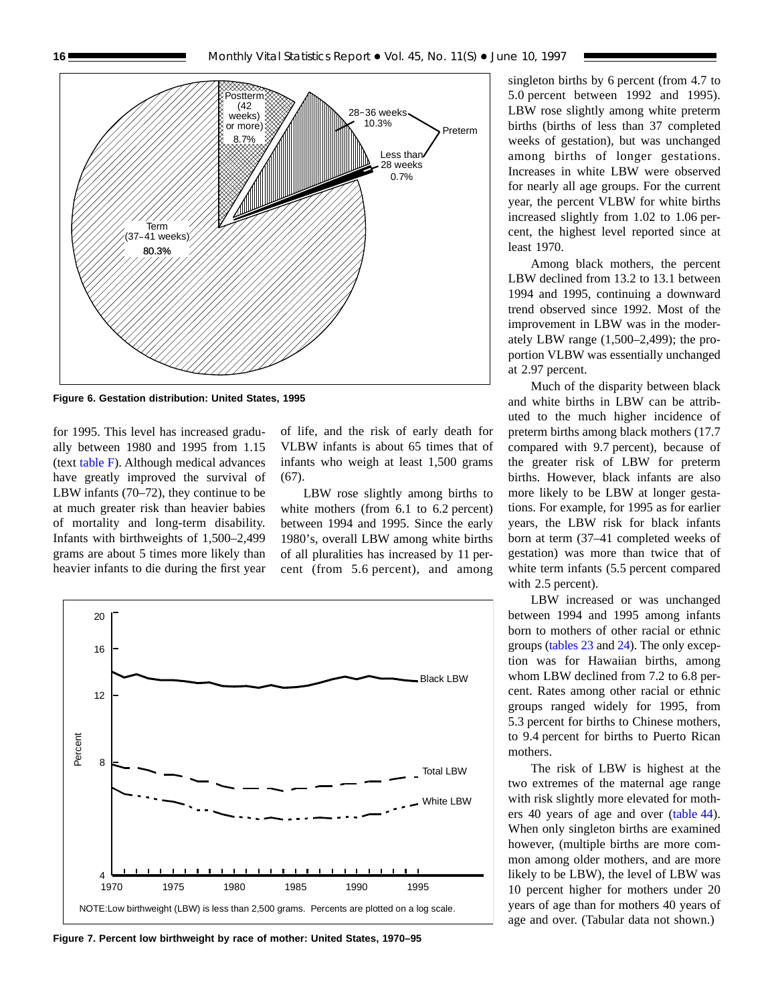<span id="page-15-0"></span>

**Figure 6. Gestation distribution: United States, 1995**

for 1995. This level has increased gradually between 1980 and 1995 from 1.15 (text [table F\).](#page-16-0) Although medical advances have greatly improved the survival of LBW infants (70–72), they continue to be at much greater risk than heavier babies of mortality and long-term disability. Infants with birthweights of 1,500–2,499 grams are about 5 times more likely than heavier infants to die during the first year of life, and the risk of early death for VLBW infants is about 65 times that of infants who weigh at least 1,500 grams  $(67)$ .

LBW rose slightly among births to white mothers (from 6.1 to 6.2 percent) between 1994 and 1995. Since the early 1980's, overall LBW among white births of all pluralities has increased by 11 percent (from 5.6 percent), and among



**Figure 7. Percent low birthweight by race of mother: United States, 1970–95**

singleton births by 6 percent (from 4.7 to 5.0 percent between 1992 and 1995). LBW rose slightly among white preterm births (births of less than 37 completed weeks of gestation), but was unchanged among births of longer gestations. Increases in white LBW were observed for nearly all age groups. For the current year, the percent VLBW for white births increased slightly from 1.02 to 1.06 percent, the highest level reported since at least 1970.

Among black mothers, the percent LBW declined from 13.2 to 13.1 between 1994 and 1995, continuing a downward trend observed since 1992. Most of the improvement in LBW was in the moderately LBW range (1,500–2,499); the proportion VLBW was essentially unchanged at 2.97 percent.

Much of the disparity between black and white births in LBW can be attributed to the much higher incidence of preterm births among black mothers (17.7 compared with 9.7 percent), because of the greater risk of LBW for preterm births. However, black infants are also more likely to be LBW at longer gestations. For example, for 1995 as for earlier years, the LBW risk for black infants born at term (37–41 completed weeks of gestation) was more than twice that of white term infants  $(5.5$  percent compared with 2.5 percent).

LBW increased or was unchanged between 1994 and 1995 among infants born to mothers of other racial or ethnic groups [\(tables 23](#page-48-0) and [24\)](#page-49-0). The only exception was for Hawaiian births, among whom LBW declined from 7.2 to 6.8 percent. Rates among other racial or ethnic groups ranged widely for 1995, from 5.3 percent for births to Chinese mothers, to 9.4 percent for births to Puerto Rican mothers.

The risk of LBW is highest at the two extremes of the maternal age range with risk slightly more elevated for mothers 40 years of age and over [\(table 44\)](#page-69-0). When only singleton births are examined however, (multiple births are more common among older mothers, and are more likely to be LBW), the level of LBW was 10 percent higher for mothers under 20 years of age than for mothers 40 years of age and over. (Tabular data not shown.)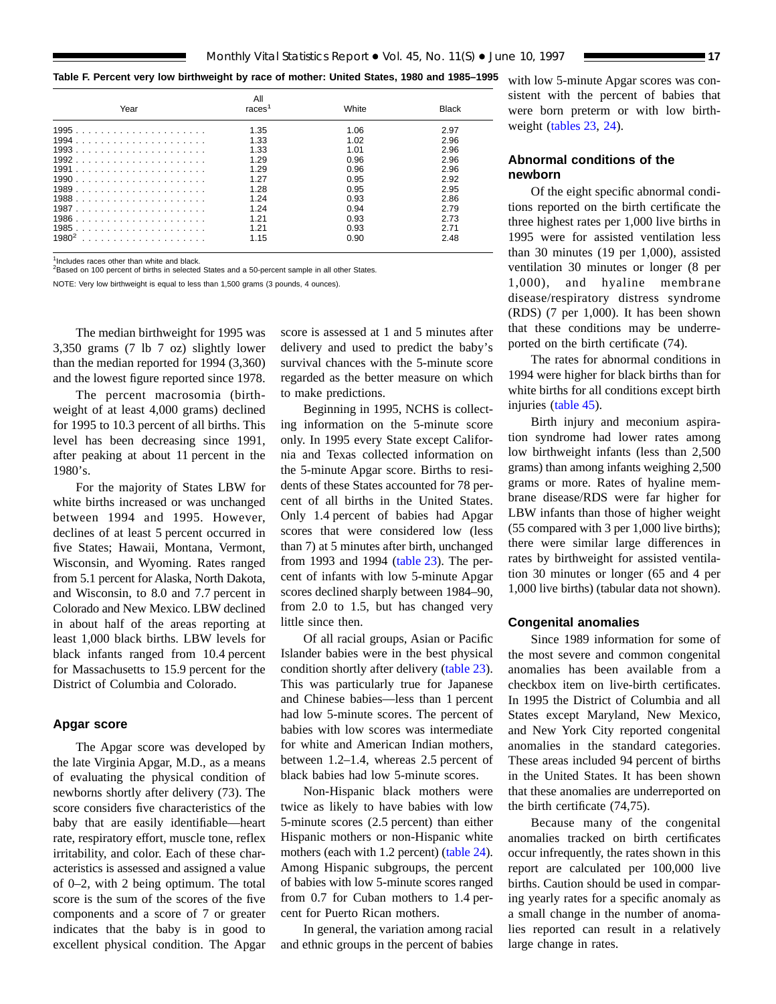#### <span id="page-16-0"></span>**Table F. Percent very low birthweight by race of mother: United States, 1980 and 1985–1995**

| Year     | All<br>races <sup>1</sup> | White | <b>Black</b> |
|----------|---------------------------|-------|--------------|
|          | 1.35                      | 1.06  | 2.97         |
|          | 1.33                      | 1.02  | 2.96         |
|          | 1.33                      | 1.01  | 2.96         |
|          | 1.29                      | 0.96  | 2.96         |
|          | 1.29                      | 0.96  | 2.96         |
|          | 1.27                      | 0.95  | 2.92         |
|          | 1.28                      | 0.95  | 2.95         |
|          | 1.24                      | 0.93  | 2.86         |
|          | 1.24                      | 0.94  | 2.79         |
|          | 1.21                      | 0.93  | 2.73         |
|          | 1 21                      | 0.93  | 2.71         |
| $1980^2$ | 1.15                      | 0.90  | 2.48         |

1Includes races other than white and black.

2Based on 100 percent of births in selected States and a 50-percent sample in all other States.

NOTE: Very low birthweight is equal to less than 1,500 grams (3 pounds, 4 ounces).

The median birthweight for 1995 was 3,350 grams (7 lb 7 oz) slightly lower than the median reported for 1994 (3,360) and the lowest figure reported since 1978.

The percent macrosomia (birthweight of at least 4,000 grams) declined for 1995 to 10.3 percent of all births. This level has been decreasing since 1991, after peaking at about 11 percent in the 1980's.

For the majority of States LBW for white births increased or was unchanged between 1994 and 1995. However, declines of at least 5 percent occurred in five States; Hawaii, Montana, Vermont, Wisconsin, and Wyoming. Rates ranged from 5.1 percent for Alaska, North Dakota, and Wisconsin, to 8.0 and 7.7 percent in Colorado and New Mexico. LBW declined in about half of the areas reporting at least 1,000 black births. LBW levels for black infants ranged from 10.4 percent for Massachusetts to 15.9 percent for the District of Columbia and Colorado.

#### **Apgar score**

The Apgar score was developed by the late Virginia Apgar, M.D., as a means of evaluating the physical condition of newborns shortly after delivery (73). The score considers five characteristics of the baby that are easily identifiable—heart rate, respiratory effort, muscle tone, reflex irritability, and color. Each of these characteristics is assessed and assigned a value of 0–2, with 2 being optimum. The total score is the sum of the scores of the five components and a score of 7 or greater indicates that the baby is in good to excellent physical condition. The Apgar score is assessed at 1 and 5 minutes after delivery and used to predict the baby's survival chances with the 5-minute score regarded as the better measure on which to make predictions.

Beginning in 1995, NCHS is collecting information on the 5-minute score only. In 1995 every State except California and Texas collected information on the 5-minute Apgar score. Births to residents of these States accounted for 78 percent of all births in the United States. Only 1.4 percent of babies had Apgar scores that were considered low (less than 7) at 5 minutes after birth, unchanged from 1993 and 1994 [\(table 23\)](#page-48-0). The percent of infants with low 5-minute Apgar scores declined sharply between 1984–90, from 2.0 to 1.5, but has changed very little since then.

Of all racial groups, Asian or Pacific Islander babies were in the best physical condition shortly after delivery [\(table 23\)](#page-48-0). This was particularly true for Japanese and Chinese babies—less than 1 percent had low 5-minute scores. The percent of babies with low scores was intermediate for white and American Indian mothers, between 1.2–1.4, whereas 2.5 percent of black babies had low 5-minute scores.

Non-Hispanic black mothers were twice as likely to have babies with low 5-minute scores (2.5 percent) than either Hispanic mothers or non-Hispanic white mothers (each with 1.2 percent) [\(table 24\)](#page-49-0). Among Hispanic subgroups, the percent of babies with low 5-minute scores ranged from 0.7 for Cuban mothers to 1.4 percent for Puerto Rican mothers.

In general, the variation among racial and ethnic groups in the percent of babies with low 5-minute Apgar scores was consistent with the percent of babies that were born preterm or with low birthweight [\(tables 23,](#page-48-0) 24).

#### **Abnormal conditions of the newborn**

Of the eight specific abnormal conditions reported on the birth certificate the three highest rates per 1,000 live births in 1995 were for assisted ventilation less than 30 minutes (19 per 1,000), assisted ventilation 30 minutes or longer (8 per 1,000), and hyaline membrane disease/respiratory distress syndrome (RDS) (7 per 1,000). It has been shown that these conditions may be underreported on the birth certificate (74).

The rates for abnormal conditions in 1994 were higher for black births than for white births for all conditions except birth injuries [\(table 45\)](#page-71-0).

Birth injury and meconium aspiration syndrome had lower rates among low birthweight infants (less than 2,500 grams) than among infants weighing 2,500 grams or more. Rates of hyaline membrane disease/RDS were far higher for LBW infants than those of higher weight (55 compared with 3 per 1,000 live births); there were similar large differences in rates by birthweight for assisted ventilation 30 minutes or longer (65 and 4 per 1,000 live births) (tabular data not shown).

#### **Congenital anomalies**

Since 1989 information for some of the most severe and common congenital anomalies has been available from a checkbox item on live-birth certificates. In 1995 the District of Columbia and all States except Maryland, New Mexico, and New York City reported congenital anomalies in the standard categories. These areas included 94 percent of births in the United States. It has been shown that these anomalies are underreported on the birth certificate (74,75).

Because many of the congenital anomalies tracked on birth certificates occur infrequently, the rates shown in this report are calculated per 100,000 live births. Caution should be used in comparing yearly rates for a specific anomaly as a small change in the number of anomalies reported can result in a relatively large change in rates.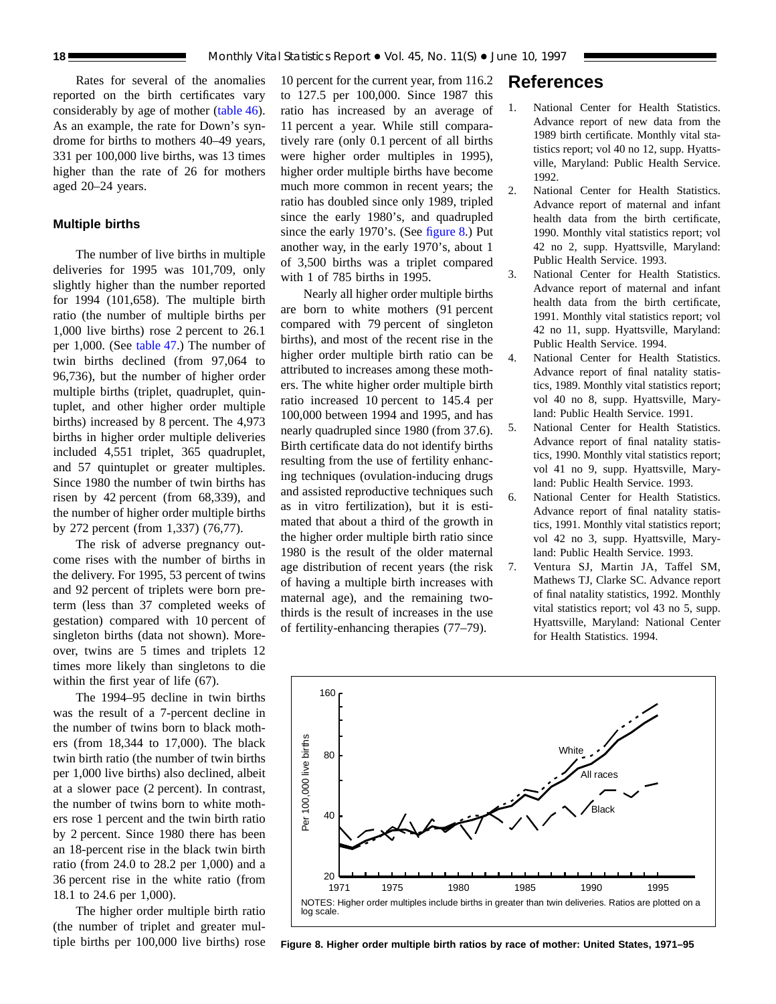Rates for several of the anomalies reported on the birth certificates vary considerably by age of mother [\(table 46\)](#page-72-0). As an example, the rate for Down's syndrome for births to mothers 40–49 years, 331 per 100,000 live births, was 13 times higher than the rate of 26 for mothers aged 20–24 years.

#### **Multiple births**

The number of live births in multiple deliveries for 1995 was 101,709, only slightly higher than the number reported for 1994 (101,658). The multiple birth ratio (the number of multiple births per 1,000 live births) rose 2 percent to 26.1 per 1,000. (See [table 47.\)](#page-74-0) The number of twin births declined (from 97,064 to 96,736), but the number of higher order multiple births (triplet, quadruplet, quintuplet, and other higher order multiple births) increased by 8 percent. The 4,973 births in higher order multiple deliveries included 4,551 triplet, 365 quadruplet, and 57 quintuplet or greater multiples. Since 1980 the number of twin births has risen by 42 percent (from 68,339), and the number of higher order multiple births by 272 percent (from 1,337) (76,77).

The risk of adverse pregnancy outcome rises with the number of births in the delivery. For 1995, 53 percent of twins and 92 percent of triplets were born preterm (less than 37 completed weeks of gestation) compared with 10 percent of singleton births (data not shown). Moreover, twins are 5 times and triplets 12 times more likely than singletons to die within the first year of life (67).

The 1994–95 decline in twin births was the result of a 7-percent decline in the number of twins born to black mothers (from 18,344 to 17,000). The black twin birth ratio (the number of twin births per 1,000 live births) also declined, albeit at a slower pace (2 percent). In contrast, the number of twins born to white mothers rose 1 percent and the twin birth ratio by 2 percent. Since 1980 there has been an 18-percent rise in the black twin birth ratio (from 24.0 to 28.2 per 1,000) and a 36 percent rise in the white ratio (from 18.1 to 24.6 per 1,000).

The higher order multiple birth ratio (the number of triplet and greater multiple births per 100,000 live births) rose

10 percent for the current year, from 116.2 to 127.5 per 100,000. Since 1987 this ratio has increased by an average of 11 percent a year. While still comparatively rare (only 0.1 percent of all births were higher order multiples in 1995), higher order multiple births have become much more common in recent years; the ratio has doubled since only 1989, tripled since the early 1980's, and quadrupled since the early 1970's. (See figure 8.) Put another way, in the early 1970's, about 1 of 3,500 births was a triplet compared with 1 of 785 births in 1995.

Nearly all higher order multiple births are born to white mothers (91 percent compared with 79 percent of singleton births), and most of the recent rise in the higher order multiple birth ratio can be attributed to increases among these mothers. The white higher order multiple birth ratio increased 10 percent to 145.4 per 100,000 between 1994 and 1995, and has nearly quadrupled since 1980 (from 37.6). Birth certificate data do not identify births resulting from the use of fertility enhancing techniques (ovulation-inducing drugs and assisted reproductive techniques such as in vitro fertilization), but it is estimated that about a third of the growth in the higher order multiple birth ratio since 1980 is the result of the older maternal age distribution of recent years (the risk of having a multiple birth increases with maternal age), and the remaining twothirds is the result of increases in the use of fertility-enhancing therapies (77–79).

### **References**

- 1. National Center for Health Statistics. Advance report of new data from the 1989 birth certificate. Monthly vital statistics report; vol 40 no 12, supp. Hyattsville, Maryland: Public Health Service. 1992.
- 2. National Center for Health Statistics. Advance report of maternal and infant health data from the birth certificate, 1990. Monthly vital statistics report; vol 42 no 2, supp. Hyattsville, Maryland: Public Health Service. 1993.
- 3. National Center for Health Statistics. Advance report of maternal and infant health data from the birth certificate, 1991. Monthly vital statistics report; vol 42 no 11, supp. Hyattsville, Maryland: Public Health Service. 1994.
- 4. National Center for Health Statistics. Advance report of final natality statistics, 1989. Monthly vital statistics report; vol 40 no 8, supp. Hyattsville, Maryland: Public Health Service. 1991.
- 5. National Center for Health Statistics. Advance report of final natality statistics, 1990. Monthly vital statistics report; vol 41 no 9, supp. Hyattsville, Maryland: Public Health Service. 1993.
- 6. National Center for Health Statistics. Advance report of final natality statistics, 1991. Monthly vital statistics report; vol 42 no 3, supp. Hyattsville, Maryland: Public Health Service. 1993.
- 7. Ventura SJ, Martin JA, Taffel SM, Mathews TJ, Clarke SC. Advance report of final natality statistics, 1992. Monthly vital statistics report; vol 43 no 5, supp. Hyattsville, Maryland: National Center for Health Statistics. 1994.



**Figure 8. Higher order multiple birth ratios by race of mother: United States, 1971–95**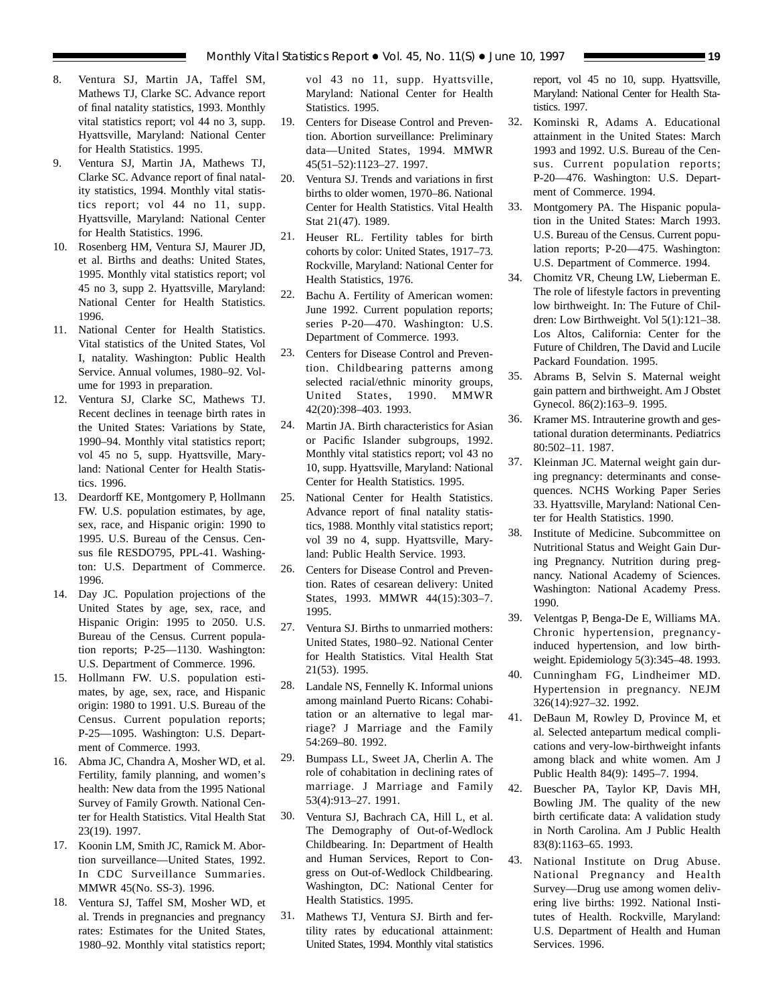- 8. Ventura SJ, Martin JA, Taffel SM, Mathews TJ, Clarke SC. Advance report of final natality statistics, 1993. Monthly vital statistics report; vol 44 no 3, supp. Hyattsville, Maryland: National Center for Health Statistics. 1995.
- 9. Ventura SJ, Martin JA, Mathews TJ, Clarke SC. Advance report of final natality statistics, 1994. Monthly vital statistics report; vol 44 no 11, supp. Hyattsville, Maryland: National Center for Health Statistics. 1996.
- 10. Rosenberg HM, Ventura SJ, Maurer JD, et al. Births and deaths: United States, 1995. Monthly vital statistics report; vol 45 no 3, supp 2. Hyattsville, Maryland: National Center for Health Statistics. 1996.
- 11. National Center for Health Statistics. Vital statistics of the United States, Vol I, natality. Washington: Public Health Service. Annual volumes, 1980–92. Volume for 1993 in preparation.
- 12. Ventura SJ, Clarke SC, Mathews TJ. Recent declines in teenage birth rates in the United States: Variations by State, 1990–94. Monthly vital statistics report; vol 45 no 5, supp. Hyattsville, Maryland: National Center for Health Statistics. 1996.
- 13. Deardorff KE, Montgomery P, Hollmann FW. U.S. population estimates, by age, sex, race, and Hispanic origin: 1990 to 1995. U.S. Bureau of the Census. Census file RESDO795, PPL-41. Washington: U.S. Department of Commerce. 1996.
- 14. Day JC. Population projections of the United States by age, sex, race, and Hispanic Origin: 1995 to 2050. U.S. Bureau of the Census. Current population reports; P-25—1130. Washington: U.S. Department of Commerce. 1996.
- 15. Hollmann FW. U.S. population estimates, by age, sex, race, and Hispanic origin: 1980 to 1991. U.S. Bureau of the Census. Current population reports; P-25—1095. Washington: U.S. Department of Commerce. 1993.
- 16. Abma JC, Chandra A, Mosher WD, et al. Fertility, family planning, and women's health: New data from the 1995 National Survey of Family Growth. National Center for Health Statistics. Vital Health Stat 23(19). 1997.
- 17. Koonin LM, Smith JC, Ramick M. Abortion surveillance—United States, 1992. In CDC Surveillance Summaries. MMWR 45(No. SS-3). 1996.
- 18. Ventura SJ, Taffel SM, Mosher WD, et al. Trends in pregnancies and pregnancy rates: Estimates for the United States, 1980–92. Monthly vital statistics report;

vol 43 no 11, supp. Hyattsville, Maryland: National Center for Health Statistics. 1995.

- 19. Centers for Disease Control and Prevention. Abortion surveillance: Preliminary data—United States, 1994. MMWR 45(51–52):1123–27. 1997.
- 20. Ventura SJ. Trends and variations in first births to older women, 1970–86. National Center for Health Statistics. Vital Health Stat 21(47). 1989.
- 21. Heuser RL. Fertility tables for birth cohorts by color: United States, 1917–73. Rockville, Maryland: National Center for Health Statistics, 1976.
- 22. Bachu A. Fertility of American women: June 1992. Current population reports; series P-20—470. Washington: U.S. Department of Commerce. 1993.
- 23. Centers for Disease Control and Prevention. Childbearing patterns among selected racial/ethnic minority groups, United States, 1990. MMWR 42(20):398–403. 1993.
- 24. Martin JA. Birth characteristics for Asian or Pacific Islander subgroups, 1992. Monthly vital statistics report; vol 43 no 10, supp. Hyattsville, Maryland: National Center for Health Statistics. 1995.
- 25. National Center for Health Statistics. Advance report of final natality statistics, 1988. Monthly vital statistics report; vol 39 no 4, supp. Hyattsville, Maryland: Public Health Service. 1993.
- 26. Centers for Disease Control and Prevention. Rates of cesarean delivery: United States, 1993. MMWR 44(15):303–7. 1995.
- 27. Ventura SJ. Births to unmarried mothers: United States, 1980–92. National Center for Health Statistics. Vital Health Stat 21(53). 1995.
- 28. Landale NS, Fennelly K. Informal unions among mainland Puerto Ricans: Cohabitation or an alternative to legal marriage? J Marriage and the Family 54:269–80. 1992.
- 29. Bumpass LL, Sweet JA, Cherlin A. The role of cohabitation in declining rates of marriage. J Marriage and Family 53(4):913–27. 1991.
- 30. Ventura SJ, Bachrach CA, Hill L, et al. The Demography of Out-of-Wedlock Childbearing. In: Department of Health and Human Services, Report to Congress on Out-of-Wedlock Childbearing. Washington, DC: National Center for Health Statistics. 1995.
- 31. Mathews TJ, Ventura SJ. Birth and fertility rates by educational attainment: United States, 1994. Monthly vital statistics

report, vol 45 no 10, supp. Hyattsville, Maryland: National Center for Health Statistics. 1997.

- 32. Kominski R, Adams A. Educational attainment in the United States: March 1993 and 1992. U.S. Bureau of the Census. Current population reports; P-20—476. Washington: U.S. Department of Commerce. 1994.
- 33. Montgomery PA. The Hispanic population in the United States: March 1993. U.S. Bureau of the Census. Current population reports; P-20—475. Washington: U.S. Department of Commerce. 1994.
- 34. Chomitz VR, Cheung LW, Lieberman E. The role of lifestyle factors in preventing low birthweight. In: The Future of Children: Low Birthweight. Vol 5(1):121–38. Los Altos, California: Center for the Future of Children, The David and Lucile Packard Foundation. 1995.
- 35. Abrams B, Selvin S. Maternal weight gain pattern and birthweight. Am J Obstet Gynecol. 86(2):163–9. 1995.
- 36. Kramer MS. Intrauterine growth and gestational duration determinants. Pediatrics 80:502–11. 1987.
- 37. Kleinman JC. Maternal weight gain during pregnancy: determinants and consequences. NCHS Working Paper Series 33. Hyattsville, Maryland: National Center for Health Statistics. 1990.
- 38. Institute of Medicine. Subcommittee on Nutritional Status and Weight Gain During Pregnancy. Nutrition during pregnancy. National Academy of Sciences. Washington: National Academy Press. 1990.
- 39. Velentgas P, Benga-De E, Williams MA. Chronic hypertension, pregnancyinduced hypertension, and low birthweight. Epidemiology 5(3):345–48. 1993.
- 40. Cunningham FG, Lindheimer MD. Hypertension in pregnancy. NEJM 326(14):927–32. 1992.
- 41. DeBaun M, Rowley D, Province M, et al. Selected antepartum medical complications and very-low-birthweight infants among black and white women. Am J Public Health 84(9): 1495–7. 1994.
- 42. Buescher PA, Taylor KP, Davis MH, Bowling JM. The quality of the new birth certificate data: A validation study in North Carolina. Am J Public Health 83(8):1163–65. 1993.
- 43. National Institute on Drug Abuse. National Pregnancy and Health Survey—Drug use among women delivering live births: 1992. National Institutes of Health. Rockville, Maryland: U.S. Department of Health and Human Services. 1996.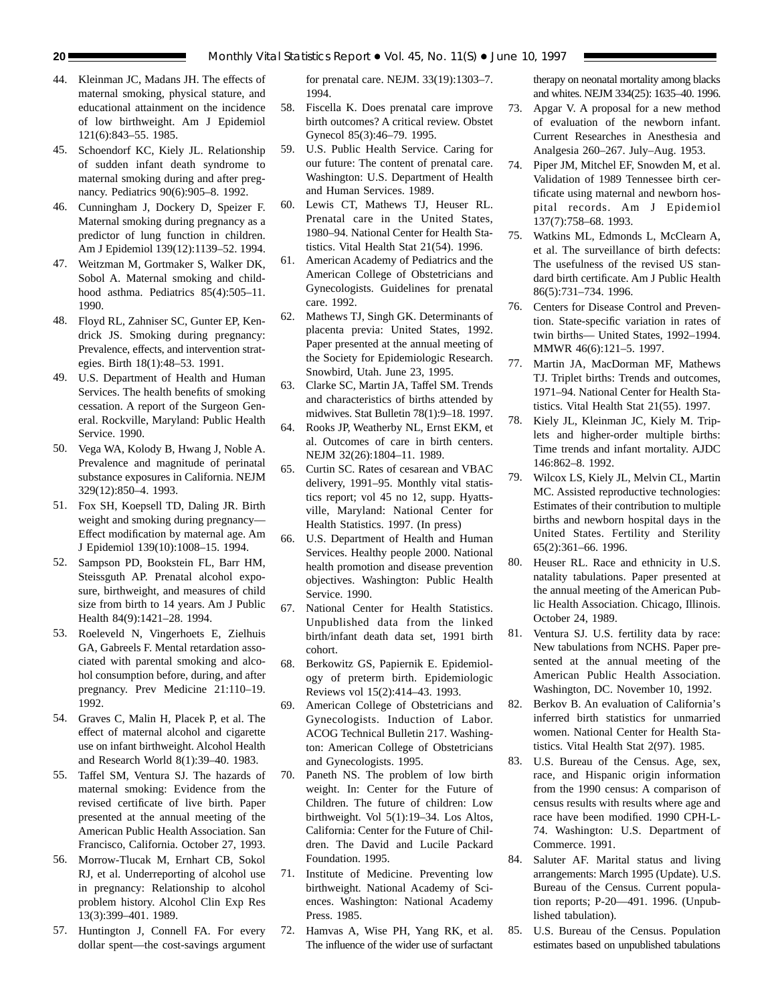- 44. Kleinman JC, Madans JH. The effects of maternal smoking, physical stature, and educational attainment on the incidence of low birthweight. Am J Epidemiol 121(6):843–55. 1985.
- 45. Schoendorf KC, Kiely JL. Relationship of sudden infant death syndrome to maternal smoking during and after pregnancy. Pediatrics 90(6):905–8. 1992.
- 46. Cunningham J, Dockery D, Speizer F. Maternal smoking during pregnancy as a predictor of lung function in children. Am J Epidemiol 139(12):1139–52. 1994.
- 47. Weitzman M, Gortmaker S, Walker DK, Sobol A. Maternal smoking and childhood asthma. Pediatrics 85(4):505-11. 1990.
- 48. Floyd RL, Zahniser SC, Gunter EP, Kendrick JS. Smoking during pregnancy: Prevalence, effects, and intervention strategies. Birth 18(1):48–53. 1991.
- 49. U.S. Department of Health and Human Services. The health benefits of smoking cessation. A report of the Surgeon General. Rockville, Maryland: Public Health Service. 1990.
- 50. Vega WA, Kolody B, Hwang J, Noble A. Prevalence and magnitude of perinatal substance exposures in California. NEJM 329(12):850–4. 1993.
- 51. Fox SH, Koepsell TD, Daling JR. Birth weight and smoking during pregnancy— Effect modification by maternal age. Am J Epidemiol 139(10):1008–15. 1994.
- 52. Sampson PD, Bookstein FL, Barr HM, Steissguth AP. Prenatal alcohol exposure, birthweight, and measures of child size from birth to 14 years. Am J Public Health 84(9):1421–28. 1994.
- 53. Roeleveld N, Vingerhoets E, Zielhuis GA, Gabreels F. Mental retardation associated with parental smoking and alcohol consumption before, during, and after pregnancy. Prev Medicine 21:110–19. 1992.
- 54. Graves C, Malin H, Placek P, et al. The effect of maternal alcohol and cigarette use on infant birthweight. Alcohol Health and Research World 8(1):39–40. 1983.
- 55. Taffel SM, Ventura SJ. The hazards of maternal smoking: Evidence from the revised certificate of live birth. Paper presented at the annual meeting of the American Public Health Association. San Francisco, California. October 27, 1993.
- 56. Morrow-Tlucak M, Ernhart CB, Sokol RJ, et al. Underreporting of alcohol use in pregnancy: Relationship to alcohol problem history. Alcohol Clin Exp Res 13(3):399–401. 1989.
- 57. Huntington J, Connell FA. For every dollar spent—the cost-savings argument

for prenatal care. NEJM. 33(19):1303–7. 1994.

- 58. Fiscella K. Does prenatal care improve birth outcomes? A critical review. Obstet Gynecol 85(3):46–79. 1995.
- 59. U.S. Public Health Service. Caring for our future: The content of prenatal care. Washington: U.S. Department of Health and Human Services. 1989.
- 60. Lewis CT, Mathews TJ, Heuser RL. Prenatal care in the United States, 1980–94. National Center for Health Statistics. Vital Health Stat 21(54). 1996.
- 61. American Academy of Pediatrics and the American College of Obstetricians and Gynecologists. Guidelines for prenatal care. 1992.
- 62. Mathews TJ, Singh GK. Determinants of placenta previa: United States, 1992. Paper presented at the annual meeting of the Society for Epidemiologic Research. Snowbird, Utah. June 23, 1995.
- 63. Clarke SC, Martin JA, Taffel SM. Trends and characteristics of births attended by midwives. Stat Bulletin 78(1):9–18. 1997.
- 64. Rooks JP, Weatherby NL, Ernst EKM, et al. Outcomes of care in birth centers. NEJM 32(26):1804–11. 1989.
- 65. Curtin SC. Rates of cesarean and VBAC delivery, 1991–95. Monthly vital statistics report; vol 45 no 12, supp. Hyattsville, Maryland: National Center for Health Statistics. 1997. (In press)
- 66. U.S. Department of Health and Human Services. Healthy people 2000. National health promotion and disease prevention objectives. Washington: Public Health Service. 1990.
- 67. National Center for Health Statistics. Unpublished data from the linked birth/infant death data set, 1991 birth cohort.
- 68. Berkowitz GS, Papiernik E. Epidemiology of preterm birth. Epidemiologic Reviews vol 15(2):414–43. 1993.
- 69. American College of Obstetricians and Gynecologists. Induction of Labor. ACOG Technical Bulletin 217. Washington: American College of Obstetricians and Gynecologists. 1995.
- 70. Paneth NS. The problem of low birth weight. In: Center for the Future of Children. The future of children: Low birthweight. Vol 5(1):19–34. Los Altos, California: Center for the Future of Children. The David and Lucile Packard Foundation. 1995.
- 71. Institute of Medicine. Preventing low birthweight. National Academy of Sciences. Washington: National Academy Press. 1985.
- 72. Hamvas A, Wise PH, Yang RK, et al. The influence of the wider use of surfactant

therapy on neonatal mortality among blacks and whites. NEJM 334(25): 1635–40. 1996.

- 73. Apgar V. A proposal for a new method of evaluation of the newborn infant. Current Researches in Anesthesia and Analgesia 260–267. July–Aug. 1953.
- 74. Piper JM, Mitchel EF, Snowden M, et al. Validation of 1989 Tennessee birth certificate using maternal and newborn hospital records. Am J Epidemiol 137(7):758–68. 1993.
- 75. Watkins ML, Edmonds L, McClearn A, et al. The surveillance of birth defects: The usefulness of the revised US standard birth certificate. Am J Public Health 86(5):731–734. 1996.
- 76. Centers for Disease Control and Prevention. State-specific variation in rates of twin births— United States, 1992–1994. MMWR 46(6):121–5. 1997.
- 77. Martin JA, MacDorman MF, Mathews TJ. Triplet births: Trends and outcomes, 1971–94. National Center for Health Statistics. Vital Health Stat 21(55). 1997.
- 78. Kiely JL, Kleinman JC, Kiely M. Triplets and higher-order multiple births: Time trends and infant mortality. AJDC 146:862–8. 1992.
- 79. Wilcox LS, Kiely JL, Melvin CL, Martin MC. Assisted reproductive technologies: Estimates of their contribution to multiple births and newborn hospital days in the United States. Fertility and Sterility 65(2):361–66. 1996.
- 80. Heuser RL. Race and ethnicity in U.S. natality tabulations. Paper presented at the annual meeting of the American Public Health Association. Chicago, Illinois. October 24, 1989.
- 81. Ventura SJ. U.S. fertility data by race: New tabulations from NCHS. Paper presented at the annual meeting of the American Public Health Association. Washington, DC. November 10, 1992.
- 82. Berkov B. An evaluation of California's inferred birth statistics for unmarried women. National Center for Health Statistics. Vital Health Stat 2(97). 1985.
- 83. U.S. Bureau of the Census. Age, sex, race, and Hispanic origin information from the 1990 census: A comparison of census results with results where age and race have been modified. 1990 CPH-L-74. Washington: U.S. Department of Commerce. 1991.
- 84. Saluter AF. Marital status and living arrangements: March 1995 (Update). U.S. Bureau of the Census. Current population reports; P-20—491. 1996. (Unpublished tabulation).
- 85. U.S. Bureau of the Census. Population estimates based on unpublished tabulations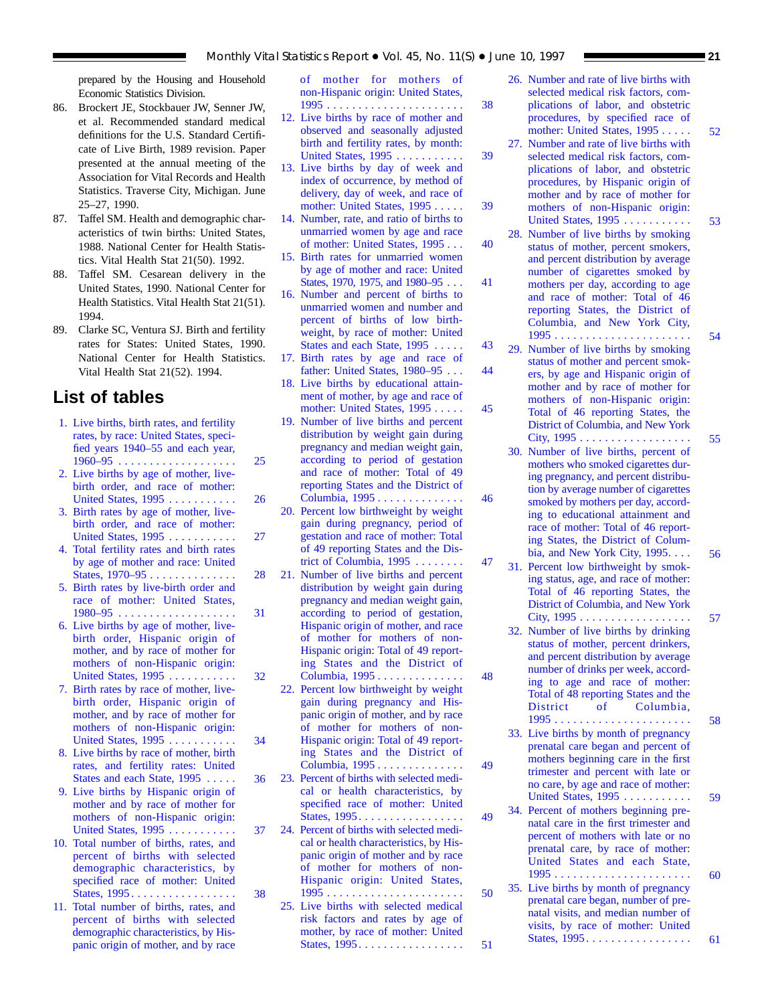prepared by the Housing and Household Economic Statistics Division.

- 86. Brockert JE, Stockbauer JW, Senner JW, et al. Recommended standard medical definitions for the U.S. Standard Certificate of Live Birth, 1989 revision. Paper presented at the annual meeting of the Association for Vital Records and Health Statistics. Traverse City, Michigan. June 25–27, 1990.
- 87. Taffel SM. Health and demographic characteristics of twin births: United States, 1988. National Center for Health Statistics. Vital Health Stat 21(50). 1992.
- 88. Taffel SM. Cesarean delivery in the United States, 1990. National Center for Health Statistics. Vital Health Stat 21(51). 1994.
- 89. Clarke SC, Ventura SJ. Birth and fertility rates for States: United States, 1990. National Center for Health Statistics. Vital Health Stat 21(52). 1994.

# **List of tables**

- [1. Live births, birth rates, and fertility](#page-24-0) rates, by race: United States, specified years 1940–55 and each year, 1960–95 . . . . . . . . . . . . . . . . . . . 25
- [2. Live births by age of mother, live](#page-25-0)birth order, and race of mother: United States, 1995 . . . . . . . . . . . . 26
- [3. Birth rates by age of mother, live](#page-26-0)birth order, and race of mother: United States, 1995 . . . . . . . . . . . . 27
- [4. Total fertility rates and birth rates](#page-27-0) by age of mother and race: United States, 1970–95 . . . . . . . . . . . . . . 28
- [5. Birth rates by live-birth order and](#page-30-0) race of mother: United States, 1980–95 . . . . . . . . . . . . . . . . . . . 31
- [6. Live births by age of mother, live](#page-31-0)birth order, Hispanic origin of mother, and by race of mother for mothers of non-Hispanic origin: United States, 1995 ........... 32
- [7. Birth rates by race of mother, live](#page-33-0)birth order, Hispanic origin of mother, and by race of mother for mothers of non-Hispanic origin: United States, 1995 ........... 34
- [8. Live births by race of mother, birth](#page-35-0) rates, and fertility rates: United States and each State, 1995 ..... 36
- [9. Live births by Hispanic origin of](#page-36-0) mother and by race of mother for mothers of non-Hispanic origin: United States, 1995 ........... 37
- [10. Total number of births, rates, and](#page-37-0) percent of births with selected demographic characteristics, by specified race of mother: United States, 1995 ................. 38
- [11. Total number of births, rates, and](#page-37-0) percent of births with selected demographic characteristics, by Hispanic origin of mother, and by race

of mother for mothers of [non-Hispanic origin: United States,](#page-37-0) 1995 . . . . . . . . . . . . . . . . . . . . . . 38

- [12. Live births by race of mother and](#page-38-0) observed and seasonally adjusted birth and fertility rates, by month: United States, 1995 . . . . . . . . . . . . 39
- [13. Live births by day of week and](#page-38-0) index of occurrence, by method of delivery, day of week, and race of mother: United States, 1995 . . . . . 39
- [14. Number, rate, and ratio of births to](#page-39-0) unmarried women by age and race of mother: United States, 1995 . . . 40
- 15. Birth rates for unmarried women by age of mother and race: United [States, 1970, 1975, and 1980–95 . . . 41](#page-40-0)
- [16. Number and percent of births to](#page-42-0) unmarried women and number and percent of births of low birthweight, by race of mother: United States and each State, 1995 . . . . . 43
- 17. Birth rates by age and race of [father: United States, 1980–95 . . . 44](#page-43-0)
- [18. Live births by educational attain](#page-44-0)ment of mother, by age and race of mother: United States, 1995 ..... 45
- [19. Number of live births and percent](#page-45-0) distribution by weight gain during pregnancy and median weight gain, according to period of gestation and race of mother: Total of 49 reporting States and the District of Columbia, 1995 .............. 46
- [20. Percent low birthweight by weight](#page-46-0) gain during pregnancy, period of gestation and race of mother: Total of 49 reporting States and the District of Columbia, 1995 ........ 47
- [21. Number of live births and percent](#page-47-0) distribution by weight gain during pregnancy and median weight gain, according to period of gestation, Hispanic origin of mother, and race of mother for mothers of non-Hispanic origin: Total of 49 reporting States and the District of Columbia, 1995 .............. 48
- [22. Percent low birthweight by weight](#page-48-0) gain during pregnancy and Hispanic origin of mother, and by race of mother for mothers of non-Hispanic origin: Total of 49 reporting States and the District of Columbia, 1995 .............. 49
- [23. Percent of births with selected medi](#page-48-0)cal or health characteristics, by specified race of mother: United States, 1995 ................. 49
- [24. Percent of births with selected medi](#page-49-0)cal or health characteristics, by Hispanic origin of mother and by race of mother for mothers of non-Hispanic origin: United States, 1995 ...................... 50
	- [25. Live births with selected medical](#page-50-0) risk factors and rates by age of mother, by race of mother: United States, 1995 ................. 51
- [26. Number and rate of live births with](#page-51-0) selected medical risk factors, complications of labor, and obstetric procedures, by specified race of mother: United States, 1995 ..... 52
- [27. Number and rate of live births with](#page-52-0) selected medical risk factors, complications of labor, and obstetric procedures, by Hispanic origin of mother and by race of mother for mothers of non-Hispanic origin: United States, 1995 ........... 53
- [28. Number of live births by smoking](#page-53-0) status of mother, percent smokers, and percent distribution by average number of cigarettes smoked by mothers per day, according to age and race of mother: Total of 46 reporting States, the District of Columbia, and New York City, 1995 ...................... 54
- [29. Number of live births by smoking](#page-54-0) status of mother and percent smokers, by age and Hispanic origin of mother and by race of mother for mothers of non-Hispanic origin: Total of 46 reporting States, the District of Columbia, and New York City, 1995 .................. 55
- [30. Number of live births, percent of](#page-55-0) mothers who smoked cigarettes during pregnancy, and percent distribution by average number of cigarettes smoked by mothers per day, according to educational attainment and race of mother: Total of 46 reporting States, the District of Columbia, and New York City, 1995.... 56
- [31. Percent low birthweight by smok](#page-56-0)ing status, age, and race of mother: Total of 46 reporting States, the District of Columbia, and New York City, 1995 .................. 57
- [32. Number of live births by drinking](#page-57-0) status of mother, percent drinkers, and percent distribution by average number of drinks per week, according to age and race of mother: Total of 48 reporting States and the District of Columbia, 1995 ...................... 58
- [33. Live births by month of pregnancy](#page-58-0) prenatal care began and percent of mothers beginning care in the first trimester and percent with late or no care, by age and race of mother: United States, 1995 ........... 59
- [34. Percent of mothers beginning pre](#page-59-0)natal care in the first trimester and percent of mothers with late or no prenatal care, by race of mother: United States and each State, 1995 ...................... 60
- [35. Live births by month of pregnancy](#page-60-0) prenatal care began, number of prenatal visits, and median number of visits, by race of mother: United States, 1995 ................. 61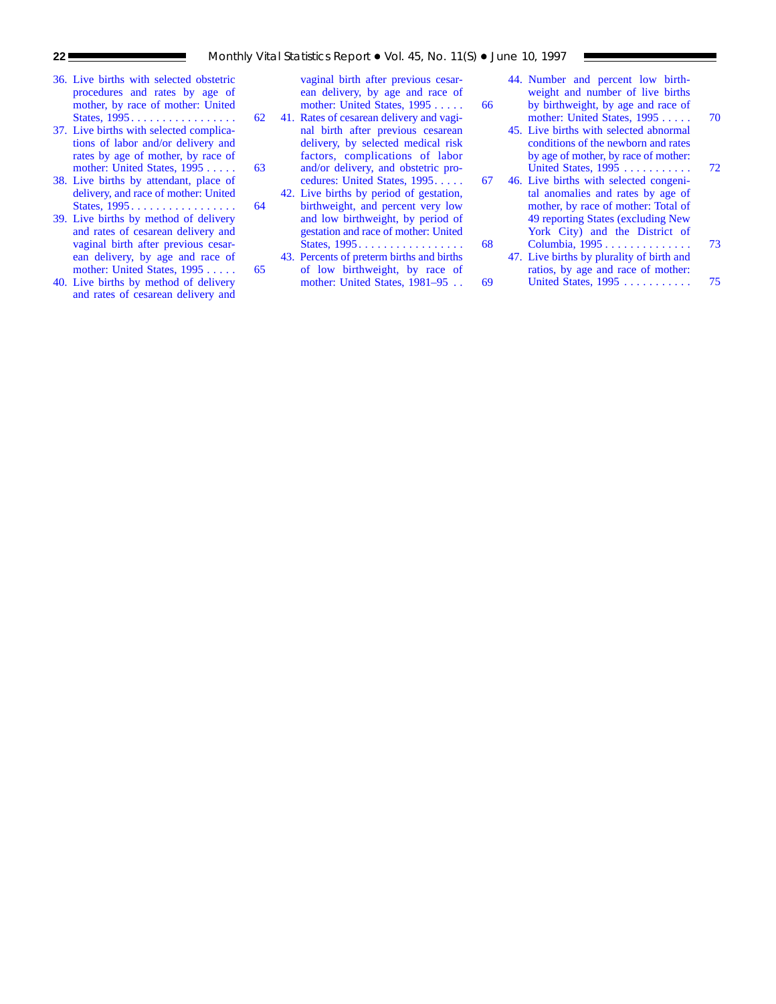- [36. Live births with selected obstetric](#page-61-0) procedures and rates by age of mother, by race of mother: United States, 1995 . . . . . . . . . . . . . . . . . 62
- [37. Live births with selected complica](#page-62-0)tions of labor and/or delivery and rates by age of mother, by race of mother: United States, 1995 . . . . . . 63
- [38. Live births by attendant, place of](#page-63-0) delivery, and race of mother: United States, 1995 . . . . . . . . . . . . . . . . . 64
- [39. Live births by method of delivery](#page-64-0) and rates of cesarean delivery and vaginal birth after previous cesarean delivery, by age and race of mother: United States, 1995 . . . . . . 65
- [40. Live births by method of delivery](#page-65-0) and rates of cesarean delivery and

[vaginal birth after previous cesar](#page-65-0)ean delivery, by age and race of mother: United States, 1995 . . . . . . 66

- 41. Rates of cesarean delivery and vaginal birth after previous cesarean delivery, by selected medical risk factors, complications of labor and/or delivery, and obstetric pro[cedures: United States, 1995. . . . . 67](#page-66-0)
- [42. Live births by period of gestation,](#page-67-0) birthweight, and percent very low and low birthweight, by period of gestation and race of mother: United States, 1995 . . . . . . . . . . . . . . . . . 68
- 43. Percents of preterm births and births of low birthweight, by race of [mother: United States, 1981–95 . . 69](#page-68-0)
- [44. Number and percent low birth](#page-69-0)weight and number of live births by birthweight, by age and race of mother: United States, 1995 . . . . . 70
- [45. Live births with selected abnormal](#page-71-0) conditions of the newborn and rates by age of mother, by race of mother: United States, 1995 . . . . . . . . . . . 72
- [46. Live births with selected congeni](#page-72-0)tal anomalies and rates by age of mother, by race of mother: Total of 49 reporting States (excluding New York City) and the District of Columbia, 1995 . . . . . . . . . . . . . . 73
- [47. Live births by plurality of birth and](#page-74-0) ratios, by age and race of mother: United States, 1995 . . . . . . . . . . . 75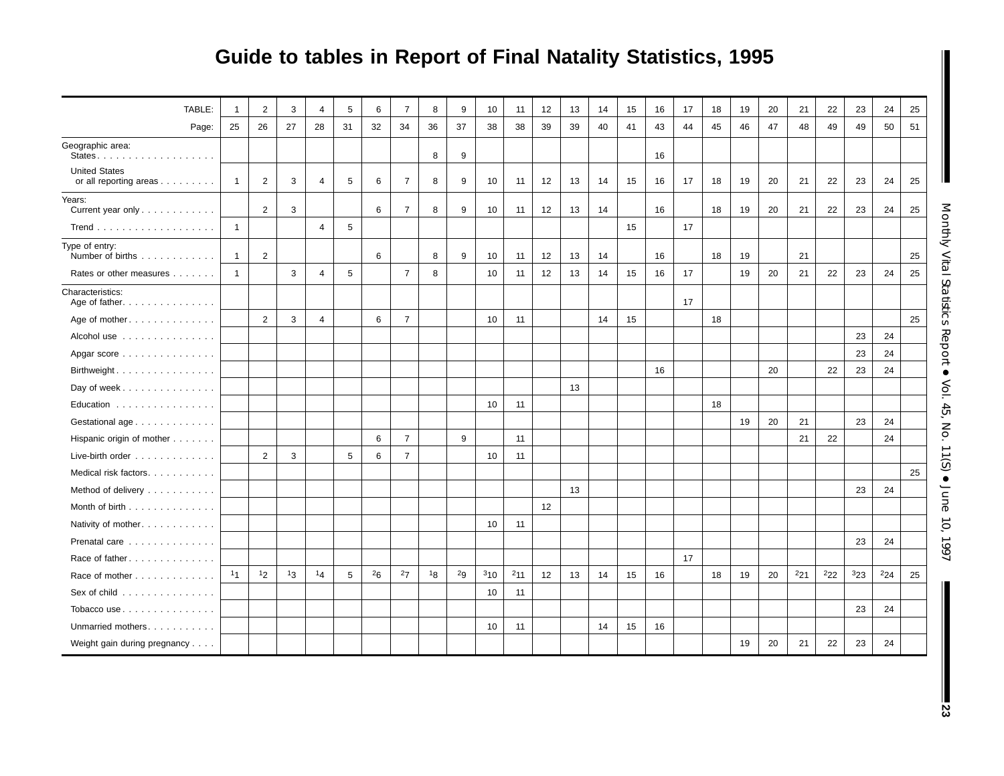# **Guide to tables in Report of Final Natality Statistics, 1995**

| TABLE:<br>Page:                                | $\mathbf{1}$<br>25 | $\overline{2}$<br>26 | 3<br>27 | 4<br>28        | 5<br>31 | 6<br>32 | $\overline{7}$<br>34 | 8<br>36 | 9<br>37 | 10<br>38 | 11<br>38 | 12<br>39 | 13<br>39 | 14<br>40 | 15<br>41 | 16<br>43 | 17<br>44 | 18<br>45 | 19<br>46 | 20<br>47 | 21<br>48 | 22<br>49 | 23<br>49 | 24<br>50 | 25<br>51 |
|------------------------------------------------|--------------------|----------------------|---------|----------------|---------|---------|----------------------|---------|---------|----------|----------|----------|----------|----------|----------|----------|----------|----------|----------|----------|----------|----------|----------|----------|----------|
| Geographic area:                               |                    |                      |         |                |         |         |                      |         |         |          |          |          |          |          |          |          |          |          |          |          |          |          |          |          |          |
|                                                |                    |                      |         |                |         |         |                      | 8       | 9       |          |          |          |          |          |          | 16       |          |          |          |          |          |          |          |          |          |
| <b>United States</b><br>or all reporting areas | $\mathbf{1}$       | $\overline{2}$       | 3       | $\overline{4}$ | 5       | 6       | $\overline{7}$       | 8       | 9       | 10       | 11       | 12       | 13       | 14       | 15       | 16       | 17       | 18       | 19       | 20       | 21       | 22       | 23       | 24       | 25       |
| Years:<br>Current year only                    |                    | $\overline{2}$       | 3       |                |         | 6       | $\overline{7}$       | 8       | 9       | 10       | 11       | 12       | 13       | 14       |          | 16       |          | 18       | 19       | 20       | 21       | 22       | 23       | 24       | 25       |
|                                                | $\mathbf{1}$       |                      |         | $\overline{4}$ | 5       |         |                      |         |         |          |          |          |          |          | 15       |          | 17       |          |          |          |          |          |          |          |          |
| Type of entry:<br>Number of births             | $\mathbf{1}$       | 2                    |         |                |         | 6       |                      | 8       | 9       | 10       | 11       | 12       | 13       | 14       |          | 16       |          | 18       | 19       |          | 21       |          |          |          | 25       |
| Rates or other measures                        | $\overline{1}$     |                      | 3       | $\overline{4}$ | 5       |         | $\overline{7}$       | 8       |         | 10       | 11       | 12       | 13       | 14       | 15       | 16       | 17       |          | 19       | 20       | 21       | 22       | 23       | 24       | 25       |
| Characteristics:<br>Age of father.             |                    |                      |         |                |         |         |                      |         |         |          |          |          |          |          |          |          | 17       |          |          |          |          |          |          |          |          |
| Age of mother                                  |                    | $\overline{2}$       | 3       | $\overline{4}$ |         | 6       | $\overline{7}$       |         |         | 10       | 11       |          |          | 14       | 15       |          |          | 18       |          |          |          |          |          |          | 25       |
| Alcohol use                                    |                    |                      |         |                |         |         |                      |         |         |          |          |          |          |          |          |          |          |          |          |          |          |          | 23       | 24       |          |
| Apgar score                                    |                    |                      |         |                |         |         |                      |         |         |          |          |          |          |          |          |          |          |          |          |          |          |          | 23       | 24       |          |
| Birthweight.                                   |                    |                      |         |                |         |         |                      |         |         |          |          |          |          |          |          | 16       |          |          |          | 20       |          | 22       | 23       | 24       |          |
| Day of week                                    |                    |                      |         |                |         |         |                      |         |         |          |          |          | 13       |          |          |          |          |          |          |          |          |          |          |          |          |
| Education                                      |                    |                      |         |                |         |         |                      |         |         | 10       | 11       |          |          |          |          |          |          | 18       |          |          |          |          |          |          |          |
| Gestational age                                |                    |                      |         |                |         |         |                      |         |         |          |          |          |          |          |          |          |          |          | 19       | 20       | 21       |          | 23       | 24       |          |
| Hispanic origin of mother                      |                    |                      |         |                |         | 6       | $\overline{7}$       |         | 9       |          | 11       |          |          |          |          |          |          |          |          |          | 21       | 22       |          | 24       |          |
| Live-birth order                               |                    | 2                    | 3       |                | 5       | 6       | $\overline{7}$       |         |         | 10       | 11       |          |          |          |          |          |          |          |          |          |          |          |          |          |          |
| Medical risk factors.                          |                    |                      |         |                |         |         |                      |         |         |          |          |          |          |          |          |          |          |          |          |          |          |          |          |          | 25       |
| Method of delivery                             |                    |                      |         |                |         |         |                      |         |         |          |          |          | 13       |          |          |          |          |          |          |          |          |          | 23       | 24       |          |
| Month of birth                                 |                    |                      |         |                |         |         |                      |         |         |          |          | 12       |          |          |          |          |          |          |          |          |          |          |          |          |          |
| Nativity of mother.                            |                    |                      |         |                |         |         |                      |         |         | 10       | 11       |          |          |          |          |          |          |          |          |          |          |          |          |          |          |
| Prenatal care                                  |                    |                      |         |                |         |         |                      |         |         |          |          |          |          |          |          |          |          |          |          |          |          |          | 23       | 24       |          |
| Race of father.                                |                    |                      |         |                |         |         |                      |         |         |          |          |          |          |          |          |          | 17       |          |          |          |          |          |          |          |          |
| Race of mother                                 | 11                 | 12                   | 13      | 14             | 5       | 26      | 27                   | 18      | 2g      | 310      | $^{2}11$ | 12       | 13       | 14       | 15       | 16       |          | 18       | 19       | 20       | $^{2}21$ | $^{2}22$ | 323      | $^{2}24$ | 25       |
| Sex of child                                   |                    |                      |         |                |         |         |                      |         |         | 10       | 11       |          |          |          |          |          |          |          |          |          |          |          |          |          |          |
| Tobacco use                                    |                    |                      |         |                |         |         |                      |         |         |          |          |          |          |          |          |          |          |          |          |          |          |          | 23       | 24       |          |
| Unmarried mothers.                             |                    |                      |         |                |         |         |                      |         |         | 10       | 11       |          |          | 14       | 15       | 16       |          |          |          |          |          |          |          |          |          |
| Weight gain during pregnancy                   |                    |                      |         |                |         |         |                      |         |         |          |          |          |          |          |          |          |          |          | 19       | 20       | 21       | 22       | 23       | 24       |          |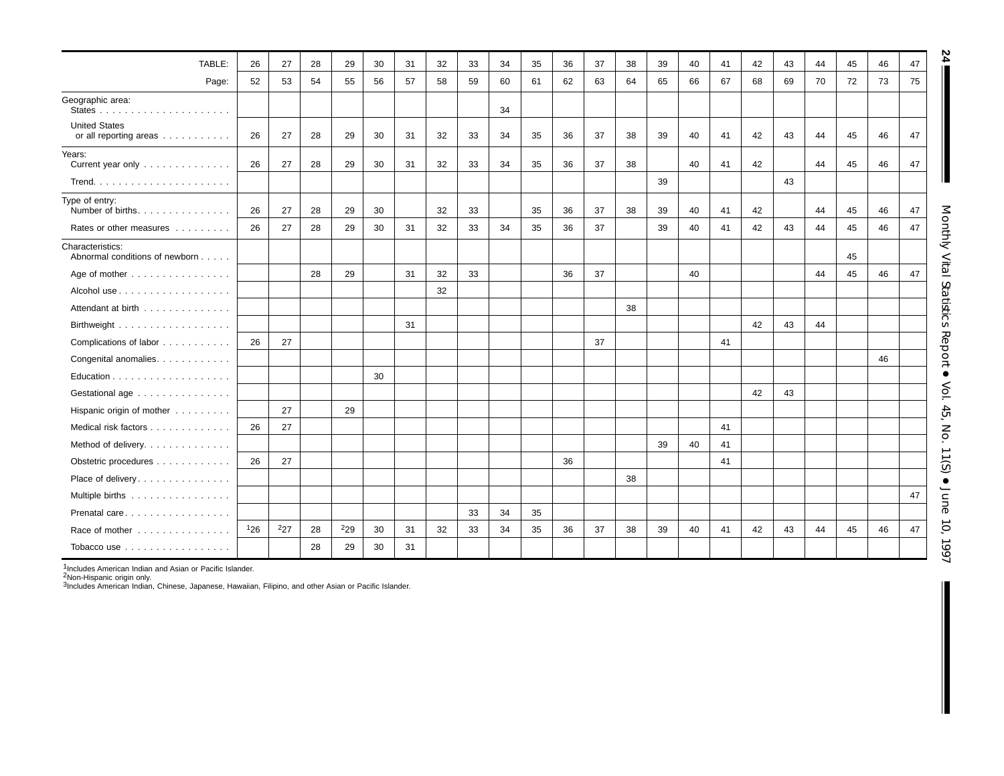| TABLE:                                             | 26  | 27  | 28 | 29  | 30 | 31 | 32 | 33 | 34 | 35 | 36 | 37 | 38 | 39 | 40 | 41 | 42 | 43 | 44 | 45 | 46 | 47 |
|----------------------------------------------------|-----|-----|----|-----|----|----|----|----|----|----|----|----|----|----|----|----|----|----|----|----|----|----|
| Page:                                              | 52  | 53  | 54 | 55  | 56 | 57 | 58 | 59 | 60 | 61 | 62 | 63 | 64 | 65 | 66 | 67 | 68 | 69 | 70 | 72 | 73 | 75 |
| Geographic area:                                   |     |     |    |     |    |    |    |    | 34 |    |    |    |    |    |    |    |    |    |    |    |    |    |
| <b>United States</b><br>or all reporting areas     | 26  | 27  | 28 | 29  | 30 | 31 | 32 | 33 | 34 | 35 | 36 | 37 | 38 | 39 | 40 | 41 | 42 | 43 | 44 | 45 | 46 | 47 |
| Years:<br>Current year only                        | 26  | 27  | 28 | 29  | 30 | 31 | 32 | 33 | 34 | 35 | 36 | 37 | 38 |    | 40 | 41 | 42 |    | 44 | 45 | 46 | 47 |
|                                                    |     |     |    |     |    |    |    |    |    |    |    |    |    | 39 |    |    |    | 43 |    |    |    |    |
| Type of entry:<br>Number of births.                | 26  | 27  | 28 | 29  | 30 |    | 32 | 33 |    | 35 | 36 | 37 | 38 | 39 | 40 | 41 | 42 |    | 44 | 45 | 46 | 47 |
| Rates or other measures                            | 26  | 27  | 28 | 29  | 30 | 31 | 32 | 33 | 34 | 35 | 36 | 37 |    | 39 | 40 | 41 | 42 | 43 | 44 | 45 | 46 | 47 |
| Characteristics:<br>Abnormal conditions of newborn |     |     |    |     |    |    |    |    |    |    |    |    |    |    |    |    |    |    |    | 45 |    |    |
| Age of mother                                      |     |     | 28 | 29  |    | 31 | 32 | 33 |    |    | 36 | 37 |    |    | 40 |    |    |    | 44 | 45 | 46 | 47 |
|                                                    |     |     |    |     |    |    | 32 |    |    |    |    |    |    |    |    |    |    |    |    |    |    |    |
| Attendant at birth                                 |     |     |    |     |    |    |    |    |    |    |    |    | 38 |    |    |    |    |    |    |    |    |    |
|                                                    |     |     |    |     |    | 31 |    |    |    |    |    |    |    |    |    |    | 42 | 43 | 44 |    |    |    |
| Complications of labor                             | 26  | 27  |    |     |    |    |    |    |    |    |    | 37 |    |    |    | 41 |    |    |    |    |    |    |
| Congenital anomalies.                              |     |     |    |     |    |    |    |    |    |    |    |    |    |    |    |    |    |    |    |    | 46 |    |
|                                                    |     |     |    |     | 30 |    |    |    |    |    |    |    |    |    |    |    |    |    |    |    |    |    |
| Gestational age                                    |     |     |    |     |    |    |    |    |    |    |    |    |    |    |    |    | 42 | 43 |    |    |    |    |
| Hispanic origin of mother                          |     | 27  |    | 29  |    |    |    |    |    |    |    |    |    |    |    |    |    |    |    |    |    |    |
| Medical risk factors                               | 26  | 27  |    |     |    |    |    |    |    |    |    |    |    |    |    | 41 |    |    |    |    |    |    |
| Method of delivery.                                |     |     |    |     |    |    |    |    |    |    |    |    |    | 39 | 40 | 41 |    |    |    |    |    |    |
| Obstetric procedures                               | 26  | 27  |    |     |    |    |    |    |    |    | 36 |    |    |    |    | 41 |    |    |    |    |    |    |
| Place of delivery.                                 |     |     |    |     |    |    |    |    |    |    |    |    | 38 |    |    |    |    |    |    |    |    |    |
| Multiple births                                    |     |     |    |     |    |    |    |    |    |    |    |    |    |    |    |    |    |    |    |    |    | 47 |
| Prenatal care                                      |     |     |    |     |    |    |    | 33 | 34 | 35 |    |    |    |    |    |    |    |    |    |    |    |    |
| Race of mother                                     | 126 | 227 | 28 | 229 | 30 | 31 | 32 | 33 | 34 | 35 | 36 | 37 | 38 | 39 | 40 | 41 | 42 | 43 | 44 | 45 | 46 | 47 |
| Tobacco use                                        |     |     | 28 | 29  | 30 | 31 |    |    |    |    |    |    |    |    |    |    |    |    |    |    |    |    |

<sup>1</sup>Includes American Indian and Asian or Pacific Islander.<br><sup>2</sup>Non-Hispanic origin only.<br><sup>3</sup>Includes American Indian, Chinese, Japanese, Hawaiian, Filipino, and other Asian or Pacific Islander.

**24**

Monthly Vital StatisticsReport • Vol. 45, No. 11(S)  $\bullet$ June 10, 1997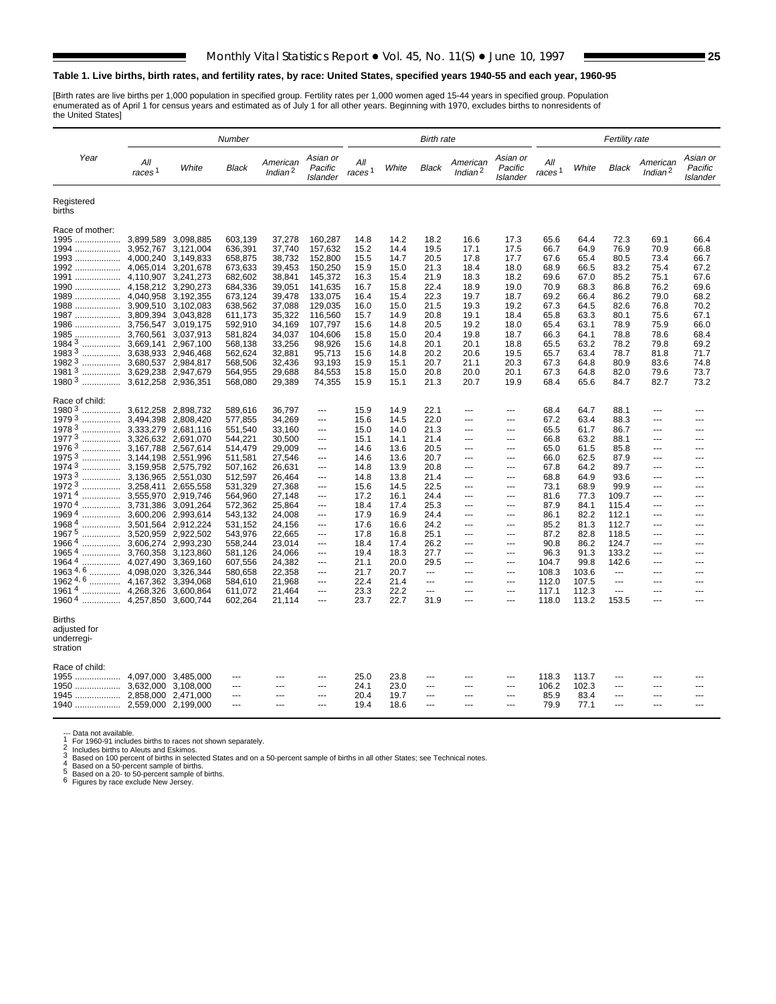#### <span id="page-24-0"></span>**Table 1. Live births, birth rates, and fertility rates, by race: United States, specified years 1940-55 and each year, 1960-95**

[Birth rates are live births per 1,000 population in specified group. Fertility rates per 1,000 women aged 15-44 years in specified group. Population<br>enumerated as of April 1 for census years and estimated as of July 1 for

|                                                  |                           |                        | Number             |                                 |                                 |                           |              | <b>Birth rate</b> |                        |                                  | <b>Fertility rate</b>     |              |                |                                 |                                        |
|--------------------------------------------------|---------------------------|------------------------|--------------------|---------------------------------|---------------------------------|---------------------------|--------------|-------------------|------------------------|----------------------------------|---------------------------|--------------|----------------|---------------------------------|----------------------------------------|
| Year                                             | All<br>races <sup>1</sup> | White                  | Black              | American<br>Indian <sup>2</sup> | Asian or<br>Pacific<br>Islander | All<br>races <sup>1</sup> | White        | Black             | American<br>Indian $2$ | Asian or<br>Pacific<br>Islander  | All<br>races <sup>1</sup> | White        | <b>Black</b>   | American<br>Indian <sup>2</sup> | Asian or<br>Pacific<br><b>Islander</b> |
| Registered<br>births                             |                           |                        |                    |                                 |                                 |                           |              |                   |                        |                                  |                           |              |                |                                 |                                        |
| Race of mother:                                  |                           |                        |                    |                                 |                                 |                           |              |                   |                        |                                  |                           |              |                |                                 |                                        |
| 1995  3,899,589 3,098,885                        |                           |                        | 603,139            | 37,278                          | 160,287                         | 14.8                      | 14.2         | 18.2              | 16.6                   | 17.3                             | 65.6                      | 64.4         | 72.3           | 69.1                            | 66.4                                   |
|                                                  |                           | 3,121,004              | 636,391            | 37,740                          | 157,632                         | 15.2                      | 14.4         | 19.5              | 17.1                   | 17.5                             | 66.7                      | 64.9         | 76.9           | 70.9                            | 66.8                                   |
| 1992  4,065,014                                  |                           | 3,149,833<br>3.201.678 | 658,875<br>673,633 | 38,732<br>39,453                | 152,800<br>150,250              | 15.5<br>15.9              | 14.7<br>15.0 | 20.5<br>21.3      | 17.8<br>18.4           | 17.7<br>18.0                     | 67.6<br>68.9              | 65.4<br>66.5 | 80.5<br>83.2   | 73.4<br>75.4                    | 66.7<br>67.2                           |
|                                                  |                           | 3,241,273              | 682,602            | 38,841                          | 145,372                         | 16.3                      | 15.4         | 21.9              | 18.3                   | 18.2                             | 69.6                      | 67.0         | 85.2           | 75.1                            | 67.6                                   |
| 1990  4,158,212 3,290,273                        |                           |                        | 684,336            | 39,051                          | 141,635                         | 16.7                      | 15.8         | 22.4              | 18.9                   | 19.0                             | 70.9                      | 68.3         | 86.8           | 76.2                            | 69.6                                   |
| 1989  4,040,958                                  |                           | 3,192,355              | 673,124            | 39,478                          | 133,075                         | 16.4                      | 15.4         | 22.3              | 19.7                   | 18.7                             | 69.2                      | 66.4         | 86.2           | 79.0                            | 68.2                                   |
| 1988  3,909,510                                  |                           | 3,102,083              | 638,562            | 37,088                          | 129,035                         | 16.0                      | 15.0         | 21.5              | 19.3                   | 19.2                             | 67.3                      | 64.5         | 82.6           | 76.8                            | 70.2                                   |
| 1987  3,809,394                                  |                           | 3,043,828              | 611,173            | 35,322                          | 116,560                         | 15.7                      | 14.9         | 20.8              | 19.1                   | 18.4                             | 65.8                      | 63.3         | 80.1           | 75.6                            | 67.1                                   |
|                                                  |                           | 3,019,175              | 592,910            | 34,169                          | 107,797                         | 15.6                      | 14.8         | 20.5              | 19.2                   | 18.0                             | 65.4                      | 63.1         | 78.9           | 75.9                            | 66.0                                   |
| 1985  3,760,561                                  |                           | 3,037,913              | 581,824            | 34,037                          | 104,606                         | 15.8                      | 15.0         | 20.4              | 19.8                   | 18.7                             | 66.3                      | 64.1         | 78.8           | 78.6                            | 68.4                                   |
| 1984 <sup>3</sup><br>1983 <sup>3</sup>           |                           | 2,967,100<br>2,946,468 | 568,138            | 33,256<br>32,881                | 98,926<br>95,713                | 15.6<br>15.6              | 14.8<br>14.8 | 20.1<br>20.2      | 20.1<br>20.6           | 18.8<br>19.5                     | 65.5<br>65.7              | 63.2<br>63.4 | 78.2<br>78.7   | 79.8<br>81.8                    | 69.2<br>71.7                           |
| 1982 <sup>3</sup>                                |                           | 2,984,817              | 562,624<br>568,506 | 32,436                          | 93,193                          | 15.9                      | 15.1         | 20.7              | 21.1                   | 20.3                             | 67.3                      | 64.8         | 80.9           | 83.6                            | 74.8                                   |
| 1981 <sup>3</sup>                                |                           | 2,947,679              | 564,955            | 29,688                          | 84,553                          | 15.8                      | 15.0         | 20.8              | 20.0                   | 20.1                             | 67.3                      | 64.8         | 82.0           | 79.6                            | 73.7                                   |
| 1980 <sup>3</sup>                                |                           |                        | 568,080            | 29,389                          | 74,355                          | 15.9                      | 15.1         | 21.3              | 20.7                   | 19.9                             | 68.4                      | 65.6         | 84.7           | 82.7                            | 73.2                                   |
|                                                  |                           |                        |                    |                                 |                                 |                           |              |                   |                        |                                  |                           |              |                |                                 |                                        |
| Race of child:                                   |                           |                        |                    |                                 |                                 |                           |              |                   |                        |                                  |                           |              |                |                                 |                                        |
| 1980 <sup>3</sup><br>.                           | 3,612,258                 | 2,898,732              | 589,616            | 36,797                          | ---                             | 15.9                      | 14.9         | 22.1              | $- - -$                | $\overline{a}$                   | 68.4                      | 64.7         | 88.1           |                                 | ---                                    |
| 19793<br>1978 3                                  |                           | 2,808,420              | 577,855            | 34,269                          | $---$<br>---                    | 15.6                      | 14.5         | 22.0              | $- - -$<br>---         | $\overline{a}$<br>$\overline{a}$ | 67.2                      | 63.4         | 88.3           | ---                             | ---<br>---                             |
| 19773                                            |                           | 2,681,116<br>2,691,070 | 551,540<br>544,221 | 33,160<br>30,500                | ---                             | 15.0<br>15.1              | 14.0<br>14.1 | 21.3<br>21.4      | ---                    | $\overline{a}$                   | 65.5<br>66.8              | 61.7<br>63.2 | 86.7<br>88.1   | ---                             | ---                                    |
| 19763                                            |                           | 2.567.614              | 514,479            | 29,009                          | ---                             | 14.6                      | 13.6         | 20.5              | ---                    | ---                              | 65.0                      | 61.5         | 85.8           | ---                             | ---                                    |
| 1975 3                                           |                           | 2,551,996              | 511,581            | 27,546                          | ---                             | 14.6                      | 13.6         | 20.7              | ---                    | $\overline{a}$                   | 66.0                      | 62.5         | 87.9           | ---                             | ---                                    |
| 1974 3                                           |                           | 2,575,792              | 507,162            | 26,631                          | $\overline{a}$                  | 14.8                      | 13.9         | 20.8              | $- - -$                | $---$                            | 67.8                      | 64.2         | 89.7           | ---                             | ---                                    |
| 19733                                            |                           | 2,551,030              | 512,597            | 26,464                          | ---                             | 14.8                      | 13.8         | 21.4              | ---                    | ---                              | 68.8                      | 64.9         | 93.6           | ---                             | ---                                    |
| 19723                                            |                           | 2,655,558              | 531,329            | 27,368                          | ---                             | 15.6                      | 14.5         | 22.5              | ---                    | $\overline{a}$                   | 73.1                      | 68.9         | 99.9           | ---                             | ---                                    |
| 19714                                            |                           | 2,919,746              | 564,960            | 27,148                          | ---                             | 17.2                      | 16.1         | 24.4              | ---                    | ---                              | 81.6                      | 77.3         | 109.7          | ---                             | ---                                    |
| 19704                                            |                           | 3,091,264              | 572,362            | 25,864                          | ---                             | 18.4                      | 17.4         | 25.3              | ---                    | $\overline{a}$                   | 87.9                      | 84.1         | 115.4          | ---                             | ---                                    |
| 19694<br>19684                                   |                           | 2,993,614<br>2,912,224 | 543,132<br>531,152 | 24,008<br>24,156                | ---<br>---                      | 17.9<br>17.6              | 16.9<br>16.6 | 24.4<br>24.2      | ---<br>---             | $\overline{a}$<br>---            | 86.1<br>85.2              | 82.2<br>81.3 | 112.1<br>112.7 | ---<br>---                      | ---<br>---                             |
| 19675                                            |                           | 2,922,502              | 543,976            | 22.665                          | ---                             | 17.8                      | 16.8         | 25.1              | ---                    | $\overline{a}$                   | 87.2                      | 82.8         | 118.5          | ---                             | ---                                    |
| 1966 <sup>4</sup>                                |                           | 2,993,230              | 558,244            | 23,014                          | ---                             | 18.4                      | 17.4         | 26.2              | ---                    | ---                              | 90.8                      | 86.2         | 124.7          | ---                             | ---                                    |
| 1965 <sup>4</sup>                                |                           | 3,123,860              | 581,126            | 24,066                          | ---                             | 19.4                      | 18.3         | 27.7              | ---                    | ---                              | 96.3                      | 91.3         | 133.2          | ---                             | ---                                    |
| 1964 <sup>4</sup>                                |                           | 3,369,160              | 607,556            | 24,382                          | ---                             | 21.1                      | 20.0         | 29.5              | $\overline{a}$         | ---                              | 104.7                     | 99.8         | 142.6          | ---                             | ---                                    |
| 1963 4, 6  4,098,020                             |                           | 3,326,344              | 580,658            | 22,358                          | ---                             | 21.7                      | 20.7         | $\overline{a}$    | ---                    | $---$                            | 108.3                     | 103.6        | $\overline{a}$ | ---                             | ---                                    |
|                                                  |                           | 3,394,068              | 584,610            | 21,968                          | ---                             | 22.4                      | 21.4         | ---               | ---                    | ---                              | 112.0                     | 107.5        | ---            | ---                             | ---                                    |
| 19614                                            |                           | 3,600,864              | 611,072            | 21,464                          | ---                             | 23.3                      | 22.2         | ---               | $\overline{a}$         | ---                              | 117.1                     | 112.3        | ---            | ---                             | ---                                    |
| 1960 <sup>4</sup>                                |                           | 3,600,744              | 602,264            | 21,114                          | ---                             | 23.7                      | 22.7         | 31.9              | ---                    | ---                              | 118.0                     | 113.2        | 153.5          | ---                             | ---                                    |
| Births<br>adjusted for<br>underregi-<br>stration |                           |                        |                    |                                 |                                 |                           |              |                   |                        |                                  |                           |              |                |                                 |                                        |
| Race of child:                                   |                           |                        |                    |                                 |                                 |                           |              |                   |                        |                                  |                           |              |                |                                 |                                        |
| 1955  4,097,000 3,485,000                        |                           |                        | ---                | ---                             | ---                             | 25.0                      | 23.8         | ---               | ---                    | ---                              | 118.3                     | 113.7        | ---            |                                 |                                        |
| 1950  3,632,000 3,108,000                        |                           |                        | $\sim$             |                                 |                                 | 24.1                      | 23.0         | ---               |                        |                                  | 106.2                     | 102.3        | ---            |                                 |                                        |
| 2,858,000<br>1945                                |                           | 2,471,000              | $\sim$             | ---                             | ---                             | 20.4                      | 19.7         | ---               | ---                    | $\overline{a}$                   | 85.9                      | 83.4         | ---            |                                 |                                        |
| 1940  2,559,000 2,199,000                        |                           |                        | $\sim$             | ---                             | ---                             | 19.4                      | 18.6         | $\overline{a}$    | $-$                    | $\overline{a}$                   | 79.9                      | 77.1         | $\overline{a}$ | ---                             | ---                                    |
|                                                  |                           |                        |                    |                                 |                                 |                           |              |                   |                        |                                  |                           |              |                |                                 |                                        |

--- Data not available.<br>
1 For 1960-91 includes births to races not shown separately.<br>
2 Includes births to Aleuts and Eskimos.<br>
2 Includes births in selected States and on a 50-percent sample of births in all other States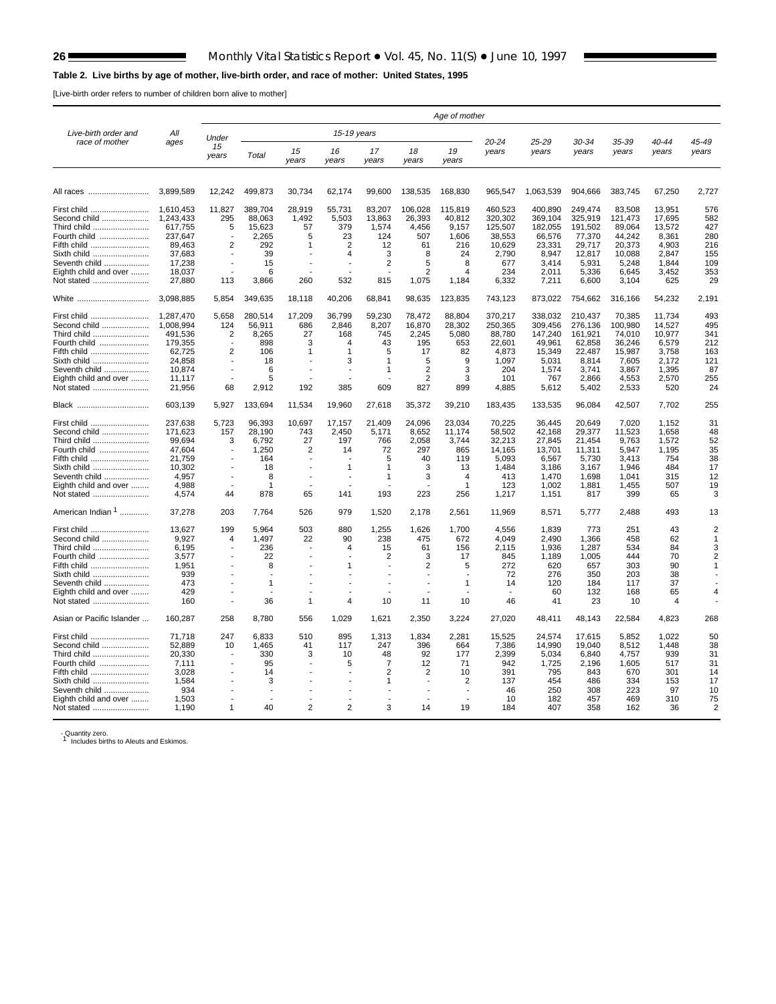$\blacksquare$ 

#### <span id="page-25-0"></span>**Table 2. Live births by age of mother, live-birth order, and race of mother: United States, 1995**

[Live-birth order refers to number of children born alive to mother]

| Live-birth order and<br>All<br>15-19 years<br>Under<br>40-44<br>race of mother<br>20-24<br>25-29<br>30-34<br>35-39<br>45-49<br>ages<br>15<br>15<br>17<br>19<br>16<br>18<br>years<br>years<br>years<br>years<br>years<br>years<br>Total<br>years<br>years<br>years<br>years<br>years<br>years<br>3,899,589<br>12,242<br>499,873<br>30,734<br>62,174<br>99,600<br>138,535<br>168,830<br>965,547<br>1,063,539<br>904,666<br>383,745<br>67,250<br>2,727<br>All races<br>11,827<br>389.704<br>460,523<br>249,474<br>576<br>1.610.453<br>28,919<br>55,731<br>83,207<br>106,028<br>115,819<br>400,890<br>83.508<br>13,951<br>First child<br>Second child<br>1,243,433<br>295<br>88,063<br>1,492<br>5,503<br>13,863<br>26,393<br>40,812<br>320,302<br>369,104<br>325,919<br>121,473<br>17,695<br>582<br>4,456<br>617,755<br>15,623<br>57<br>379<br>9,157<br>125,507<br>182,055<br>191,502<br>89,064<br>427<br>5<br>1,574<br>13,572<br>2.265<br>77,370<br>44,242<br>8,361<br>280<br>Fourth child<br>237.647<br>5<br>23<br>124<br>507<br>1,606<br>38,553<br>66,576<br>89,463<br>292<br>4,903<br>Fifth child<br>$\overline{2}$<br>2<br>12<br>61<br>216<br>10,629<br>23,331<br>29,717<br>20,373<br>216<br>1<br>3<br>37,683<br>39<br>2,847<br>Sixth child<br>4<br>8<br>24<br>2,790<br>8,947<br>12,817<br>10,088<br>155<br>17.238<br>$\overline{2}$<br>5<br>3.414<br>5,931<br>1,844<br>Seventh child<br>15<br>8<br>677<br>5,248<br>109<br>Eighth child and over<br>18,037<br>6<br>2<br>234<br>2,011<br>5,336<br>6,645<br>3,452<br>353<br>Δ<br>29<br>27,880<br>113<br>3,866<br>260<br>532<br>815<br>1,075<br>6,332<br>6,600<br>625<br>Not stated<br>1,184<br>7,211<br>3,104<br>3,098,885<br>5,854<br>349,635<br>18,118<br>40,206<br>68,841<br>98,635<br>123,835<br>743,123<br>873,022<br>754,662<br>316,166<br>54,232<br>2,191<br>White<br>36,799<br>493<br>First child<br>1.287.470<br>5,658<br>280,514<br>17,209<br>59,230<br>78,472<br>88,804<br>370,217<br>338.032<br>210,437<br>70,385<br>11,734<br>Second child<br>1,008,994<br>124<br>56,911<br>686<br>2,846<br>8,207<br>16,870<br>28,302<br>250,365<br>309,456<br>276,136<br>100,980<br>14,527<br>495<br>Third child<br>491,536<br>2<br>8,265<br>27<br>168<br>745<br>2,245<br>5,080<br>88,780<br>147,240<br>161,921<br>74,010<br>10,977<br>341<br>179,355<br>898<br>195<br>22,601<br>49,961<br>62,858<br>36,246<br>6,579<br>212<br>Fourth child<br>3<br>43<br>653<br>4<br>$\overline{2}$<br>62,725<br>5<br>17<br>22,487<br>Fifth child<br>106<br>82<br>4,873<br>15,349<br>15,987<br>3,758<br>163<br>1<br>1<br>Sixth child<br>24.858<br>18<br>5<br>9<br>1.097<br>5,031<br>8,814<br>7,605<br>2.172<br>121<br>3<br>$\mathbf 1$<br>Seventh child<br>10.874<br>6<br>$\overline{2}$<br>3<br>204<br>1,574<br>3,741<br>3,867<br>1,395<br>87<br>$\overline{1}$<br>$\overline{2}$<br>5<br>3<br>101<br>2,866<br>255<br>Eighth child and over<br>11,117<br>767<br>4,553<br>2,570<br>$\overline{\phantom{a}}$<br>192<br>Not stated<br>21,956<br>68<br>2,912<br>385<br>609<br>827<br>899<br>4,885<br>5,612<br>5,402<br>2,533<br>520<br>24<br>133,694<br>19,960<br>39,210<br>183,435<br>96,084<br>42,507<br>7,702<br>255<br>Black<br>603,139<br>5,927<br>11,534<br>27,618<br>35,372<br>133,535<br>24,096<br>31<br>237,638<br>5,723<br>96,393<br>10,697<br>17,157<br>21,409<br>23,034<br>70,225<br>36,445<br>20,649<br>7,020<br>1,152<br>First child<br>Second child<br>171,623<br>28,190<br>2,450<br>8,652<br>58,502<br>42,168<br>29,377<br>1,658<br>48<br>157<br>743<br>5,171<br>11,174<br>11,523<br>99,694<br>6,792<br>27<br>197<br>766<br>2,058<br>3,744<br>32,213<br>27,845<br>21,454<br>9,763<br>1,572<br>52<br>Third child<br>3<br>47,604<br>1,250<br>$\overline{2}$<br>297<br>13,701<br>11,311<br>1,195<br>35<br>Fourth child<br>72<br>865<br>14,165<br>5,947<br>14<br>21,759<br>5<br>754<br>38<br>Fifth child<br>164<br>40<br>119<br>5,093<br>6,567<br>5,730<br>3,413<br>10.302<br>Sixth child<br>18<br>3<br>13<br>1.484<br>3.186<br>3.167<br>1.946<br>484<br>17<br>1<br>1<br>4,957<br>8<br>3<br>413<br>315<br>Seventh child<br>$\overline{1}$<br>4<br>1,470<br>1,698<br>1,041<br>12<br>Eighth child and over<br>4,988<br>19<br>1<br>1<br>123<br>1,002<br>1,881<br>1,455<br>507<br>Not stated<br>4,574<br>44<br>878<br>65<br>141<br>193<br>223<br>256<br>1,217<br>1,151<br>817<br>399<br>65<br>3<br>American Indian <sup>1</sup><br>37,278<br>526<br>979<br>11,969<br>493<br>203<br>7,764<br>1,520<br>2,178<br>2,561<br>8,571<br>5,777<br>2,488<br>13<br>199<br>503<br>1,255<br>2<br>13.627<br>5.964<br>880<br>1,626<br>1,700<br>4.556<br>1.839<br>773<br>251<br>43<br>First child<br>1,497<br>238<br>2,490<br>458<br>Second child<br>9,927<br>4<br>22<br>90<br>475<br>672<br>4,049<br>1,366<br>62<br>1<br>Third child<br>6,195<br>236<br>15<br>61<br>156<br>2,115<br>1,936<br>1,287<br>534<br>84<br>3<br>4<br>3.577<br>$\overline{2}$<br>444<br>70<br>Fourth child<br>22<br>845<br>1,189<br>1,005<br>$\overline{2}$<br>3<br>17<br>2<br>272<br>303<br>Fifth child<br>1,951<br>8<br>5<br>620<br>657<br>90<br>38<br>Sixth child<br>939<br>72<br>276<br>350<br>203<br>473<br>37<br>Seventh child<br>$\mathbf{1}$<br>1<br>14<br>120<br>184<br>117<br>Eighth child and over<br>429<br>132<br>168<br>65<br>60<br>36<br>10<br>Not stated<br>160<br>1<br>$\overline{4}$<br>11<br>10<br>46<br>41<br>23<br>10<br>4<br>Asian or Pacific Islander<br>160,287<br>258<br>8,780<br>556<br>1,029<br>2,350<br>3,224<br>27,020<br>48,411<br>48,143<br>22,584<br>4,823<br>268<br>1,621<br>895<br>1,022<br>71.718<br>247<br>6,833<br>510<br>1,313<br>1,834<br>2,281<br>24,574<br>17,615<br>5,852<br>50<br>First child<br>15,525<br>52,889<br>1,465<br>247<br>7,386<br>14,990<br>19,040<br>1,448<br>38<br>Second child<br>10<br>41<br>117<br>396<br>664<br>8,512<br>20,330<br>330<br>6,840<br>939<br>Third child<br>10<br>92<br>177<br>2,399<br>5,034<br>4,757<br>31<br>3<br>48<br>$\overline{7}$<br>7,111<br>95<br>12<br>71<br>942<br>1,725<br>517<br>31<br>Fourth child<br>5<br>2,196<br>1,605<br>3,028<br>2<br>2<br>391<br>795<br>843<br>670<br>301<br>Fifth child<br>14<br>10<br>14<br>1,584<br>Sixth child<br>3<br>1<br>2<br>137<br>454<br>486<br>334<br>153<br>17<br>934<br>250<br>308<br>223<br>Seventh child<br>46<br>97<br>10<br>Eighth child and over<br>1,503<br>182<br>469<br>310<br>75<br>10<br>457<br>1.190<br>40<br>$\overline{2}$<br>$\overline{2}$<br>3<br>19<br>Not stated<br>1<br>14<br>184<br>407<br>358<br>162<br>36<br>$\overline{2}$ |             |  |  |  | Age of mother |  |  |  |
|--------------------------------------------------------------------------------------------------------------------------------------------------------------------------------------------------------------------------------------------------------------------------------------------------------------------------------------------------------------------------------------------------------------------------------------------------------------------------------------------------------------------------------------------------------------------------------------------------------------------------------------------------------------------------------------------------------------------------------------------------------------------------------------------------------------------------------------------------------------------------------------------------------------------------------------------------------------------------------------------------------------------------------------------------------------------------------------------------------------------------------------------------------------------------------------------------------------------------------------------------------------------------------------------------------------------------------------------------------------------------------------------------------------------------------------------------------------------------------------------------------------------------------------------------------------------------------------------------------------------------------------------------------------------------------------------------------------------------------------------------------------------------------------------------------------------------------------------------------------------------------------------------------------------------------------------------------------------------------------------------------------------------------------------------------------------------------------------------------------------------------------------------------------------------------------------------------------------------------------------------------------------------------------------------------------------------------------------------------------------------------------------------------------------------------------------------------------------------------------------------------------------------------------------------------------------------------------------------------------------------------------------------------------------------------------------------------------------------------------------------------------------------------------------------------------------------------------------------------------------------------------------------------------------------------------------------------------------------------------------------------------------------------------------------------------------------------------------------------------------------------------------------------------------------------------------------------------------------------------------------------------------------------------------------------------------------------------------------------------------------------------------------------------------------------------------------------------------------------------------------------------------------------------------------------------------------------------------------------------------------------------------------------------------------------------------------------------------------------------------------------------------------------------------------------------------------------------------------------------------------------------------------------------------------------------------------------------------------------------------------------------------------------------------------------------------------------------------------------------------------------------------------------------------------------------------------------------------------------------------------------------------------------------------------------------------------------------------------------------------------------------------------------------------------------------------------------------------------------------------------------------------------------------------------------------------------------------------------------------------------------------------------------------------------------------------------------------------------------------------------------------------------------------------------------------------------------------------------------------------------------------------------------------------------------------------------------------------------------------------------------------------------------------------------------------------------------------------------------------------------------------------------------------------------------------------------------------------------------------------------------------------------------------------------------------------------------------------------------------------------------------------------------------------------------------------------------------------------------------------------------------------------------------------------------------------------------------------------------------------------------------------------------------------------------------------------------------------------------------------------------------------------------------------------------------------------------------------------------------------------------------------------------------------------------------------------------------------------------------------------------------------------------------------------------------------------------------------------------------------------------------------------------------------------------------------------------------------------------------------------------------------------------------------------------------------------------------------------------------------------------------------------------------------------------------------------------------------------|-------------|--|--|--|---------------|--|--|--|
|                                                                                                                                                                                                                                                                                                                                                                                                                                                                                                                                                                                                                                                                                                                                                                                                                                                                                                                                                                                                                                                                                                                                                                                                                                                                                                                                                                                                                                                                                                                                                                                                                                                                                                                                                                                                                                                                                                                                                                                                                                                                                                                                                                                                                                                                                                                                                                                                                                                                                                                                                                                                                                                                                                                                                                                                                                                                                                                                                                                                                                                                                                                                                                                                                                                                                                                                                                                                                                                                                                                                                                                                                                                                                                                                                                                                                                                                                                                                                                                                                                                                                                                                                                                                                                                                                                                                                                                                                                                                                                                                                                                                                                                                                                                                                                                                                                                                                                                                                                                                                                                                                                                                                                                                                                                                                                                                                                                                                                                                                                                                                                                                                                                                                                                                                                                                                                                                                                                                                                                                                                                                                                                                                                                                                                                                                                                                                                                                                                                                          |             |  |  |  |               |  |  |  |
|                                                                                                                                                                                                                                                                                                                                                                                                                                                                                                                                                                                                                                                                                                                                                                                                                                                                                                                                                                                                                                                                                                                                                                                                                                                                                                                                                                                                                                                                                                                                                                                                                                                                                                                                                                                                                                                                                                                                                                                                                                                                                                                                                                                                                                                                                                                                                                                                                                                                                                                                                                                                                                                                                                                                                                                                                                                                                                                                                                                                                                                                                                                                                                                                                                                                                                                                                                                                                                                                                                                                                                                                                                                                                                                                                                                                                                                                                                                                                                                                                                                                                                                                                                                                                                                                                                                                                                                                                                                                                                                                                                                                                                                                                                                                                                                                                                                                                                                                                                                                                                                                                                                                                                                                                                                                                                                                                                                                                                                                                                                                                                                                                                                                                                                                                                                                                                                                                                                                                                                                                                                                                                                                                                                                                                                                                                                                                                                                                                                                          |             |  |  |  |               |  |  |  |
|                                                                                                                                                                                                                                                                                                                                                                                                                                                                                                                                                                                                                                                                                                                                                                                                                                                                                                                                                                                                                                                                                                                                                                                                                                                                                                                                                                                                                                                                                                                                                                                                                                                                                                                                                                                                                                                                                                                                                                                                                                                                                                                                                                                                                                                                                                                                                                                                                                                                                                                                                                                                                                                                                                                                                                                                                                                                                                                                                                                                                                                                                                                                                                                                                                                                                                                                                                                                                                                                                                                                                                                                                                                                                                                                                                                                                                                                                                                                                                                                                                                                                                                                                                                                                                                                                                                                                                                                                                                                                                                                                                                                                                                                                                                                                                                                                                                                                                                                                                                                                                                                                                                                                                                                                                                                                                                                                                                                                                                                                                                                                                                                                                                                                                                                                                                                                                                                                                                                                                                                                                                                                                                                                                                                                                                                                                                                                                                                                                                                          |             |  |  |  |               |  |  |  |
|                                                                                                                                                                                                                                                                                                                                                                                                                                                                                                                                                                                                                                                                                                                                                                                                                                                                                                                                                                                                                                                                                                                                                                                                                                                                                                                                                                                                                                                                                                                                                                                                                                                                                                                                                                                                                                                                                                                                                                                                                                                                                                                                                                                                                                                                                                                                                                                                                                                                                                                                                                                                                                                                                                                                                                                                                                                                                                                                                                                                                                                                                                                                                                                                                                                                                                                                                                                                                                                                                                                                                                                                                                                                                                                                                                                                                                                                                                                                                                                                                                                                                                                                                                                                                                                                                                                                                                                                                                                                                                                                                                                                                                                                                                                                                                                                                                                                                                                                                                                                                                                                                                                                                                                                                                                                                                                                                                                                                                                                                                                                                                                                                                                                                                                                                                                                                                                                                                                                                                                                                                                                                                                                                                                                                                                                                                                                                                                                                                                                          |             |  |  |  |               |  |  |  |
|                                                                                                                                                                                                                                                                                                                                                                                                                                                                                                                                                                                                                                                                                                                                                                                                                                                                                                                                                                                                                                                                                                                                                                                                                                                                                                                                                                                                                                                                                                                                                                                                                                                                                                                                                                                                                                                                                                                                                                                                                                                                                                                                                                                                                                                                                                                                                                                                                                                                                                                                                                                                                                                                                                                                                                                                                                                                                                                                                                                                                                                                                                                                                                                                                                                                                                                                                                                                                                                                                                                                                                                                                                                                                                                                                                                                                                                                                                                                                                                                                                                                                                                                                                                                                                                                                                                                                                                                                                                                                                                                                                                                                                                                                                                                                                                                                                                                                                                                                                                                                                                                                                                                                                                                                                                                                                                                                                                                                                                                                                                                                                                                                                                                                                                                                                                                                                                                                                                                                                                                                                                                                                                                                                                                                                                                                                                                                                                                                                                                          |             |  |  |  |               |  |  |  |
|                                                                                                                                                                                                                                                                                                                                                                                                                                                                                                                                                                                                                                                                                                                                                                                                                                                                                                                                                                                                                                                                                                                                                                                                                                                                                                                                                                                                                                                                                                                                                                                                                                                                                                                                                                                                                                                                                                                                                                                                                                                                                                                                                                                                                                                                                                                                                                                                                                                                                                                                                                                                                                                                                                                                                                                                                                                                                                                                                                                                                                                                                                                                                                                                                                                                                                                                                                                                                                                                                                                                                                                                                                                                                                                                                                                                                                                                                                                                                                                                                                                                                                                                                                                                                                                                                                                                                                                                                                                                                                                                                                                                                                                                                                                                                                                                                                                                                                                                                                                                                                                                                                                                                                                                                                                                                                                                                                                                                                                                                                                                                                                                                                                                                                                                                                                                                                                                                                                                                                                                                                                                                                                                                                                                                                                                                                                                                                                                                                                                          | Third child |  |  |  |               |  |  |  |
|                                                                                                                                                                                                                                                                                                                                                                                                                                                                                                                                                                                                                                                                                                                                                                                                                                                                                                                                                                                                                                                                                                                                                                                                                                                                                                                                                                                                                                                                                                                                                                                                                                                                                                                                                                                                                                                                                                                                                                                                                                                                                                                                                                                                                                                                                                                                                                                                                                                                                                                                                                                                                                                                                                                                                                                                                                                                                                                                                                                                                                                                                                                                                                                                                                                                                                                                                                                                                                                                                                                                                                                                                                                                                                                                                                                                                                                                                                                                                                                                                                                                                                                                                                                                                                                                                                                                                                                                                                                                                                                                                                                                                                                                                                                                                                                                                                                                                                                                                                                                                                                                                                                                                                                                                                                                                                                                                                                                                                                                                                                                                                                                                                                                                                                                                                                                                                                                                                                                                                                                                                                                                                                                                                                                                                                                                                                                                                                                                                                                          |             |  |  |  |               |  |  |  |
|                                                                                                                                                                                                                                                                                                                                                                                                                                                                                                                                                                                                                                                                                                                                                                                                                                                                                                                                                                                                                                                                                                                                                                                                                                                                                                                                                                                                                                                                                                                                                                                                                                                                                                                                                                                                                                                                                                                                                                                                                                                                                                                                                                                                                                                                                                                                                                                                                                                                                                                                                                                                                                                                                                                                                                                                                                                                                                                                                                                                                                                                                                                                                                                                                                                                                                                                                                                                                                                                                                                                                                                                                                                                                                                                                                                                                                                                                                                                                                                                                                                                                                                                                                                                                                                                                                                                                                                                                                                                                                                                                                                                                                                                                                                                                                                                                                                                                                                                                                                                                                                                                                                                                                                                                                                                                                                                                                                                                                                                                                                                                                                                                                                                                                                                                                                                                                                                                                                                                                                                                                                                                                                                                                                                                                                                                                                                                                                                                                                                          |             |  |  |  |               |  |  |  |
|                                                                                                                                                                                                                                                                                                                                                                                                                                                                                                                                                                                                                                                                                                                                                                                                                                                                                                                                                                                                                                                                                                                                                                                                                                                                                                                                                                                                                                                                                                                                                                                                                                                                                                                                                                                                                                                                                                                                                                                                                                                                                                                                                                                                                                                                                                                                                                                                                                                                                                                                                                                                                                                                                                                                                                                                                                                                                                                                                                                                                                                                                                                                                                                                                                                                                                                                                                                                                                                                                                                                                                                                                                                                                                                                                                                                                                                                                                                                                                                                                                                                                                                                                                                                                                                                                                                                                                                                                                                                                                                                                                                                                                                                                                                                                                                                                                                                                                                                                                                                                                                                                                                                                                                                                                                                                                                                                                                                                                                                                                                                                                                                                                                                                                                                                                                                                                                                                                                                                                                                                                                                                                                                                                                                                                                                                                                                                                                                                                                                          |             |  |  |  |               |  |  |  |
|                                                                                                                                                                                                                                                                                                                                                                                                                                                                                                                                                                                                                                                                                                                                                                                                                                                                                                                                                                                                                                                                                                                                                                                                                                                                                                                                                                                                                                                                                                                                                                                                                                                                                                                                                                                                                                                                                                                                                                                                                                                                                                                                                                                                                                                                                                                                                                                                                                                                                                                                                                                                                                                                                                                                                                                                                                                                                                                                                                                                                                                                                                                                                                                                                                                                                                                                                                                                                                                                                                                                                                                                                                                                                                                                                                                                                                                                                                                                                                                                                                                                                                                                                                                                                                                                                                                                                                                                                                                                                                                                                                                                                                                                                                                                                                                                                                                                                                                                                                                                                                                                                                                                                                                                                                                                                                                                                                                                                                                                                                                                                                                                                                                                                                                                                                                                                                                                                                                                                                                                                                                                                                                                                                                                                                                                                                                                                                                                                                                                          |             |  |  |  |               |  |  |  |
|                                                                                                                                                                                                                                                                                                                                                                                                                                                                                                                                                                                                                                                                                                                                                                                                                                                                                                                                                                                                                                                                                                                                                                                                                                                                                                                                                                                                                                                                                                                                                                                                                                                                                                                                                                                                                                                                                                                                                                                                                                                                                                                                                                                                                                                                                                                                                                                                                                                                                                                                                                                                                                                                                                                                                                                                                                                                                                                                                                                                                                                                                                                                                                                                                                                                                                                                                                                                                                                                                                                                                                                                                                                                                                                                                                                                                                                                                                                                                                                                                                                                                                                                                                                                                                                                                                                                                                                                                                                                                                                                                                                                                                                                                                                                                                                                                                                                                                                                                                                                                                                                                                                                                                                                                                                                                                                                                                                                                                                                                                                                                                                                                                                                                                                                                                                                                                                                                                                                                                                                                                                                                                                                                                                                                                                                                                                                                                                                                                                                          |             |  |  |  |               |  |  |  |
|                                                                                                                                                                                                                                                                                                                                                                                                                                                                                                                                                                                                                                                                                                                                                                                                                                                                                                                                                                                                                                                                                                                                                                                                                                                                                                                                                                                                                                                                                                                                                                                                                                                                                                                                                                                                                                                                                                                                                                                                                                                                                                                                                                                                                                                                                                                                                                                                                                                                                                                                                                                                                                                                                                                                                                                                                                                                                                                                                                                                                                                                                                                                                                                                                                                                                                                                                                                                                                                                                                                                                                                                                                                                                                                                                                                                                                                                                                                                                                                                                                                                                                                                                                                                                                                                                                                                                                                                                                                                                                                                                                                                                                                                                                                                                                                                                                                                                                                                                                                                                                                                                                                                                                                                                                                                                                                                                                                                                                                                                                                                                                                                                                                                                                                                                                                                                                                                                                                                                                                                                                                                                                                                                                                                                                                                                                                                                                                                                                                                          |             |  |  |  |               |  |  |  |
|                                                                                                                                                                                                                                                                                                                                                                                                                                                                                                                                                                                                                                                                                                                                                                                                                                                                                                                                                                                                                                                                                                                                                                                                                                                                                                                                                                                                                                                                                                                                                                                                                                                                                                                                                                                                                                                                                                                                                                                                                                                                                                                                                                                                                                                                                                                                                                                                                                                                                                                                                                                                                                                                                                                                                                                                                                                                                                                                                                                                                                                                                                                                                                                                                                                                                                                                                                                                                                                                                                                                                                                                                                                                                                                                                                                                                                                                                                                                                                                                                                                                                                                                                                                                                                                                                                                                                                                                                                                                                                                                                                                                                                                                                                                                                                                                                                                                                                                                                                                                                                                                                                                                                                                                                                                                                                                                                                                                                                                                                                                                                                                                                                                                                                                                                                                                                                                                                                                                                                                                                                                                                                                                                                                                                                                                                                                                                                                                                                                                          |             |  |  |  |               |  |  |  |
|                                                                                                                                                                                                                                                                                                                                                                                                                                                                                                                                                                                                                                                                                                                                                                                                                                                                                                                                                                                                                                                                                                                                                                                                                                                                                                                                                                                                                                                                                                                                                                                                                                                                                                                                                                                                                                                                                                                                                                                                                                                                                                                                                                                                                                                                                                                                                                                                                                                                                                                                                                                                                                                                                                                                                                                                                                                                                                                                                                                                                                                                                                                                                                                                                                                                                                                                                                                                                                                                                                                                                                                                                                                                                                                                                                                                                                                                                                                                                                                                                                                                                                                                                                                                                                                                                                                                                                                                                                                                                                                                                                                                                                                                                                                                                                                                                                                                                                                                                                                                                                                                                                                                                                                                                                                                                                                                                                                                                                                                                                                                                                                                                                                                                                                                                                                                                                                                                                                                                                                                                                                                                                                                                                                                                                                                                                                                                                                                                                                                          |             |  |  |  |               |  |  |  |
|                                                                                                                                                                                                                                                                                                                                                                                                                                                                                                                                                                                                                                                                                                                                                                                                                                                                                                                                                                                                                                                                                                                                                                                                                                                                                                                                                                                                                                                                                                                                                                                                                                                                                                                                                                                                                                                                                                                                                                                                                                                                                                                                                                                                                                                                                                                                                                                                                                                                                                                                                                                                                                                                                                                                                                                                                                                                                                                                                                                                                                                                                                                                                                                                                                                                                                                                                                                                                                                                                                                                                                                                                                                                                                                                                                                                                                                                                                                                                                                                                                                                                                                                                                                                                                                                                                                                                                                                                                                                                                                                                                                                                                                                                                                                                                                                                                                                                                                                                                                                                                                                                                                                                                                                                                                                                                                                                                                                                                                                                                                                                                                                                                                                                                                                                                                                                                                                                                                                                                                                                                                                                                                                                                                                                                                                                                                                                                                                                                                                          |             |  |  |  |               |  |  |  |
|                                                                                                                                                                                                                                                                                                                                                                                                                                                                                                                                                                                                                                                                                                                                                                                                                                                                                                                                                                                                                                                                                                                                                                                                                                                                                                                                                                                                                                                                                                                                                                                                                                                                                                                                                                                                                                                                                                                                                                                                                                                                                                                                                                                                                                                                                                                                                                                                                                                                                                                                                                                                                                                                                                                                                                                                                                                                                                                                                                                                                                                                                                                                                                                                                                                                                                                                                                                                                                                                                                                                                                                                                                                                                                                                                                                                                                                                                                                                                                                                                                                                                                                                                                                                                                                                                                                                                                                                                                                                                                                                                                                                                                                                                                                                                                                                                                                                                                                                                                                                                                                                                                                                                                                                                                                                                                                                                                                                                                                                                                                                                                                                                                                                                                                                                                                                                                                                                                                                                                                                                                                                                                                                                                                                                                                                                                                                                                                                                                                                          |             |  |  |  |               |  |  |  |
|                                                                                                                                                                                                                                                                                                                                                                                                                                                                                                                                                                                                                                                                                                                                                                                                                                                                                                                                                                                                                                                                                                                                                                                                                                                                                                                                                                                                                                                                                                                                                                                                                                                                                                                                                                                                                                                                                                                                                                                                                                                                                                                                                                                                                                                                                                                                                                                                                                                                                                                                                                                                                                                                                                                                                                                                                                                                                                                                                                                                                                                                                                                                                                                                                                                                                                                                                                                                                                                                                                                                                                                                                                                                                                                                                                                                                                                                                                                                                                                                                                                                                                                                                                                                                                                                                                                                                                                                                                                                                                                                                                                                                                                                                                                                                                                                                                                                                                                                                                                                                                                                                                                                                                                                                                                                                                                                                                                                                                                                                                                                                                                                                                                                                                                                                                                                                                                                                                                                                                                                                                                                                                                                                                                                                                                                                                                                                                                                                                                                          |             |  |  |  |               |  |  |  |
|                                                                                                                                                                                                                                                                                                                                                                                                                                                                                                                                                                                                                                                                                                                                                                                                                                                                                                                                                                                                                                                                                                                                                                                                                                                                                                                                                                                                                                                                                                                                                                                                                                                                                                                                                                                                                                                                                                                                                                                                                                                                                                                                                                                                                                                                                                                                                                                                                                                                                                                                                                                                                                                                                                                                                                                                                                                                                                                                                                                                                                                                                                                                                                                                                                                                                                                                                                                                                                                                                                                                                                                                                                                                                                                                                                                                                                                                                                                                                                                                                                                                                                                                                                                                                                                                                                                                                                                                                                                                                                                                                                                                                                                                                                                                                                                                                                                                                                                                                                                                                                                                                                                                                                                                                                                                                                                                                                                                                                                                                                                                                                                                                                                                                                                                                                                                                                                                                                                                                                                                                                                                                                                                                                                                                                                                                                                                                                                                                                                                          |             |  |  |  |               |  |  |  |
|                                                                                                                                                                                                                                                                                                                                                                                                                                                                                                                                                                                                                                                                                                                                                                                                                                                                                                                                                                                                                                                                                                                                                                                                                                                                                                                                                                                                                                                                                                                                                                                                                                                                                                                                                                                                                                                                                                                                                                                                                                                                                                                                                                                                                                                                                                                                                                                                                                                                                                                                                                                                                                                                                                                                                                                                                                                                                                                                                                                                                                                                                                                                                                                                                                                                                                                                                                                                                                                                                                                                                                                                                                                                                                                                                                                                                                                                                                                                                                                                                                                                                                                                                                                                                                                                                                                                                                                                                                                                                                                                                                                                                                                                                                                                                                                                                                                                                                                                                                                                                                                                                                                                                                                                                                                                                                                                                                                                                                                                                                                                                                                                                                                                                                                                                                                                                                                                                                                                                                                                                                                                                                                                                                                                                                                                                                                                                                                                                                                                          |             |  |  |  |               |  |  |  |
|                                                                                                                                                                                                                                                                                                                                                                                                                                                                                                                                                                                                                                                                                                                                                                                                                                                                                                                                                                                                                                                                                                                                                                                                                                                                                                                                                                                                                                                                                                                                                                                                                                                                                                                                                                                                                                                                                                                                                                                                                                                                                                                                                                                                                                                                                                                                                                                                                                                                                                                                                                                                                                                                                                                                                                                                                                                                                                                                                                                                                                                                                                                                                                                                                                                                                                                                                                                                                                                                                                                                                                                                                                                                                                                                                                                                                                                                                                                                                                                                                                                                                                                                                                                                                                                                                                                                                                                                                                                                                                                                                                                                                                                                                                                                                                                                                                                                                                                                                                                                                                                                                                                                                                                                                                                                                                                                                                                                                                                                                                                                                                                                                                                                                                                                                                                                                                                                                                                                                                                                                                                                                                                                                                                                                                                                                                                                                                                                                                                                          |             |  |  |  |               |  |  |  |
|                                                                                                                                                                                                                                                                                                                                                                                                                                                                                                                                                                                                                                                                                                                                                                                                                                                                                                                                                                                                                                                                                                                                                                                                                                                                                                                                                                                                                                                                                                                                                                                                                                                                                                                                                                                                                                                                                                                                                                                                                                                                                                                                                                                                                                                                                                                                                                                                                                                                                                                                                                                                                                                                                                                                                                                                                                                                                                                                                                                                                                                                                                                                                                                                                                                                                                                                                                                                                                                                                                                                                                                                                                                                                                                                                                                                                                                                                                                                                                                                                                                                                                                                                                                                                                                                                                                                                                                                                                                                                                                                                                                                                                                                                                                                                                                                                                                                                                                                                                                                                                                                                                                                                                                                                                                                                                                                                                                                                                                                                                                                                                                                                                                                                                                                                                                                                                                                                                                                                                                                                                                                                                                                                                                                                                                                                                                                                                                                                                                                          |             |  |  |  |               |  |  |  |
|                                                                                                                                                                                                                                                                                                                                                                                                                                                                                                                                                                                                                                                                                                                                                                                                                                                                                                                                                                                                                                                                                                                                                                                                                                                                                                                                                                                                                                                                                                                                                                                                                                                                                                                                                                                                                                                                                                                                                                                                                                                                                                                                                                                                                                                                                                                                                                                                                                                                                                                                                                                                                                                                                                                                                                                                                                                                                                                                                                                                                                                                                                                                                                                                                                                                                                                                                                                                                                                                                                                                                                                                                                                                                                                                                                                                                                                                                                                                                                                                                                                                                                                                                                                                                                                                                                                                                                                                                                                                                                                                                                                                                                                                                                                                                                                                                                                                                                                                                                                                                                                                                                                                                                                                                                                                                                                                                                                                                                                                                                                                                                                                                                                                                                                                                                                                                                                                                                                                                                                                                                                                                                                                                                                                                                                                                                                                                                                                                                                                          |             |  |  |  |               |  |  |  |
|                                                                                                                                                                                                                                                                                                                                                                                                                                                                                                                                                                                                                                                                                                                                                                                                                                                                                                                                                                                                                                                                                                                                                                                                                                                                                                                                                                                                                                                                                                                                                                                                                                                                                                                                                                                                                                                                                                                                                                                                                                                                                                                                                                                                                                                                                                                                                                                                                                                                                                                                                                                                                                                                                                                                                                                                                                                                                                                                                                                                                                                                                                                                                                                                                                                                                                                                                                                                                                                                                                                                                                                                                                                                                                                                                                                                                                                                                                                                                                                                                                                                                                                                                                                                                                                                                                                                                                                                                                                                                                                                                                                                                                                                                                                                                                                                                                                                                                                                                                                                                                                                                                                                                                                                                                                                                                                                                                                                                                                                                                                                                                                                                                                                                                                                                                                                                                                                                                                                                                                                                                                                                                                                                                                                                                                                                                                                                                                                                                                                          |             |  |  |  |               |  |  |  |
|                                                                                                                                                                                                                                                                                                                                                                                                                                                                                                                                                                                                                                                                                                                                                                                                                                                                                                                                                                                                                                                                                                                                                                                                                                                                                                                                                                                                                                                                                                                                                                                                                                                                                                                                                                                                                                                                                                                                                                                                                                                                                                                                                                                                                                                                                                                                                                                                                                                                                                                                                                                                                                                                                                                                                                                                                                                                                                                                                                                                                                                                                                                                                                                                                                                                                                                                                                                                                                                                                                                                                                                                                                                                                                                                                                                                                                                                                                                                                                                                                                                                                                                                                                                                                                                                                                                                                                                                                                                                                                                                                                                                                                                                                                                                                                                                                                                                                                                                                                                                                                                                                                                                                                                                                                                                                                                                                                                                                                                                                                                                                                                                                                                                                                                                                                                                                                                                                                                                                                                                                                                                                                                                                                                                                                                                                                                                                                                                                                                                          |             |  |  |  |               |  |  |  |
|                                                                                                                                                                                                                                                                                                                                                                                                                                                                                                                                                                                                                                                                                                                                                                                                                                                                                                                                                                                                                                                                                                                                                                                                                                                                                                                                                                                                                                                                                                                                                                                                                                                                                                                                                                                                                                                                                                                                                                                                                                                                                                                                                                                                                                                                                                                                                                                                                                                                                                                                                                                                                                                                                                                                                                                                                                                                                                                                                                                                                                                                                                                                                                                                                                                                                                                                                                                                                                                                                                                                                                                                                                                                                                                                                                                                                                                                                                                                                                                                                                                                                                                                                                                                                                                                                                                                                                                                                                                                                                                                                                                                                                                                                                                                                                                                                                                                                                                                                                                                                                                                                                                                                                                                                                                                                                                                                                                                                                                                                                                                                                                                                                                                                                                                                                                                                                                                                                                                                                                                                                                                                                                                                                                                                                                                                                                                                                                                                                                                          |             |  |  |  |               |  |  |  |
|                                                                                                                                                                                                                                                                                                                                                                                                                                                                                                                                                                                                                                                                                                                                                                                                                                                                                                                                                                                                                                                                                                                                                                                                                                                                                                                                                                                                                                                                                                                                                                                                                                                                                                                                                                                                                                                                                                                                                                                                                                                                                                                                                                                                                                                                                                                                                                                                                                                                                                                                                                                                                                                                                                                                                                                                                                                                                                                                                                                                                                                                                                                                                                                                                                                                                                                                                                                                                                                                                                                                                                                                                                                                                                                                                                                                                                                                                                                                                                                                                                                                                                                                                                                                                                                                                                                                                                                                                                                                                                                                                                                                                                                                                                                                                                                                                                                                                                                                                                                                                                                                                                                                                                                                                                                                                                                                                                                                                                                                                                                                                                                                                                                                                                                                                                                                                                                                                                                                                                                                                                                                                                                                                                                                                                                                                                                                                                                                                                                                          |             |  |  |  |               |  |  |  |
|                                                                                                                                                                                                                                                                                                                                                                                                                                                                                                                                                                                                                                                                                                                                                                                                                                                                                                                                                                                                                                                                                                                                                                                                                                                                                                                                                                                                                                                                                                                                                                                                                                                                                                                                                                                                                                                                                                                                                                                                                                                                                                                                                                                                                                                                                                                                                                                                                                                                                                                                                                                                                                                                                                                                                                                                                                                                                                                                                                                                                                                                                                                                                                                                                                                                                                                                                                                                                                                                                                                                                                                                                                                                                                                                                                                                                                                                                                                                                                                                                                                                                                                                                                                                                                                                                                                                                                                                                                                                                                                                                                                                                                                                                                                                                                                                                                                                                                                                                                                                                                                                                                                                                                                                                                                                                                                                                                                                                                                                                                                                                                                                                                                                                                                                                                                                                                                                                                                                                                                                                                                                                                                                                                                                                                                                                                                                                                                                                                                                          |             |  |  |  |               |  |  |  |
|                                                                                                                                                                                                                                                                                                                                                                                                                                                                                                                                                                                                                                                                                                                                                                                                                                                                                                                                                                                                                                                                                                                                                                                                                                                                                                                                                                                                                                                                                                                                                                                                                                                                                                                                                                                                                                                                                                                                                                                                                                                                                                                                                                                                                                                                                                                                                                                                                                                                                                                                                                                                                                                                                                                                                                                                                                                                                                                                                                                                                                                                                                                                                                                                                                                                                                                                                                                                                                                                                                                                                                                                                                                                                                                                                                                                                                                                                                                                                                                                                                                                                                                                                                                                                                                                                                                                                                                                                                                                                                                                                                                                                                                                                                                                                                                                                                                                                                                                                                                                                                                                                                                                                                                                                                                                                                                                                                                                                                                                                                                                                                                                                                                                                                                                                                                                                                                                                                                                                                                                                                                                                                                                                                                                                                                                                                                                                                                                                                                                          |             |  |  |  |               |  |  |  |
|                                                                                                                                                                                                                                                                                                                                                                                                                                                                                                                                                                                                                                                                                                                                                                                                                                                                                                                                                                                                                                                                                                                                                                                                                                                                                                                                                                                                                                                                                                                                                                                                                                                                                                                                                                                                                                                                                                                                                                                                                                                                                                                                                                                                                                                                                                                                                                                                                                                                                                                                                                                                                                                                                                                                                                                                                                                                                                                                                                                                                                                                                                                                                                                                                                                                                                                                                                                                                                                                                                                                                                                                                                                                                                                                                                                                                                                                                                                                                                                                                                                                                                                                                                                                                                                                                                                                                                                                                                                                                                                                                                                                                                                                                                                                                                                                                                                                                                                                                                                                                                                                                                                                                                                                                                                                                                                                                                                                                                                                                                                                                                                                                                                                                                                                                                                                                                                                                                                                                                                                                                                                                                                                                                                                                                                                                                                                                                                                                                                                          |             |  |  |  |               |  |  |  |
|                                                                                                                                                                                                                                                                                                                                                                                                                                                                                                                                                                                                                                                                                                                                                                                                                                                                                                                                                                                                                                                                                                                                                                                                                                                                                                                                                                                                                                                                                                                                                                                                                                                                                                                                                                                                                                                                                                                                                                                                                                                                                                                                                                                                                                                                                                                                                                                                                                                                                                                                                                                                                                                                                                                                                                                                                                                                                                                                                                                                                                                                                                                                                                                                                                                                                                                                                                                                                                                                                                                                                                                                                                                                                                                                                                                                                                                                                                                                                                                                                                                                                                                                                                                                                                                                                                                                                                                                                                                                                                                                                                                                                                                                                                                                                                                                                                                                                                                                                                                                                                                                                                                                                                                                                                                                                                                                                                                                                                                                                                                                                                                                                                                                                                                                                                                                                                                                                                                                                                                                                                                                                                                                                                                                                                                                                                                                                                                                                                                                          |             |  |  |  |               |  |  |  |
|                                                                                                                                                                                                                                                                                                                                                                                                                                                                                                                                                                                                                                                                                                                                                                                                                                                                                                                                                                                                                                                                                                                                                                                                                                                                                                                                                                                                                                                                                                                                                                                                                                                                                                                                                                                                                                                                                                                                                                                                                                                                                                                                                                                                                                                                                                                                                                                                                                                                                                                                                                                                                                                                                                                                                                                                                                                                                                                                                                                                                                                                                                                                                                                                                                                                                                                                                                                                                                                                                                                                                                                                                                                                                                                                                                                                                                                                                                                                                                                                                                                                                                                                                                                                                                                                                                                                                                                                                                                                                                                                                                                                                                                                                                                                                                                                                                                                                                                                                                                                                                                                                                                                                                                                                                                                                                                                                                                                                                                                                                                                                                                                                                                                                                                                                                                                                                                                                                                                                                                                                                                                                                                                                                                                                                                                                                                                                                                                                                                                          |             |  |  |  |               |  |  |  |
|                                                                                                                                                                                                                                                                                                                                                                                                                                                                                                                                                                                                                                                                                                                                                                                                                                                                                                                                                                                                                                                                                                                                                                                                                                                                                                                                                                                                                                                                                                                                                                                                                                                                                                                                                                                                                                                                                                                                                                                                                                                                                                                                                                                                                                                                                                                                                                                                                                                                                                                                                                                                                                                                                                                                                                                                                                                                                                                                                                                                                                                                                                                                                                                                                                                                                                                                                                                                                                                                                                                                                                                                                                                                                                                                                                                                                                                                                                                                                                                                                                                                                                                                                                                                                                                                                                                                                                                                                                                                                                                                                                                                                                                                                                                                                                                                                                                                                                                                                                                                                                                                                                                                                                                                                                                                                                                                                                                                                                                                                                                                                                                                                                                                                                                                                                                                                                                                                                                                                                                                                                                                                                                                                                                                                                                                                                                                                                                                                                                                          |             |  |  |  |               |  |  |  |
|                                                                                                                                                                                                                                                                                                                                                                                                                                                                                                                                                                                                                                                                                                                                                                                                                                                                                                                                                                                                                                                                                                                                                                                                                                                                                                                                                                                                                                                                                                                                                                                                                                                                                                                                                                                                                                                                                                                                                                                                                                                                                                                                                                                                                                                                                                                                                                                                                                                                                                                                                                                                                                                                                                                                                                                                                                                                                                                                                                                                                                                                                                                                                                                                                                                                                                                                                                                                                                                                                                                                                                                                                                                                                                                                                                                                                                                                                                                                                                                                                                                                                                                                                                                                                                                                                                                                                                                                                                                                                                                                                                                                                                                                                                                                                                                                                                                                                                                                                                                                                                                                                                                                                                                                                                                                                                                                                                                                                                                                                                                                                                                                                                                                                                                                                                                                                                                                                                                                                                                                                                                                                                                                                                                                                                                                                                                                                                                                                                                                          |             |  |  |  |               |  |  |  |
|                                                                                                                                                                                                                                                                                                                                                                                                                                                                                                                                                                                                                                                                                                                                                                                                                                                                                                                                                                                                                                                                                                                                                                                                                                                                                                                                                                                                                                                                                                                                                                                                                                                                                                                                                                                                                                                                                                                                                                                                                                                                                                                                                                                                                                                                                                                                                                                                                                                                                                                                                                                                                                                                                                                                                                                                                                                                                                                                                                                                                                                                                                                                                                                                                                                                                                                                                                                                                                                                                                                                                                                                                                                                                                                                                                                                                                                                                                                                                                                                                                                                                                                                                                                                                                                                                                                                                                                                                                                                                                                                                                                                                                                                                                                                                                                                                                                                                                                                                                                                                                                                                                                                                                                                                                                                                                                                                                                                                                                                                                                                                                                                                                                                                                                                                                                                                                                                                                                                                                                                                                                                                                                                                                                                                                                                                                                                                                                                                                                                          |             |  |  |  |               |  |  |  |
|                                                                                                                                                                                                                                                                                                                                                                                                                                                                                                                                                                                                                                                                                                                                                                                                                                                                                                                                                                                                                                                                                                                                                                                                                                                                                                                                                                                                                                                                                                                                                                                                                                                                                                                                                                                                                                                                                                                                                                                                                                                                                                                                                                                                                                                                                                                                                                                                                                                                                                                                                                                                                                                                                                                                                                                                                                                                                                                                                                                                                                                                                                                                                                                                                                                                                                                                                                                                                                                                                                                                                                                                                                                                                                                                                                                                                                                                                                                                                                                                                                                                                                                                                                                                                                                                                                                                                                                                                                                                                                                                                                                                                                                                                                                                                                                                                                                                                                                                                                                                                                                                                                                                                                                                                                                                                                                                                                                                                                                                                                                                                                                                                                                                                                                                                                                                                                                                                                                                                                                                                                                                                                                                                                                                                                                                                                                                                                                                                                                                          |             |  |  |  |               |  |  |  |
|                                                                                                                                                                                                                                                                                                                                                                                                                                                                                                                                                                                                                                                                                                                                                                                                                                                                                                                                                                                                                                                                                                                                                                                                                                                                                                                                                                                                                                                                                                                                                                                                                                                                                                                                                                                                                                                                                                                                                                                                                                                                                                                                                                                                                                                                                                                                                                                                                                                                                                                                                                                                                                                                                                                                                                                                                                                                                                                                                                                                                                                                                                                                                                                                                                                                                                                                                                                                                                                                                                                                                                                                                                                                                                                                                                                                                                                                                                                                                                                                                                                                                                                                                                                                                                                                                                                                                                                                                                                                                                                                                                                                                                                                                                                                                                                                                                                                                                                                                                                                                                                                                                                                                                                                                                                                                                                                                                                                                                                                                                                                                                                                                                                                                                                                                                                                                                                                                                                                                                                                                                                                                                                                                                                                                                                                                                                                                                                                                                                                          |             |  |  |  |               |  |  |  |
|                                                                                                                                                                                                                                                                                                                                                                                                                                                                                                                                                                                                                                                                                                                                                                                                                                                                                                                                                                                                                                                                                                                                                                                                                                                                                                                                                                                                                                                                                                                                                                                                                                                                                                                                                                                                                                                                                                                                                                                                                                                                                                                                                                                                                                                                                                                                                                                                                                                                                                                                                                                                                                                                                                                                                                                                                                                                                                                                                                                                                                                                                                                                                                                                                                                                                                                                                                                                                                                                                                                                                                                                                                                                                                                                                                                                                                                                                                                                                                                                                                                                                                                                                                                                                                                                                                                                                                                                                                                                                                                                                                                                                                                                                                                                                                                                                                                                                                                                                                                                                                                                                                                                                                                                                                                                                                                                                                                                                                                                                                                                                                                                                                                                                                                                                                                                                                                                                                                                                                                                                                                                                                                                                                                                                                                                                                                                                                                                                                                                          |             |  |  |  |               |  |  |  |
|                                                                                                                                                                                                                                                                                                                                                                                                                                                                                                                                                                                                                                                                                                                                                                                                                                                                                                                                                                                                                                                                                                                                                                                                                                                                                                                                                                                                                                                                                                                                                                                                                                                                                                                                                                                                                                                                                                                                                                                                                                                                                                                                                                                                                                                                                                                                                                                                                                                                                                                                                                                                                                                                                                                                                                                                                                                                                                                                                                                                                                                                                                                                                                                                                                                                                                                                                                                                                                                                                                                                                                                                                                                                                                                                                                                                                                                                                                                                                                                                                                                                                                                                                                                                                                                                                                                                                                                                                                                                                                                                                                                                                                                                                                                                                                                                                                                                                                                                                                                                                                                                                                                                                                                                                                                                                                                                                                                                                                                                                                                                                                                                                                                                                                                                                                                                                                                                                                                                                                                                                                                                                                                                                                                                                                                                                                                                                                                                                                                                          |             |  |  |  |               |  |  |  |
|                                                                                                                                                                                                                                                                                                                                                                                                                                                                                                                                                                                                                                                                                                                                                                                                                                                                                                                                                                                                                                                                                                                                                                                                                                                                                                                                                                                                                                                                                                                                                                                                                                                                                                                                                                                                                                                                                                                                                                                                                                                                                                                                                                                                                                                                                                                                                                                                                                                                                                                                                                                                                                                                                                                                                                                                                                                                                                                                                                                                                                                                                                                                                                                                                                                                                                                                                                                                                                                                                                                                                                                                                                                                                                                                                                                                                                                                                                                                                                                                                                                                                                                                                                                                                                                                                                                                                                                                                                                                                                                                                                                                                                                                                                                                                                                                                                                                                                                                                                                                                                                                                                                                                                                                                                                                                                                                                                                                                                                                                                                                                                                                                                                                                                                                                                                                                                                                                                                                                                                                                                                                                                                                                                                                                                                                                                                                                                                                                                                                          |             |  |  |  |               |  |  |  |
|                                                                                                                                                                                                                                                                                                                                                                                                                                                                                                                                                                                                                                                                                                                                                                                                                                                                                                                                                                                                                                                                                                                                                                                                                                                                                                                                                                                                                                                                                                                                                                                                                                                                                                                                                                                                                                                                                                                                                                                                                                                                                                                                                                                                                                                                                                                                                                                                                                                                                                                                                                                                                                                                                                                                                                                                                                                                                                                                                                                                                                                                                                                                                                                                                                                                                                                                                                                                                                                                                                                                                                                                                                                                                                                                                                                                                                                                                                                                                                                                                                                                                                                                                                                                                                                                                                                                                                                                                                                                                                                                                                                                                                                                                                                                                                                                                                                                                                                                                                                                                                                                                                                                                                                                                                                                                                                                                                                                                                                                                                                                                                                                                                                                                                                                                                                                                                                                                                                                                                                                                                                                                                                                                                                                                                                                                                                                                                                                                                                                          |             |  |  |  |               |  |  |  |
|                                                                                                                                                                                                                                                                                                                                                                                                                                                                                                                                                                                                                                                                                                                                                                                                                                                                                                                                                                                                                                                                                                                                                                                                                                                                                                                                                                                                                                                                                                                                                                                                                                                                                                                                                                                                                                                                                                                                                                                                                                                                                                                                                                                                                                                                                                                                                                                                                                                                                                                                                                                                                                                                                                                                                                                                                                                                                                                                                                                                                                                                                                                                                                                                                                                                                                                                                                                                                                                                                                                                                                                                                                                                                                                                                                                                                                                                                                                                                                                                                                                                                                                                                                                                                                                                                                                                                                                                                                                                                                                                                                                                                                                                                                                                                                                                                                                                                                                                                                                                                                                                                                                                                                                                                                                                                                                                                                                                                                                                                                                                                                                                                                                                                                                                                                                                                                                                                                                                                                                                                                                                                                                                                                                                                                                                                                                                                                                                                                                                          |             |  |  |  |               |  |  |  |
|                                                                                                                                                                                                                                                                                                                                                                                                                                                                                                                                                                                                                                                                                                                                                                                                                                                                                                                                                                                                                                                                                                                                                                                                                                                                                                                                                                                                                                                                                                                                                                                                                                                                                                                                                                                                                                                                                                                                                                                                                                                                                                                                                                                                                                                                                                                                                                                                                                                                                                                                                                                                                                                                                                                                                                                                                                                                                                                                                                                                                                                                                                                                                                                                                                                                                                                                                                                                                                                                                                                                                                                                                                                                                                                                                                                                                                                                                                                                                                                                                                                                                                                                                                                                                                                                                                                                                                                                                                                                                                                                                                                                                                                                                                                                                                                                                                                                                                                                                                                                                                                                                                                                                                                                                                                                                                                                                                                                                                                                                                                                                                                                                                                                                                                                                                                                                                                                                                                                                                                                                                                                                                                                                                                                                                                                                                                                                                                                                                                                          |             |  |  |  |               |  |  |  |
|                                                                                                                                                                                                                                                                                                                                                                                                                                                                                                                                                                                                                                                                                                                                                                                                                                                                                                                                                                                                                                                                                                                                                                                                                                                                                                                                                                                                                                                                                                                                                                                                                                                                                                                                                                                                                                                                                                                                                                                                                                                                                                                                                                                                                                                                                                                                                                                                                                                                                                                                                                                                                                                                                                                                                                                                                                                                                                                                                                                                                                                                                                                                                                                                                                                                                                                                                                                                                                                                                                                                                                                                                                                                                                                                                                                                                                                                                                                                                                                                                                                                                                                                                                                                                                                                                                                                                                                                                                                                                                                                                                                                                                                                                                                                                                                                                                                                                                                                                                                                                                                                                                                                                                                                                                                                                                                                                                                                                                                                                                                                                                                                                                                                                                                                                                                                                                                                                                                                                                                                                                                                                                                                                                                                                                                                                                                                                                                                                                                                          |             |  |  |  |               |  |  |  |
|                                                                                                                                                                                                                                                                                                                                                                                                                                                                                                                                                                                                                                                                                                                                                                                                                                                                                                                                                                                                                                                                                                                                                                                                                                                                                                                                                                                                                                                                                                                                                                                                                                                                                                                                                                                                                                                                                                                                                                                                                                                                                                                                                                                                                                                                                                                                                                                                                                                                                                                                                                                                                                                                                                                                                                                                                                                                                                                                                                                                                                                                                                                                                                                                                                                                                                                                                                                                                                                                                                                                                                                                                                                                                                                                                                                                                                                                                                                                                                                                                                                                                                                                                                                                                                                                                                                                                                                                                                                                                                                                                                                                                                                                                                                                                                                                                                                                                                                                                                                                                                                                                                                                                                                                                                                                                                                                                                                                                                                                                                                                                                                                                                                                                                                                                                                                                                                                                                                                                                                                                                                                                                                                                                                                                                                                                                                                                                                                                                                                          |             |  |  |  |               |  |  |  |
|                                                                                                                                                                                                                                                                                                                                                                                                                                                                                                                                                                                                                                                                                                                                                                                                                                                                                                                                                                                                                                                                                                                                                                                                                                                                                                                                                                                                                                                                                                                                                                                                                                                                                                                                                                                                                                                                                                                                                                                                                                                                                                                                                                                                                                                                                                                                                                                                                                                                                                                                                                                                                                                                                                                                                                                                                                                                                                                                                                                                                                                                                                                                                                                                                                                                                                                                                                                                                                                                                                                                                                                                                                                                                                                                                                                                                                                                                                                                                                                                                                                                                                                                                                                                                                                                                                                                                                                                                                                                                                                                                                                                                                                                                                                                                                                                                                                                                                                                                                                                                                                                                                                                                                                                                                                                                                                                                                                                                                                                                                                                                                                                                                                                                                                                                                                                                                                                                                                                                                                                                                                                                                                                                                                                                                                                                                                                                                                                                                                                          |             |  |  |  |               |  |  |  |
|                                                                                                                                                                                                                                                                                                                                                                                                                                                                                                                                                                                                                                                                                                                                                                                                                                                                                                                                                                                                                                                                                                                                                                                                                                                                                                                                                                                                                                                                                                                                                                                                                                                                                                                                                                                                                                                                                                                                                                                                                                                                                                                                                                                                                                                                                                                                                                                                                                                                                                                                                                                                                                                                                                                                                                                                                                                                                                                                                                                                                                                                                                                                                                                                                                                                                                                                                                                                                                                                                                                                                                                                                                                                                                                                                                                                                                                                                                                                                                                                                                                                                                                                                                                                                                                                                                                                                                                                                                                                                                                                                                                                                                                                                                                                                                                                                                                                                                                                                                                                                                                                                                                                                                                                                                                                                                                                                                                                                                                                                                                                                                                                                                                                                                                                                                                                                                                                                                                                                                                                                                                                                                                                                                                                                                                                                                                                                                                                                                                                          |             |  |  |  |               |  |  |  |
|                                                                                                                                                                                                                                                                                                                                                                                                                                                                                                                                                                                                                                                                                                                                                                                                                                                                                                                                                                                                                                                                                                                                                                                                                                                                                                                                                                                                                                                                                                                                                                                                                                                                                                                                                                                                                                                                                                                                                                                                                                                                                                                                                                                                                                                                                                                                                                                                                                                                                                                                                                                                                                                                                                                                                                                                                                                                                                                                                                                                                                                                                                                                                                                                                                                                                                                                                                                                                                                                                                                                                                                                                                                                                                                                                                                                                                                                                                                                                                                                                                                                                                                                                                                                                                                                                                                                                                                                                                                                                                                                                                                                                                                                                                                                                                                                                                                                                                                                                                                                                                                                                                                                                                                                                                                                                                                                                                                                                                                                                                                                                                                                                                                                                                                                                                                                                                                                                                                                                                                                                                                                                                                                                                                                                                                                                                                                                                                                                                                                          |             |  |  |  |               |  |  |  |
|                                                                                                                                                                                                                                                                                                                                                                                                                                                                                                                                                                                                                                                                                                                                                                                                                                                                                                                                                                                                                                                                                                                                                                                                                                                                                                                                                                                                                                                                                                                                                                                                                                                                                                                                                                                                                                                                                                                                                                                                                                                                                                                                                                                                                                                                                                                                                                                                                                                                                                                                                                                                                                                                                                                                                                                                                                                                                                                                                                                                                                                                                                                                                                                                                                                                                                                                                                                                                                                                                                                                                                                                                                                                                                                                                                                                                                                                                                                                                                                                                                                                                                                                                                                                                                                                                                                                                                                                                                                                                                                                                                                                                                                                                                                                                                                                                                                                                                                                                                                                                                                                                                                                                                                                                                                                                                                                                                                                                                                                                                                                                                                                                                                                                                                                                                                                                                                                                                                                                                                                                                                                                                                                                                                                                                                                                                                                                                                                                                                                          |             |  |  |  |               |  |  |  |

- Quantity zero.<br><sup>1</sup> Includes births to Aleuts and Eskimos.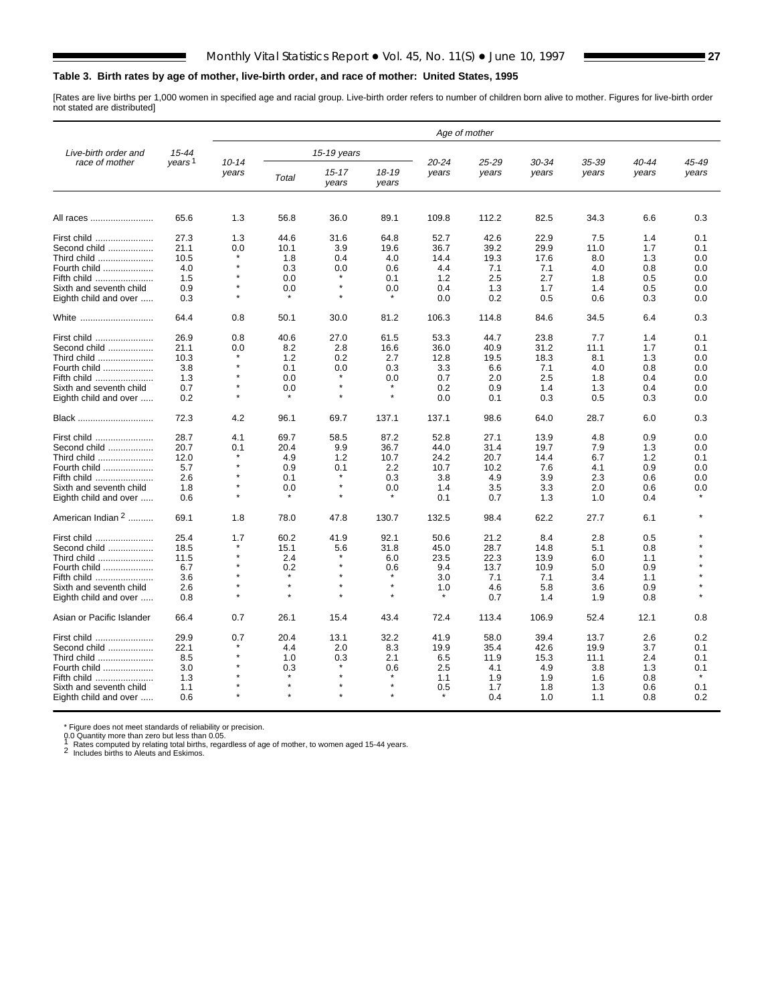#### <span id="page-26-0"></span>**Table 3. Birth rates by age of mother, live-birth order, and race of mother: United States, 1995**

[Rates are live births per 1,000 women in specified age and racial group. Live-birth order refers to number of children born alive to mother. Figures for live-birth order not stated are distributed]

|                              |                    |                    |                |                    |                |                | Age of mother  |                |                |                |                |
|------------------------------|--------------------|--------------------|----------------|--------------------|----------------|----------------|----------------|----------------|----------------|----------------|----------------|
| Live-birth order and         | 15-44              |                    |                | 15-19 years        |                |                |                |                |                |                |                |
| race of mother               | years <sup>1</sup> | $10 - 14$<br>years | Total          | $15 - 17$<br>years | 18-19<br>years | 20-24<br>years | 25-29<br>years | 30-34<br>years | 35-39<br>years | 40-44<br>years | 45-49<br>years |
| All races                    | 65.6               | 1.3                | 56.8           | 36.0               | 89.1           | 109.8          | 112.2          | 82.5           | 34.3           | 6.6            | 0.3            |
| First child                  | 27.3               | 1.3                | 44.6           | 31.6               | 64.8           | 52.7           | 42.6           | 22.9           | 7.5            | 1.4            | 0.1            |
| Second child                 | 21.1               | 0.0                | 10.1           | 3.9                | 19.6           | 36.7           | 39.2           | 29.9           | 11.0           | 1.7            | 0.1            |
| Third child                  | 10.5               |                    | 1.8            | 0.4                | 4.0            | 14.4           | 19.3           | 17.6           | 8.0            | 1.3            | 0.0            |
| Fourth child                 | 4.0                |                    | 0.3            | 0.0                | 0.6            | 4.4            | 7.1            | 7.1            | 4.0            | 0.8            | 0.0            |
|                              | 1.5                | $\star$            | 0.0            | $\star$            | 0.1            |                | 2.5            | 2.7            | 1.8            | 0.5            | 0.0            |
| Fifth child                  |                    | $^\star$           |                | $\star$            |                | 1.2            |                |                |                |                |                |
| Sixth and seventh child      | 0.9                |                    | 0.0<br>$\star$ | $\star$            | 0.0            | 0.4            | 1.3            | 1.7            | 1.4            | 0.5            | 0.0            |
| Eighth child and over        | 0.3                |                    |                |                    |                | 0.0            | 0.2            | 0.5            | 0.6            | 0.3            | 0.0            |
| White                        | 64.4               | 0.8                | 50.1           | 30.0               | 81.2           | 106.3          | 114.8          | 84.6           | 34.5           | 6.4            | 0.3            |
| First child                  | 26.9               | 0.8                | 40.6           | 27.0               | 61.5           | 53.3           | 44.7           | 23.8           | 7.7            | 1.4            | 0.1            |
| Second child                 | 21.1               | 0.0                | 8.2            | 2.8                | 16.6           | 36.0           | 40.9           | 31.2           | 11.1           | 1.7            | 0.1            |
| Third child                  | 10.3               |                    | 1.2            | 0.2                | 2.7            | 12.8           | 19.5           | 18.3           | 8.1            | 1.3            | 0.0            |
| Fourth child                 | 3.8                | $\star$            | 0.1            | 0.0                | 0.3            | 3.3            | 6.6            | 7.1            | 4.0            | 0.8            | 0.0            |
| Fifth child                  | 1.3                |                    | 0.0            |                    | 0.0            | 0.7            | 2.0            | 2.5            | 1.8            | 0.4            | 0.0            |
| Sixth and seventh child      | 0.7                | $\star$            | 0.0            |                    |                | 0.2            | 0.9            | 1.4            | 1.3            | 0.4            | 0.0            |
|                              |                    |                    |                |                    | $\star$        |                |                |                |                |                |                |
| Eighth child and over        | 0.2                |                    |                |                    |                | 0.0            | 0.1            | 0.3            | 0.5            | 0.3            | 0.0            |
| Black                        | 72.3               | 4.2                | 96.1           | 69.7               | 137.1          | 137.1          | 98.6           | 64.0           | 28.7           | 6.0            | 0.3            |
| First child                  | 28.7               | 4.1                | 69.7           | 58.5               | 87.2           | 52.8           | 27.1           | 13.9           | 4.8            | 0.9            | 0.0            |
| Second child                 | 20.7               | 0.1                | 20.4           | 9.9                | 36.7           | 44.0           | 31.4           | 19.7           | 7.9            | 1.3            | 0.0            |
| Third child                  | 12.0               |                    | 4.9            | 1.2                | 10.7           | 24.2           | 20.7           | 14.4           | 6.7            | 1.2            | 0.1            |
| Fourth child                 | 5.7                |                    | 0.9            | 0.1                | 2.2            | 10.7           | 10.2           | 7.6            | 4.1            | 0.9            | 0.0            |
|                              | 2.6                | $\star$            | 0.1            | $\star$            | 0.3            |                | 4.9            | 3.9            | 2.3            | 0.6            | 0.0            |
| Fifth child                  |                    | $\star$            |                | $\star$            |                | 3.8            |                |                |                |                |                |
| Sixth and seventh child      | 1.8                | $\star$            | 0.0            |                    | 0.0            | 1.4            | 3.5            | 3.3            | 2.0            | 0.6            | 0.0            |
| Eighth child and over        | 0.6                |                    |                |                    |                | 0.1            | 0.7            | 1.3            | 1.0            | 0.4            |                |
| American Indian <sup>2</sup> | 69.1               | 1.8                | 78.0           | 47.8               | 130.7          | 132.5          | 98.4           | 62.2           | 27.7           | 6.1            |                |
| First child                  | 25.4               | 1.7                | 60.2           | 41.9               | 92.1           | 50.6           | 21.2           | 8.4            | 2.8            | 0.5            |                |
| Second child                 | 18.5               | *                  | 15.1           | 5.6                | 31.8           | 45.0           | 28.7           | 14.8           | 5.1            | 0.8            |                |
| Third child                  | 11.5               |                    | 2.4            |                    | 6.0            | 23.5           | 22.3           | 13.9           | 6.0            | 1.1            |                |
| Fourth child                 | 6.7                |                    | 0.2            |                    | 0.6            | 9.4            | 13.7           | 10.9           | 5.0            | 0.9            |                |
| Fifth child                  | 3.6                |                    | $\star$        |                    |                | 3.0            | 7.1            | 7.1            | 3.4            | 1.1            |                |
| Sixth and seventh child      | 2.6                | $\star$            | $\star$        | $\star$            | $\star$        | 1.0            | 4.6            | 5.8            | 3.6            | 0.9            |                |
|                              |                    |                    | $\star$        |                    | $\star$        |                | 0.7            | 1.4            |                | 0.8            |                |
| Eighth child and over        | 0.8                |                    |                |                    |                |                |                |                | 1.9            |                |                |
| Asian or Pacific Islander    | 66.4               | 0.7                | 26.1           | 15.4               | 43.4           | 72.4           | 113.4          | 106.9          | 52.4           | 12.1           | 0.8            |
| First child                  | 29.9               | 0.7                | 20.4           | 13.1               | 32.2           | 41.9           | 58.0           | 39.4           | 13.7           | 2.6            | 0.2            |
| Second child                 | 22.1               |                    | 4.4            | 2.0                | 8.3            | 19.9           | 35.4           | 42.6           | 19.9           | 3.7            | 0.1            |
| Third child                  | 8.5                | $\star$            | 1.0            | 0.3                | 2.1            | 6.5            | 11.9           | 15.3           | 11.1           | 2.4            | 0.1            |
| Fourth child                 | 3.0                |                    | 0.3            |                    | 0.6            | 2.5            | 4.1            | 4.9            | 3.8            | 1.3            | 0.1            |
| Fifth child                  | 1.3                |                    |                |                    |                | 1.1            | 1.9            | 1.9            | 1.6            | 0.8            |                |
| Sixth and seventh child      | 1.1                |                    | $\star$        |                    | $\star$        | 0.5            | 1.7            | 1.8            | 1.3            | 0.6            | 0.1            |
| Eighth child and over        | 0.6                |                    |                |                    |                |                | 0.4            | 1.0            | 1.1            | 0.8            | 0.2            |

\* Figure does not meet standards of reliability or precision.<br>0.0 Quantity more than zero but less than 0.05.<br>1 Rates computed by relating total births, regardless of age of mother, to women aged 15-44 years.<br>2 Includes bi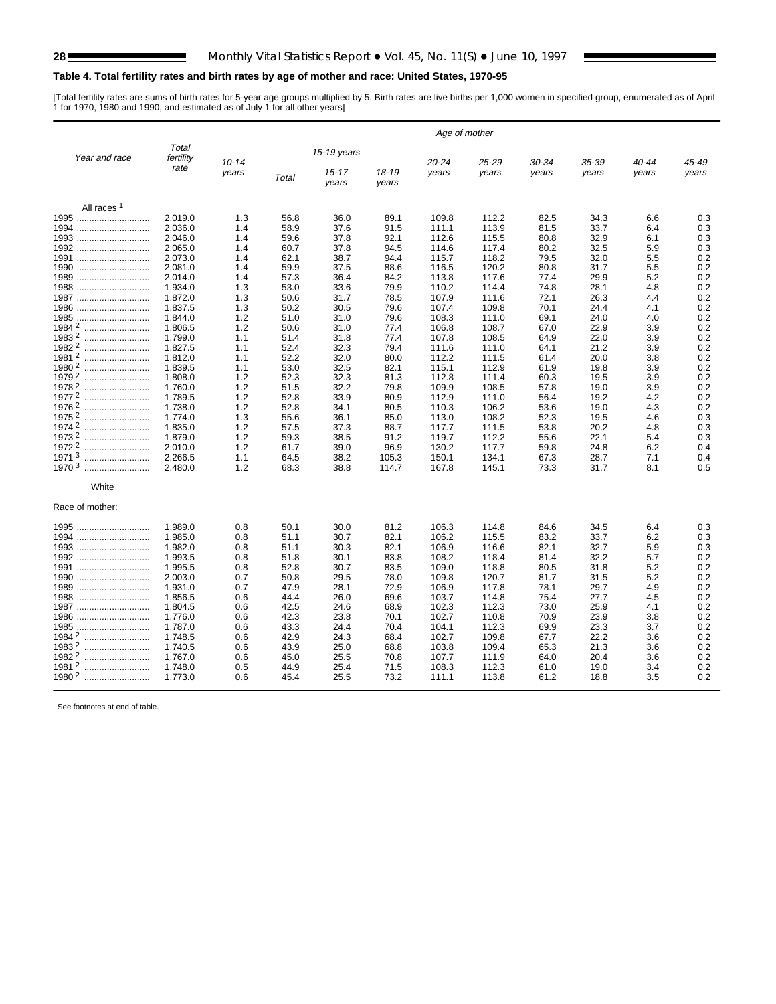#### <span id="page-27-0"></span>**Table 4. Total fertility rates and birth rates by age of mother and race: United States, 1970-95**

[Total fertility rates are sums of birth rates for 5-year age groups multiplied by 5. Birth rates are live births per 1,000 women in specified group, enumerated as of April<br>1 for 1970, 1980 and 1990, and estimated as of Ju

|                        |                    |                    |       |                    |                | Age of mother  |                |                |                |                |                |
|------------------------|--------------------|--------------------|-------|--------------------|----------------|----------------|----------------|----------------|----------------|----------------|----------------|
| Year and race          | Total<br>fertility |                    |       | 15-19 years        |                |                |                |                |                |                |                |
|                        | rate               | $10 - 14$<br>years | Total | $15 - 17$<br>years | 18-19<br>years | 20-24<br>years | 25-29<br>years | 30-34<br>years | 35-39<br>years | 40-44<br>years | 45-49<br>years |
| All races <sup>1</sup> |                    |                    |       |                    |                |                |                |                |                |                |                |
| 1995                   | 2,019.0            | 1.3                | 56.8  | 36.0               | 89.1           | 109.8          | 112.2          | 82.5           | 34.3           | 6.6            | 0.3            |
| 1994                   | 2,036.0            | 1.4                | 58.9  | 37.6               | 91.5           | 111.1          | 113.9          | 81.5           | 33.7           | 6.4            | 0.3            |
| 1993                   | 2,046.0            | 1.4                | 59.6  | 37.8               | 92.1           | 112.6          | 115.5          | 80.8           | 32.9           | 6.1            | 0.3            |
| 1992                   | 2,065.0            | 1.4                | 60.7  | 37.8               | 94.5           | 114.6          | 117.4          | 80.2           | 32.5           | 5.9            | 0.3            |
| 1991                   | 2,073.0            | 1.4                | 62.1  | 38.7               | 94.4           | 115.7          | 118.2          | 79.5           | 32.0           | 5.5            | 0.2            |
| 1990                   | 2,081.0            | 1.4                | 59.9  | 37.5               | 88.6           | 116.5          | 120.2          | 80.8           | 31.7           | 5.5            | 0.2            |
| 1989                   | 2,014.0            | 1.4                | 57.3  | 36.4               | 84.2           | 113.8          | 117.6          | 77.4           | 29.9           | 5.2            | 0.2            |
| 1988                   | 1,934.0            | 1.3                | 53.0  | 33.6               | 79.9           | 110.2          | 114.4          | 74.8           | 28.1           | 4.8            | 0.2            |
| 1987                   | 1,872.0            | 1.3                | 50.6  | 31.7               | 78.5           | 107.9          | 111.6          | 72.1           | 26.3           | 4.4            | 0.2            |
| 1986                   | 1,837.5            | 1.3                | 50.2  | 30.5               | 79.6           | 107.4          | 109.8          | 70.1           | 24.4           | 4.1            | 0.2            |
| 1985<br>               | 1,844.0            | 1.2                | 51.0  | 31.0               | 79.6           | 108.3          | 111.0          | 69.1           | 24.0           | 4.0            | 0.2            |
| 19842<br>              | 1,806.5            | 1.2                | 50.6  | 31.0               | 77.4           | 106.8          | 108.7          | 67.0           | 22.9           | 3.9            | 0.2            |
| 19832<br>              | 1,799.0            | 1.1                | 51.4  | 31.8               | 77.4           | 107.8          | 108.5          | 64.9           | 22.0           | 3.9            | 0.2            |
| 19822                  | 1,827.5            | 1.1                | 52.4  | 32.3               | 79.4           | 111.6          | 111.0          | 64.1           | 21.2           | 3.9            | 0.2            |
| 19812<br>              | 1,812.0            | 1.1                | 52.2  | 32.0               | 80.0           | 112.2          | 111.5          | 61.4           | 20.0           | 3.8            | 0.2            |
| 19802                  | 1.839.5            | 1.1                | 53.0  | 32.5               | 82.1           | 115.1          | 112.9          | 61.9           | 19.8           | 3.9            | 0.2            |
| 19792<br>              | 1.808.0            | 1.2                | 52.3  | 32.3               | 81.3           | 112.8          | 111.4          | 60.3           | 19.5           | 3.9            | 0.2            |
| 19782                  | 1.760.0            | 1.2                | 51.5  | 32.2               | 79.8           | 109.9          | 108.5          | 57.8           | 19.0           | 3.9            | 0.2            |
| 19772                  | 1,789.5            | 1.2                | 52.8  | 33.9               | 80.9           | 112.9          | 111.0          | 56.4           | 19.2           | 4.2            | 0.2            |
| 19762                  | 1,738.0            | 1.2                | 52.8  | 34.1               | 80.5           | 110.3          | 106.2          | 53.6           | 19.0           | 4.3            | 0.2            |
| 1975 2<br>             | 1,774.0            | 1.3                | 55.6  | 36.1               | 85.0           | 113.0          | 108.2          | 52.3           | 19.5           | 4.6            | 0.3            |
| 19742                  | 1,835.0            | 1.2                | 57.5  | 37.3               | 88.7           | 117.7          | 111.5          | 53.8           | 20.2           | 4.8            | 0.3            |
| 19732<br>              | 1,879.0            | 1.2                | 59.3  | 38.5               | 91.2           | 119.7          | 112.2          | 55.6           | 22.1           | 5.4            | 0.3            |
| 19722                  | 2.010.0            | 1.2                | 61.7  | 39.0               | 96.9           | 130.2          | 117.7          | 59.8           | 24.8           | 6.2            | 0.4            |
| 19713                  | 2,266.5            | 1.1                | 64.5  | 38.2               | 105.3          | 150.1          | 134.1          | 67.3           | 28.7           | 7.1            | 0.4            |
| 1970 3                 | 2.480.0            | 1.2                | 68.3  | 38.8               | 114.7          | 167.8          | 145.1          | 73.3           | 31.7           | 8.1            | 0.5            |
| White                  |                    |                    |       |                    |                |                |                |                |                |                |                |
| Race of mother:        |                    |                    |       |                    |                |                |                |                |                |                |                |
| 1995                   | 1,989.0            | 0.8                | 50.1  | 30.0               | 81.2           | 106.3          | 114.8          | 84.6           | 34.5           | 6.4            | 0.3            |
| 1994                   | 1,985.0            | 0.8                | 51.1  | 30.7               | 82.1           | 106.2          | 115.5          | 83.2           | 33.7           | 6.2            | 0.3            |
| 1993                   | 1,982.0            | 0.8                | 51.1  | 30.3               | 82.1           | 106.9          | 116.6          | 82.1           | 32.7           | 5.9            | 0.3            |
| 1992                   | 1,993.5            | 0.8                | 51.8  | 30.1               | 83.8           | 108.2          | 118.4          | 81.4           | 32.2           | 5.7            | 0.2            |
| 1991                   | 1,995.5            | 0.8                | 52.8  | 30.7               | 83.5           | 109.0          | 118.8          | 80.5           | 31.8           | 5.2            | 0.2            |
| 1990                   | 2,003.0            | 0.7                | 50.8  | 29.5               | 78.0           | 109.8          | 120.7          | 81.7           | 31.5           | 5.2            | 0.2            |
| 1989                   | 1,931.0            | 0.7                | 47.9  | 28.1               | 72.9           | 106.9          | 117.8          | 78.1           | 29.7           | 4.9            | 0.2            |
| 1988                   | 1,856.5            | 0.6                | 44.4  | 26.0               | 69.6           | 103.7          | 114.8          | 75.4           | 27.7           | 4.5            | 0.2            |
| 1987                   | 1.804.5            | 0.6                | 42.5  | 24.6               | 68.9           | 102.3          | 112.3          | 73.0           | 25.9           | 4.1            | 0.2            |
| 1986                   | 1,776.0            | 0.6                | 42.3  | 23.8               | 70.1           | 102.7          | 110.8          | 70.9           | 23.9           | 3.8            | 0.2            |
| 1985                   | 1,787.0            | 0.6                | 43.3  | 24.4               | 70.4           | 104.1          | 112.3          | 69.9           | 23.3           | 3.7            | 0.2            |
| 1984 2                 | 1,748.5            | 0.6                | 42.9  | 24.3               | 68.4           | 102.7          | 109.8          | 67.7           | 22.2           | 3.6            | 0.2            |
| 19832                  | 1,740.5            | 0.6                | 43.9  | 25.0               | 68.8           | 103.8          | 109.4          | 65.3           | 21.3           | 3.6            | 0.2            |
| 1982 2                 | 1,767.0            | 0.6                | 45.0  | 25.5               | 70.8           | 107.7          | 111.9          | 64.0           | 20.4           | 3.6            | 0.2            |
| 19812                  | 1,748.0            | 0.5                | 44.9  | 25.4               | 71.5           | 108.3          | 112.3          | 61.0           | 19.0           | 3.4            | 0.2            |
| 1980 2<br>             | 1,773.0            | 0.6                | 45.4  | 25.5               | 73.2           | 111.1          | 113.8          | 61.2           | 18.8           | 3.5            | 0.2            |

See footnotes at end of table.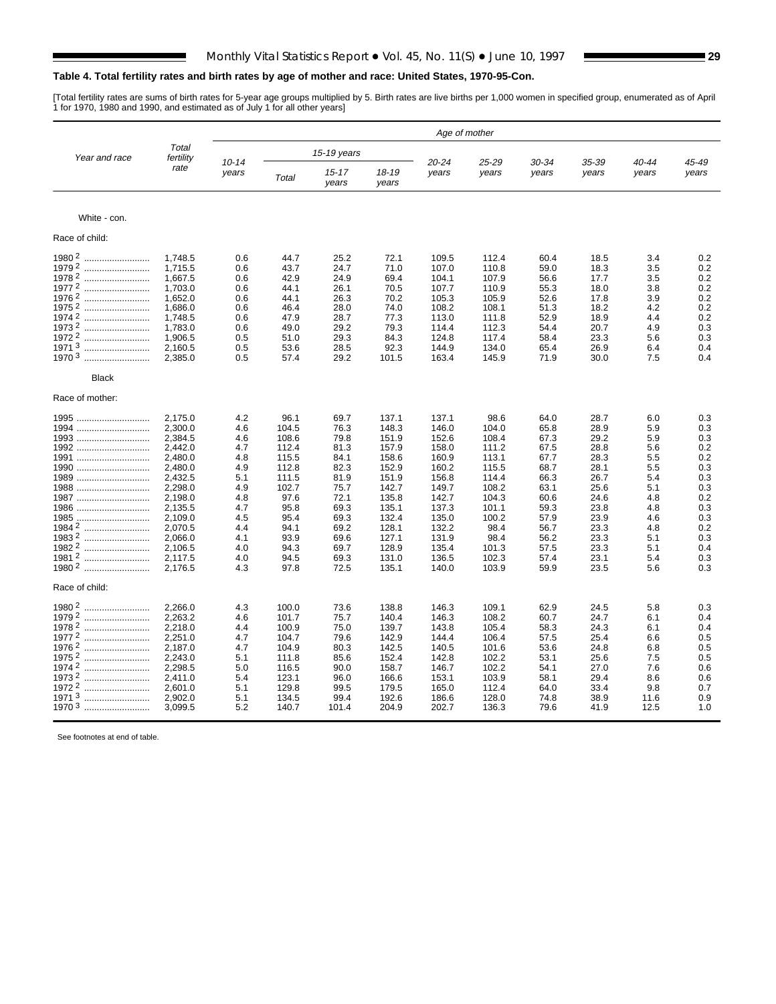#### **Table 4. Total fertility rates and birth rates by age of mother and race: United States, 1970-95-Con.**

[Total fertility rates are sums of birth rates for 5-year age groups multiplied by 5. Birth rates are live births per 1,000 women in specified group, enumerated as of April<br>1 for 1970, 1980 and 1990, and estimated as of Ju

|                       |                    | Age of mother      |       |                    |                |                |                |                |                |                |                |  |  |
|-----------------------|--------------------|--------------------|-------|--------------------|----------------|----------------|----------------|----------------|----------------|----------------|----------------|--|--|
| Year and race         | Total<br>fertility |                    |       | 15-19 years        |                |                |                |                |                |                |                |  |  |
|                       | rate               | $10 - 14$<br>years | Total | $15 - 17$<br>years | 18-19<br>years | 20-24<br>years | 25-29<br>years | 30-34<br>years | 35-39<br>years | 40-44<br>years | 45-49<br>years |  |  |
| White - con.          |                    |                    |       |                    |                |                |                |                |                |                |                |  |  |
| Race of child:        |                    |                    |       |                    |                |                |                |                |                |                |                |  |  |
| 1980 <sup>2</sup><br> | 1,748.5            | 0.6                | 44.7  | 25.2               | 72.1           | 109.5          | 112.4          | 60.4           | 18.5           | 3.4            | 0.2            |  |  |
| 19792                 | 1,715.5            | 0.6                | 43.7  | 24.7               | 71.0           | 107.0          | 110.8          | 59.0           | 18.3           | 3.5            | 0.2            |  |  |
| 19782                 | 1,667.5            | 0.6                | 42.9  | 24.9               | 69.4           | 104.1          | 107.9          | 56.6           | 17.7           | 3.5            | 0.2            |  |  |
| 19772                 |                    |                    |       |                    |                |                |                |                |                |                |                |  |  |
|                       | 1,703.0            | 0.6                | 44.1  | 26.1               | 70.5           | 107.7          | 110.9          | 55.3           | 18.0           | 3.8            | 0.2            |  |  |
| 19762                 | 1,652.0            | 0.6                | 44.1  | 26.3               | 70.2           | 105.3          | 105.9          | 52.6           | 17.8           | 3.9            | 0.2            |  |  |
| 1975 2                | 1,686.0            | 0.6                | 46.4  | 28.0               | 74.0           | 108.2          | 108.1          | 51.3           | 18.2           | 4.2            | 0.2            |  |  |
| 1974 2<br>            | 1,748.5            | 0.6                | 47.9  | 28.7               | 77.3           | 113.0          | 111.8          | 52.9           | 18.9           | 4.4            | 0.2            |  |  |
| 19732                 | 1,783.0            | 0.6                | 49.0  | 29.2               | 79.3           | 114.4          | 112.3          | 54.4           | 20.7           | 4.9            | 0.3            |  |  |
| 1972 2                | 1,906.5            | 0.5                | 51.0  | 29.3               | 84.3           | 124.8          | 117.4          | 58.4           | 23.3           | 5.6            | 0.3            |  |  |
| 19713                 | 2,160.5            | 0.5                | 53.6  | 28.5               | 92.3           | 144.9          | 134.0          | 65.4           | 26.9           | 6.4            | 0.4            |  |  |
| 1970 <sup>3</sup><br> | 2,385.0            | 0.5                | 57.4  | 29.2               | 101.5          | 163.4          | 145.9          | 71.9           | 30.0           | 7.5            | 0.4            |  |  |
| <b>Black</b>          |                    |                    |       |                    |                |                |                |                |                |                |                |  |  |
| Race of mother:       |                    |                    |       |                    |                |                |                |                |                |                |                |  |  |
| 1995                  | 2,175.0            | 4.2                | 96.1  | 69.7               | 137.1          | 137.1          | 98.6           | 64.0           | 28.7           | 6.0            | 0.3            |  |  |
| 1994                  | 2,300.0            | 4.6                | 104.5 | 76.3               | 148.3          | 146.0          | 104.0          | 65.8           | 28.9           | 5.9            | 0.3            |  |  |
| 1993                  | 2,384.5            | 4.6                | 108.6 | 79.8               | 151.9          | 152.6          | 108.4          | 67.3           | 29.2           | 5.9            | 0.3            |  |  |
| 1992                  | 2,442.0            | 4.7                | 112.4 | 81.3               | 157.9          | 158.0          | 111.2          | 67.5           | 28.8           | 5.6            | 0.2            |  |  |
| 1991                  | 2,480.0            | 4.8                | 115.5 | 84.1               | 158.6          | 160.9          | 113.1          | 67.7           | 28.3           | 5.5            | 0.2            |  |  |
|                       |                    |                    |       |                    |                |                |                |                |                |                |                |  |  |
| 1990                  | 2,480.0            | 4.9                | 112.8 | 82.3               | 152.9          | 160.2          | 115.5          | 68.7           | 28.1           | 5.5            | 0.3            |  |  |
| 1989                  | 2,432.5            | 5.1                | 111.5 | 81.9               | 151.9          | 156.8          | 114.4          | 66.3           | 26.7           | 5.4            | 0.3            |  |  |
| 1988                  | 2.298.0            | 4.9                | 102.7 | 75.7               | 142.7          | 149.7          | 108.2          | 63.1           | 25.6           | 5.1            | 0.3            |  |  |
| 1987                  | 2.198.0            | 4.8                | 97.6  | 72.1               | 135.8          | 142.7          | 104.3          | 60.6           | 24.6           | 4.8            | 0.2            |  |  |
| 1986                  | 2,135.5            | 4.7                | 95.8  | 69.3               | 135.1          | 137.3          | 101.1          | 59.3           | 23.8           | 4.8            | 0.3            |  |  |
| 1985                  | 2,109.0            | 4.5                | 95.4  | 69.3               | 132.4          | 135.0          | 100.2          | 57.9           | 23.9           | 4.6            | 0.3            |  |  |
|                       | 2,070.5            | 4.4                | 94.1  | 69.2               | 128.1          | 132.2          | 98.4           | 56.7           | 23.3           | 4.8            | 0.2            |  |  |
| 19832                 | 2,066.0            | 4.1                | 93.9  | 69.6               | 127.1          | 131.9          | 98.4           | 56.2           | 23.3           | 5.1            | 0.3            |  |  |
| 1982 2                | 2,106.5            | 4.0                | 94.3  | 69.7               | 128.9          | 135.4          | 101.3          | 57.5           | 23.3           | 5.1            | 0.4            |  |  |
| 19812<br>             | 2,117.5            | 4.0                | 94.5  | 69.3               | 131.0          | 136.5          | 102.3          | 57.4           | 23.1           | 5.4            | 0.3            |  |  |
| 1980 2                | 2,176.5            | 4.3                | 97.8  | 72.5               | 135.1          | 140.0          | 103.9          | 59.9           | 23.5           | 5.6            | 0.3            |  |  |
| Race of child:        |                    |                    |       |                    |                |                |                |                |                |                |                |  |  |
| $19802$               | 2,266.0            | 4.3                | 100.0 | 73.6               | 138.8          | 146.3          | 109.1          | 62.9           | 24.5           | 5.8            | 0.3            |  |  |
| 19792<br>             | 2,263.2            | 4.6                | 101.7 | 75.7               | 140.4          | 146.3          | 108.2          | 60.7           | 24.7           | 6.1            | 0.4            |  |  |
| 19782<br>             | 2,218.0            | 4.4                | 100.9 | 75.0               | 139.7          | 143.8          | 105.4          | 58.3           | 24.3           | 6.1            | 0.4            |  |  |
| 19772                 | 2,251.0            | 4.7                | 104.7 | 79.6               | 142.9          | 144.4          | 106.4          | 57.5           | 25.4           | 6.6            | 0.5            |  |  |
| 19762<br>             | 2,187.0            | 4.7                | 104.9 | 80.3               | 142.5          | 140.5          | 101.6          | 53.6           | 24.8           | 6.8            | 0.5            |  |  |
| 1975 2<br>            | 2,243.0            | 5.1                |       | 85.6               | 152.4          | 142.8          | 102.2          | 53.1           | 25.6           | 7.5            | 0.5            |  |  |
|                       |                    |                    | 111.8 |                    |                |                |                |                |                |                |                |  |  |
| 19742<br>             | 2,298.5            | 5.0                | 116.5 | 90.0               | 158.7          | 146.7          | 102.2          | 54.1           | 27.0           | 7.6            | 0.6            |  |  |
| 19732<br>             | 2,411.0            | 5.4                | 123.1 | 96.0               | 166.6          | 153.1          | 103.9          | 58.1           | 29.4           | 8.6            | 0.6            |  |  |
| 19722<br>             | 2,601.0            | 5.1                | 129.8 | 99.5               | 179.5          | 165.0          | 112.4          | 64.0           | 33.4           | 9.8            | 0.7            |  |  |
| 19713                 | 2,902.0            | 5.1                | 134.5 | 99.4               | 192.6          | 186.6          | 128.0          | 74.8           | 38.9           | 11.6           | 0.9            |  |  |
| 1970 3                | 3,099.5            | 5.2                | 140.7 | 101.4              | 204.9          | 202.7          | 136.3          | 79.6           | 41.9           | 12.5           | 1.0            |  |  |
|                       |                    |                    |       |                    |                |                |                |                |                |                |                |  |  |

See footnotes at end of table.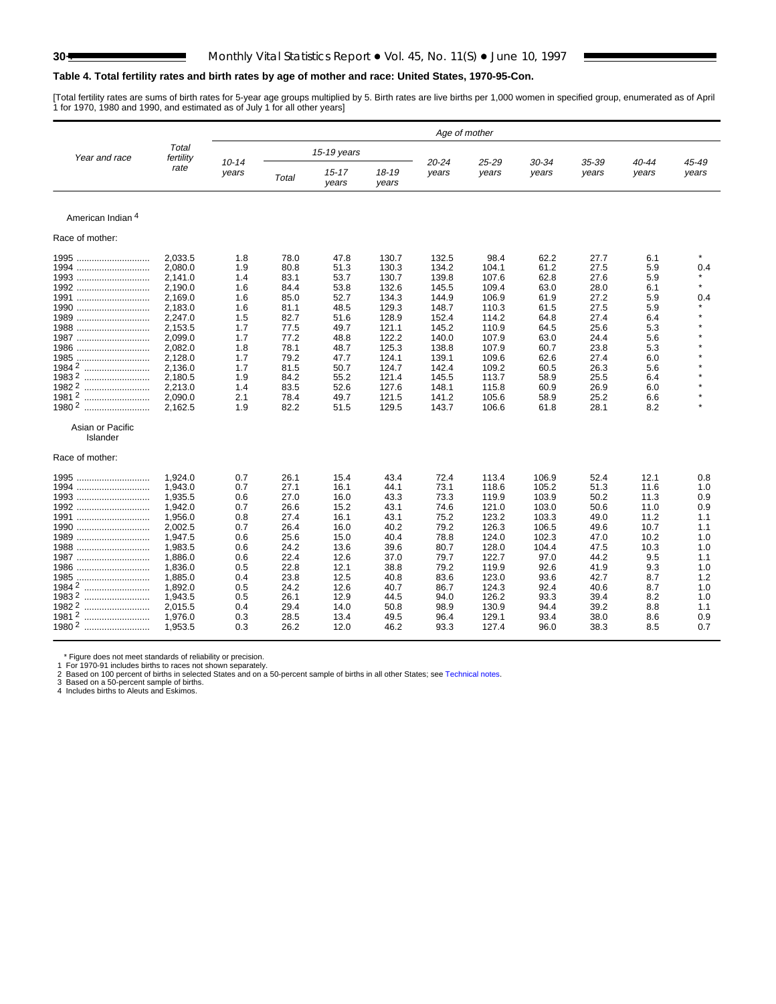#### **Table 4. Total fertility rates and birth rates by age of mother and race: United States, 1970-95-Con.**

[Total fertility rates are sums of birth rates for 5-year age groups multiplied by 5. Birth rates are live births per 1,000 women in specified group, enumerated as of April<br>1 for 1970, 1980 and 1990, and estimated as of Ju

|                   |                    |                    |       |                    |                | Age of mother  |                |                |                |                |                |
|-------------------|--------------------|--------------------|-------|--------------------|----------------|----------------|----------------|----------------|----------------|----------------|----------------|
| Year and race     | Total<br>fertility |                    |       | 15-19 years        |                |                |                |                |                |                |                |
|                   | rate               | $10 - 14$<br>years | Total | $15 - 17$<br>years | 18-19<br>years | 20-24<br>years | 25-29<br>years | 30-34<br>years | 35-39<br>years | 40-44<br>years | 45-49<br>years |
|                   |                    |                    |       |                    |                |                |                |                |                |                |                |
| American Indian 4 |                    |                    |       |                    |                |                |                |                |                |                |                |
| Race of mother:   |                    |                    |       |                    |                |                |                |                |                |                |                |
| 1995              | 2,033.5            | 1.8                | 78.0  | 47.8               | 130.7          | 132.5          | 98.4           | 62.2           | 27.7           | 6.1            |                |
| 1994              | 2,080.0            | 1.9                | 80.8  | 51.3               | 130.3          | 134.2          | 104.1          | 61.2           | 27.5           | 5.9            | 0.4            |
| 1993              | 2,141.0            | 1.4                | 83.1  | 53.7               | 130.7          | 139.8          | 107.6          | 62.8           | 27.6           | 5.9            |                |
| 1992              | 2,190.0            | 1.6                | 84.4  | 53.8               | 132.6          | 145.5          | 109.4          | 63.0           | 28.0           | 6.1            |                |
| 1991              | 2,169.0            | 1.6                | 85.0  | 52.7               | 134.3          | 144.9          | 106.9          | 61.9           | 27.2           | 5.9            | 0.4            |
| 1990              | 2,183.0            | 1.6                | 81.1  | 48.5               | 129.3          | 148.7          | 110.3          | 61.5           | 27.5           | 5.9            |                |
| 1989              | 2,247.0            | 1.5                | 82.7  | 51.6               | 128.9          | 152.4          | 114.2          | 64.8           | 27.4           | 6.4            |                |
| 1988              | 2.153.5            | 1.7                | 77.5  | 49.7               | 121.1          | 145.2          | 110.9          | 64.5           | 25.6           | 5.3            |                |
| 1987              | 2.099.0            | 1.7                | 77.2  | 48.8               | 122.2          | 140.0          | 107.9          | 63.0           | 24.4           | 5.6            |                |
| 1986              | 2,082.0            | 1.8                | 78.1  | 48.7               | 125.3          | 138.8          | 107.9          | 60.7           | 23.8           | 5.3            |                |
| 1985              | 2,128.0            | 1.7                | 79.2  | 47.7               | 124.1          | 139.1          | 109.6          | 62.6           | 27.4           | 6.0            |                |
| 19842             | 2,136.0            | 1.7                | 81.5  | 50.7               | 124.7          | 142.4          | 109.2          | 60.5           | 26.3           | 5.6            |                |
| 19832<br>         | 2,180.5            | 1.9                | 84.2  | 55.2               | 121.4          | 145.5          | 113.7          | 58.9           | 25.5           | 6.4            |                |
| 19822             | 2,213.0            | 1.4                | 83.5  | 52.6               | 127.6          | 148.1          | 115.8          | 60.9           | 26.9           | 6.0            |                |
| 19812             | 2,090.0            | 2.1                | 78.4  | 49.7               | 121.5          | 141.2          | 105.6          | 58.9           | 25.2           | 6.6            |                |
| 19802             | 2.162.5            | 1.9                | 82.2  | 51.5               | 129.5          | 143.7          | 106.6          | 61.8           | 28.1           | 8.2            |                |
| Asian or Pacific  |                    |                    |       |                    |                |                |                |                |                |                |                |
| Islander          |                    |                    |       |                    |                |                |                |                |                |                |                |
| Race of mother:   |                    |                    |       |                    |                |                |                |                |                |                |                |
| 1995<br>          | 1,924.0            | 0.7                | 26.1  | 15.4               | 43.4           | 72.4           | 113.4          | 106.9          | 52.4           | 12.1           | 0.8            |
| 1994              | 1,943.0            | 0.7                | 27.1  | 16.1               | 44.1           | 73.1           | 118.6          | 105.2          | 51.3           | 11.6           | 1.0            |
| 1993              | 1,935.5            | 0.6                | 27.0  | 16.0               | 43.3           | 73.3           | 119.9          | 103.9          | 50.2           | 11.3           | 0.9            |
| 1992              | 1.942.0            | 0.7                | 26.6  | 15.2               | 43.1           | 74.6           | 121.0          | 103.0          | 50.6           | 11.0           | 0.9            |
| 1991              | 1.956.0            | 0.8                | 27.4  | 16.1               | 43.1           | 75.2           | 123.2          | 103.3          | 49.0           | 11.2           | 1.1            |
| 1990              | 2.002.5            | 0.7                | 26.4  | 16.0               | 40.2           | 79.2           | 126.3          | 106.5          | 49.6           | 10.7           | 1.1            |
| 1989              | 1,947.5            | 0.6                | 25.6  | 15.0               | 40.4           | 78.8           | 124.0          | 102.3          | 47.0           | 10.2           | 1.0            |
| 1988              | 1,983.5            | 0.6                | 24.2  | 13.6               | 39.6           | 80.7           | 128.0          | 104.4          | 47.5           | 10.3           | 1.0            |
| 1987              | 1,886.0            | 0.6                | 22.4  | 12.6               | 37.0           | 79.7           | 122.7          | 97.0           | 44.2           | 9.5            | 1.1            |
| 1986              | 1,836.0            | 0.5                | 22.8  | 12.1               | 38.8           | 79.2           | 119.9          | 92.6           | 41.9           | 9.3            | 1.0            |
| 1985              | 1,885.0            | 0.4                | 23.8  | 12.5               | 40.8           | 83.6           | 123.0          | 93.6           | 42.7           | 8.7            | 1.2            |
| 19842<br>         | 1,892.0            | 0.5                | 24.2  | 12.6               | 40.7           | 86.7           | 124.3          | 92.4           | 40.6           | 8.7            | 1.0            |
| 19832<br>         | 1,943.5            | 0.5                | 26.1  | 12.9               | 44.5           | 94.0           | 126.2          | 93.3           | 39.4           | 8.2            | 1.0            |
| 19822             | 2.015.5            | 0.4                | 29.4  | 14.0               | 50.8           | 98.9           | 130.9          | 94.4           | 39.2           | 8.8            | 1.1            |
| 19812             | 1,976.0            | 0.3                | 28.5  | 13.4               | 49.5           | 96.4           | 129.1          | 93.4           | 38.0           | 8.6            | 0.9            |
| 1980 2<br>        | 1,953.5            | 0.3                | 26.2  | 12.0               | 46.2           | 93.3           | 127.4          | 96.0           | 38.3           | 8.5            | 0.7            |
|                   |                    |                    |       |                    |                |                |                |                |                |                |                |

\* Figure does not meet standards of reliability or precision.<br>1 For 1970-91 includes births to races not shown separately.<br>2 Based on 100 percent of births in selected States and on a 50-percent sample of births in all oth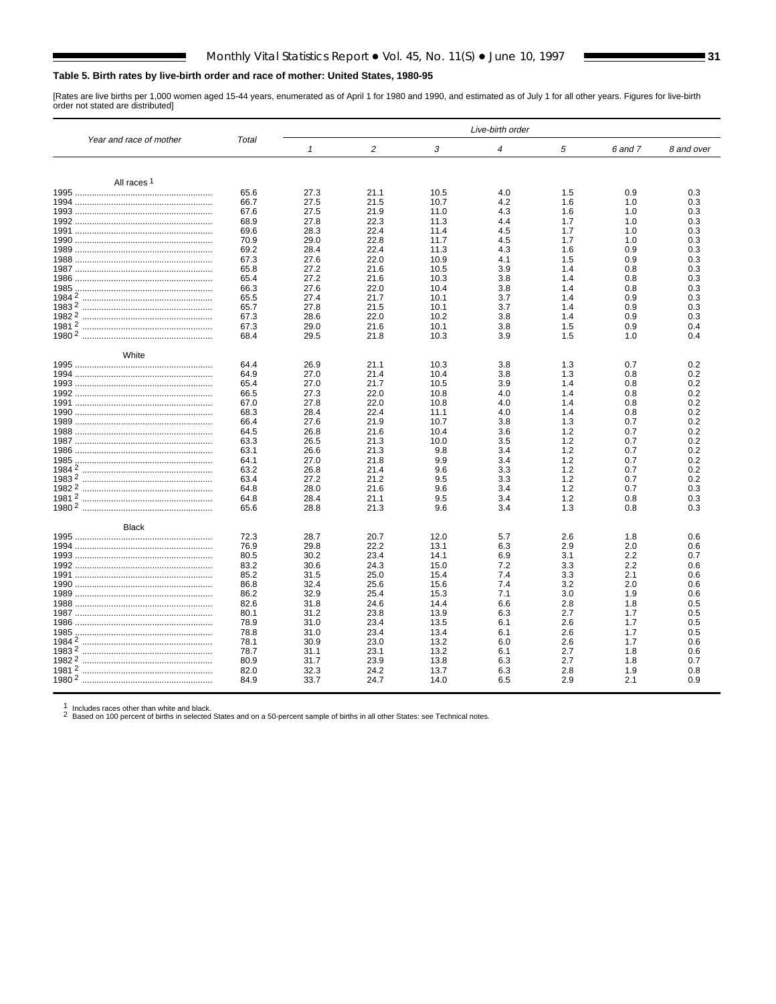#### <span id="page-30-0"></span>**Table 5. Birth rates by live-birth order and race of mother: United States, 1980-95**

[Rates are live births per 1,000 women aged 15-44 years, enumerated as of April 1 for 1980 and 1990, and estimated as of July 1 for all other years. Figures for live-birth order not stated are distributed]

|                         |       | Live-birth order |                |      |                |     |         |            |  |  |  |
|-------------------------|-------|------------------|----------------|------|----------------|-----|---------|------------|--|--|--|
| Year and race of mother | Total | $\mathbf{1}$     | $\overline{c}$ | 3    | $\overline{4}$ | 5   | 6 and 7 | 8 and over |  |  |  |
|                         |       |                  |                |      |                |     |         |            |  |  |  |
| All races <sup>1</sup>  |       |                  |                |      |                |     |         |            |  |  |  |
|                         | 65.6  | 27.3             | 21.1           | 10.5 | 4.0            | 1.5 | 0.9     | 0.3        |  |  |  |
|                         | 66.7  | 27.5             | 21.5           | 10.7 | 4.2            | 1.6 | 1.0     | 0.3        |  |  |  |
|                         | 67.6  | 27.5             | 21.9           | 11.0 | 4.3            | 1.6 | 1.0     | 0.3        |  |  |  |
|                         | 68.9  | 27.8             | 22.3           | 11.3 | 4.4            | 1.7 | 1.0     | 0.3        |  |  |  |
|                         | 69.6  | 28.3             | 22.4           | 11.4 | 4.5            | 1.7 | 1.0     | 0.3        |  |  |  |
|                         | 70.9  | 29.0             | 22.8           | 11.7 | 4.5            | 1.7 | 1.0     | 0.3        |  |  |  |
|                         | 69.2  | 28.4             | 22.4           | 11.3 | 4.3            | 1.6 | 0.9     | 0.3        |  |  |  |
|                         | 67.3  | 27.6             | 22.0           | 10.9 | 4.1            | 1.5 | 0.9     | 0.3        |  |  |  |
|                         | 65.8  | 27.2             | 21.6           | 10.5 | 3.9            | 1.4 | 0.8     | 0.3        |  |  |  |
|                         | 65.4  | 27.2             | 21.6           | 10.3 | 3.8            | 1.4 | 0.8     | 0.3        |  |  |  |
|                         | 66.3  | 27.6             | 22.0           | 10.4 | 3.8            | 1.4 | 0.8     | 0.3        |  |  |  |
|                         | 65.5  | 27.4             | 21.7           | 10.1 | 3.7            | 1.4 | 0.9     | 0.3        |  |  |  |
|                         | 65.7  | 27.8             | 21.5           | 10.1 | 3.7            | 1.4 | 0.9     | 0.3        |  |  |  |
|                         | 67.3  | 28.6             | 22.0           | 10.2 | 3.8            | 1.4 | 0.9     | 0.3        |  |  |  |
|                         | 67.3  | 29.0             | 21.6           | 10.1 | 3.8            | 1.5 | 0.9     | 0.4        |  |  |  |
|                         | 68.4  | 29.5             | 21.8           | 10.3 | 3.9            | 1.5 | 1.0     | 0.4        |  |  |  |
| White                   |       |                  |                |      |                |     |         |            |  |  |  |
|                         | 64.4  | 26.9             | 21.1           | 10.3 | 3.8            | 1.3 | 0.7     | 0.2        |  |  |  |
|                         | 64.9  | 27.0             | 21.4           | 10.4 | 3.8            | 1.3 | 0.8     | 0.2        |  |  |  |
|                         | 65.4  | 27.0             | 21.7           | 10.5 | 3.9            | 1.4 | 0.8     | 0.2        |  |  |  |
|                         | 66.5  | 27.3             | 22.0           | 10.8 | 4.0            | 1.4 | 0.8     | 0.2        |  |  |  |
|                         | 67.0  | 27.8             | 22.0           | 10.8 | 4.0            | 1.4 | 0.8     | 0.2        |  |  |  |
|                         | 68.3  | 28.4             | 22.4           | 11.1 | 4.0            | 1.4 | 0.8     | 0.2        |  |  |  |
|                         | 66.4  | 27.6             | 21.9           | 10.7 | 3.8            | 1.3 | 0.7     | 0.2        |  |  |  |
|                         | 64.5  | 26.8             | 21.6           | 10.4 | 3.6            | 1.2 | 0.7     | 0.2        |  |  |  |
|                         | 63.3  | 26.5             | 21.3           | 10.0 | 3.5            | 1.2 | 0.7     | 0.2        |  |  |  |
|                         | 63.1  | 26.6             | 21.3           | 9.8  | 3.4            | 1.2 | 0.7     | 0.2        |  |  |  |
|                         | 64.1  | 27.0             | 21.8           | 9.9  | 3.4            | 1.2 | 0.7     | 0.2        |  |  |  |
|                         | 63.2  | 26.8             | 21.4           | 9.6  | 3.3            | 1.2 | 0.7     | 0.2        |  |  |  |
|                         | 63.4  | 27.2             | 21.2           | 9.5  | 3.3            | 1.2 | 0.7     | 0.2        |  |  |  |
|                         | 64.8  | 28.0             | 21.6           | 9.6  | 3.4            | 1.2 | 0.7     | 0.3        |  |  |  |
|                         | 64.8  | 28.4             | 21.1           | 9.5  | 3.4            | 1.2 | 0.8     | 0.3        |  |  |  |
|                         | 65.6  | 28.8             | 21.3           | 9.6  | 3.4            | 1.3 | 0.8     | 0.3        |  |  |  |
| <b>Black</b>            |       |                  |                |      |                |     |         |            |  |  |  |
|                         | 72.3  | 28.7             | 20.7           | 12.0 | 5.7            | 2.6 | 1.8     | 0.6        |  |  |  |
|                         | 76.9  | 29.8             | 22.2           | 13.1 | 6.3            | 2.9 | 2.0     | 0.6        |  |  |  |
|                         | 80.5  | 30.2             | 23.4           | 14.1 | 6.9            | 3.1 | 2.2     | 0.7        |  |  |  |
|                         | 83.2  | 30.6             | 24.3           | 15.0 | 7.2            | 3.3 | 2.2     | 0.6        |  |  |  |
|                         | 85.2  | 31.5             | 25.0           | 15.4 | 7.4            | 3.3 | 2.1     | 0.6        |  |  |  |
|                         | 86.8  | 32.4             | 25.6           | 15.6 | 7.4            | 3.2 | 2.0     | 0.6        |  |  |  |
|                         | 86.2  | 32.9             | 25.4           | 15.3 | 7.1            | 3.0 | 1.9     | 0.6        |  |  |  |
|                         | 82.6  | 31.8             | 24.6           | 14.4 | 6.6            | 2.8 | 1.8     | 0.5        |  |  |  |
|                         | 80.1  | 31.2             | 23.8           | 13.9 | 6.3            | 2.7 | 1.7     | 0.5        |  |  |  |
|                         | 78.9  | 31.0             | 23.4           | 13.5 | 6.1            | 2.6 | 1.7     | 0.5        |  |  |  |
|                         | 78.8  | 31.0             | 23.4           | 13.4 | 6.1            | 2.6 | 1.7     | 0.5        |  |  |  |
|                         | 78.1  | 30.9             | 23.0           | 13.2 | 6.0            | 2.6 | 1.7     | 0.6        |  |  |  |
|                         | 78.7  | 31.1             | 23.1           | 13.2 | 6.1            | 2.7 | 1.8     | 0.6        |  |  |  |
|                         | 80.9  | 31.7             | 23.9           | 13.8 | 6.3            | 2.7 | 1.8     | 0.7        |  |  |  |
|                         | 82.0  | 32.3             | 24.2           |      |                | 2.8 | 1.9     |            |  |  |  |
|                         | 84.9  |                  |                | 13.7 | 6.3            |     |         | 0.8<br>0.9 |  |  |  |
|                         |       | 33.7             | 24.7           | 14.0 | 6.5            | 2.9 | 2.1     |            |  |  |  |

1 Includes races other than white and black.<br>2 Based on 100 percent of births in selected States and on a 50-percent sample of births in all other States: se[e Technical notes.](#page-75-0)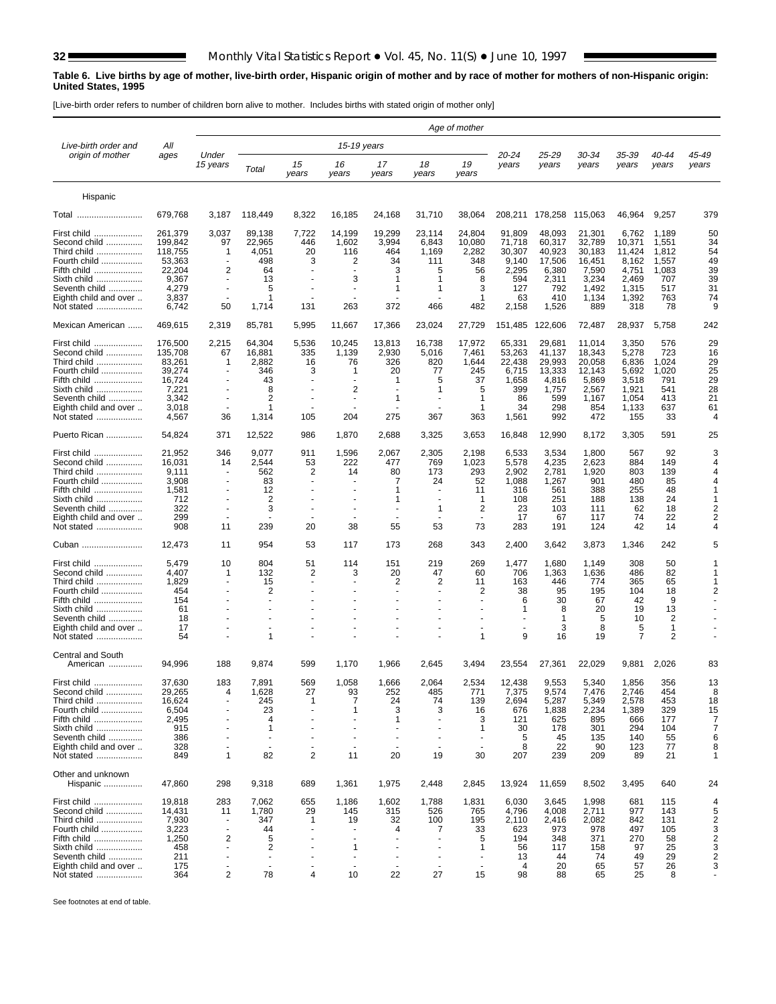$\blacksquare$ 

#### <span id="page-31-0"></span>**Table 6. Live births by age of mother, live-birth order, Hispanic origin of mother and by race of mother for mothers of non-Hispanic origin: United States, 1995**

[Live-birth order refers to number of children born alive to mother. Includes births with stated origin of mother only]

|                                        |                    |                                |                          |                      |                                |                      |                      | Age of mother   |                           |                  |                  |                  |                |                     |
|----------------------------------------|--------------------|--------------------------------|--------------------------|----------------------|--------------------------------|----------------------|----------------------|-----------------|---------------------------|------------------|------------------|------------------|----------------|---------------------|
| Live-birth order and                   | All                |                                |                          |                      | 15-19 years                    |                      |                      |                 |                           |                  |                  |                  |                |                     |
| origin of mother                       | ages               | Under<br>15 years              | Total                    | 15<br>years          | 16<br>years                    | 17<br>years          | 18<br>years          | 19<br>years     | 20-24<br>years            | 25-29<br>years   | 30-34<br>years   | 35-39<br>years   | 40-44<br>years | 45-49<br>years      |
| Hispanic                               |                    |                                |                          |                      |                                |                      |                      |                 |                           |                  |                  |                  |                |                     |
| Total                                  | 679,768            | 3,187                          | 118,449                  | 8,322                | 16,185                         | 24,168               | 31,710               | 38,064          | 208,211                   | 178,258          | 115,063          | 46,964           | 9,257          | 379                 |
| First child                            | 261,379            | 3,037                          | 89,138                   | 7,722                | 14,199                         | 19,299               | 23,114               | 24,804          | 91,809                    | 48,093           | 21,301           | 6,762            | 1,189          | 50                  |
| Second child<br>Third child            | 199,842<br>118,755 | 97<br>-1                       | 22,965<br>4,051          | 446<br>20            | 1,602<br>116                   | 3,994<br>464         | 6,843<br>1,169       | 10,080<br>2,282 | 71,718<br>30,307          | 60,317<br>40,923 | 32,789<br>30,183 | 10,371<br>11,424 | 1,551<br>1,812 | 34<br>54            |
| Fourth child                           | 53,363             | $\blacksquare$                 | 498                      | 3                    | 2                              | 34                   | 111                  | 348             | 9,140                     | 17,506           | 16,451           | 8,162            | 1,557          | 49                  |
| Fifth child                            | 22,204             | 2                              | 64                       | ۰.                   |                                | 3                    | 5                    | 56              | 2,295                     | 6,380            | 7,590            | 4,751            | 1,083          | 39                  |
| Sixth child<br>Seventh child           | 9,367<br>4,279     | $\sim$                         | 13<br>5                  |                      | 3                              | -1<br>1              | -1<br>1              | 8<br>3          | 594<br>127                | 2,311<br>792     | 3,234<br>1,492   | 2,469<br>1,315   | 707<br>517     | 39<br>31            |
| Eighth child and over                  | 3,837              |                                | 1                        |                      |                                |                      |                      | 1               | 63                        | 410              | 1,134            | 1,392            | 763            | 74                  |
| Not stated                             | 6,742              | 50                             | 1,714                    | 131                  | 263                            | 372                  | 466                  | 482             | 2,158                     | 1,526            | 889              | 318              | 78             | 9                   |
| Mexican American                       | 469,615            | 2,319                          | 85,781                   | 5,995                | 11,667                         | 17,366               | 23,024               | 27,729          | 151,485                   | 122,606          | 72,487           | 28,937           | 5,758          | 242                 |
| First child                            | 176,500            | 2,215                          | 64,304                   | 5,536                | 10,245                         | 13,813               | 16,738               | 17,972          | 65,331                    | 29,681           | 11,014           | 3,350            | 576            | 29                  |
| Second child<br>Third child            | 135,708<br>83,261  | 67<br>-1                       | 16,881<br>2,882          | 335<br>16            | 1,139<br>76                    | 2,930<br>326         | 5,016<br>820         | 7,461<br>1,644  | 53,263<br>22,438          | 41,137<br>29,993 | 18,343<br>20,058 | 5,278<br>6,836   | 723<br>1,024   | 16<br>29            |
| Fourth child                           | 39,274             | ÷                              | 346                      | 3                    | -1                             | 20                   | 77                   | 245             | 6,715                     | 13,333           | 12,143           | 5,692            | 1,020          | 25                  |
| Fifth child                            | 16,724             |                                | 43                       |                      |                                | -1                   | 5                    | 37              | 1,658                     | 4,816            | 5,869            | 3,518            | 791            | 29                  |
| Sixth child                            | 7,221              |                                | 8                        |                      | 2                              |                      | 1                    | 5               | 399                       | 1,757            | 2,567            | 1,921            | 541            | 28                  |
| Seventh child<br>Eighth child and over | 3,342<br>3,018     |                                | 2<br>1                   |                      |                                | 1                    |                      | 1<br>1          | 86<br>34                  | 599<br>298       | 1,167<br>854     | 1,054<br>1,133   | 413<br>637     | 21<br>61            |
| Not stated                             | 4,567              | 36                             | 1,314                    | 105                  | 204                            | 275                  | 367                  | 363             | 1,561                     | 992              | 472              | 155              | 33             | 4                   |
| Puerto Rican                           | 54,824             | 371                            | 12,522                   | 986                  | 1,870                          | 2,688                | 3,325                | 3,653           | 16,848                    | 12,990           | 8,172            | 3,305            | 591            | 25                  |
| First child                            | 21,952             | 346                            | 9,077                    | 911                  | 1,596                          | 2,067                | 2,305                | 2,198           | 6,533                     | 3,534            | 1,800            | 567              | 92             | 3                   |
| Second child                           | 16,031             | 14                             | 2,544                    | 53                   | 222                            | 477                  | 769                  | 1,023           | 5,578                     | 4,235            | 2,623            | 884              | 149            | 4                   |
| Third child<br>Fourth child            | 9,111<br>3,908     | $\sim$<br>$\sim$               | 562<br>83                | 2<br>٠               | 14                             | 80<br>7              | 173<br>24            | 293<br>52       | 2,902<br>1,088            | 2,781            | 1,920<br>901     | 803<br>480       | 139<br>85      | 4<br>$\overline{4}$ |
| Fifth child                            | 1,581              |                                | 12                       |                      |                                | 1                    |                      | 11              | 316                       | 1,267<br>561     | 388              | 255              | 48             | $\mathbf 1$         |
| Sixth child                            | 712                |                                | 2                        |                      |                                | 1                    |                      | 1               | 108                       | 251              | 188              | 138              | 24             | -1                  |
| Seventh child                          | 322                |                                | 3                        |                      |                                |                      | 1                    | 2               | 23                        | 103              | 111              | 62               | 18             | $\overline{2}$      |
| Eighth child and over                  | 299                |                                | $\sim$                   |                      |                                |                      |                      | $\sim$          | 17                        | 67               | 117              | 74               | 22             | 2                   |
| Not stated                             | 908                | 11                             | 239                      | 20                   | 38                             | 55                   | 53                   | 73              | 283                       | 191              | 124              | 42               | 14             | Δ                   |
| Cuban                                  | 12,473             | 11                             | 954                      | 53                   | 117                            | 173                  | 268                  | 343             | 2,400                     | 3,642            | 3,873            | 1,346            | 242            | 5                   |
| First child                            | 5,479              | 10                             | 804                      | 51                   | 114                            | 151                  | 219                  | 269             | 1,477                     | 1,680            | 1,149            | 308              | 50             | 1                   |
| Second child<br>Third child            | 4,407<br>1,829     | $\mathbf{1}$                   | 132                      | 2<br>$\blacksquare$  | 3<br>$\blacksquare$            | 20<br>2              | 47<br>2              | 60<br>11        | 706<br>163                | 1,363<br>446     | 1,636<br>774     | 486<br>365       | 82<br>65       | -1<br>-1            |
| Fourth child                           | 454                |                                | 15<br>2                  |                      |                                |                      |                      | 2               | 38                        | 95               | 195              | 104              | 18             | $\overline{2}$      |
| Fifth child                            | 154                |                                |                          |                      |                                |                      |                      |                 | 6                         | 30               | 67               | 42               | 9              |                     |
| Sixth child                            | 61                 |                                |                          |                      |                                |                      |                      |                 | 1                         | 8                | 20               | 19               | 13             |                     |
| Seventh child                          | 18                 |                                |                          |                      |                                |                      |                      |                 |                           | 1                | 5                | 10               | 2              |                     |
| Eighth child and over<br>Not stated    | 17<br>54           |                                | 1                        |                      |                                |                      |                      | 1               | $\ddot{\phantom{1}}$<br>9 | 3<br>16          | 8<br>19          | 5<br>7           | 1<br>2         |                     |
| <b>Central and South</b>               |                    |                                |                          |                      |                                |                      |                      |                 |                           |                  |                  |                  |                |                     |
| American                               | 94,996             | 188                            | 9,874                    | 599                  | 1,170                          | 1,966                | 2,645                | 3,494           | 23,554                    | 27,361           | 22.029           | 9,881            | 2,026          | 83                  |
| First child                            | 37,630             | 183                            | 7,891                    | 569                  | 1,058                          | 1,666                | 2,064                | 2,534           | 12.438                    | 9,553            | 5,340            | 1,856            | 356            | 13                  |
| Second child                           | 29,265             | 4                              | 1,628                    | 27                   | 93                             | 252                  | 485                  | 771             | 7,375                     | 9,574            | 7,476            | 2,746            | 454            | 8                   |
| Third child<br>Fourth child            | 16,624<br>6,504    | $\overline{\phantom{a}}$<br>ä, | 245<br>23                | 1<br>÷,              | $\overline{7}$<br>1            | 24<br>3              | 74<br>3              | 139<br>16       | 2,694<br>676              | 5,287<br>1,838   | 5,349<br>2,234   | 2,578<br>1,389   | 453<br>329     | 18<br>15            |
| Fifth child                            | 2,495              | ä,                             | $\overline{4}$           | ÷,                   | $\overline{a}$                 | 1                    | $\sim$               | 3               | 121                       | 625              | 895              | 666              | 177            | $\overline{7}$      |
| Sixth child                            | 915                | $\overline{a}$                 | 1                        | ÷,                   | $\overline{a}$                 | $\ddot{\phantom{1}}$ | $\ddot{\phantom{1}}$ | 1               | 30                        | 178              | 301              | 294              | 104            | $\overline{7}$      |
| Seventh child                          | 386                | ä,                             | $\overline{\phantom{a}}$ | ٠                    | $\sim$                         | ÷,                   | $\sim$               | $\sim$          | 5                         | 45               | 135              | 140              | 55             | 6                   |
| Eighth child and over<br>Not stated    | 328<br>849         | ä,<br>$\mathbf{1}$             | ÷.<br>82                 | ÷,<br>$\overline{2}$ | $\overline{\phantom{a}}$<br>11 | ÷,<br>20             | $\sim$<br>19         | $\sim$<br>30    | 8<br>207                  | 22<br>239        | 90<br>209        | 123<br>89        | 77<br>21       | 8<br>1              |
| Other and unknown                      |                    |                                |                          |                      |                                |                      |                      |                 |                           |                  |                  |                  |                |                     |
| Hispanic                               | 47,860             | 298                            | 9,318                    | 689                  | 1,361                          | 1,975                | 2,448                | 2,845           | 13,924                    | 11,659           | 8,502            | 3,495            | 640            | 24                  |
| First child                            | 19,818             | 283                            | 7,062                    | 655                  | 1,186                          | 1,602                | 1,788                | 1,831           | 6,030                     | 3,645            | 1,998            | 681              | 115            | 4                   |
| Second child<br>Third child            | 14,431<br>7,930    | 11<br>÷,                       | 1,780<br>347             | 29<br>-1             | 145<br>19                      | 315<br>32            | 526<br>100           | 765<br>195      | 4,796<br>2,110            | 4,008<br>2,416   | 2,711<br>2,082   | 977<br>842       | 143<br>131     | 5<br>$\overline{2}$ |
| Fourth child                           | 3,223              | ÷,                             | 44                       | ÷                    | $\overline{\phantom{a}}$       | 4                    | 7                    | 33              | 623                       | 973              | 978              | 497              | 105            | 3                   |
| Fifth child                            | 1,250              | 2                              | 5                        |                      | $\ddot{\phantom{1}}$           |                      |                      | 5               | 194                       | 348              | 371              | 270              | 58             | $\overline{c}$      |
| Sixth child                            | 458                |                                | 2                        |                      | $\mathbf{1}$                   |                      |                      | 1               | 56                        | 117              | 158              | 97               | 25             | 3                   |
| Seventh child                          | 211                | ä,                             | $\sim$                   |                      | $\sim$                         | ä,                   |                      | $\sim$          | 13                        | 44               | 74               | 49               | 29             | $\mathbf 2$         |
| Eighth child and over<br>Not stated    | 175<br>364         | 2                              | $\sim$<br>78             | 4                    | 10                             | $\blacksquare$<br>22 | $\sim$<br>27         | $\sim$<br>15    | 4<br>98                   | 20<br>88         | 65<br>65         | 57<br>25         | 26<br>8        | 3                   |
|                                        |                    |                                |                          |                      |                                |                      |                      |                 |                           |                  |                  |                  |                |                     |

See footnotes at end of table.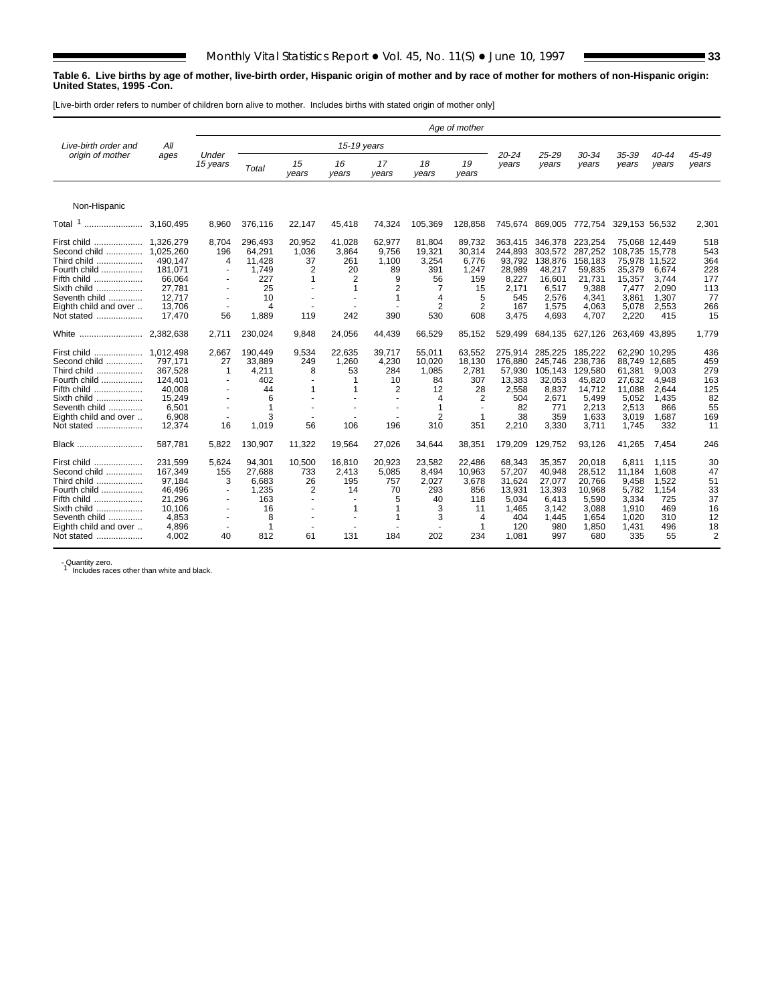#### **Table 6. Live births by age of mother, live-birth order, Hispanic origin of mother and by race of mother for mothers of non-Hispanic origin: United States, 1995 -Con.**

[Live-birth order refers to number of children born alive to mother. Includes births with stated origin of mother only]

|                                                                                                                                                  |                                                                                                |                                             |                                                                       |                                         |                                               |                                                                                   |                                                              | Age of mother                                                                 |                                                                                 |                                                                                       |                                                                                       |                                                                                            |                                                                             |                                                                |
|--------------------------------------------------------------------------------------------------------------------------------------------------|------------------------------------------------------------------------------------------------|---------------------------------------------|-----------------------------------------------------------------------|-----------------------------------------|-----------------------------------------------|-----------------------------------------------------------------------------------|--------------------------------------------------------------|-------------------------------------------------------------------------------|---------------------------------------------------------------------------------|---------------------------------------------------------------------------------------|---------------------------------------------------------------------------------------|--------------------------------------------------------------------------------------------|-----------------------------------------------------------------------------|----------------------------------------------------------------|
| Live-birth order and<br>origin of mother                                                                                                         | All                                                                                            | Under                                       |                                                                       |                                         | 15-19 years                                   |                                                                                   |                                                              |                                                                               | $20 - 24$                                                                       | $25 - 29$                                                                             | 30-34                                                                                 | 35-39                                                                                      | 40-44                                                                       | 45-49                                                          |
|                                                                                                                                                  | ages                                                                                           | 15 years                                    | Total                                                                 | 15<br>vears                             | 16<br>years                                   | 17<br>years                                                                       | 18<br>years                                                  | 19<br>years                                                                   | years                                                                           | years                                                                                 | years                                                                                 | years                                                                                      | vears                                                                       | years                                                          |
| Non-Hispanic                                                                                                                                     |                                                                                                |                                             |                                                                       |                                         |                                               |                                                                                   |                                                              |                                                                               |                                                                                 |                                                                                       |                                                                                       |                                                                                            |                                                                             |                                                                |
| $\mathbf{1}$<br>Total<br>                                                                                                                        | 3.160.495                                                                                      | 8.960                                       | 376,116                                                               | 22,147                                  | 45,418                                        | 74,324                                                                            | 105,369                                                      | 128,858                                                                       | 745,674                                                                         | 869,005                                                                               | 772,754                                                                               | 329,153 56,532                                                                             |                                                                             | 2,301                                                          |
| First child<br>Second child<br>Third child<br>Fourth child<br>Fifth child<br>Sixth child<br>Seventh child<br>Eighth child and over<br>Not stated | 1,326,279<br>1.025.260<br>490,147<br>181,071<br>66.064<br>27,781<br>12,717<br>13.706<br>17,470 | 8,704<br>196<br>4<br>$\sim$<br>$\sim$<br>56 | 296,493<br>64.291<br>11.428<br>1,749<br>227<br>25<br>10<br>4<br>1,889 | 20,952<br>1,036<br>37<br>2<br>1<br>119  | 41,028<br>3,864<br>261<br>20<br>2<br>1<br>242 | 62,977<br>9,756<br>1,100<br>89<br>9<br>2<br>1<br>390                              | 81,804<br>19,321<br>3,254<br>391<br>56<br>7<br>4<br>2<br>530 | 89,732<br>30,314<br>6,776<br>1,247<br>159<br>15<br>5<br>$\overline{2}$<br>608 | 363.415<br>244.893<br>93,792<br>28,989<br>8,227<br>2,171<br>545<br>167<br>3,475 | 346,378<br>303.572<br>138,876<br>48,217<br>16.601<br>6,517<br>2,576<br>1,575<br>4,693 | 223,254<br>287.252<br>158.183<br>59,835<br>21.731<br>9,388<br>4,341<br>4,063<br>4,707 | 75,068 12,449<br>108.735<br>75,978<br>35,379<br>15,357<br>7,477<br>3,861<br>5,078<br>2,220 | 15.778<br>11.522<br>6,674<br>3.744<br>2,090<br>1,307<br>2.553<br>415        | 518<br>543<br>364<br>228<br>177<br>113<br>77<br>266<br>15      |
| White<br>                                                                                                                                        | 2,382,638                                                                                      | 2.711                                       | 230,024                                                               | 9,848                                   | 24,056                                        | 44,439                                                                            | 66,529                                                       | 85,152                                                                        | 529,499                                                                         | 684,135                                                                               | 627,126                                                                               | 263,469                                                                                    | 43,895                                                                      | 1,779                                                          |
| First child<br>Second child<br>Third child<br>Fourth child<br>Fifth child<br>Sixth child<br>Seventh child<br>Eighth child and over<br>Not stated | 1,012,498<br>797,171<br>367,528<br>124,401<br>40,008<br>15,249<br>6,501<br>6,908<br>12.374     | 2,667<br>27<br>1<br>$\sim$<br>16            | 190.449<br>33,889<br>4,211<br>402<br>44<br>6<br>1<br>3<br>1,019       | 9,534<br>249<br>8<br>$\mathbf{1}$<br>56 | 22,635<br>1,260<br>53<br>106                  | 39,717<br>4,230<br>284<br>10<br>$\overline{2}$<br>$\overline{\phantom{a}}$<br>196 | 55,011<br>10,020<br>1,085<br>84<br>12<br>4<br>1<br>2<br>310  | 63,552<br>18,130<br>2,781<br>307<br>28<br>2<br>$\mathbf 1$<br>351             | 275.914<br>176,880<br>57,930<br>13,383<br>2,558<br>504<br>82<br>38<br>2,210     | 285.225<br>245,746<br>105,143<br>32,053<br>8,837<br>2.671<br>771<br>359<br>3,330      | 185.222<br>238,736<br>129,580<br>45,820<br>14,712<br>5,499<br>2,213<br>1,633<br>3,711 | 62.290<br>88,749<br>61,381<br>27,632<br>11,088<br>5,052<br>2,513<br>3,019<br>1,745         | 10.295<br>12,685<br>9.003<br>4.948<br>2.644<br>1.435<br>866<br>1.687<br>332 | 436<br>459<br>279<br>163<br>125<br>82<br>55<br>169<br>11       |
| Black                                                                                                                                            | 587,781                                                                                        | 5,822                                       | 130,907                                                               | 11,322                                  | 19,564                                        | 27,026                                                                            | 34,644                                                       | 38,351                                                                        | 179,209                                                                         | 129,752                                                                               | 93,126                                                                                | 41,265                                                                                     | 7,454                                                                       | 246                                                            |
| First child<br>Second child<br>Third child<br>Fourth child<br>Fifth child<br>Sixth child<br>Seventh child<br>Eighth child and over<br>Not stated | 231,599<br>167,349<br>97.184<br>46,496<br>21,296<br>10.106<br>4,853<br>4,896<br>4.002          | 5,624<br>155<br>3<br>40                     | 94,301<br>27,688<br>6.683<br>1,235<br>163<br>16<br>8<br>1<br>812      | 10,500<br>733<br>26<br>2<br>61          | 16,810<br>2,413<br>195<br>14<br>1<br>131      | 20,923<br>5,085<br>757<br>70<br>5<br>1<br>1<br>184                                | 23,582<br>8,494<br>2,027<br>293<br>40<br>3<br>3<br>202       | 22,486<br>10,963<br>3,678<br>856<br>118<br>11<br>$\overline{4}$<br>234        | 68,343<br>57,207<br>31.624<br>13,931<br>5,034<br>1.465<br>404<br>120<br>1.081   | 35,357<br>40,948<br>27.077<br>13,393<br>6,413<br>3.142<br>1,445<br>980<br>997         | 20,018<br>28,512<br>20.766<br>10,968<br>5,590<br>3.088<br>1,654<br>1,850<br>680       | 6,811<br>11,184<br>9.458<br>5,782<br>3,334<br>1.910<br>1.020<br>1,431<br>335               | 1.115<br>1,608<br>1.522<br>1,154<br>725<br>469<br>310<br>496<br>55          | 30<br>47<br>51<br>33<br>37<br>16<br>12<br>18<br>$\overline{2}$ |

- Quantity zero.<br>1 Includes races other than white and black.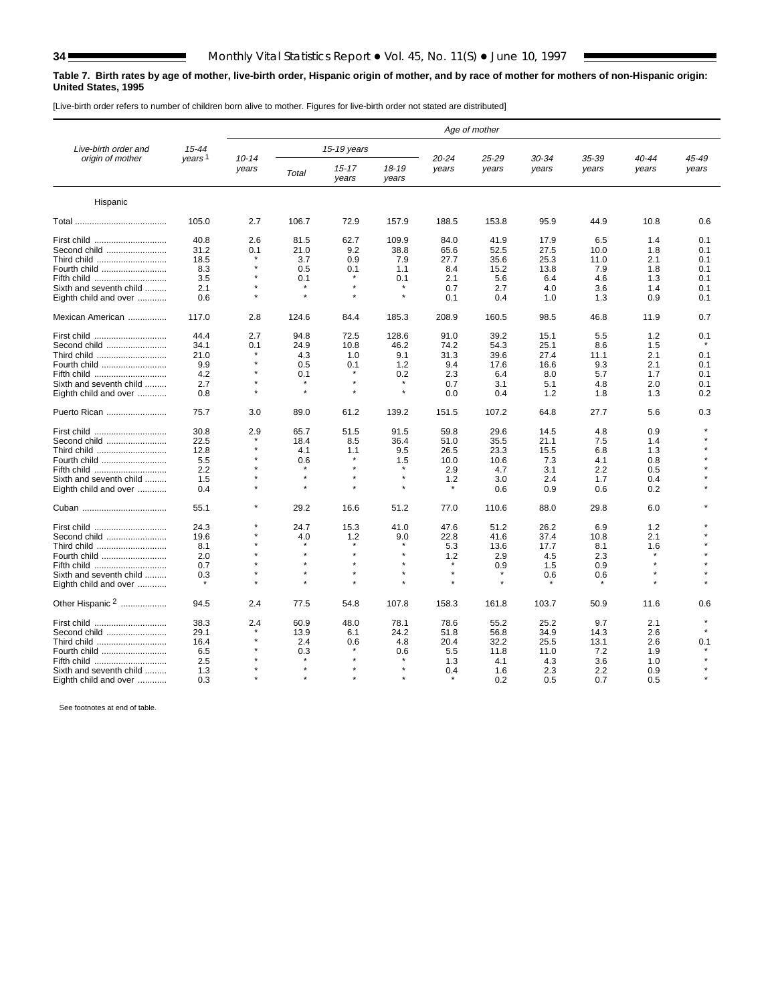Е

#### <span id="page-33-0"></span>**Table 7. Birth rates by age of mother, live-birth order, Hispanic origin of mother, and by race of mother for mothers of non-Hispanic origin: United States, 1995**

[Live-birth order refers to number of children born alive to mother. Figures for live-birth order not stated are distributed]

|                             |                    | Age of mother      |         |                    |                    |                |                |                |                |                |                |  |  |
|-----------------------------|--------------------|--------------------|---------|--------------------|--------------------|----------------|----------------|----------------|----------------|----------------|----------------|--|--|
| Live-birth order and        | 15-44              |                    |         | 15-19 years        |                    |                |                |                |                |                |                |  |  |
| origin of mother            | years <sup>1</sup> | $10 - 14$<br>years | Total   | $15 - 17$<br>years | $18 - 19$<br>years | 20-24<br>years | 25-29<br>years | 30-34<br>years | 35-39<br>years | 40-44<br>years | 45-49<br>years |  |  |
| Hispanic                    |                    |                    |         |                    |                    |                |                |                |                |                |                |  |  |
|                             | 105.0              | 2.7                | 106.7   | 72.9               | 157.9              | 188.5          | 153.8          | 95.9           | 44.9           | 10.8           | 0.6            |  |  |
| First child                 | 40.8               | 2.6                | 81.5    | 62.7               | 109.9              | 84.0           | 41.9           | 17.9           | 6.5            | 1.4            | 0.1            |  |  |
| Second child                | 31.2               | 0.1                | 21.0    | 9.2                | 38.8               | 65.6           | 52.5           | 27.5           | 10.0           | 1.8            | 0.1            |  |  |
| Third child                 | 18.5               |                    | 3.7     | 0.9                | 7.9                | 27.7           | 35.6           | 25.3           | 11.0           | 2.1            | 0.1            |  |  |
| Fourth child                | 8.3                |                    | 0.5     | 0.1                | 1.1                | 8.4            | 15.2           | 13.8           | 7.9            | 1.8            | 0.1            |  |  |
| Fifth child                 | 3.5                |                    | 0.1     |                    | 0.1                | 2.1            | 5.6            | 6.4            | 4.6            | 1.3            | 0.1            |  |  |
|                             |                    |                    |         |                    | $\star$            |                |                |                |                |                |                |  |  |
| Sixth and seventh child     | 2.1                |                    |         |                    | $\star$            | 0.7            | 2.7            | 4.0            | 3.6            | 1.4            | 0.1            |  |  |
| Eighth child and over       | 0.6                |                    |         |                    |                    | 0.1            | 0.4            | 1.0            | 1.3            | 0.9            | 0.1            |  |  |
| Mexican American            | 117.0              | 2.8                | 124.6   | 84.4               | 185.3              | 208.9          | 160.5          | 98.5           | 46.8           | 11.9           | 0.7            |  |  |
| First child                 | 44.4               | 2.7                | 94.8    | 72.5               | 128.6              | 91.0           | 39.2           | 15.1           | 5.5            | 1.2            | 0.1            |  |  |
| Second child                | 34.1               | 0.1                | 24.9    | 10.8               | 46.2               | 74.2           | 54.3           | 25.1           | 8.6            | 1.5            |                |  |  |
| Third child                 | 21.0               |                    | 4.3     | 1.0                | 9.1                | 31.3           | 39.6           | 27.4           | 11.1           | 2.1            | 0.1            |  |  |
| Fourth child                | 9.9                |                    | 0.5     | 0.1                | 1.2                | 9.4            | 17.6           | 16.6           | 9.3            | 2.1            | 0.1            |  |  |
|                             | 4.2                |                    | 0.1     |                    |                    |                |                | 8.0            | 5.7            | 1.7            |                |  |  |
| Fifth child                 |                    |                    |         |                    | 0.2                | 2.3            | 6.4            |                |                |                | 0.1            |  |  |
| Sixth and seventh child     | 2.7                |                    |         |                    | $\star$            | 0.7            | 3.1            | 5.1            | 4.8            | 2.0            | 0.1            |  |  |
| Eighth child and over       | 0.8                |                    |         |                    |                    | 0.0            | 0.4            | 1.2            | 1.8            | 1.3            | 0.2            |  |  |
| Puerto Rican                | 75.7               | 3.0                | 89.0    | 61.2               | 139.2              | 151.5          | 107.2          | 64.8           | 27.7           | 5.6            | 0.3            |  |  |
| First child                 | 30.8               | 2.9                | 65.7    | 51.5               | 91.5               | 59.8           | 29.6           | 14.5           | 4.8            | 0.9            |                |  |  |
| Second child                | 22.5               |                    | 18.4    | 8.5                | 36.4               | 51.0           | 35.5           | 21.1           | 7.5            | 1.4            |                |  |  |
| Third child                 | 12.8               |                    | 4.1     | 1.1                | 9.5                | 26.5           | 23.3           | 15.5           | 6.8            | 1.3            |                |  |  |
| Fourth child                | 5.5                |                    | 0.6     |                    | 1.5                | 10.0           | 10.6           | 7.3            | 4.1            | 0.8            |                |  |  |
| Fifth child                 | 2.2                |                    |         |                    | $\star$            | 2.9            | 4.7            | 3.1            | 2.2            | 0.5            |                |  |  |
|                             |                    |                    | $\star$ |                    | $\star$            |                |                |                |                |                |                |  |  |
| Sixth and seventh child     | 1.5                |                    |         |                    | $\star$            | 1.2            | 3.0            | 2.4            | 1.7            | 0.4            |                |  |  |
| Eighth child and over       | 0.4                |                    |         |                    |                    |                | 0.6            | 0.9            | 0.6            | 0.2            |                |  |  |
|                             | 55.1               |                    | 29.2    | 16.6               | 51.2               | 77.0           | 110.6          | 88.0           | 29.8           | 6.0            |                |  |  |
| First child                 | 24.3               |                    | 24.7    | 15.3               | 41.0               | 47.6           | 51.2           | 26.2           | 6.9            | 1.2            |                |  |  |
| Second child                | 19.6               |                    | 4.0     | 1.2                | 9.0                | 22.8           | 41.6           | 37.4           | 10.8           | 2.1            |                |  |  |
| Third child                 | 8.1                |                    |         |                    |                    | 5.3            | 13.6           | 17.7           | 8.1            | 1.6            |                |  |  |
| Fourth child                | 2.0                |                    |         |                    | $\star$            | 1.2            | 2.9            | 4.5            | 2.3            |                |                |  |  |
| Fifth child                 | 0.7                |                    |         |                    |                    |                | 0.9            | 1.5            | 0.9            |                |                |  |  |
|                             |                    |                    |         |                    |                    | $\star$        |                |                |                |                |                |  |  |
| Sixth and seventh child     | 0.3                |                    |         |                    |                    |                |                | 0.6            | 0.6            |                |                |  |  |
| Eighth child and over       |                    |                    |         |                    |                    |                |                |                |                |                |                |  |  |
| Other Hispanic <sup>2</sup> | 94.5               | 2.4                | 77.5    | 54.8               | 107.8              | 158.3          | 161.8          | 103.7          | 50.9           | 11.6           | 0.6            |  |  |
| First child                 | 38.3               | 2.4                | 60.9    | 48.0               | 78.1               | 78.6           | 55.2           | 25.2           | 9.7            | 2.1            | $\star$        |  |  |
| Second child                | 29.1               |                    | 13.9    | 6.1                | 24.2               | 51.8           | 56.8           | 34.9           | 14.3           | 2.6            |                |  |  |
| Third child                 | 16.4               |                    | 2.4     | 0.6                | 4.8                | 20.4           | 32.2           | 25.5           | 13.1           | 2.6            | 0.1            |  |  |
| Fourth child                | 6.5                |                    | 0.3     |                    | 0.6                | 5.5            | 11.8           | 11.0           | 7.2            | 1.9            |                |  |  |
| Fifth child                 | 2.5                |                    |         |                    |                    | 1.3            | 4.1            | 4.3            | 3.6            | 1.0            |                |  |  |
| Sixth and seventh child     | 1.3                |                    |         |                    |                    | 0.4            | 1.6            | 2.3            | 2.2            | 0.9            |                |  |  |
|                             |                    |                    |         |                    |                    |                |                |                |                |                |                |  |  |
| Eighth child and over       | 0.3                |                    |         |                    |                    |                | 0.2            | 0.5            | 0.7            | 0.5            |                |  |  |

See footnotes at end of table.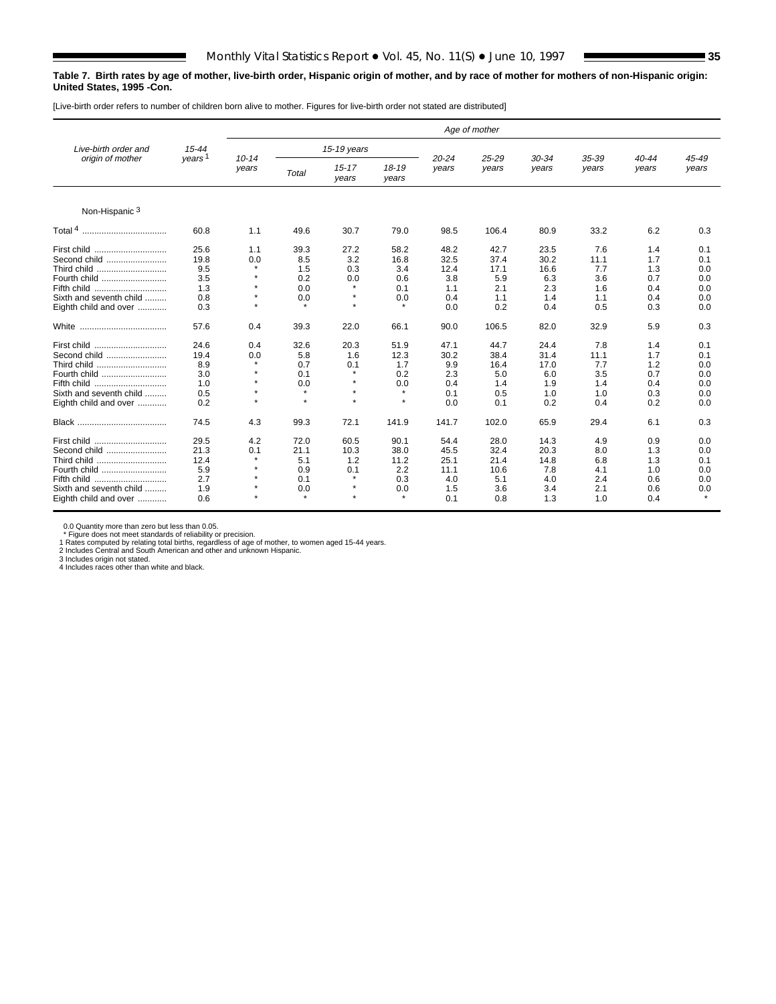#### **Table 7. Birth rates by age of mother, live-birth order, Hispanic origin of mother, and by race of mother for mothers of non-Hispanic origin: United States, 1995 -Con.**

[Live-birth order refers to number of children born alive to mother. Figures for live-birth order not stated are distributed]

|                                                                                                                               |                                                  | Age of mother                                                     |                                                        |                                                            |                                                         |                                                   |                                                   |                                                  |                                                |                                               |                                               |  |  |
|-------------------------------------------------------------------------------------------------------------------------------|--------------------------------------------------|-------------------------------------------------------------------|--------------------------------------------------------|------------------------------------------------------------|---------------------------------------------------------|---------------------------------------------------|---------------------------------------------------|--------------------------------------------------|------------------------------------------------|-----------------------------------------------|-----------------------------------------------|--|--|
| Live-birth order and                                                                                                          | 15-44                                            |                                                                   |                                                        | 15-19 years                                                |                                                         |                                                   |                                                   |                                                  |                                                |                                               |                                               |  |  |
| origin of mother                                                                                                              | years <sup>1</sup>                               | $10 - 14$<br>vears                                                | <b>Total</b>                                           | $15 - 17$<br>years                                         | $18 - 19$<br>years                                      | $20 - 24$<br>years                                | 25-29<br>years                                    | 30-34<br>years                                   | 35-39<br>years                                 | $40 - 44$<br>years                            | 45-49<br>years                                |  |  |
| Non-Hispanic <sup>3</sup>                                                                                                     |                                                  |                                                                   |                                                        |                                                            |                                                         |                                                   |                                                   |                                                  |                                                |                                               |                                               |  |  |
|                                                                                                                               | 60.8                                             | 1.1                                                               | 49.6                                                   | 30.7                                                       | 79.0                                                    | 98.5                                              | 106.4                                             | 80.9                                             | 33.2                                           | 6.2                                           | 0.3                                           |  |  |
| Second child<br>Third child<br>Fourth child<br>Fifth child<br>Sixth and seventh child<br>Eighth child and over                | 25.6<br>19.8<br>9.5<br>3.5<br>1.3<br>0.8<br>0.3  | 1.1<br>0.0<br>$\star$<br>$\star$<br>$\star$<br>$\star$<br>$\star$ | 39.3<br>8.5<br>1.5<br>0.2<br>0.0<br>0.0<br>$\star$     | 27.2<br>3.2<br>0.3<br>0.0<br>$\star$<br>$\star$<br>$\star$ | 58.2<br>16.8<br>3.4<br>0.6<br>0.1<br>0.0<br>$\star$     | 48.2<br>32.5<br>12.4<br>3.8<br>1.1<br>0.4<br>0.0  | 42.7<br>37.4<br>17.1<br>5.9<br>2.1<br>1.1<br>0.2  | 23.5<br>30.2<br>16.6<br>6.3<br>2.3<br>1.4<br>0.4 | 7.6<br>11.1<br>7.7<br>3.6<br>1.6<br>1.1<br>0.5 | 1.4<br>1.7<br>1.3<br>0.7<br>0.4<br>0.4<br>0.3 | 0.1<br>0.1<br>0.0<br>0.0<br>0.0<br>0.0<br>0.0 |  |  |
| White<br>                                                                                                                     | 57.6                                             | 0.4                                                               | 39.3                                                   | 22.0                                                       | 66.1                                                    | 90.0                                              | 106.5                                             | 82.0                                             | 32.9                                           | 5.9                                           | 0.3                                           |  |  |
| First child<br>Second child<br>Third child<br>Fourth child<br>Fifth child<br>Sixth and seventh child<br>Eighth child and over | 24.6<br>19.4<br>8.9<br>3.0<br>1.0<br>0.5<br>0.2  | 0.4<br>0.0<br>$\star$<br>$\star$<br>$\star$<br>$\star$<br>$\star$ | 32.6<br>5.8<br>0.7<br>0.1<br>0.0<br>$\star$<br>$\star$ | 20.3<br>1.6<br>0.1<br>$\star$<br>$\star$<br>٠<br>$\star$   | 51.9<br>12.3<br>1.7<br>0.2<br>0.0<br>$\star$<br>$\star$ | 47.1<br>30.2<br>9.9<br>2.3<br>0.4<br>0.1<br>0.0   | 44.7<br>38.4<br>16.4<br>5.0<br>1.4<br>0.5<br>0.1  | 24.4<br>31.4<br>17.0<br>6.0<br>1.9<br>1.0<br>0.2 | 7.8<br>11.1<br>7.7<br>3.5<br>1.4<br>1.0<br>0.4 | 1.4<br>1.7<br>1.2<br>0.7<br>0.4<br>0.3<br>0.2 | 0.1<br>0.1<br>0.0<br>0.0<br>0.0<br>0.0<br>0.0 |  |  |
|                                                                                                                               | 74.5                                             | 4.3                                                               | 99.3                                                   | 72.1                                                       | 141.9                                                   | 141.7                                             | 102.0                                             | 65.9                                             | 29.4                                           | 6.1                                           | 0.3                                           |  |  |
| First child<br>Second child<br>Third child<br>Fourth child<br>Fifth child<br>Sixth and seventh child<br>Eighth child and over | 29.5<br>21.3<br>12.4<br>5.9<br>2.7<br>1.9<br>0.6 | 4.2<br>0.1<br>$\star$<br>$\star$<br>$\star$<br>٠                  | 72.0<br>21.1<br>5.1<br>0.9<br>0.1<br>0.0<br>$\Phi$     | 60.5<br>10.3<br>1.2<br>0.1<br>$\star$<br>$\star$           | 90.1<br>38.0<br>11.2<br>2.2<br>0.3<br>0.0               | 54.4<br>45.5<br>25.1<br>11.1<br>4.0<br>1.5<br>0.1 | 28.0<br>32.4<br>21.4<br>10.6<br>5.1<br>3.6<br>0.8 | 14.3<br>20.3<br>14.8<br>7.8<br>4.0<br>3.4<br>1.3 | 4.9<br>8.0<br>6.8<br>4.1<br>2.4<br>2.1<br>1.0  | 0.9<br>1.3<br>1.3<br>1.0<br>0.6<br>0.6<br>0.4 | 0.0<br>0.0<br>0.1<br>0.0<br>0.0<br>0.0        |  |  |

0.0 Quantity more than zero but less than 0.05.

\* Figure does not meet standards of reliability or precision.<br>1 Rates computed by relating total births, regardless of age of mother, to women aged 15-44 years.<br>2 Includes Central and South American and other and unknown H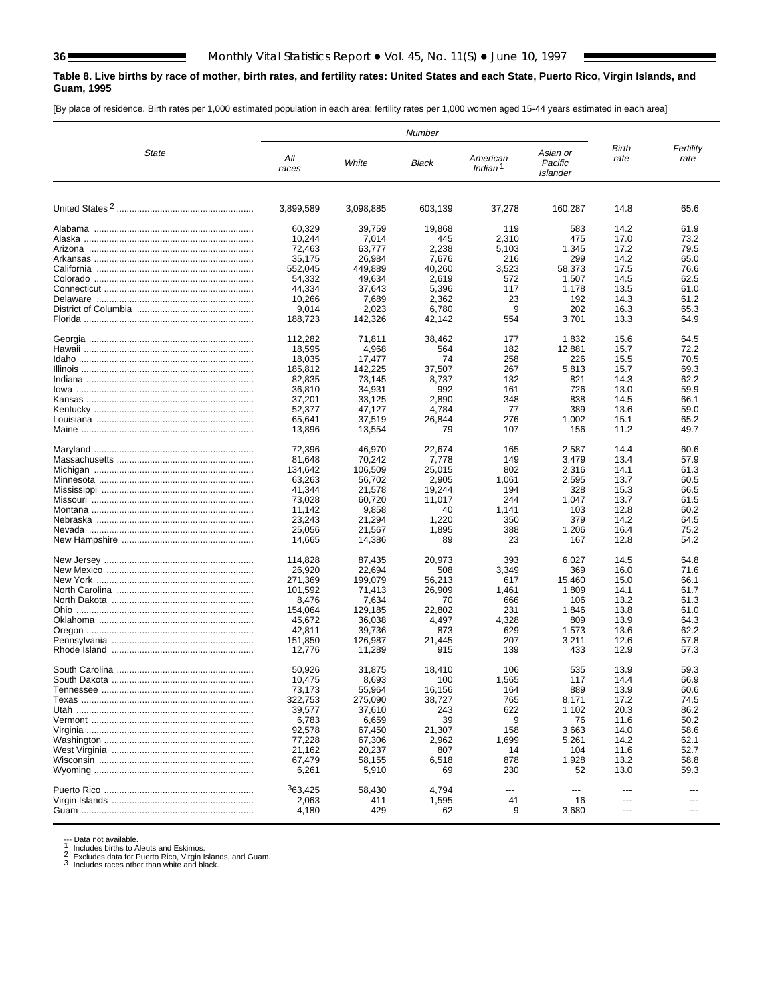#### <span id="page-35-0"></span>**Table 8. Live births by race of mother, birth rates, and fertility rates: United States and each State, Puerto Rico, Virgin Islands, and Guam, 1995**

[By place of residence. Birth rates per 1,000 estimated population in each area; fertility rates per 1,000 women aged 15-44 years estimated in each area]

|       |                   |                   | Number          |                                 |                                 |                |                   |
|-------|-------------------|-------------------|-----------------|---------------------------------|---------------------------------|----------------|-------------------|
| State | All<br>races      | White             | Black           | American<br>Indian <sup>1</sup> | Asian or<br>Pacific<br>Islander | Birth<br>rate  | Fertility<br>rate |
|       | 3,899,589         | 3,098,885         | 603,139         | 37,278                          | 160.287                         | 14.8           | 65.6              |
|       | 60.329            | 39,759            | 19,868          | 119                             | 583                             | 14.2           | 61.9              |
|       | 10,244            | 7,014             | 445             | 2,310                           | 475                             | 17.0           | 73.2              |
|       | 72,463            | 63,777            | 2,238           | 5,103                           | 1,345                           | 17.2           | 79.5              |
|       | 35,175            | 26.984            | 7,676           | 216                             | 299                             | 14.2           | 65.0              |
|       | 552,045<br>54,332 | 449,889<br>49,634 | 40,260<br>2,619 | 3,523<br>572                    | 58,373<br>1,507                 | 17.5<br>14.5   | 76.6<br>62.5      |
|       | 44,334            | 37,643            | 5,396           | 117                             | 1,178                           | 13.5           | 61.0              |
|       | 10,266            | 7,689             | 2,362           | 23                              | 192                             | 14.3           | 61.2              |
|       | 9,014             | 2,023             | 6,780           | 9                               | 202                             | 16.3           | 65.3              |
|       | 188,723           | 142,326           | 42,142          | 554                             | 3,701                           | 13.3           | 64.9              |
|       | 112,282           | 71,811            | 38,462          | 177                             | 1,832                           | 15.6           | 64.5              |
|       | 18,595            | 4,968             | 564             | 182                             | 12,881                          | 15.7           | 72.2              |
|       | 18,035            | 17,477            | 74              | 258                             | 226                             | 15.5           | 70.5              |
|       | 185,812           | 142,225           | 37,507          | 267                             | 5,813                           | 15.7           | 69.3              |
|       | 82,835            | 73,145            | 8,737           | 132                             | 821                             | 14.3           | 62.2              |
|       | 36,810            | 34,931            | 992             | 161<br>348                      | 726                             | 13.0           | 59.9<br>66.1      |
|       | 37,201<br>52,377  | 33,125<br>47,127  | 2,890<br>4,784  | 77                              | 838<br>389                      | 14.5<br>13.6   | 59.0              |
|       | 65,641            | 37,519            | 26,844          | 276                             | 1,002                           | 15.1           | 65.2              |
|       | 13,896            | 13,554            | 79              | 107                             | 156                             | 11.2           | 49.7              |
|       |                   |                   |                 | 165                             |                                 | 14.4           |                   |
|       | 72,396<br>81,648  | 46,970<br>70,242  | 22,674<br>7,778 | 149                             | 2,587<br>3,479                  | 13.4           | 60.6<br>57.9      |
|       | 134,642           | 106,509           | 25,015          | 802                             | 2,316                           | 14.1           | 61.3              |
|       | 63,263            | 56,702            | 2,905           | 1,061                           | 2,595                           | 13.7           | 60.5              |
|       | 41,344            | 21,578            | 19,244          | 194                             | 328                             | 15.3           | 66.5              |
|       | 73,028            | 60,720            | 11,017          | 244                             | 1,047                           | 13.7           | 61.5              |
|       | 11,142            | 9,858             | 40              | 1,141                           | 103                             | 12.8           | 60.2              |
|       | 23,243<br>25,056  | 21,294<br>21,567  | 1,220<br>1,895  | 350<br>388                      | 379<br>1,206                    | 14.2<br>16.4   | 64.5<br>75.2      |
|       | 14,665            | 14,386            | 89              | 23                              | 167                             | 12.8           | 54.2              |
|       |                   |                   |                 |                                 |                                 |                |                   |
|       | 114,828           | 87,435            | 20,973          | 393                             | 6,027                           | 14.5           | 64.8              |
|       | 26,920<br>271,369 | 22,694<br>199,079 | 508<br>56,213   | 3,349<br>617                    | 369<br>15,460                   | 16.0<br>15.0   | 71.6<br>66.1      |
|       | 101,592           | 71,413            | 26,909          | 1,461                           | 1,809                           | 14.1           | 61.7              |
|       | 8,476             | 7,634             | 70              | 666                             | 106                             | 13.2           | 61.3              |
|       | 154,064           | 129,185           | 22,802          | 231                             | 1,846                           | 13.8           | 61.0              |
|       | 45,672            | 36,038            | 4,497           | 4,328                           | 809                             | 13.9           | 64.3              |
|       | 42,811            | 39,736            | 873             | 629                             | 1,573                           | 13.6           | 62.2              |
|       | 151.850           | 126,987           | 21,445          | 207<br>139                      | 3,211                           | 12.6           | 57.8              |
|       | 12,776            | 11,289            | 915             |                                 | 433                             | 12.9           | 57.3              |
|       | 50,926            | 31,875            | 18,410          | 106                             | 535                             | 13.9           | 59.3              |
|       | 10,475            | 8,693             | 100             | 1,565                           | 117                             | 14.4           | 66.9              |
|       | 73,173            | 55,964            | 16,156          | 164                             | 889                             | 13.9           | 60.6              |
|       | 322,753           | 275,090           | 38,727          | 765                             | 8,171                           | 17.2           | 74.5              |
|       | 39,577            | 37,610            | 243             | 622                             | 1,102                           | 20.3           | 86.2              |
|       | 6,783<br>92,578   | 6,659<br>67,450   | 39<br>21,307    | 9<br>158                        | 76<br>3,663                     | 11.6<br>14.0   | 50.2<br>58.6      |
|       | 77,228            | 67,306            | 2,962           | 1,699                           | 5,261                           | 14.2           | 62.1              |
|       | 21,162            | 20,237            | 807             | 14                              | 104                             | 11.6           | 52.7              |
|       | 67,479            | 58,155            | 6,518           | 878                             | 1,928                           | 13.2           | 58.8              |
|       | 6,261             | 5,910             | 69              | 230                             | 52                              | 13.0           | 59.3              |
|       | 363,425           | 58,430            | 4,794           | $---$                           | $\overline{a}$                  | ---            |                   |
|       | 2,063             | 411               | 1,595           | 41                              | 16                              | ---            |                   |
|       | 4,180             | 429               | 62              | 9                               | 3,680                           | $\overline{a}$ |                   |
|       |                   |                   |                 |                                 |                                 |                |                   |

--- Data not available.<br>1 Includes births to Aleuts and Eskimos.<br>2 Excludes data for Puerto Rico, Virgin Islands, and Guam.<br>3 Includes races other than white and black.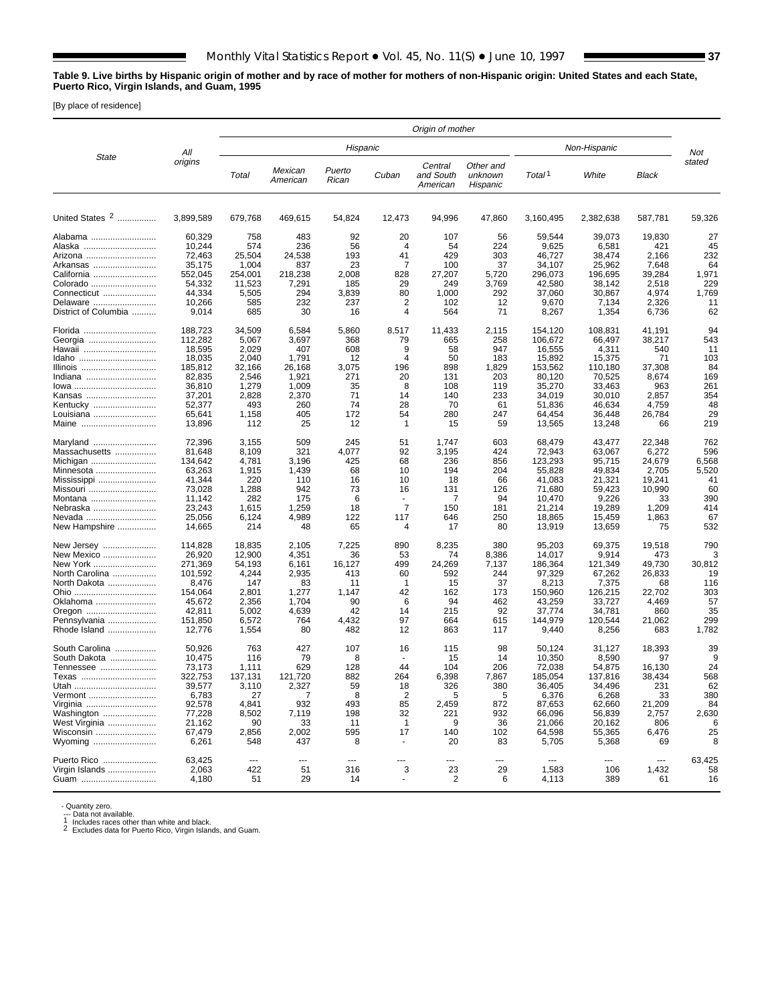### **Table 9. Live births by Hispanic origin of mother and by race of mother for mothers of non-Hispanic origin: United States and each State, Puerto Rico, Virgin Islands, and Guam, 1995**

[By place of residence]

|                                                                                                                                    |                                                                                                               |                                                                                               |                                                                                         |                                                                          |                                                                                     | Origin of mother                                                         |                                                                             |                                                                                                               |                                                                                                             |                                                                                           |                                                                      |
|------------------------------------------------------------------------------------------------------------------------------------|---------------------------------------------------------------------------------------------------------------|-----------------------------------------------------------------------------------------------|-----------------------------------------------------------------------------------------|--------------------------------------------------------------------------|-------------------------------------------------------------------------------------|--------------------------------------------------------------------------|-----------------------------------------------------------------------------|---------------------------------------------------------------------------------------------------------------|-------------------------------------------------------------------------------------------------------------|-------------------------------------------------------------------------------------------|----------------------------------------------------------------------|
|                                                                                                                                    | All                                                                                                           |                                                                                               |                                                                                         | Hispanic                                                                 |                                                                                     |                                                                          |                                                                             |                                                                                                               | Non-Hispanic                                                                                                |                                                                                           | Not                                                                  |
| State                                                                                                                              | origins                                                                                                       | Total                                                                                         | Mexican<br>American                                                                     | Puerto<br>Rican                                                          | Cuban                                                                               | Central<br>and South<br>American                                         | Other and<br>unknown<br>Hispanic                                            | Total <sup>1</sup>                                                                                            | White                                                                                                       | Black                                                                                     | stated                                                               |
| United States 2                                                                                                                    | 3,899,589                                                                                                     | 679,768                                                                                       | 469,615                                                                                 | 54,824                                                                   | 12,473                                                                              | 94,996                                                                   | 47,860                                                                      | 3,160,495                                                                                                     | 2,382,638                                                                                                   | 587,781                                                                                   | 59,326                                                               |
| Alabama<br>Alaska<br>Arizona<br>Arkansas<br>California<br>Colorado<br>Connecticut<br>Delaware<br>District of Columbia              | 60,329<br>10,244<br>72,463<br>35.175<br>552,045<br>54,332<br>44,334<br>10,266<br>9,014                        | 758<br>574<br>25,504<br>1,004<br>254,001<br>11,523<br>5,505<br>585<br>685                     | 483<br>236<br>24,538<br>837<br>218,238<br>7,291<br>294<br>232<br>30                     | 92<br>56<br>193<br>23<br>2,008<br>185<br>3,839<br>237<br>16              | 20<br>$\overline{4}$<br>41<br>7<br>828<br>29<br>80<br>2<br>4                        | 107<br>54<br>429<br>100<br>27,207<br>249<br>1,000<br>102<br>564          | 56<br>224<br>303<br>37<br>5,720<br>3,769<br>292<br>12<br>71                 | 59,544<br>9,625<br>46,727<br>34,107<br>296,073<br>42,580<br>37,060<br>9,670<br>8,267                          | 39,073<br>6,581<br>38,474<br>25,962<br>196,695<br>38,142<br>30,867<br>7,134<br>1,354                        | 19,830<br>421<br>2,166<br>7,648<br>39,284<br>2,518<br>4,974<br>2,326<br>6,736             | 27<br>45<br>232<br>64<br>1,971<br>229<br>1,769<br>11<br>62           |
| Florida<br>Georgia<br>Hawaii<br>Idaho<br>Illinois<br>Indiana<br>lowa<br>Kansas<br>Kentucky<br>Louisiana<br>Maine                   | 188,723<br>112,282<br>18,595<br>18,035<br>185,812<br>82,835<br>36,810<br>37,201<br>52,377<br>65,641<br>13,896 | 34,509<br>5,067<br>2,029<br>2,040<br>32,166<br>2,546<br>1,279<br>2,828<br>493<br>1,158<br>112 | 6,584<br>3,697<br>407<br>1,791<br>26,168<br>1,921<br>1,009<br>2,370<br>260<br>405<br>25 | 5,860<br>368<br>608<br>12<br>3,075<br>271<br>35<br>71<br>74<br>172<br>12 | 8,517<br>79<br>9<br>4<br>196<br>20<br>8<br>14<br>28<br>54<br>$\mathbf{1}$           | 11,433<br>665<br>58<br>50<br>898<br>131<br>108<br>140<br>70<br>280<br>15 | 2,115<br>258<br>947<br>183<br>1,829<br>203<br>119<br>233<br>61<br>247<br>59 | 154,120<br>106,672<br>16,555<br>15,892<br>153,562<br>80.120<br>35,270<br>34,019<br>51,836<br>64,454<br>13,565 | 108,831<br>66,497<br>4,311<br>15,375<br>110,180<br>70,525<br>33,463<br>30,010<br>46,634<br>36,448<br>13,248 | 41,191<br>38,217<br>540<br>71<br>37,308<br>8,674<br>963<br>2,857<br>4,759<br>26,784<br>66 | 94<br>543<br>11<br>103<br>84<br>169<br>261<br>354<br>48<br>29<br>219 |
| Maryland<br>Massachusetts<br>Michigan<br>Minnesota<br>Mississippi<br>Missouri<br>Montana<br>Nebraska<br>Nevada<br>New Hampshire    | 72.396<br>81,648<br>134,642<br>63,263<br>41,344<br>73,028<br>11,142<br>23,243<br>25,056<br>14,665             | 3,155<br>8,109<br>4,781<br>1,915<br>220<br>1,288<br>282<br>1,615<br>6,124<br>214              | 509<br>321<br>3,196<br>1,439<br>110<br>942<br>175<br>1,259<br>4,989<br>48               | 245<br>4,077<br>425<br>68<br>16<br>73<br>6<br>18<br>122<br>65            | 51<br>92<br>68<br>10<br>10<br>16<br>$\overline{7}$<br>117<br>4                      | 1,747<br>3,195<br>236<br>194<br>18<br>131<br>7<br>150<br>646<br>17       | 603<br>424<br>856<br>204<br>66<br>126<br>94<br>181<br>250<br>80             | 68,479<br>72,943<br>123,293<br>55,828<br>41,083<br>71,680<br>10,470<br>21,214<br>18,865<br>13,919             | 43,477<br>63,067<br>95,715<br>49,834<br>21,321<br>59,423<br>9,226<br>19,289<br>15,459<br>13,659             | 22,348<br>6,272<br>24,679<br>2,705<br>19,241<br>10,990<br>33<br>1,209<br>1,863<br>75      | 762<br>596<br>6,568<br>5,520<br>41<br>60<br>390<br>414<br>67<br>532  |
| New Jersey<br>New Mexico<br>New York<br>North Carolina<br>North Dakota<br>Oklahoma<br>Oregon<br>Pennsylvania<br>Rhode Island       | 114,828<br>26,920<br>271,369<br>101,592<br>8,476<br>154,064<br>45,672<br>42,811<br>151,850<br>12,776          | 18,835<br>12,900<br>54,193<br>4,244<br>147<br>2,801<br>2,356<br>5,002<br>6,572<br>1,554       | 2,105<br>4,351<br>6,161<br>2,935<br>83<br>1,277<br>1,704<br>4,639<br>764<br>80          | 7,225<br>36<br>16,127<br>413<br>11<br>1,147<br>90<br>42<br>4,432<br>482  | 890<br>53<br>499<br>60<br>-1<br>42<br>6<br>14<br>97<br>12                           | 8,235<br>74<br>24,269<br>592<br>15<br>162<br>94<br>215<br>664<br>863     | 380<br>8,386<br>7,137<br>244<br>37<br>173<br>462<br>92<br>615<br>117        | 95,203<br>14,017<br>186,364<br>97,329<br>8,213<br>150,960<br>43,259<br>37,774<br>144,979<br>9,440             | 69,375<br>9,914<br>121,349<br>67,262<br>7,375<br>126,215<br>33,727<br>34,781<br>120,544<br>8,256            | 19,518<br>473<br>49,730<br>26,833<br>68<br>22,702<br>4,469<br>860<br>21,062<br>683        | 790<br>3<br>30,812<br>19<br>116<br>303<br>57<br>35<br>299<br>1,782   |
| South Carolina<br>South Dakota<br>Tennessee<br>Texas<br>Vermont<br>Virginia<br>Washington<br>West Virginia<br>Wisconsin<br>Wyoming | 50,926<br>10.475<br>73,173<br>322,753<br>39,577<br>6,783<br>92,578<br>77,228<br>21,162<br>67,479<br>6,261     | 763<br>116<br>1,111<br>137.131<br>3,110<br>27<br>4,841<br>8,502<br>90<br>2,856<br>548         | 427<br>79<br>629<br>121,720<br>2,327<br>7<br>932<br>7,119<br>33<br>2,002<br>437         | 107<br>8<br>128<br>882<br>59<br>8<br>493<br>198<br>11<br>595<br>8        | 16<br>$\sim$<br>44<br>264<br>18<br>$\overline{2}$<br>85<br>32<br>$\mathbf{1}$<br>17 | 115<br>15<br>104<br>6,398<br>326<br>5<br>2,459<br>221<br>9<br>140<br>20  | 98<br>14<br>206<br>7,867<br>380<br>5<br>872<br>932<br>36<br>102<br>83       | 50,124<br>10,350<br>72,038<br>185,054<br>36,405<br>6,376<br>87,653<br>66,096<br>21,066<br>64,598<br>5,705     | 31,127<br>8,590<br>54,875<br>137,816<br>34,496<br>6,268<br>62,660<br>56,839<br>20,162<br>55,365<br>5,368    | 18,393<br>97<br>16,130<br>38,434<br>231<br>33<br>21,209<br>2,757<br>806<br>6,476<br>69    | 39<br>9<br>24<br>568<br>62<br>380<br>84<br>2,630<br>6<br>25<br>8     |
| Puerto Rico<br>Virgin Islands<br>Guam                                                                                              | 63,425<br>2,063<br>4,180                                                                                      | ---<br>422<br>51                                                                              | ---<br>51<br>29                                                                         | ---<br>316<br>14                                                         | ---<br>3                                                                            | ---<br>23<br>2                                                           | ---<br>29<br>6                                                              | $\overline{\phantom{a}}$<br>1,583<br>4,113                                                                    | ---<br>106<br>389                                                                                           | ---<br>1,432<br>61                                                                        | 63,425<br>58<br>16                                                   |

- Quantity zero. --- Data not available. 1 Includes races other than white and black. 2 Excludes data for Puerto Rico, Virgin Islands, and Guam.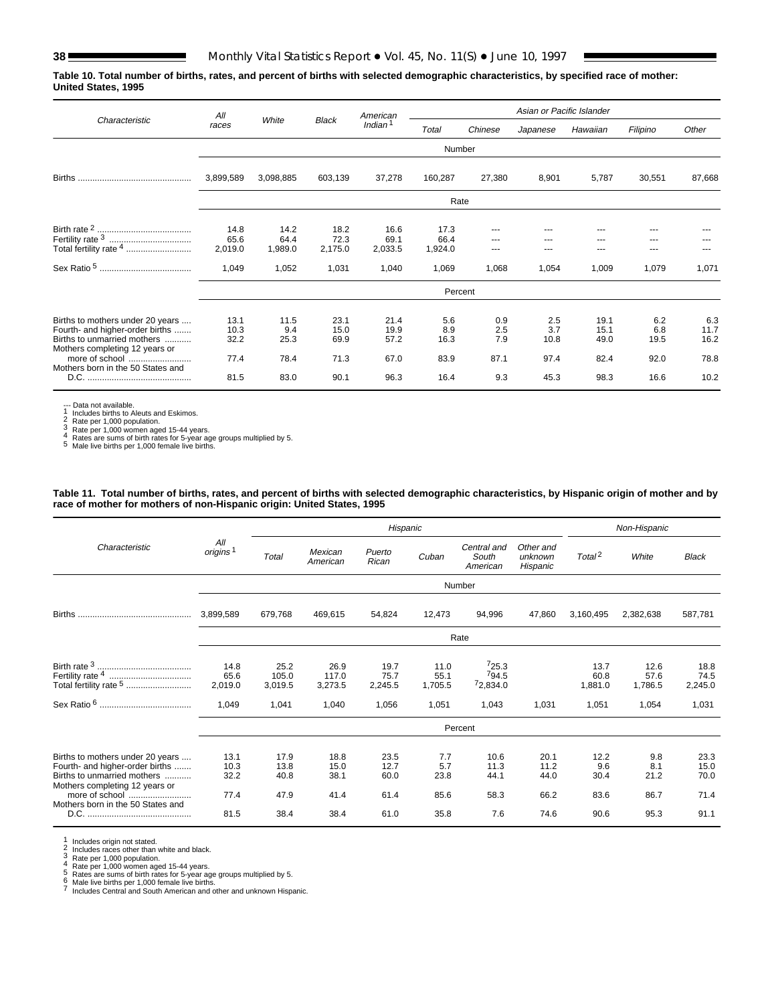**Table 10. Total number of births, rates, and percent of births with selected demographic characteristics, by specified race of mother: United States, 1995**

|                                                                                                                                                        | All                          |                             |                              | American                     |                            |                           | Asian or Pacific Islander  |                              |                            |                             |
|--------------------------------------------------------------------------------------------------------------------------------------------------------|------------------------------|-----------------------------|------------------------------|------------------------------|----------------------------|---------------------------|----------------------------|------------------------------|----------------------------|-----------------------------|
| Characteristic                                                                                                                                         | races                        | White                       | <b>Black</b>                 | Indian <sup>1</sup>          | Total                      | Chinese                   | Japanese                   | Hawaiian                     | Filipino                   | Other                       |
|                                                                                                                                                        |                              |                             |                              |                              | Number                     |                           |                            |                              |                            |                             |
| <b>Births</b>                                                                                                                                          | 3,899,589                    | 3,098,885                   | 603,139                      | 37,278                       | 160,287                    | 27,380                    | 8,901                      | 5,787                        | 30,551                     | 87,668                      |
|                                                                                                                                                        |                              |                             |                              |                              | Rate                       |                           |                            |                              |                            |                             |
| Total fertility rate 4                                                                                                                                 | 14.8<br>65.6<br>2,019.0      | 14.2<br>64.4<br>1,989.0     | 18.2<br>72.3<br>2,175.0      | 16.6<br>69.1<br>2,033.5      | 17.3<br>66.4<br>1,924.0    |                           | ---                        | ---                          | ---<br>---                 |                             |
|                                                                                                                                                        | 1,049                        | 1,052                       | 1,031                        | 1,040                        | 1,069                      | 1,068                     | 1,054                      | 1,009                        | 1,079                      | 1,071                       |
|                                                                                                                                                        |                              |                             |                              |                              | Percent                    |                           |                            |                              |                            |                             |
| Births to mothers under 20 years<br>Fourth- and higher-order births<br>Births to unmarried mothers<br>Mothers completing 12 years or<br>more of school | 13.1<br>10.3<br>32.2<br>77.4 | 11.5<br>9.4<br>25.3<br>78.4 | 23.1<br>15.0<br>69.9<br>71.3 | 21.4<br>19.9<br>57.2<br>67.0 | 5.6<br>8.9<br>16.3<br>83.9 | 0.9<br>2.5<br>7.9<br>87.1 | 2.5<br>3.7<br>10.8<br>97.4 | 19.1<br>15.1<br>49.0<br>82.4 | 6.2<br>6.8<br>19.5<br>92.0 | 6.3<br>11.7<br>16.2<br>78.8 |
| Mothers born in the 50 States and                                                                                                                      | 81.5                         | 83.0                        | 90.1                         | 96.3                         | 16.4                       | 9.3                       | 45.3                       | 98.3                         | 16.6                       | 10.2                        |

--- Data not available.<br>
1 Includes births to Aleuts and Eskimos.<br>
2 Rate per 1,000 population.<br>
3 Rate per 1,000 women aged 15-44 years.<br>
4 Rates are sums of birth rates for 5-year age groups multiplied by 5.<br>
5 Male live

**Table 11. Total number of births, rates, and percent of births with selected demographic characteristics, by Hispanic origin of mother and by race of mother for mothers of non-Hispanic origin: United States, 1995**

|                                                                                                                                                                                             |                              |                              |                              | Hispanic                     |                            |                                  |                                  |                             | Non-Hispanic               |                              |
|---------------------------------------------------------------------------------------------------------------------------------------------------------------------------------------------|------------------------------|------------------------------|------------------------------|------------------------------|----------------------------|----------------------------------|----------------------------------|-----------------------------|----------------------------|------------------------------|
| Characteristic                                                                                                                                                                              | All<br>origins <sup>1</sup>  | Total                        | Mexican<br>American          | Puerto<br>Rican              | Cuban                      | Central and<br>South<br>American | Other and<br>unknown<br>Hispanic | Total <sup>2</sup>          | White                      | <b>Black</b>                 |
|                                                                                                                                                                                             |                              |                              |                              |                              |                            | Number                           |                                  |                             |                            |                              |
| <b>Births</b>                                                                                                                                                                               | 3,899,589                    | 679,768                      | 469,615                      | 54,824                       | 12,473                     | 94,996                           | 47,860                           | 3,160,495                   | 2,382,638                  | 587,781                      |
|                                                                                                                                                                                             |                              |                              |                              |                              |                            | Rate                             |                                  |                             |                            |                              |
| Total fertility rate 5                                                                                                                                                                      | 14.8<br>65.6<br>2.019.0      | 25.2<br>105.0<br>3,019.5     | 26.9<br>117.0<br>3,273.5     | 19.7<br>75.7<br>2,245.5      | 11.0<br>55.1<br>1,705.5    | 725.3<br>794.5<br>72,834.0       |                                  | 13.7<br>60.8<br>1,881.0     | 12.6<br>57.6<br>1,786.5    | 18.8<br>74.5<br>2,245.0      |
|                                                                                                                                                                                             | 1,049                        | 1,041                        | 1,040                        | 1,056                        | 1,051                      | 1,043                            | 1,031                            | 1,051                       | 1,054                      | 1,031                        |
|                                                                                                                                                                                             |                              |                              |                              |                              |                            | Percent                          |                                  |                             |                            |                              |
| Births to mothers under 20 years<br>Fourth- and higher-order births<br>Births to unmarried mothers<br>Mothers completing 12 years or<br>more of school<br>Mothers born in the 50 States and | 13.1<br>10.3<br>32.2<br>77.4 | 17.9<br>13.8<br>40.8<br>47.9 | 18.8<br>15.0<br>38.1<br>41.4 | 23.5<br>12.7<br>60.0<br>61.4 | 7.7<br>5.7<br>23.8<br>85.6 | 10.6<br>11.3<br>44.1<br>58.3     | 20.1<br>11.2<br>44.0<br>66.2     | 12.2<br>9.6<br>30.4<br>83.6 | 9.8<br>8.1<br>21.2<br>86.7 | 23.3<br>15.0<br>70.0<br>71.4 |
|                                                                                                                                                                                             | 81.5                         | 38.4                         | 38.4                         | 61.0                         | 35.8                       | 7.6                              | 74.6                             | 90.6                        | 95.3                       | 91.1                         |

1 Includes origin not stated.<br>
2 Includes races other than white and black.<br>
3 Rate per 1,000 population.<br>
4 Rate per 1,000 women aged 15-44 years.<br>
5 Rates are sums of birth rates for 5-year age groups multiplied by 5.<br>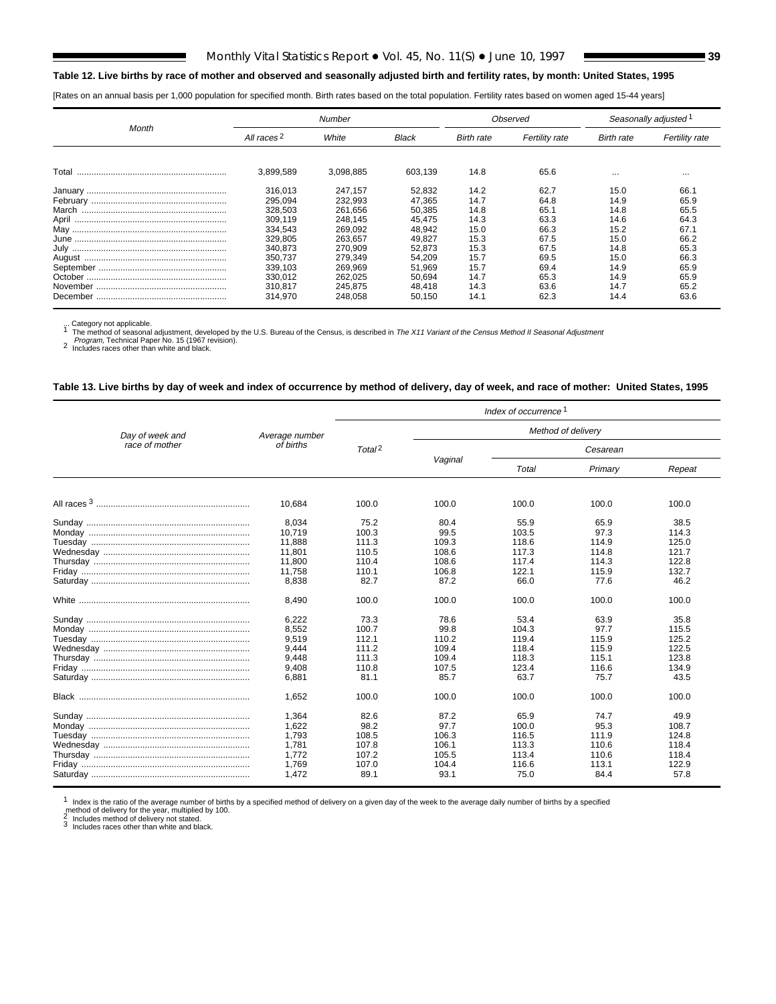### **Table 12. Live births by race of mother and observed and seasonally adjusted birth and fertility rates, by month: United States, 1995**

[Rates on an annual basis per 1,000 population for specified month. Birth rates based on the total population. Fertility rates based on women aged 15-44 years]

| Month    |                        | <b>Number</b> |         |            | Observed              | Seasonally adjusted 1 |                |  |
|----------|------------------------|---------------|---------|------------|-----------------------|-----------------------|----------------|--|
|          | All races <sup>2</sup> | White         | Black   | Birth rate | <b>Fertility rate</b> | Birth rate            | Fertility rate |  |
|          |                        |               |         |            |                       |                       |                |  |
| Total    | 3.899.589              | 3.098.885     | 603,139 | 14.8       | 65.6                  | $\cdots$              | $\cdots$       |  |
|          | 316.013                | 247.157       | 52,832  | 14.2       | 62.7                  | 15.0                  | 66.            |  |
|          | 295.094                | 232,993       | 47.365  | 14.7       | 64.8                  | 14.9                  | 65.9           |  |
| March    | 328.503                | 261,656       | 50.385  | 14.8       | 65.1                  | 14.8                  | 65.5           |  |
|          | 309.119                | 248.145       | 45.475  | 14.3       | 63.3                  | 14.6                  | 64.3           |  |
|          | 334,543                | 269.092       | 48.942  | 15.0       | 66.3                  | 15.2                  | 67.1           |  |
|          | 329,805                | 263.657       | 49.827  | 15.3       | 67.5                  | 15.0                  | 66.2           |  |
|          | 340.873                | 270.909       | 52.873  | 15.3       | 67.5                  | 14.8                  | 65.3           |  |
|          | 350.737                | 279.349       | 54.209  | 15.7       | 69.5                  | 15.0                  | 66.3           |  |
|          | 339.103                | 269.969       | 51.969  | 15.7       | 69.4                  | 14.9                  | 65.9           |  |
|          | 330,012                | 262.025       | 50.694  | 14.7       | 65.3                  | 14.9                  | 65.9           |  |
|          | 310.817                | 245.875       | 48.418  | 14.3       | 63.6                  | 14.7                  | 65.2           |  |
| December | 314.970                | 248.058       | 50.150  | 14.1       | 62.3                  | 14.4                  | 63.6           |  |

... Category not applicable.<br><sup>1</sup> The method of seasonal adjustment, developed by the U.S. Bureau of the Census, is described in The X11 Variant of the Census Method II Seasonal Adjustment

Program, Technical Paper No. 15 (1967 revision).<br>
<sup>2</sup> Includes races other than white and black.

### **Table 13. Live births by day of week and index of occurrence by method of delivery, day of week, and race of mother: United States, 1995**

|                 |                                                             |                                                          |                                                          | Index of occurrence <sup>1</sup>                          |                                                          |                                                           |
|-----------------|-------------------------------------------------------------|----------------------------------------------------------|----------------------------------------------------------|-----------------------------------------------------------|----------------------------------------------------------|-----------------------------------------------------------|
| Day of week and | Average number                                              |                                                          |                                                          |                                                           | Method of delivery                                       |                                                           |
| race of mother  | of births                                                   | Total <sup>2</sup>                                       |                                                          |                                                           | Cesarean                                                 |                                                           |
|                 |                                                             |                                                          | Vaginal                                                  | Total                                                     | Primary                                                  | Repeat                                                    |
|                 | 10.684                                                      | 100.0                                                    | 100.0                                                    | 100.0                                                     | 100.0                                                    | 100.0                                                     |
|                 | 8,034<br>10,719<br>11,888                                   | 75.2<br>100.3<br>111.3                                   | 80.4<br>99.5<br>109.3                                    | 55.9<br>103.5<br>118.6                                    | 65.9<br>97.3<br>114.9                                    | 38.5<br>114.3<br>125.0                                    |
|                 | 11,801<br>11,800<br>11,758                                  | 110.5<br>110.4<br>110.1                                  | 108.6<br>108.6<br>106.8                                  | 117.3<br>117.4<br>122.1                                   | 114.8<br>114.3<br>115.9                                  | 121.7<br>122.8<br>132.7                                   |
|                 | 8,838                                                       | 82.7                                                     | 87.2                                                     | 66.0                                                      | 77.6                                                     | 46.2                                                      |
|                 | 8.490                                                       | 100.0                                                    | 100.0                                                    | 100.0                                                     | 100.0                                                    | 100.0                                                     |
|                 | 6,222<br>8,552<br>9,519<br>9,444                            | 73.3<br>100.7<br>112.1<br>111.2                          | 78.6<br>99.8<br>110.2<br>109.4                           | 53.4<br>104.3<br>119.4<br>118.4                           | 63.9<br>97.7<br>115.9<br>115.9                           | 35.8<br>115.5<br>125.2<br>122.5                           |
|                 | 9,448<br>9,408<br>6,881                                     | 111.3<br>110.8<br>81.1                                   | 109.4<br>107.5<br>85.7                                   | 118.3<br>123.4<br>63.7                                    | 115.1<br>116.6<br>75.7                                   | 123.8<br>134.9<br>43.5                                    |
|                 | 1.652                                                       | 100.0                                                    | 100.0                                                    | 100.0                                                     | 100.0                                                    | 100.0                                                     |
|                 | 1,364<br>1,622<br>1,793<br>1,781<br>1,772<br>1,769<br>1,472 | 82.6<br>98.2<br>108.5<br>107.8<br>107.2<br>107.0<br>89.1 | 87.2<br>97.7<br>106.3<br>106.1<br>105.5<br>104.4<br>93.1 | 65.9<br>100.0<br>116.5<br>113.3<br>113.4<br>116.6<br>75.0 | 74.7<br>95.3<br>111.9<br>110.6<br>110.6<br>113.1<br>84.4 | 49.9<br>108.7<br>124.8<br>118.4<br>118.4<br>122.9<br>57.8 |

 $1$  Index is the ratio of the average number of births by a specified method of delivery on a given day of the week to the average daily number of births by a specified

method of delivery for the year, multiplied by 100.<br><sup>2</sup> Includes method of delivery not stated.<br><sup>3</sup> Includes races other than white and black.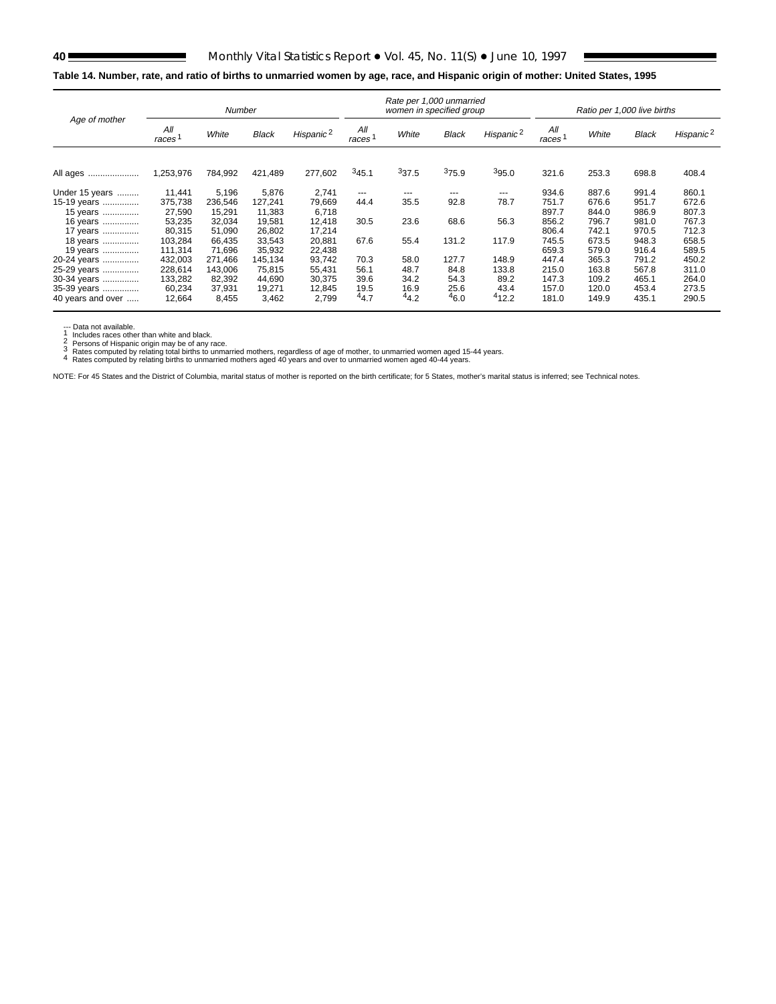# **40** Monthly Vital Statistics Report • Vol. 45, No. 11(S) • June 10, 1997

# **Table 14. Number, rate, and ratio of births to unmarried women by age, race, and Hispanic origin of mother: United States, 1995**

| Age of mother     |                           | Number  |              |                       |              | Rate per 1,000 unmarried<br>women in specified group |              |                       | Ratio per 1,000 live births |       |              |                       |
|-------------------|---------------------------|---------|--------------|-----------------------|--------------|------------------------------------------------------|--------------|-----------------------|-----------------------------|-------|--------------|-----------------------|
|                   | All<br>races <sup>1</sup> | White   | <b>Black</b> | Hispanic <sup>2</sup> | All<br>races | White                                                | <b>Black</b> | Hispanic <sup>2</sup> | All<br>races 1              | White | <b>Black</b> | Hispanic <sup>2</sup> |
| All ages          | 1,253,976                 | 784,992 | 421,489      | 277,602               | 345.1        | 337.5                                                | 375.9        | 395.0                 | 321.6                       | 253.3 | 698.8        | 408.4                 |
| Under 15 years    | 11,441                    | 5,196   | 5,876        | 2,741                 | $---$        | ---                                                  | $- - -$      | $---$                 | 934.6                       | 887.6 | 991.4        | 860.1                 |
| 15-19 years       | 375,738                   | 236,546 | 127,241      | 79,669                | 44.4         | 35.5                                                 | 92.8         | 78.7                  | 751.7                       | 676.6 | 951.7        | 672.6                 |
| 15 years          | 27,590                    | 15,291  | 11,383       | 6,718                 |              |                                                      |              |                       | 897.7                       | 844.0 | 986.9        | 807.3                 |
| 16 years          | 53,235                    | 32,034  | 19,581       | 12.418                | 30.5         | 23.6                                                 | 68.6         | 56.3                  | 856.2                       | 796.7 | 981.0        | 767.3                 |
| 17 years          | 80,315                    | 51,090  | 26,802       | 17,214                |              |                                                      |              |                       | 806.4                       | 742.1 | 970.5        | 712.3                 |
| 18 years          | 103,284                   | 66,435  | 33,543       | 20,881                | 67.6         | 55.4                                                 | 131.2        | 117.9                 | 745.5                       | 673.5 | 948.3        | 658.5                 |
| 19 years          | 111.314                   | 71.696  | 35.932       | 22.438                |              |                                                      |              |                       | 659.3                       | 579.0 | 916.4        | 589.5                 |
| 20-24 years       | 432,003                   | 271,466 | 145,134      | 93,742                | 70.3         | 58.0                                                 | 127.7        | 148.9                 | 447.4                       | 365.3 | 791.2        | 450.2                 |
| 25-29 years       | 228,614                   | 143,006 | 75,815       | 55,431                | 56.1         | 48.7                                                 | 84.8         | 133.8                 | 215.0                       | 163.8 | 567.8        | 311.0                 |
| 30-34 years       | 133,282                   | 82,392  | 44,690       | 30,375                | 39.6         | 34.2                                                 | 54.3         | 89.2                  | 147.3                       | 109.2 | 465.1        | 264.0                 |
| 35-39 years       | 60,234                    | 37,931  | 19,271       | 12,845                | 19.5         | 16.9                                                 | 25.6         | 43.4                  | 157.0                       | 120.0 | 453.4        | 273.5                 |
| 40 years and over | 12,664                    | 8,455   | 3,462        | 2,799                 | 44.7         | 44.2                                                 | 46.0         | 412.2                 | 181.0                       | 149.9 | 435.1        | 290.5                 |

--- Data not available.<br>
1 Includes races other than white and black.<br>
2 Persons of Hispanic origin may be of any race.<br>
3 Rates computed by relating to this to unmarried mothers, regardless of age of mother, to unmarried

NOTE: For 45 States and the District of Columbia, marital status of mother is reported on the birth certificate; for 5 States, mother's marital status is inferred; see [Technical notes.](#page-75-0)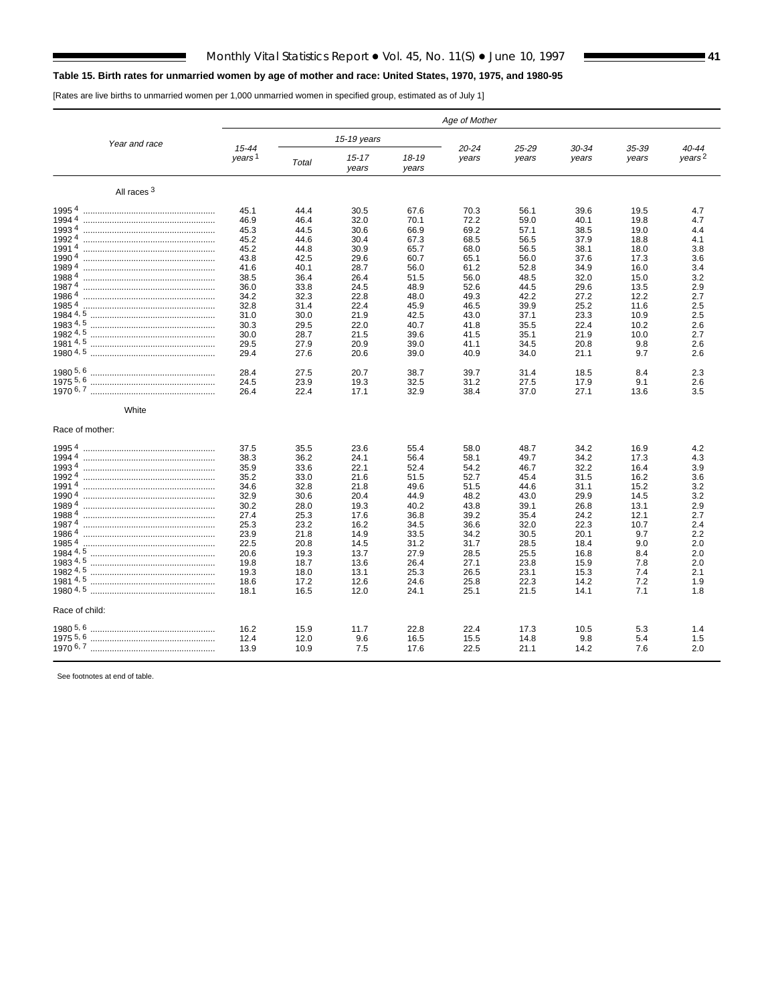# **Table 15. Birth rates for unmarried women by age of mother and race: United States, 1970, 1975, and 1980-95**

[Rates are live births to unmarried women per 1,000 unmarried women in specified group, estimated as of July 1]

|                        |                                 |              |                    |                    | Age of Mother  |                |                |                |                                 |
|------------------------|---------------------------------|--------------|--------------------|--------------------|----------------|----------------|----------------|----------------|---------------------------------|
| Year and race          |                                 |              | 15-19 years        |                    |                |                |                |                |                                 |
|                        | $15 - 44$<br>years <sup>1</sup> | Total        | $15 - 17$<br>years | $18 - 19$<br>years | 20-24<br>years | 25-29<br>years | 30-34<br>years | 35-39<br>years | $40 - 44$<br>years <sup>2</sup> |
| All races <sup>3</sup> |                                 |              |                    |                    |                |                |                |                |                                 |
| 19954                  | 45.1                            | 44.4         | 30.5               | 67.6               | 70.3           | 56.1           | 39.6           | 19.5           | 4.7                             |
| 19944                  | 46.9                            | 46.4         | 32.0               | 70.1               | 72.2           | 59.0           | 40.1           | 19.8           | 4.7                             |
| 19934                  | 45.3                            | 44.5         | 30.6               | 66.9               | 69.2           | 57.1           | 38.5           | 19.0           | 4.4                             |
| 19924                  | 45.2                            | 44.6         | 30.4               | 67.3               | 68.5           | 56.5           | 37.9           | 18.8           | 4.1                             |
| 19914                  | 45.2                            | 44.8         | 30.9               | 65.7               | 68.0           | 56.5           | 38.1           | 18.0           | 3.8                             |
| 19904                  | 43.8                            | 42.5         | 29.6               | 60.7               | 65.1           | 56.0           | 37.6           | 17.3           | 3.6                             |
| 19894                  | 41.6                            | 40.1         | 28.7               | 56.0               | 61.2           | 52.8           | 34.9           | 16.0           | 3.4                             |
| 19884                  | 38.5                            | 36.4         | 26.4               | 51.5               | 56.0           | 48.5           | 32.0           | 15.0           | 3.2                             |
| 19874                  | 36.0                            | 33.8         | 24.5               | 48.9               | 52.6           | 44.5           | 29.6           | 13.5           | 2.9                             |
| 19864                  | 34.2                            | 32.3         | 22.8               | 48.0               | 49.3           | 42.2           | 27.2           | 12.2           | 2.7                             |
| 19854                  | 32.8                            | 31.4         | 22.4               | 45.9               | 46.5           | 39.9           | 25.2           | 11.6           | 2.5                             |
| 1983 4, 5              | 31.0                            | 30.0         | 21.9               | 42.5               | 43.0           | 37.1           | 23.3           | 10.9<br>10.2   | 2.5                             |
|                        | 30.3<br>30.0                    | 29.5<br>28.7 | 22.0<br>21.5       | 40.7<br>39.6       | 41.8<br>41.5   | 35.5<br>35.1   | 22.4<br>21.9   | 10.0           | 2.6<br>2.7                      |
|                        | 29.5                            | 27.9         | 20.9               | 39.0               | 41.1           | 34.5           | 20.8           | 9.8            | 2.6                             |
|                        | 29.4                            | 27.6         | 20.6               | 39.0               | 40.9           | 34.0           | 21.1           | 9.7            | 2.6                             |
|                        | 28.4                            | 27.5         | 20.7               | 38.7               | 39.7           |                | 18.5           | 8.4            | 2.3                             |
| 1975 5, 6              | 24.5                            | 23.9         | 19.3               | 32.5               | 31.2           | 31.4<br>27.5   | 17.9           | 9.1            | 2.6                             |
|                        | 26.4                            | 22.4         | 17.1               | 32.9               | 38.4           | 37.0           | 27.1           | 13.6           | 3.5                             |
| White                  |                                 |              |                    |                    |                |                |                |                |                                 |
| Race of mother:        |                                 |              |                    |                    |                |                |                |                |                                 |
| 19954                  | 37.5                            | 35.5         | 23.6               | 55.4               | 58.0           | 48.7           | 34.2           | 16.9           | 4.2                             |
| 19944                  | 38.3                            | 36.2         | 24.1               | 56.4               | 58.1           | 49.7           | 34.2           | 17.3           | 4.3                             |
| 19934                  | 35.9                            | 33.6         | 22.1               | 52.4               | 54.2           | 46.7           | 32.2           | 16.4           | 3.9                             |
| 19924                  | 35.2                            | 33.0         | 21.6               | 51.5               | 52.7           | 45.4           | 31.5           | 16.2           | 3.6                             |
| 19914                  | 34.6                            | 32.8         | 21.8               | 49.6               | 51.5           | 44.6           | 31.1           | 15.2           | 3.2                             |
| 19904                  | 32.9                            | 30.6         | 20.4               | 44.9               | 48.2           | 43.0           | 29.9           | 14.5           | 3.2                             |
| 19894                  | 30.2                            | 28.0         | 19.3               | 40.2               | 43.8           | 39.1           | 26.8           | 13.1           | 2.9                             |
| 19884                  | 27.4                            | 25.3         | 17.6               | 36.8               | 39.2           | 35.4           | 24.2           | 12.1           | 2.7                             |
| 19874                  | 25.3                            | 23.2         | 16.2               | 34.5               | 36.6           | 32.0           | 22.3           | 10.7           | 2.4                             |
| 19864                  | 23.9                            | 21.8         | 14.9               | 33.5               | 34.2           | 30.5           | 20.1           | 9.7            | 2.2                             |
| 19854                  | 22.5                            | 20.8         | 14.5               | 31.2               | 31.7           | 28.5           | 18.4           | 9.0            | 2.0                             |
|                        | 20.6                            | 19.3         | 13.7               | 27.9               | 28.5           | 25.5<br>23.8   | 16.8           | 8.4            | 2.0                             |
|                        | 19.8<br>19.3                    | 18.7<br>18.0 | 13.6<br>13.1       | 26.4<br>25.3       | 27.1<br>26.5   | 23.1           | 15.9<br>15.3   | 7.8<br>7.4     | 2.0<br>2.1                      |
| 1981 4, 5              | 18.6                            | 17.2         | 12.6               | 24.6               | 25.8           | 22.3           | 14.2           | 7.2            | 1.9                             |
|                        | 18.1                            | 16.5         | 12.0               | 24.1               | 25.1           | 21.5           | 14.1           | 7.1            | 1.8                             |
| Race of child:         |                                 |              |                    |                    |                |                |                |                |                                 |
|                        | 16.2                            | 15.9         | 11.7               | 22.8               | 22.4           | 17.3           | 10.5           | 5.3            | 1.4                             |
| 1975 5, 6              | 12.4                            | 12.0         | 9.6                | 16.5               | 15.5           | 14.8           | 9.8            | 5.4            | 1.5                             |
|                        | 13.9                            | 10.9         | 7.5                | 17.6               | 22.5           | 21.1           | 14.2           | 7.6            | 2.0                             |
|                        |                                 |              |                    |                    |                |                |                |                |                                 |

See footnotes at end of table.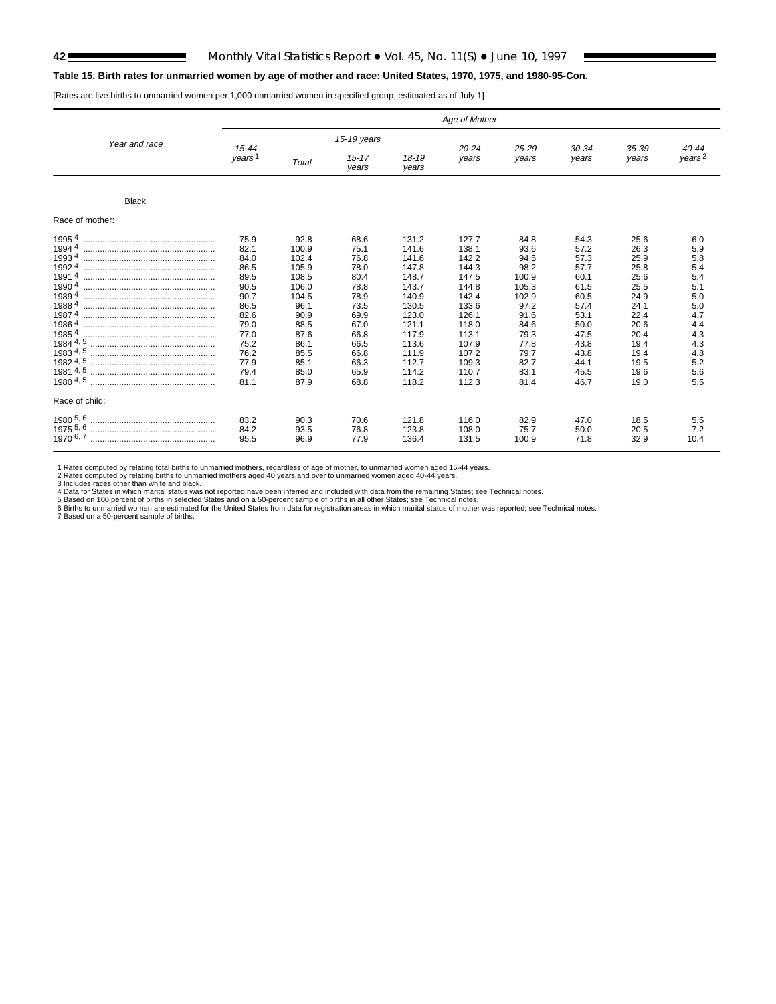## **42** Monthly Vital Statistics Report • Vol. 45, No. 11(S) • June 10, 1997

## **Table 15. Birth rates for unmarried women by age of mother and race: United States, 1970, 1975, and 1980-95-Con.**

[Rates are live births to unmarried women per 1,000 unmarried women in specified group, estimated as of July 1]

|                                                                                                                                                                  |                                                                                                                              |                                                                                                                                    |                                                                                                                              |                                                                                                                                              | Age of Mother                                                                                                                                |                                                                                                                                 |                                                                                                                              |                                                                                                                              |                                                                                                              |
|------------------------------------------------------------------------------------------------------------------------------------------------------------------|------------------------------------------------------------------------------------------------------------------------------|------------------------------------------------------------------------------------------------------------------------------------|------------------------------------------------------------------------------------------------------------------------------|----------------------------------------------------------------------------------------------------------------------------------------------|----------------------------------------------------------------------------------------------------------------------------------------------|---------------------------------------------------------------------------------------------------------------------------------|------------------------------------------------------------------------------------------------------------------------------|------------------------------------------------------------------------------------------------------------------------------|--------------------------------------------------------------------------------------------------------------|
| Year and race                                                                                                                                                    |                                                                                                                              |                                                                                                                                    | 15-19 years                                                                                                                  |                                                                                                                                              |                                                                                                                                              |                                                                                                                                 |                                                                                                                              |                                                                                                                              |                                                                                                              |
|                                                                                                                                                                  | $15 - 44$<br>years <sup>1</sup>                                                                                              | Total                                                                                                                              | $15 - 17$<br>years                                                                                                           | $18 - 19$<br>years                                                                                                                           | $20 - 24$<br>years                                                                                                                           | 25-29<br>years                                                                                                                  | $30 - 34$<br>years                                                                                                           | 35-39<br>years                                                                                                               | $40 - 44$<br>years <sup>2</sup>                                                                              |
| <b>Black</b>                                                                                                                                                     |                                                                                                                              |                                                                                                                                    |                                                                                                                              |                                                                                                                                              |                                                                                                                                              |                                                                                                                                 |                                                                                                                              |                                                                                                                              |                                                                                                              |
| Race of mother:                                                                                                                                                  |                                                                                                                              |                                                                                                                                    |                                                                                                                              |                                                                                                                                              |                                                                                                                                              |                                                                                                                                 |                                                                                                                              |                                                                                                                              |                                                                                                              |
| 19954<br>19944<br>19934<br>19924<br>19914<br>19904<br>19894<br>19884<br>19874<br>19864<br>19854<br>1984 4, 5<br>1983 4, 5<br>1982 4, 5<br>1981 4, 5<br>1980 4, 5 | 75.9<br>82.1<br>84.0<br>86.5<br>89.5<br>90.5<br>90.7<br>86.5<br>82.6<br>79.0<br>77.0<br>75.2<br>76.2<br>77.9<br>79.4<br>81.1 | 92.8<br>100.9<br>102.4<br>105.9<br>108.5<br>106.0<br>104.5<br>96.1<br>90.9<br>88.5<br>87.6<br>86.1<br>85.5<br>85.1<br>85.0<br>87.9 | 68.6<br>75.1<br>76.8<br>78.0<br>80.4<br>78.8<br>78.9<br>73.5<br>69.9<br>67.0<br>66.8<br>66.5<br>66.8<br>66.3<br>65.9<br>68.8 | 131.2<br>141.6<br>141.6<br>147.8<br>148.7<br>143.7<br>140.9<br>130.5<br>123.0<br>121.1<br>117.9<br>113.6<br>111.9<br>112.7<br>114.2<br>118.2 | 127.7<br>138.1<br>142.2<br>144.3<br>147.5<br>144.8<br>142.4<br>133.6<br>126.1<br>118.0<br>113.1<br>107.9<br>107.2<br>109.3<br>110.7<br>112.3 | 84.8<br>93.6<br>94.5<br>98.2<br>100.9<br>105.3<br>102.9<br>97.2<br>91.6<br>84.6<br>79.3<br>77.8<br>79.7<br>82.7<br>83.1<br>81.4 | 54.3<br>57.2<br>57.3<br>57.7<br>60.1<br>61.5<br>60.5<br>57.4<br>53.1<br>50.0<br>47.5<br>43.8<br>43.8<br>44.1<br>45.5<br>46.7 | 25.6<br>26.3<br>25.9<br>25.8<br>25.6<br>25.5<br>24.9<br>24.1<br>22.4<br>20.6<br>20.4<br>19.4<br>19.4<br>19.5<br>19.6<br>19.0 | 6.0<br>5.9<br>5.8<br>5.4<br>5.4<br>5.1<br>5.0<br>5.0<br>4.7<br>4.4<br>4.3<br>4.3<br>4.8<br>5.2<br>5.6<br>5.5 |
| Race of child:                                                                                                                                                   |                                                                                                                              |                                                                                                                                    |                                                                                                                              |                                                                                                                                              |                                                                                                                                              |                                                                                                                                 |                                                                                                                              |                                                                                                                              |                                                                                                              |
| 1980 5, 6<br>1975 5, 6<br>1970 6, 7                                                                                                                              | 83.2<br>84.2<br>95.5                                                                                                         | 90.3<br>93.5<br>96.9                                                                                                               | 70.6<br>76.8<br>77.9                                                                                                         | 121.8<br>123.8<br>136.4                                                                                                                      | 116.0<br>108.0<br>131.5                                                                                                                      | 82.9<br>75.7<br>100.9                                                                                                           | 47.0<br>50.0<br>71.8                                                                                                         | 18.5<br>20.5<br>32.9                                                                                                         | 5.5<br>7.2<br>10.4                                                                                           |

1 Rates computed by relating total births to unmarried mothers, regardless of age of mother, to unmarried women aged 15-44 years.<br>2 Rates computed by relating births to unmarried mothers aged 40 years and over to unmarried

5 Based on 100 percent of births in selected States and on a 50-percent sample of births in all other States; see [Technical notes.](#page-75-0)<br>6 Births to unmarried women are estimated for the United States from data for registration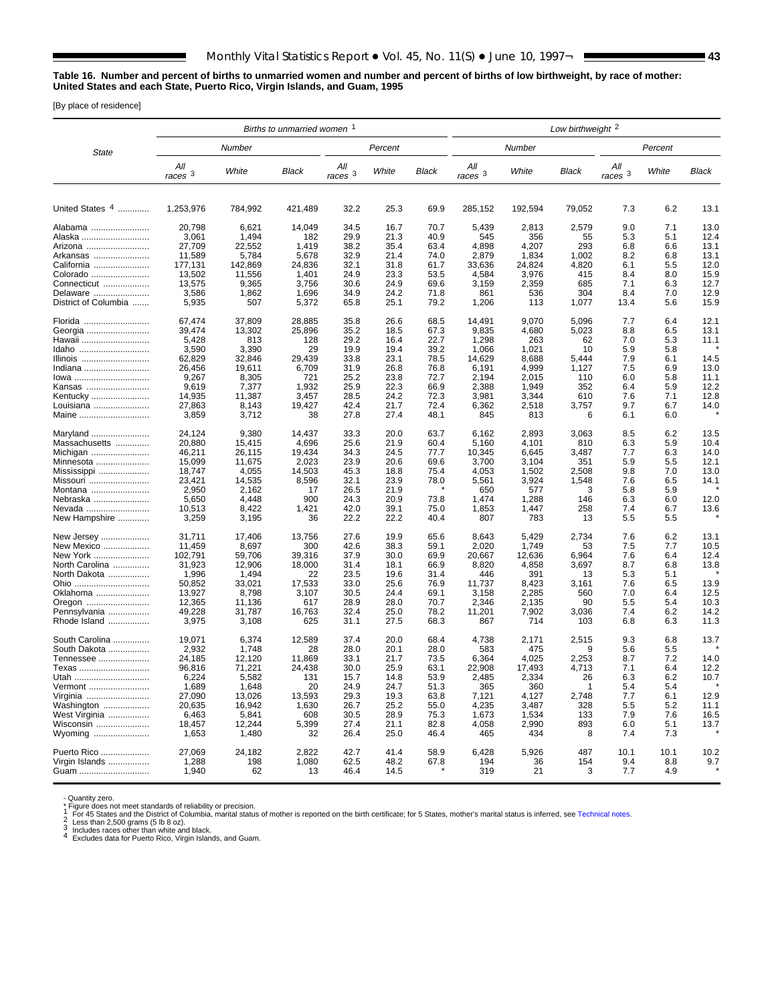### **Table 16. Number and percent of births to unmarried women and number and percent of births of low birthweight, by race of mother: United States and each State, Puerto Rico, Virgin Islands, and Guam, 1995**

[By place of residence]

|                                | Births to unmarried women 1 |                   |                 |                    |              |              |                           | Low birthweight <sup>2</sup> |              |                  |            |              |
|--------------------------------|-----------------------------|-------------------|-----------------|--------------------|--------------|--------------|---------------------------|------------------------------|--------------|------------------|------------|--------------|
| <b>State</b>                   |                             | Number            |                 |                    | Percent      |              |                           | Number                       |              |                  | Percent    |              |
|                                | All<br>$races$ $3$          | White             | Black           | Αll<br>$races$ $3$ | White        | <b>Black</b> | All<br>races <sup>3</sup> | White                        | Black        | All<br>races $3$ | White      | Black        |
| United States $4$              | 1.253.976                   | 784,992           | 421,489         | 32.2               | 25.3         | 69.9         | 285,152                   | 192,594                      | 79,052       | 7.3              | 6.2        | 13.1         |
| Alabama                        | 20,798                      | 6,621             | 14,049          | 34.5               | 16.7         | 70.7         | 5,439                     | 2,813                        | 2,579        | 9.0              | 7.1        | 13.0         |
| Alaska                         | 3,061                       | 1,494             | 182             | 29.9               | 21.3         | 40.9         | 545                       | 356                          | 55           | 5.3              | 5.1        | 12.4         |
| Arizona                        | 27,709                      | 22,552            | 1,419           | 38.2               | 35.4         | 63.4         | 4,898                     | 4,207                        | 293          | 6.8              | 6.6        | 13.1         |
| Arkansas                       | 11,589                      | 5,784             | 5,678           | 32.9               | 21.4         | 74.0         | 2,879                     | 1,834                        | 1,002        | 8.2              | 6.8        | 13.1         |
| California<br>Colorado         | 177,131<br>13,502           | 142,869<br>11,556 | 24,836<br>1,401 | 32.1<br>24.9       | 31.8<br>23.3 | 61.7<br>53.5 | 33,636<br>4,584           | 24,824<br>3,976              | 4,820<br>415 | 6.1<br>8.4       | 5.5<br>8.0 | 12.0<br>15.9 |
| Connecticut                    | 13,575                      | 9,365             | 3,756           | 30.6               | 24.9         | 69.6         | 3,159                     | 2,359                        | 685          | 7.1              | 6.3        | 12.7         |
| Delaware                       | 3,586                       | 1,862             | 1,696           | 34.9               | 24.2         | 71.8         | 861                       | 536                          | 304          | 8.4              | 7.0        | 12.9         |
| District of Columbia           | 5,935                       | 507               | 5,372           | 65.8               | 25.1         | 79.2         | 1,206                     | 113                          | 1,077        | 13.4             | 5.6        | 15.9         |
| Florida                        | 67,474                      | 37,809            | 28,885          | 35.8               | 26.6         | 68.5<br>67.3 | 14,491                    | 9,070                        | 5,096        | 7.7              | 6.4        | 12.1         |
| Georgia<br>Hawaii              | 39,474<br>5,428             | 13,302<br>813     | 25,896<br>128   | 35.2<br>29.2       | 18.5<br>16.4 | 22.7         | 9,835<br>1,298            | 4,680<br>263                 | 5,023<br>62  | 8.8<br>7.0       | 6.5<br>5.3 | 13.1<br>11.1 |
| Idaho                          | 3,590                       | 3,390             | 29              | 19.9               | 19.4         | 39.2         | 1,066                     | 1,021                        | 10           | 5.9              | 5.8        |              |
| Illinois                       | 62,829                      | 32,846            | 29,439          | 33.8               | 23.1         | 78.5         | 14,629                    | 8,688                        | 5,444        | 7.9              | 6.1        | 14.5         |
| Indiana                        | 26,456                      | 19,611            | 6,709           | 31.9               | 26.8         | 76.8         | 6,191                     | 4,999                        | 1,127        | 7.5              | 6.9        | 13.0         |
| lowa                           | 9,267                       | 8,305             | 721             | 25.2               | 23.8         | 72.7         | 2,194                     | 2,015                        | 110          | 6.0              | 5.8        | 11.1         |
| Kansas                         | 9,619                       | 7,377             | 1,932           | 25.9               | 22.3         | 66.9         | 2,388                     | 1,949                        | 352          | 6.4              | 5.9        | 12.2         |
| Kentucky<br>Louisiana          | 14,935<br>27,863            | 11,387<br>8,143   | 3,457<br>19,427 | 28.5<br>42.4       | 24.2<br>21.7 | 72.3<br>72.4 | 3,981<br>6,362            | 3,344<br>2,518               | 610<br>3,757 | 7.6<br>9.7       | 7.1<br>6.7 | 12.8<br>14.0 |
| Maine                          | 3,859                       | 3,712             | 38              | 27.8               | 27.4         | 48.1         | 845                       | 813                          | 6            | 6.1              | 6.0        |              |
| Maryland                       | 24,124                      | 9,380             | 14,437          | 33.3               | 20.0         | 63.7         | 6,162                     | 2,893                        | 3,063        | 8.5              | 6.2        | 13.5         |
| Massachusetts                  | 20,880                      | 15,415            | 4,696           | 25.6               | 21.9         | 60.4         | 5,160                     | 4,101                        | 810          | 6.3              | 5.9        | 10.4         |
| Michigan<br>Minnesota          | 46,211<br>15,099            | 26,115<br>11,675  | 19,434<br>2,023 | 34.3<br>23.9       | 24.5<br>20.6 | 77.7<br>69.6 | 10,345<br>3,700           | 6,645<br>3,104               | 3,487<br>351 | 7.7<br>5.9       | 6.3<br>5.5 | 14.0<br>12.1 |
| Mississippi                    | 18,747                      | 4,055             | 14,503          | 45.3               | 18.8         | 75.4         | 4,053                     | 1,502                        | 2,508        | 9.8              | 7.0        | 13.0         |
| Missouri                       | 23,421                      | 14,535            | 8,596           | 32.1               | 23.9         | 78.0         | 5,561                     | 3,924                        | 1,548        | 7.6              | 6.5        | 14.1         |
| Montana                        | 2,950                       | 2,162             | 17              | 26.5               | 21.9         |              | 650                       | 577                          | 3            | 5.8              | 5.9        |              |
| Nebraska                       | 5,650                       | 4,448             | 900             | 24.3               | 20.9         | 73.8         | 1,474                     | 1,288                        | 146          | 6.3              | 6.0        | 12.0         |
| Nevada<br>New Hampshire        | 10,513<br>3,259             | 8,422<br>3,195    | 1,421<br>36     | 42.0<br>22.2       | 39.1<br>22.2 | 75.0<br>40.4 | 1,853<br>807              | 1,447<br>783                 | 258<br>13    | 7.4<br>5.5       | 6.7<br>5.5 | 13.6         |
| New Jersey                     | 31,711                      | 17,406            | 13,756          | 27.6               | 19.9         | 65.6         | 8,643                     | 5,429                        | 2,734        | 7.6              | 6.2        | 13.1         |
| New Mexico                     | 11,459                      | 8,697             | 300             | 42.6               | 38.3         | 59.1         | 2,020                     | 1,749                        | 53           | 7.5              | 7.7        | 10.5         |
| New York                       | 102,791                     | 59,706            | 39,316          | 37.9               | 30.0         | 69.9         | 20,667                    | 12,636                       | 6,964        | 7.6              | 6.4        | 12.4         |
| North Carolina<br>North Dakota | 31,923<br>1,996             | 12,906<br>1,494   | 18,000<br>22    | 31.4<br>23.5       | 18.1<br>19.6 | 66.9<br>31.4 | 8,820<br>446              | 4,858<br>391                 | 3,697<br>13  | 8.7<br>5.3       | 6.8<br>5.1 | 13.8         |
| Ohio                           | 50,852                      | 33,021            | 17,533          | 33.0               | 25.6         | 76.9         | 11,737                    | 8,423                        | 3,161        | 7.6              | 6.5        | 13.9         |
| Oklahoma                       | 13,927                      | 8,798             | 3,107           | 30.5               | 24.4         | 69.1         | 3,158                     | 2,285                        | 560          | 7.0              | 6.4        | 12.5         |
| Oregon                         | 12,365                      | 11,136            | 617             | 28.9               | 28.0         | 70.7         | 2,346                     | 2,135                        | 90           | 5.5              | 5.4        | 10.3         |
| Pennsylvania<br>Rhode Island   | 49,228<br>3,975             | 31,787<br>3,108   | 16,763<br>625   | 32.4<br>31.1       | 25.0<br>27.5 | 78.2<br>68.3 | 11,201<br>867             | 7,902<br>714                 | 3,036<br>103 | 7.4<br>6.8       | 6.2<br>6.3 | 14.2<br>11.3 |
| South Carolina                 | 19,071                      | 6,374             | 12,589          | 37.4               | 20.0         | 68.4         | 4,738                     | 2,171                        | 2,515        | 9.3              | 6.8        | 13.7         |
| South Dakota                   | 2,932                       | 1,748             | 28              | 28.0               | 20.1         | 28.0         | 583                       | 475                          | 9            | 5.6              | 5.5        |              |
| Tennessee                      | 24,185                      | 12.120            | 11,869          | 33.1               | 21.7         | 73.5         | 6,364                     | 4,025                        | 2,253        | 8.7              | 7.2        | 14.0         |
| Texas                          | 96,816                      | 71,221            | 24,438          | 30.0               | 25.9         | 63.1         | 22,908                    | 17,493                       | 4,713        | 7.1              | 6.4        | 12.2         |
| Utah<br>Vermont                | 6,224<br>1,689              | 5,582<br>1,648    | 131<br>20       | 15.7<br>24.9       | 14.8<br>24.7 | 53.9<br>51.3 | 2,485<br>365              | 2,334<br>360                 | 26           | 6.3<br>5.4       | 6.2<br>5.4 | 10.7         |
| Virginia                       | 27,090                      | 13,026            | 13,593          | 29.3               | 19.3         | 63.8         | 7,121                     | 4,127                        | 2,748        | 7.7              | 6.1        | 12.9         |
| Washington                     | 20,635                      | 16,942            | 1,630           | 26.7               | 25.2         | 55.0         | 4,235                     | 3,487                        | 328          | 5.5              | 5.2        | 11.1         |
| West Virginia                  | 6,463                       | 5,841             | 608             | 30.5               | 28.9         | 75.3         | 1,673                     | 1,534                        | 133          | 7.9              | 7.6        | 16.5         |
| Wisconsin                      | 18,457                      | 12,244            | 5,399           | 27.4               | 21.1         | 82.8         | 4,058                     | 2,990                        | 893          | 6.0              | 5.1        | 13.7         |
| Wyoming                        | 1,653                       | 1,480             | 32              | 26.4               | 25.0         | 46.4         | 465                       | 434                          | 8            | 7.4              | 7.3        |              |
| Puerto Rico                    | 27,069                      | 24,182            | 2,822           | 42.7               | 41.4         | 58.9         | 6,428                     | 5,926                        | 487          | 10.1             | 10.1       | 10.2         |
| Virgin Islands<br>Guam         | 1,288<br>1,940              | 198<br>62         | 1,080<br>13     | 62.5<br>46.4       | 48.2<br>14.5 | 67.8         | 194<br>319                | 36<br>21                     | 154<br>3     | 9.4<br>7.7       | 8.8<br>4.9 | $9.7 \times$ |
|                                |                             |                   |                 |                    |              |              |                           |                              |              |                  |            |              |

- Quantity zero.

- Cuantity zero.<br>
Tigure does not meet standards of reliability or precision.<br>
1 For 45 States and the District of Columbia, marital status of mother is reported on the birth certificate; for 5 States, mother's marital sta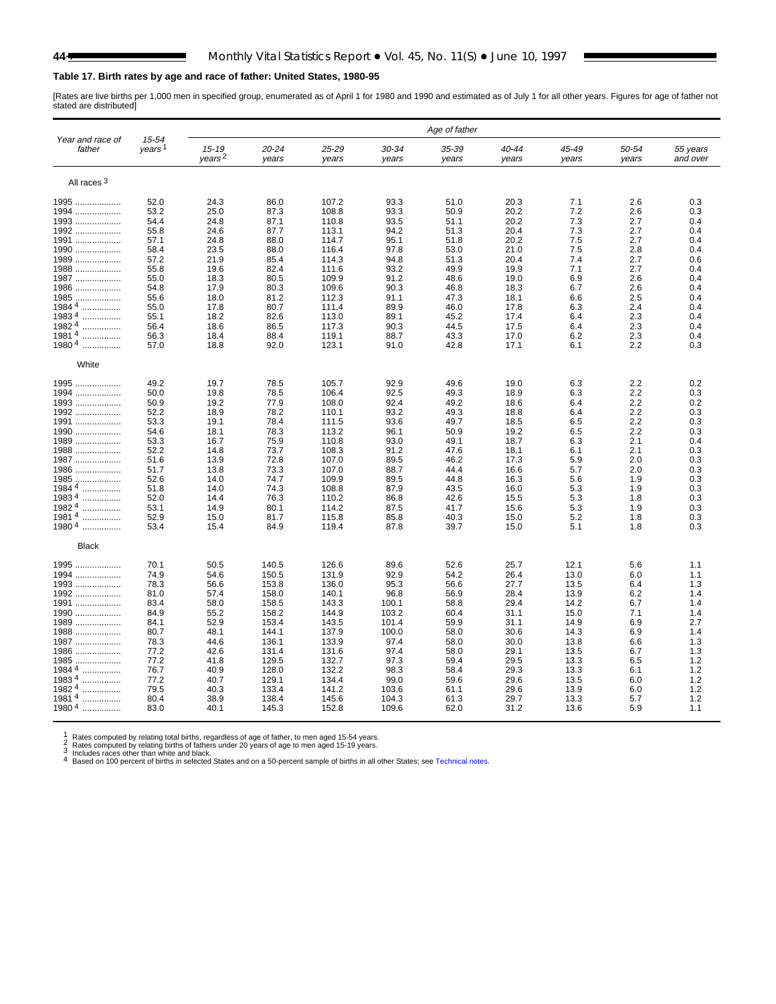# **Table 17. Birth rates by age and race of father: United States, 1980-95**

[Rates are live births per 1,000 men in specified group, enumerated as of April 1 for 1980 and 1990 and estimated as of July 1 for all other years. Figures for age of father not stated are distributed]

|                            |                             |                                 |                |                |                | Age of father  |                |                |                |                      |
|----------------------------|-----------------------------|---------------------------------|----------------|----------------|----------------|----------------|----------------|----------------|----------------|----------------------|
| Year and race of<br>father | 15-54<br>years <sup>1</sup> | $15 - 19$<br>years <sup>2</sup> | 20-24<br>years | 25-29<br>years | 30-34<br>years | 35-39<br>years | 40-44<br>years | 45-49<br>years | 50-54<br>years | 55 years<br>and over |
| All races <sup>3</sup>     |                             |                                 |                |                |                |                |                |                |                |                      |
| 1995                       | 52.0                        | 24.3                            | 86.0           | 107.2          | 93.3           | 51.0           | 20.3           | 7.1            | 2.6            | 0.3                  |
| 1994                       | 53.2                        | 25.0                            | 87.3           | 108.8          | 93.3           | 50.9           | 20.2           | 7.2            | 2.6            | 0.3                  |
| 1993                       | 54.4                        | 24.8                            | 87.1           | 110.8          | 93.5           | 51.1           | 20.2           | 7.3            | 2.7            | 0.4                  |
| 1992                       | 55.8                        | 24.6                            | 87.7           | 113.1          | 94.2           | 51.3           | 20.4           | 7.3            | 2.7            | 0.4                  |
| 1991                       | 57.1                        | 24.8                            | 88.0           | 114.7          | 95.1           | 51.8           | 20.2           | 7.5            | 2.7            | 0.4                  |
| 1990                       | 58.4                        | 23.5                            | 88.0           | 116.4          | 97.8           | 53.0           | 21.0           | 7.5            | 2.8            | 0.4                  |
| 1989                       | 57.2                        | 21.9                            | 85.4           | 114.3          | 94.8           | 51.3           | 20.4           | 7.4            | 2.7            | 0.6                  |
| 1988                       | 55.8                        | 19.6                            | 82.4           | 111.6          | 93.2           | 49.9           | 19.9           | 7.1            | 2.7            | 0.4                  |
| 1987                       | 55.0                        | 18.3                            | 80.5           | 109.9          | 91.2           | 48.6           | 19.0           | 6.9            | 2.6            | 0.4                  |
| 1986                       | 54.8                        | 17.9                            | 80.3           | 109.6          | 90.3           | 46.8           | 18.3           | 6.7            | 2.6            | 0.4                  |
| 1985                       | 55.6                        | 18.0                            | 81.2           | 112.3          | 91.1           | 47.3           | 18.1           | 6.6            | 2.5            | 0.4                  |
| 1984 <sup>4</sup><br>.     | 55.0                        | 17.8                            | 80.7           | 111.4          | 89.9           | 46.0           | 17.8           | 6.3            | 2.4            | 0.4                  |
| 19834<br>.                 | 55.1                        | 18.2                            | 82.6           | 113.0          | 89.1           | 45.2           | 17.4           | 6.4            | 2.3            | 0.4                  |
| 1982 4                     | 56.4                        | 18.6                            | 86.5           | 117.3          | 90.3           | 44.5           | 17.5           | 6.4            | 2.3            | 0.4                  |
| $19814$                    | 56.3                        | 18.4                            | 88.4           |                | 88.7           | 43.3           | 17.0           | 6.2            | 2.3            | 0.4                  |
| $19804$                    |                             |                                 |                | 119.1          |                |                |                |                | 2.2            |                      |
|                            | 57.0                        | 18.8                            | 92.0           | 123.1          | 91.0           | 42.8           | 17.1           | 6.1            |                | 0.3                  |
| White                      |                             |                                 |                |                |                |                |                |                |                |                      |
| 1995                       | 49.2                        | 19.7                            | 78.5           | 105.7          | 92.9           | 49.6           | 19.0           | 6.3            | 2.2            | 0.2                  |
| 1994                       | 50.0                        | 19.8                            | 78.5           | 106.4          | 92.5           | 49.3           | 18.9           | 6.3            | 2.2            | 0.3                  |
| 1993                       | 50.9                        | 19.2                            | 77.9           | 108.0          | 92.4           | 49.2           | 18.6           | 6.4            | 2.2            | 0.2                  |
| 1992                       | 52.2                        | 18.9                            | 78.2           | 110.1          | 93.2           | 49.3           | 18.8           | 6.4            | 2.2            | 0.3                  |
| 1991                       | 53.3                        | 19.1                            | 78.4           | 111.5          | 93.6           | 49.7           | 18.5           | 6.5            | 2.2            | 0.3                  |
| 1990                       | 54.6                        | 18.1                            | 78.3           | 113.2          | 96.1           | 50.9           | 19.2           | 6.5            | 2.2            | 0.3                  |
| 1989                       | 53.3                        | 16.7                            | 75.9           | 110.8          | 93.0           | 49.1           | 18.7           | 6.3            | 2.1            | 0.4                  |
| 1988                       | 52.2                        | 14.8                            | 73.7           | 108.3          | 91.2           | 47.6           | 18.1           | 6.1            | 2.1            | 0.3                  |
| 1987                       | 51.6                        | 13.9                            | 72.8           | 107.0          | 89.5           | 46.2           | 17.3           | 5.9            | 2.0            | 0.3                  |
| 1986                       | 51.7                        | 13.8                            | 73.3           | 107.0          | 88.7           | 44.4           | 16.6           | 5.7            | 2.0            | 0.3                  |
| 1985                       | 52.6                        | 14.0                            | 74.7           | 109.9          | 89.5           | 44.8           | 16.3           | 5.6            | 1.9            | 0.3                  |
| 1984 $\frac{4}{1}$         | 51.8                        | 14.0                            | 74.3           | 108.8          | 87.9           | 43.5           | 16.0           | 5.3            | 1.9            | 0.3                  |
| 19834                      | 52.0                        | 14.4                            | 76.3           | 110.2          | 86.8           | 42.6           | 15.5           | 5.3            | 1.8            | 0.3                  |
| <br>19824                  | 53.1                        | 14.9                            | 80.1           |                |                |                | 15.6           | 5.3            | 1.9            | 0.3                  |
| .                          |                             |                                 |                | 114.2          | 87.5           | 41.7           |                |                |                |                      |
| 19814<br><br>19804         | 52.9                        | 15.0                            | 81.7           | 115.8          | 85.8           | 40.3           | 15.0           | 5.2            | 1.8            | 0.3                  |
|                            | 53.4                        | 15.4                            | 84.9           | 119.4          | 87.8           | 39.7           | 15.0           | 5.1            | 1.8            | 0.3                  |
| <b>Black</b>               |                             |                                 |                |                |                |                |                |                |                |                      |
| 1995                       | 70.1                        | 50.5                            | 140.5          | 126.6          | 89.6           | 52.6           | 25.7           | 12.1           | 5.6            | 1.1                  |
| 1994                       | 74.9                        | 54.6                            | 150.5          | 131.9          | 92.9           | 54.2           | 26.4           | 13.0           | 6.0            | 1.1                  |
| 1993                       | 78.3                        | 56.6                            | 153.8          | 136.0          | 95.3           | 56.6           | 27.7           | 13.5           | 6.4            | 1.3                  |
| 1992                       | 81.0                        | 57.4                            | 158.0          | 140.1          | 96.8           | 56.9           | 28.4           | 13.9           | 6.2            | 1.4                  |
| 1991                       | 83.4                        | 58.0                            | 158.5          | 143.3          | 100.1          | 58.8           | 29.4           | 14.2           | 6.7            | 1.4                  |
| 1990                       | 84.9                        | 55.2                            | 158.2          | 144.9          | 103.2          | 60.4           | 31.1           | 15.0           | 7.1            | 1.4                  |
| 1989                       | 84.1                        | 52.9                            | 153.4          | 143.5          | 101.4          | 59.9           | 31.1           | 14.9           | 6.9            | 2.7                  |
| 1988                       | 80.7                        | 48.1                            | 144.1          | 137.9          | 100.0          | 58.0           | 30.6           | 14.3           | 6.9            | 1.4                  |
| 1987                       | 78.3                        | 44.6                            | 136.1          | 133.9          | 97.4           | 58.0           | 30.0           | 13.8           | 6.6            | 1.3                  |
| 1986                       | 77.2                        | 42.6                            | 131.4          | 131.6          | 97.4           | 58.0           | 29.1           | 13.5           | 6.7            | 1.3                  |
| 1985                       | 77.2                        | 41.8                            | 129.5          | 132.7          | 97.3           | 59.4           | 29.5           | 13.3           | 6.5            | 1.2                  |
| $19844$                    | 76.7                        | 40.9                            | 128.0          | 132.2          | 98.3           | 58.4           | 29.3           | 13.3           | 6.1            | 1.2                  |
| $19834$                    | 77.2                        | 40.7                            | 129.1          | 134.4          | 99.0           | 59.6           | 29.6           | 13.5           | 6.0            | 1.2                  |
| 19824<br>                  | 79.5                        | 40.3                            | 133.4          | 141.2          | 103.6          | 61.1           | 29.6           | 13.9           | 6.0            | 1.2                  |
| 19814<br>.                 | 80.4                        | 38.9                            | 138.4          | 145.6          | 104.3          | 61.3           | 29.7           | 13.3           | 5.7            | 1.2                  |
| 19804<br>.                 | 83.0                        | 40.1                            | 145.3          | 152.8          | 109.6          | 62.0           | 31.2           | 13.6           | 5.9            | 1.1                  |
|                            |                             |                                 |                |                |                |                |                |                |                |                      |

1 Rates computed by relating total births, regardless of age of father, to men aged 15-54 years.<br>
2 Rates computed by relating births of fathers under 20 years of age to men aged 15-19 years.<br>
3 Includes races other than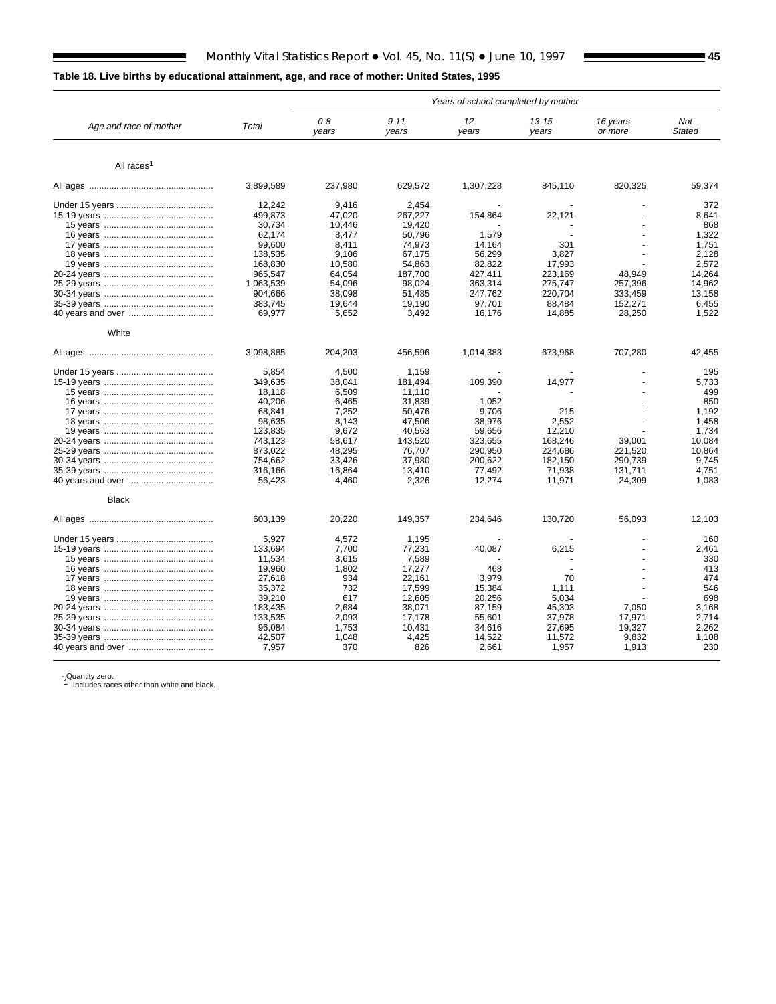# **Table 18. Live births by educational attainment, age, and race of mother: United States, 1995**

■

|                        |           |              |                   | Years of school completed by mother |                    |                     |               |
|------------------------|-----------|--------------|-------------------|-------------------------------------|--------------------|---------------------|---------------|
| Age and race of mother | Total     | 0-8<br>years | $9 - 11$<br>years | 12<br>years                         | $13 - 15$<br>years | 16 years<br>or more | Not<br>Stated |
| All races <sup>1</sup> |           |              |                   |                                     |                    |                     |               |
|                        |           |              |                   |                                     |                    |                     |               |
|                        | 3,899,589 | 237,980      | 629,572           | 1,307,228                           | 845,110            | 820,325             | 59,374        |
|                        | 12.242    | 9.416        | 2.454             |                                     |                    |                     | 372           |
|                        | 499,873   | 47,020       | 267,227           | 154,864                             | 22,121             |                     | 8,641         |
|                        | 30,734    | 10.446       | 19,420            |                                     |                    |                     | 868           |
|                        | 62,174    | 8,477        | 50,796            | 1,579                               |                    |                     | 1,322         |
|                        | 99,600    | 8.411        | 74,973            | 14,164                              | 301                |                     | 1,751         |
|                        | 138,535   | 9,106        | 67,175            | 56,299                              | 3,827              |                     | 2,128         |
|                        | 168,830   | 10,580       | 54,863            | 82,822                              | 17,993             |                     | 2,572         |
|                        | 965,547   | 64,054       | 187,700           | 427,411                             | 223.169            | 48,949              | 14.264        |
|                        | 1,063,539 | 54.096       | 98.024            | 363,314                             | 275.747            | 257.396             | 14,962        |
|                        | 904,666   | 38,098       | 51,485            | 247,762                             | 220,704            | 333,459             | 13,158        |
|                        | 383,745   | 19,644       | 19,190            | 97,701                              | 88,484             | 152,271             | 6,455         |
|                        | 69,977    | 5,652        | 3,492             | 16,176                              | 14,885             | 28,250              | 1,522         |
|                        |           |              |                   |                                     |                    |                     |               |
| White                  |           |              |                   |                                     |                    |                     |               |
|                        | 3,098,885 | 204,203      | 456,596           | 1,014,383                           | 673,968            | 707,280             | 42,455        |
|                        | 5.854     | 4.500        | 1.159             |                                     |                    |                     | 195           |
|                        | 349.635   | 38.041       | 181.494           | 109,390                             | 14,977             |                     | 5,733         |
|                        | 18.118    | 6.509        | 11.110            |                                     |                    |                     | 499           |
|                        | 40,206    | 6,465        | 31,839            | 1,052                               |                    |                     | 850           |
|                        | 68,841    | 7,252        | 50,476            | 9,706                               | 215                |                     | 1,192         |
|                        | 98,635    | 8,143        | 47,506            | 38,976                              | 2,552              |                     | 1,458         |
|                        | 123.835   | 9.672        | 40.563            | 59.656                              | 12.210             |                     | 1.734         |
|                        | 743,123   | 58.617       | 143.520           | 323,655                             | 168.246            | 39.001              | 10.084        |
|                        |           |              |                   |                                     |                    |                     |               |
|                        | 873,022   | 48,295       | 76,707            | 290,950                             | 224,686            | 221,520             | 10,864        |
|                        | 754,662   | 33,426       | 37,980            | 200,622                             | 182,150            | 290,739             | 9,745         |
|                        | 316,166   | 16,864       | 13,410            | 77,492                              | 71,938             | 131,711             | 4,751         |
|                        | 56,423    | 4,460        | 2,326             | 12,274                              | 11,971             | 24,309              | 1,083         |
| <b>Black</b>           |           |              |                   |                                     |                    |                     |               |
|                        | 603,139   | 20,220       | 149,357           | 234,646                             | 130,720            | 56,093              | 12,103        |
|                        | 5,927     | 4,572        | 1,195             |                                     |                    |                     | 160           |
|                        | 133,694   | 7,700        | 77,231            | 40.087                              | 6,215              |                     | 2,461         |
|                        | 11,534    | 3,615        | 7.589             |                                     |                    |                     | 330           |
|                        | 19,960    | 1,802        | 17,277            | 468                                 |                    |                     | 413           |
|                        | 27,618    | 934          | 22.161            | 3,979                               | 70                 |                     | 474           |
|                        | 35,372    | 732          | 17,599            | 15,384                              | 1,111              |                     | 546           |
|                        | 39,210    | 617          | 12,605            | 20,256                              | 5,034              |                     | 698           |
|                        | 183,435   | 2,684        | 38,071            | 87,159                              | 45,303             | 7.050               | 3,168         |
|                        | 133.535   | 2,093        | 17.178            | 55.601                              | 37,978             | 17.971              | 2.714         |
|                        | 96,084    | 1,753        |                   |                                     | 27,695             | 19.327              | 2.262         |
|                        |           |              | 10,431            | 34,616                              |                    |                     |               |
|                        | 42,507    | 1,048        | 4,425             | 14,522                              | 11,572             | 9,832               | 1,108         |
|                        | 7,957     | 370          | 826               | 2,661                               | 1,957              | 1,913               | 230           |

- Quantity zero.<br>1 Includes races other than white and black.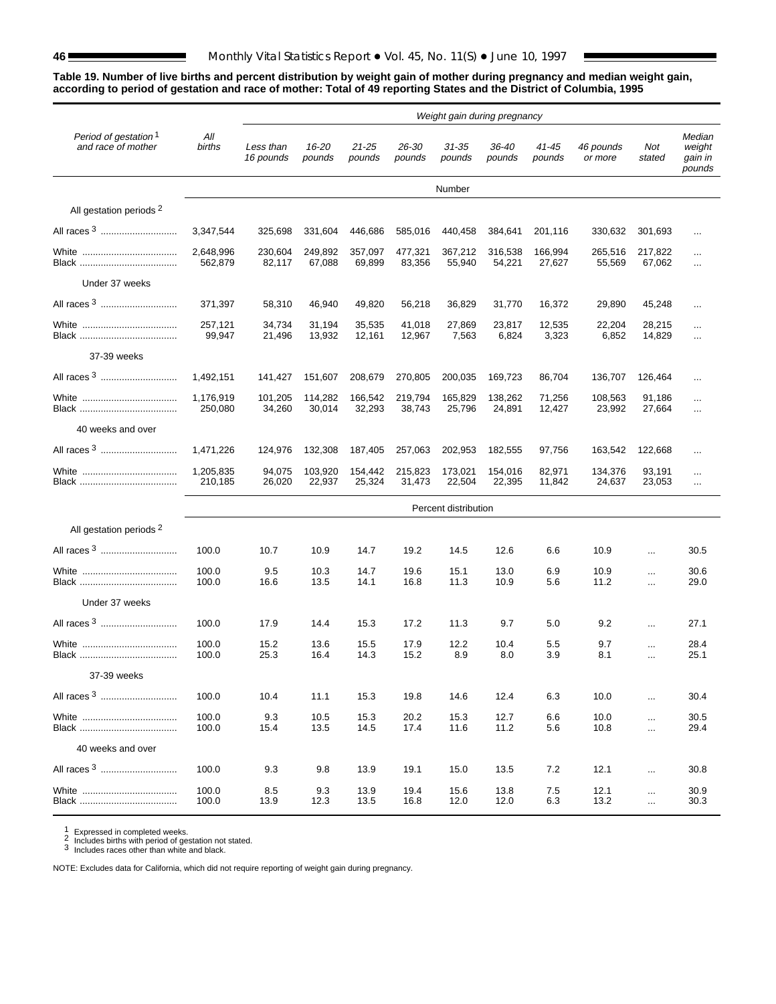### **Table 19. Number of live births and percent distribution by weight gain of mother during pregnancy and median weight gain, according to period of gestation and race of mother: Total of 49 reporting States and the District of Columbia, 1995**

|                                                        | Weight gain during pregnancy |                        |                   |                     |                   |                      |                   |                   |                      |                      |                                       |
|--------------------------------------------------------|------------------------------|------------------------|-------------------|---------------------|-------------------|----------------------|-------------------|-------------------|----------------------|----------------------|---------------------------------------|
| Period of gestation <sup>1</sup><br>and race of mother | All<br>births                | Less than<br>16 pounds | 16-20<br>pounds   | $21 - 25$<br>pounds | 26-30<br>pounds   | $31 - 35$<br>pounds  | 36-40<br>pounds   | 41-45<br>pounds   | 46 pounds<br>or more | Not<br>stated        | Median<br>weight<br>gain in<br>pounds |
|                                                        |                              |                        |                   |                     |                   | Number               |                   |                   |                      |                      |                                       |
| All gestation periods <sup>2</sup>                     |                              |                        |                   |                     |                   |                      |                   |                   |                      |                      |                                       |
| All races <sup>3</sup>                                 | 3.347.544                    | 325,698                | 331,604           | 446,686             | 585,016           | 440,458              | 384,641           | 201,116           | 330,632              | 301,693              |                                       |
|                                                        | 2,648,996<br>562,879         | 230,604<br>82,117      | 249,892<br>67,088 | 357,097<br>69,899   | 477,321<br>83,356 | 367,212<br>55,940    | 316,538<br>54,221 | 166,994<br>27,627 | 265,516<br>55,569    | 217,822<br>67,062    | <br>                                  |
| Under 37 weeks                                         |                              |                        |                   |                     |                   |                      |                   |                   |                      |                      |                                       |
| All races <sup>3</sup>                                 | 371,397                      | 58,310                 | 46,940            | 49,820              | 56,218            | 36,829               | 31,770            | 16,372            | 29,890               | 45,248               | $\cdots$                              |
|                                                        | 257,121<br>99,947            | 34,734<br>21,496       | 31,194<br>13,932  | 35,535<br>12,161    | 41,018<br>12,967  | 27,869<br>7,563      | 23,817<br>6,824   | 12,535<br>3,323   | 22,204<br>6,852      | 28,215<br>14,829     | $\cdots$<br>                          |
| 37-39 weeks                                            |                              |                        |                   |                     |                   |                      |                   |                   |                      |                      |                                       |
| All races <sup>3</sup>                                 | 1,492,151                    | 141,427                | 151,607           | 208,679             | 270,805           | 200,035              | 169,723           | 86,704            | 136,707              | 126,464              | $\ddotsc$                             |
|                                                        | 1,176,919<br>250,080         | 101,205<br>34,260      | 114,282<br>30,014 | 166,542<br>32,293   | 219,794<br>38,743 | 165,829<br>25,796    | 138,262<br>24,891 | 71,256<br>12,427  | 108.563<br>23,992    | 91,186<br>27,664     | $\sim$<br>                            |
| 40 weeks and over                                      |                              |                        |                   |                     |                   |                      |                   |                   |                      |                      |                                       |
| All races 3                                            | 1,471,226                    | 124,976                | 132,308           | 187,405             | 257,063           | 202,953              | 182,555           | 97,756            | 163,542              | 122,668              |                                       |
|                                                        | 1,205,835<br>210,185         | 94,075<br>26,020       | 103,920<br>22,937 | 154,442<br>25,324   | 215,823<br>31,473 | 173,021<br>22,504    | 154,016<br>22,395 | 82,971<br>11,842  | 134,376<br>24,637    | 93,191<br>23,053     | $\sim$<br>$\cdots$                    |
|                                                        |                              |                        |                   |                     |                   | Percent distribution |                   |                   |                      |                      |                                       |
| All gestation periods 2                                |                              |                        |                   |                     |                   |                      |                   |                   |                      |                      |                                       |
|                                                        | 100.0                        | 10.7                   | 10.9              | 14.7                | 19.2              | 14.5                 | 12.6              | 6.6               | 10.9                 | $\cdots$             | 30.5                                  |
| White                                                  | 100.0<br>100.0               | 9.5<br>16.6            | 10.3<br>13.5      | 14.7<br>14.1        | 19.6<br>16.8      | 15.1<br>11.3         | 13.0<br>10.9      | 6.9<br>5.6        | 10.9<br>11.2         | $\ldots$<br>         | 30.6<br>29.0                          |
| Under 37 weeks                                         |                              |                        |                   |                     |                   |                      |                   |                   |                      |                      |                                       |
|                                                        | 100.0                        | 17.9                   | 14.4              | 15.3                | 17.2              | 11.3                 | 9.7               | 5.0               | 9.2                  | $\cdots$             | 27.1                                  |
|                                                        | 100.0<br>100.0               | 15.2<br>25.3           | 13.6<br>16.4      | 15.5<br>14.3        | 17.9<br>15.2      | 12.2<br>8.9          | 10.4<br>8.0       | 5.5<br>3.9        | 9.7<br>8.1           | $\cdots$<br>$\cdots$ | 28.4<br>25.1                          |
| 37-39 weeks                                            |                              |                        |                   |                     |                   |                      |                   |                   |                      |                      |                                       |
|                                                        | 100.0                        | 10.4                   | 11.1              | 15.3                | 19.8              | 14.6                 | 12.4              | 6.3               | 10.0                 | $\sim$               | 30.4                                  |
|                                                        | 100.0<br>100.0               | 9.3<br>15.4            | 10.5<br>13.5      | 15.3<br>14.5        | 20.2<br>17.4      | 15.3<br>11.6         | 12.7<br>11.2      | 6.6<br>5.6        | 10.0<br>10.8         | <br>ù.               | 30.5<br>29.4                          |
| 40 weeks and over                                      |                              |                        |                   |                     |                   |                      |                   |                   |                      |                      |                                       |
| All races <sup>3</sup>                                 | 100.0                        | 9.3                    | 9.8               | 13.9                | 19.1              | 15.0                 | 13.5              | 7.2               | 12.1                 | $\sim$               | 30.8                                  |
|                                                        | 100.0<br>100.0               | 8.5<br>13.9            | 9.3<br>12.3       | 13.9<br>13.5        | 19.4<br>16.8      | 15.6<br>12.0         | 13.8<br>12.0      | 7.5<br>6.3        | 12.1<br>13.2         | <br>$\ddotsc$        | 30.9<br>30.3                          |

1 Expressed in completed weeks.<br>2 Includes births with period of gestation not stated.<br>3 Includes races other than white and black.

NOTE: Excludes data for California, which did not require reporting of weight gain during pregnancy.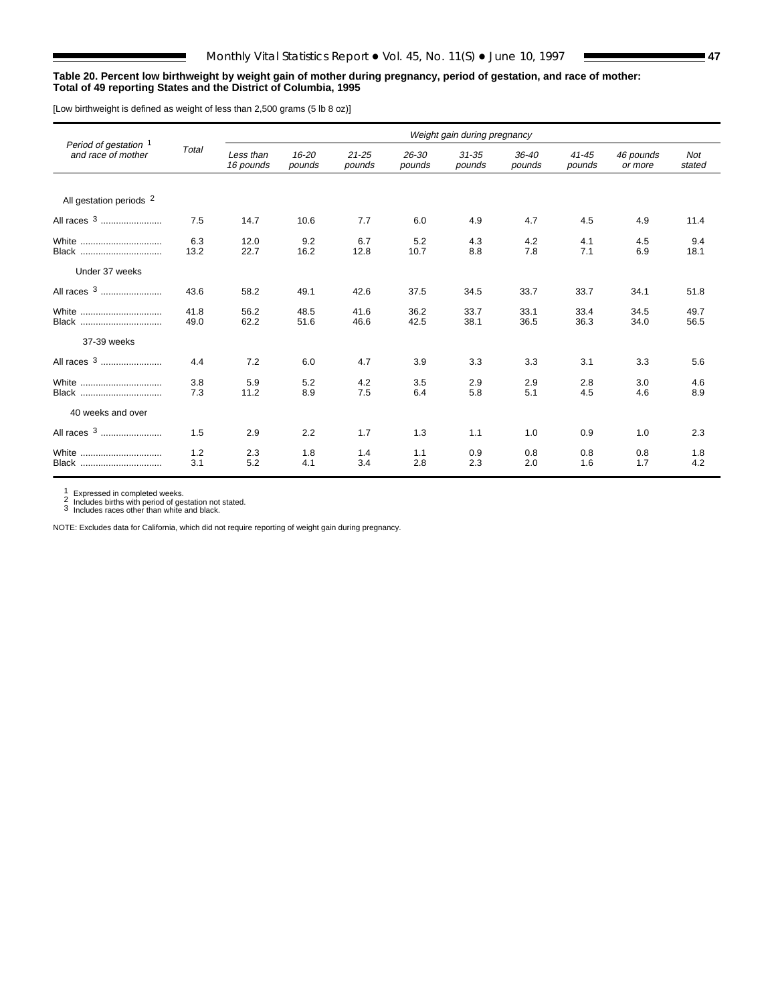### **Table 20. Percent low birthweight by weight gain of mother during pregnancy, period of gestation, and race of mother: Total of 49 reporting States and the District of Columbia, 1995**

[Low birthweight is defined as weight of less than 2,500 grams (5 lb 8 oz)]

|                                             |              | Weight gain during pregnancy |                     |                     |                     |                     |                     |                     |                      |                      |  |  |
|---------------------------------------------|--------------|------------------------------|---------------------|---------------------|---------------------|---------------------|---------------------|---------------------|----------------------|----------------------|--|--|
| Period of gestation 1<br>and race of mother | Total        | Less than<br>16 pounds       | $16 - 20$<br>pounds | $21 - 25$<br>pounds | $26 - 30$<br>pounds | $31 - 35$<br>pounds | $36 - 40$<br>pounds | $41 - 45$<br>pounds | 46 pounds<br>or more | <b>Not</b><br>stated |  |  |
| All gestation periods 2                     |              |                              |                     |                     |                     |                     |                     |                     |                      |                      |  |  |
| All races <sup>3</sup>                      | 7.5          | 14.7                         | 10.6                | 7.7                 | 6.0                 | 4.9                 | 4.7                 | 4.5                 | 4.9                  | 11.4                 |  |  |
| White<br><b>Black</b>                       | 6.3<br>13.2  | 12.0<br>22.7                 | 9.2<br>16.2         | 6.7<br>12.8         | 5.2<br>10.7         | 4.3<br>8.8          | 4.2<br>7.8          | 4.1<br>7.1          | 4.5<br>6.9           | 9.4<br>18.1          |  |  |
| Under 37 weeks                              |              |                              |                     |                     |                     |                     |                     |                     |                      |                      |  |  |
|                                             | 43.6         | 58.2                         | 49.1                | 42.6                | 37.5                | 34.5                | 33.7                | 33.7                | 34.1                 | 51.8                 |  |  |
| White<br>Black                              | 41.8<br>49.0 | 56.2<br>62.2                 | 48.5<br>51.6        | 41.6<br>46.6        | 36.2<br>42.5        | 33.7<br>38.1        | 33.1<br>36.5        | 33.4<br>36.3        | 34.5<br>34.0         | 49.7<br>56.5         |  |  |
| 37-39 weeks                                 |              |                              |                     |                     |                     |                     |                     |                     |                      |                      |  |  |
| All races <sup>3</sup>                      | 4.4          | 7.2                          | 6.0                 | 4.7                 | 3.9                 | 3.3                 | 3.3                 | 3.1                 | 3.3                  | 5.6                  |  |  |
| White<br>Black                              | 3.8<br>7.3   | 5.9<br>11.2                  | 5.2<br>8.9          | 4.2<br>7.5          | 3.5<br>6.4          | 2.9<br>5.8          | 2.9<br>5.1          | 2.8<br>4.5          | 3.0<br>4.6           | 4.6<br>8.9           |  |  |
| 40 weeks and over                           |              |                              |                     |                     |                     |                     |                     |                     |                      |                      |  |  |
| All races 3                                 | 1.5          | 2.9                          | 2.2                 | 1.7                 | 1.3                 | 1.1                 | 1.0                 | 0.9                 | 1.0                  | 2.3                  |  |  |
| White<br>Black                              | 1.2<br>3.1   | 2.3<br>5.2                   | 1.8<br>4.1          | 1.4<br>3.4          | 1.1<br>2.8          | 0.9<br>2.3          | 0.8<br>2.0          | 0.8<br>1.6          | 0.8<br>1.7           | 1.8<br>4.2           |  |  |

1 Expressed in completed weeks.<br>2 Includes births with period of gestation not stated.<br>3 Includes races other than white and black.

NOTE: Excludes data for California, which did not require reporting of weight gain during pregnancy.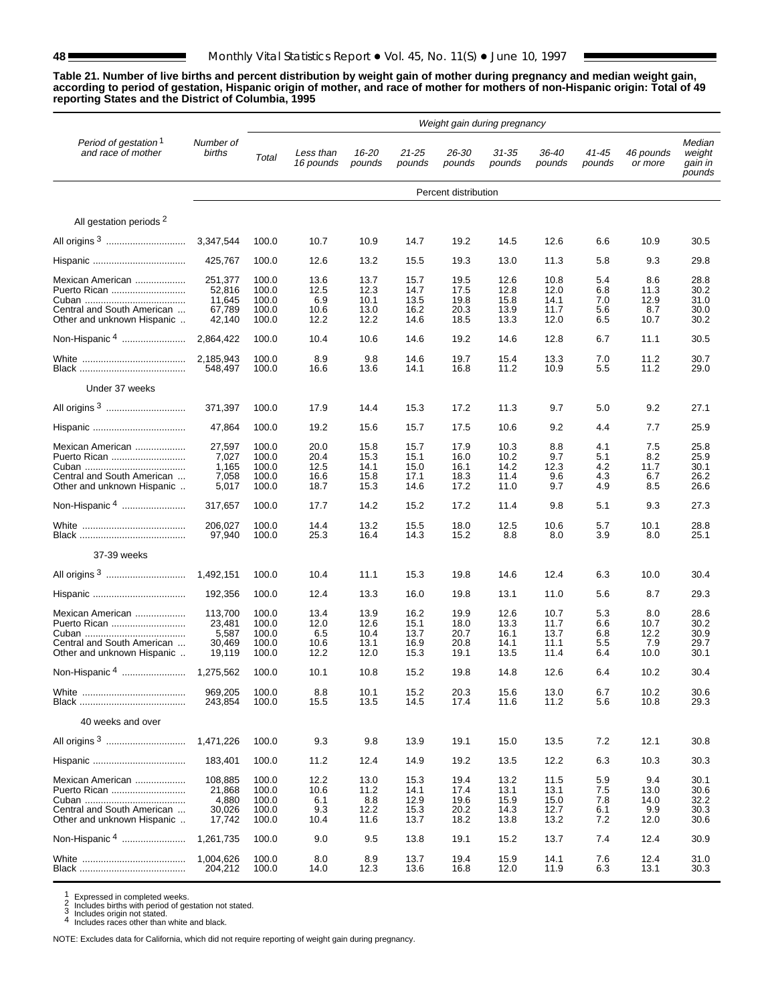**Table 21. Number of live births and percent distribution by weight gain of mother during pregnancy and median weight gain, according to period of gestation, Hispanic origin of mother, and race of mother for mothers of non-Hispanic origin: Total of 49 reporting States and the District of Columbia, 1995**

|                                                                                              | Weight gain during pregnancy                    |                                           |                                      |                                      |                                      |                                      |                                      |                                      |                                 |                                    |                                       |
|----------------------------------------------------------------------------------------------|-------------------------------------------------|-------------------------------------------|--------------------------------------|--------------------------------------|--------------------------------------|--------------------------------------|--------------------------------------|--------------------------------------|---------------------------------|------------------------------------|---------------------------------------|
| Period of gestation <sup>1</sup><br>and race of mother                                       | Number of<br>births                             | Total                                     | Less than<br>16 pounds               | 16-20<br>pounds                      | $21 - 25$<br>pounds                  | 26-30<br>pounds                      | $31 - 35$<br>pounds                  | $36 - 40$<br>pounds                  | 41-45<br>pounds                 | 46 pounds<br>or more               | Median<br>weight<br>gain in<br>pounds |
|                                                                                              |                                                 |                                           |                                      |                                      |                                      | Percent distribution                 |                                      |                                      |                                 |                                    |                                       |
| All gestation periods <sup>2</sup>                                                           |                                                 |                                           |                                      |                                      |                                      |                                      |                                      |                                      |                                 |                                    |                                       |
|                                                                                              | 3.347.544                                       | 100.0                                     | 10.7                                 | 10.9                                 | 14.7                                 | 19.2                                 | 14.5                                 | 12.6                                 | 6.6                             | 10.9                               | 30.5                                  |
|                                                                                              | 425.767                                         | 100.0                                     | 12.6                                 | 13.2                                 | 15.5                                 | 19.3                                 | 13.0                                 | 11.3                                 | 5.8                             | 9.3                                | 29.8                                  |
| Mexican American<br>Puerto Rican<br>Central and South American<br>Other and unknown Hispanic | 251,377<br>52.816<br>11,645<br>67,789<br>42,140 | 100.0<br>100.0<br>100.0<br>100.0<br>100.0 | 13.6<br>12.5<br>6.9<br>10.6<br>12.2  | 13.7<br>12.3<br>10.1<br>13.0<br>12.2 | 15.7<br>14.7<br>13.5<br>16.2<br>14.6 | 19.5<br>17.5<br>19.8<br>20.3<br>18.5 | 12.6<br>12.8<br>15.8<br>13.9<br>13.3 | 10.8<br>12.0<br>14.1<br>11.7<br>12.0 | 5.4<br>6.8<br>7.0<br>5.6<br>6.5 | 8.6<br>11.3<br>12.9<br>8.7<br>10.7 | 28.8<br>30.2<br>31.0<br>30.0<br>30.2  |
| Non-Hispanic <sup>4</sup>                                                                    | 2,864,422                                       | 100.0                                     | 10.4                                 | 10.6                                 | 14.6                                 | 19.2                                 | 14.6                                 | 12.8                                 | 6.7                             | 11.1                               | 30.5                                  |
|                                                                                              | 2,185,943<br>548,497                            | 100.0<br>100.0                            | 8.9<br>16.6                          | 9.8<br>13.6                          | 14.6<br>14.1                         | 19.7<br>16.8                         | 15.4<br>11.2                         | 13.3<br>10.9                         | 7.0<br>5.5                      | 11.2<br>11.2                       | 30.7<br>29.0                          |
| Under 37 weeks                                                                               |                                                 |                                           |                                      |                                      |                                      |                                      |                                      |                                      |                                 |                                    |                                       |
|                                                                                              | 371,397                                         | 100.0                                     | 17.9                                 | 14.4                                 | 15.3                                 | 17.2                                 | 11.3                                 | 9.7                                  | 5.0                             | 9.2                                | 27.1                                  |
|                                                                                              | 47,864                                          | 100.0                                     | 19.2                                 | 15.6                                 | 15.7                                 | 17.5                                 | 10.6                                 | 9.2                                  | 4.4                             | 7.7                                | 25.9                                  |
| Mexican American<br>Puerto Rican<br>Central and South American<br>Other and unknown Hispanic | 27,597<br>7,027<br>1,165<br>7,058<br>5,017      | 100.0<br>100.0<br>100.0<br>100.0<br>100.0 | 20.0<br>20.4<br>12.5<br>16.6<br>18.7 | 15.8<br>15.3<br>14.1<br>15.8<br>15.3 | 15.7<br>15.1<br>15.0<br>17.1<br>14.6 | 17.9<br>16.0<br>16.1<br>18.3<br>17.2 | 10.3<br>10.2<br>14.2<br>11.4<br>11.0 | 8.8<br>9.7<br>12.3<br>9.6<br>9.7     | 4.1<br>5.1<br>4.2<br>4.3<br>4.9 | 7.5<br>8.2<br>11.7<br>6.7<br>8.5   | 25.8<br>25.9<br>30.1<br>26.2<br>26.6  |
| Non-Hispanic 4                                                                               | 317,657                                         | 100.0                                     | 17.7                                 | 14.2                                 | 15.2                                 | 17.2                                 | 11.4                                 | 9.8                                  | 5.1                             | 9.3                                | 27.3                                  |
|                                                                                              | 206,027<br>97,940                               | 100.0<br>100.0                            | 14.4<br>25.3                         | 13.2<br>16.4                         | 15.5<br>14.3                         | 18.0<br>15.2                         | 12.5<br>8.8                          | 10.6<br>8.0                          | 5.7<br>3.9                      | 10.1<br>8.0                        | 28.8<br>25.1                          |
| 37-39 weeks                                                                                  |                                                 |                                           |                                      |                                      |                                      |                                      |                                      |                                      |                                 |                                    |                                       |
|                                                                                              | 1,492,151                                       | 100.0                                     | 10.4                                 | 11.1                                 | 15.3                                 | 19.8                                 | 14.6                                 | 12.4                                 | 6.3                             | 10.0                               | 30.4                                  |
|                                                                                              | 192,356                                         | 100.0                                     | 12.4                                 | 13.3                                 | 16.0                                 | 19.8                                 | 13.1                                 | 11.0                                 | 5.6                             | 8.7                                | 29.3                                  |
| Mexican American<br>Puerto Rican<br>Central and South American<br>Other and unknown Hispanic | 113,700<br>23,481<br>5,587<br>30,469<br>19,119  | 100.0<br>100.0<br>100.0<br>100.0<br>100.0 | 13.4<br>12.0<br>6.5<br>10.6<br>12.2  | 13.9<br>12.6<br>10.4<br>13.1<br>12.0 | 16.2<br>15.1<br>13.7<br>16.9<br>15.3 | 19.9<br>18.0<br>20.7<br>20.8<br>19.1 | 12.6<br>13.3<br>16.1<br>14.1<br>13.5 | 10.7<br>11.7<br>13.7<br>11.1<br>11.4 | 5.3<br>6.6<br>6.8<br>5.5<br>6.4 | 8.0<br>10.7<br>12.2<br>7.9<br>10.0 | 28.6<br>30.2<br>30.9<br>29.7<br>30.1  |
|                                                                                              | 1,275,562                                       | 100.0                                     | 10.1                                 | 10.8                                 | 15.2                                 | 19.8                                 | 14.8                                 | 12.6                                 | 6.4                             | 10.2                               | 30.4                                  |
|                                                                                              | 969,205<br>243,854                              | 100.0<br>100.0                            | 8.8<br>15.5                          | 10.1<br>13.5                         | 15.2<br>14.5                         | 20.3<br>17.4                         | 15.6<br>11.6                         | 13.0<br>11.2                         | 6.7<br>5.6                      | 10.2<br>10.8                       | 30.6<br>29.3                          |
| 40 weeks and over                                                                            |                                                 |                                           |                                      |                                      |                                      |                                      |                                      |                                      |                                 |                                    |                                       |
|                                                                                              | 1,471,226                                       | 100.0                                     | 9.3                                  | 9.8                                  | 13.9                                 | 19.1                                 | 15.0                                 | 13.5                                 | 7.2                             | 12.1                               | 30.8                                  |
|                                                                                              | 183,401                                         | 100.0                                     | 11.2                                 | 12.4                                 | 14.9                                 | 19.2                                 | 13.5                                 | 12.2                                 | 6.3                             | 10.3                               | 30.3                                  |
| Mexican American<br>Puerto Rican<br>Central and South American<br>Other and unknown Hispanic | 108,885<br>21,868<br>4,880<br>30,026<br>17,742  | 100.0<br>100.0<br>100.0<br>100.0<br>100.0 | 12.2<br>10.6<br>6.1<br>9.3<br>10.4   | 13.0<br>11.2<br>8.8<br>12.2<br>11.6  | 15.3<br>14.1<br>12.9<br>15.3<br>13.7 | 19.4<br>17.4<br>19.6<br>20.2<br>18.2 | 13.2<br>13.1<br>15.9<br>14.3<br>13.8 | 11.5<br>13.1<br>15.0<br>12.7<br>13.2 | 5.9<br>7.5<br>7.8<br>6.1<br>7.2 | 9.4<br>13.0<br>14.0<br>9.9<br>12.0 | 30.1<br>30.6<br>32.2<br>30.3<br>30.6  |
| Non-Hispanic <sup>4</sup>                                                                    | 1,261,735                                       | 100.0                                     | 9.0                                  | 9.5                                  | 13.8                                 | 19.1                                 | 15.2                                 | 13.7                                 | 7.4                             | 12.4                               | 30.9                                  |
|                                                                                              | 1,004,626<br>204,212                            | 100.0<br>100.0                            | 8.0<br>14.0                          | 8.9<br>12.3                          | 13.7<br>13.6                         | 19.4<br>16.8                         | 15.9<br>12.0                         | 14.1<br>11.9                         | 7.6<br>6.3                      | 12.4<br>13.1                       | 31.0<br>30.3                          |

1 Expressed in completed weeks.<br>
2 Includes births with period of gestation not stated.<br>
3 Includes origin not stated.<br>
4 Includes races other than white and black.

NOTE: Excludes data for California, which did not require reporting of weight gain during pregnancy.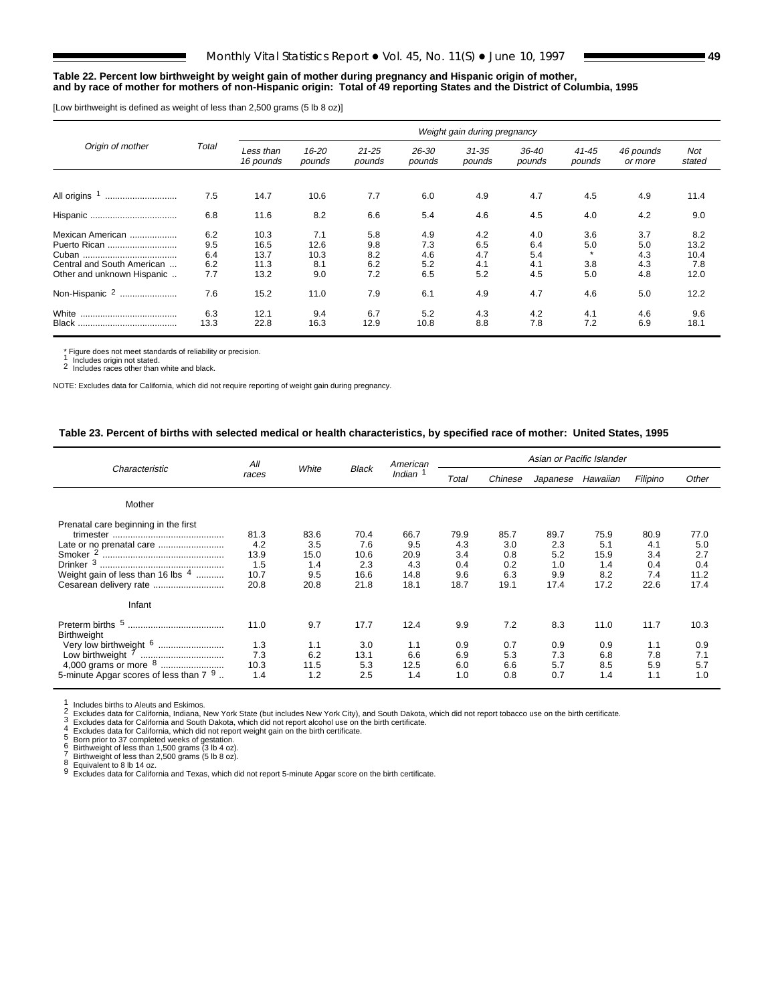### **Table 22. Percent low birthweight by weight gain of mother during pregnancy and Hispanic origin of mother, and by race of mother for mothers of non-Hispanic origin: Total of 49 reporting States and the District of Columbia, 1995**

[Low birthweight is defined as weight of less than 2,500 grams (5 lb 8 oz)]

| Origin of mother           |            |                        |                 |                     |                 | Weight gain during pregnancy |                 |                     |                      |               |
|----------------------------|------------|------------------------|-----------------|---------------------|-----------------|------------------------------|-----------------|---------------------|----------------------|---------------|
|                            | Total      | Less than<br>16 pounds | 16-20<br>pounds | $21 - 25$<br>pounds | 26-30<br>pounds | $31 - 35$<br>pounds          | 36-40<br>pounds | $41 - 45$<br>pounds | 46 pounds<br>or more | Not<br>stated |
|                            |            |                        |                 |                     |                 |                              |                 |                     |                      |               |
| All origins <sup>1</sup>   | 7.5        | 14.7                   | 10.6            | 7.7                 | 6.0             | 4.9                          | 4.7             | 4.5                 | 4.9                  | 11.4          |
|                            | 6.8        | 11.6                   | 8.2             | 6.6                 | 5.4             | 4.6                          | 4.5             | 4.0                 | 4.2                  | 9.0           |
| Mexican American           | 6.2        | 10.3                   | 7.1             | 5.8                 | 4.9             | 4.2                          | 4.0             | 3.6                 | 3.7                  | 8.2           |
| Puerto Rican               | 9.5        | 16.5                   | 12.6            | 9.8                 | 7.3             | 6.5                          | 6.4             | 5.0                 | 5.0                  | 13.2          |
| Central and South American | 6.4<br>6.2 | 13.7<br>11.3           | 10.3<br>8.1     | 8.2                 | 4.6<br>5.2      | 4.7                          | 5.4             | 3.8                 | 4.3<br>4.3           | 10.4<br>7.8   |
| Other and unknown Hispanic | 7.7        | 13.2                   | 9.0             | 6.2<br>7.2          | 6.5             | 4.1<br>5.2                   | 4.1<br>4.5      | 5.0                 | 4.8                  | 12.0          |
| Non-Hispanic 2<br>         | 7.6        | 15.2                   | 11.0            | 7.9                 | 6.1             | 4.9                          | 4.7             | 4.6                 | 5.0                  | 12.2          |
| White                      | 6.3        | 12.1                   | 9.4             | 6.7                 | 5.2             | 4.3                          | 4.2             | 4.1                 | 4.6                  | 9.6           |
| Black                      | 13.3       | 22.8                   | 16.3            | 12.9                | 10.8            | 8.8                          | 7.8             | 7.2                 | 6.9                  | 18.1          |

\* Figure does not meet standards of reliability or precision. 1 Includes origin not stated. 2 Includes races other than white and black.

NOTE: Excludes data for California, which did not require reporting of weight gain during pregnancy.

## **Table 23. Percent of births with selected medical or health characteristics, by specified race of mother: United States, 1995**

|                                                                                                                                                      | All                                        |                                           |                                            | American                                   |                                          |                                          | Asian or Pacific Islander                |                                           |                                          |                                           |
|------------------------------------------------------------------------------------------------------------------------------------------------------|--------------------------------------------|-------------------------------------------|--------------------------------------------|--------------------------------------------|------------------------------------------|------------------------------------------|------------------------------------------|-------------------------------------------|------------------------------------------|-------------------------------------------|
| Characteristic                                                                                                                                       | races                                      | White                                     | <b>Black</b>                               | Indian                                     | Total                                    | Chinese                                  | Japanese                                 | Hawaiian                                  | Filipino                                 | Other                                     |
| Mother                                                                                                                                               |                                            |                                           |                                            |                                            |                                          |                                          |                                          |                                           |                                          |                                           |
| Prenatal care beginning in the first<br>Smoker <sup>2</sup><br>Drinker <sup>3</sup><br>Weight gain of less than 16 lbs $4$<br>Cesarean delivery rate | 81.3<br>4.2<br>13.9<br>1.5<br>10.7<br>20.8 | 83.6<br>3.5<br>15.0<br>1.4<br>9.5<br>20.8 | 70.4<br>7.6<br>10.6<br>2.3<br>16.6<br>21.8 | 66.7<br>9.5<br>20.9<br>4.3<br>14.8<br>18.1 | 79.9<br>4.3<br>3.4<br>0.4<br>9.6<br>18.7 | 85.7<br>3.0<br>0.8<br>0.2<br>6.3<br>19.1 | 89.7<br>2.3<br>5.2<br>1.0<br>9.9<br>17.4 | 75.9<br>5.1<br>15.9<br>1.4<br>8.2<br>17.2 | 80.9<br>4.1<br>3.4<br>0.4<br>7.4<br>22.6 | 77.0<br>5.0<br>2.7<br>0.4<br>11.2<br>17.4 |
| Infant                                                                                                                                               |                                            |                                           |                                            |                                            |                                          |                                          |                                          |                                           |                                          |                                           |
| Preterm births 5<br><b>Birthweight</b><br>Very low birthweight <sup>6</sup><br><br>Low birthweight <sup>7</sup><br>                                  | 11.0<br>1.3<br>7.3<br>10.3                 | 9.7<br>1.1<br>6.2<br>11.5                 | 17.7<br>3.0<br>13.1<br>5.3                 | 12.4<br>1.1<br>6.6<br>12.5                 | 9.9<br>0.9<br>6.9<br>6.0                 | 7.2<br>0.7<br>5.3<br>6.6                 | 8.3<br>0.9<br>7.3<br>5.7                 | 11.0<br>0.9<br>6.8<br>8.5                 | 11.7<br>1.1<br>7.8<br>5.9                | 10.3<br>0.9<br>7.1<br>5.7                 |
| 5-minute Apgar scores of less than 7 9.                                                                                                              | 1.4                                        | 1.2                                       | 2.5                                        | 1.4                                        | 1.0                                      | 0.8                                      | 0.7                                      | 1.4                                       | 1.1                                      | 1.0                                       |

1 Includes births to Aleuts and Eskimos.<br>
2 Excludes data for California, Indiana, New York State (but includes New York City), and South Dakota, which did not report tobacco use on the birth certificate.<br>
3 Excludes data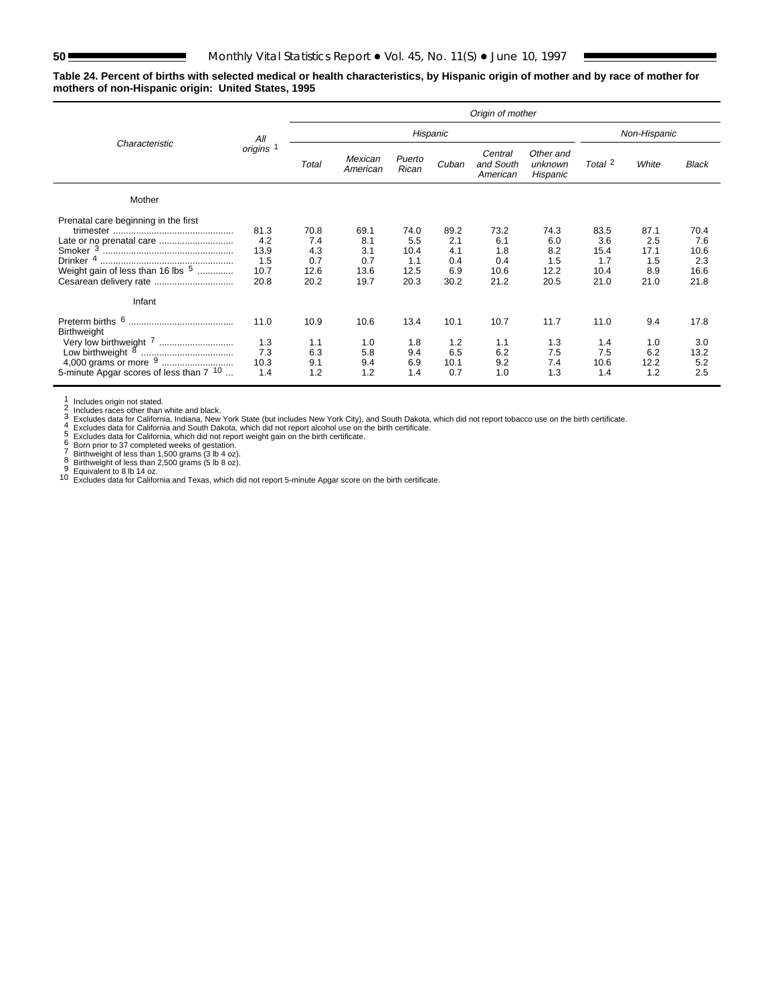**Table 24. Percent of births with selected medical or health characteristics, by Hispanic origin of mother and by race of mother for mothers of non-Hispanic origin: United States, 1995**

|                                                                                                                                           |                                            |                                           |                                           |                                            |                                          | Origin of mother                          |                                           |                                            |                                           |                                            |
|-------------------------------------------------------------------------------------------------------------------------------------------|--------------------------------------------|-------------------------------------------|-------------------------------------------|--------------------------------------------|------------------------------------------|-------------------------------------------|-------------------------------------------|--------------------------------------------|-------------------------------------------|--------------------------------------------|
| Characteristic                                                                                                                            | All                                        |                                           |                                           |                                            | Hispanic                                 |                                           |                                           |                                            | Non-Hispanic                              |                                            |
|                                                                                                                                           | origins <sup>1</sup>                       | Total                                     | Mexican<br>American                       | Puerto<br>Rican                            | Cuban                                    | Central<br>and South<br>American          | Other and<br>unknown<br>Hispanic          | Total 2                                    | White                                     | <b>Black</b>                               |
| Mother                                                                                                                                    |                                            |                                           |                                           |                                            |                                          |                                           |                                           |                                            |                                           |                                            |
| Prenatal care beginning in the first<br>Late or no prenatal care<br>Weight gain of less than 16 lbs 5<br>Cesarean delivery rate<br>Infant | 81.3<br>4.2<br>13.9<br>1.5<br>10.7<br>20.8 | 70.8<br>7.4<br>4.3<br>0.7<br>12.6<br>20.2 | 69.1<br>8.1<br>3.1<br>0.7<br>13.6<br>19.7 | 74.0<br>5.5<br>10.4<br>1.1<br>12.5<br>20.3 | 89.2<br>2.1<br>4.1<br>0.4<br>6.9<br>30.2 | 73.2<br>6.1<br>1.8<br>0.4<br>10.6<br>21.2 | 74.3<br>6.0<br>8.2<br>1.5<br>12.2<br>20.5 | 83.5<br>3.6<br>15.4<br>1.7<br>10.4<br>21.0 | 87.1<br>2.5<br>17.1<br>1.5<br>8.9<br>21.0 | 70.4<br>7.6<br>10.6<br>2.3<br>16.6<br>21.8 |
| Preterm births 6<br>Birthweight<br>Very low birthweight (<br>5-minute Apgar scores of less than 7 <sup>10</sup>                           | 11.0<br>1.3<br>7.3<br>10.3<br>1.4          | 10.9<br>1.1<br>6.3<br>9.1<br>1.2          | 10.6<br>1.0<br>5.8<br>9.4<br>1.2          | 13.4<br>1.8<br>9.4<br>6.9<br>1.4           | 10.1<br>1.2<br>6.5<br>10.1<br>0.7        | 10.7<br>1.1<br>6.2<br>9.2<br>1.0          | 11.7<br>1.3<br>7.5<br>7.4<br>1.3          | 11.0<br>1.4<br>7.5<br>10.6<br>1.4          | 9.4<br>1.0<br>6.2<br>12.2<br>1.2          | 17.8<br>3.0<br>13.2<br>5.2<br>2.5          |

1<br>
2 Includes origin not stated.<br>
2 Includes races other than white and black.<br>
2 Includes races other than white and black.<br>
4 Excludes data for California , Indiana, New York State (but includes New York City), and South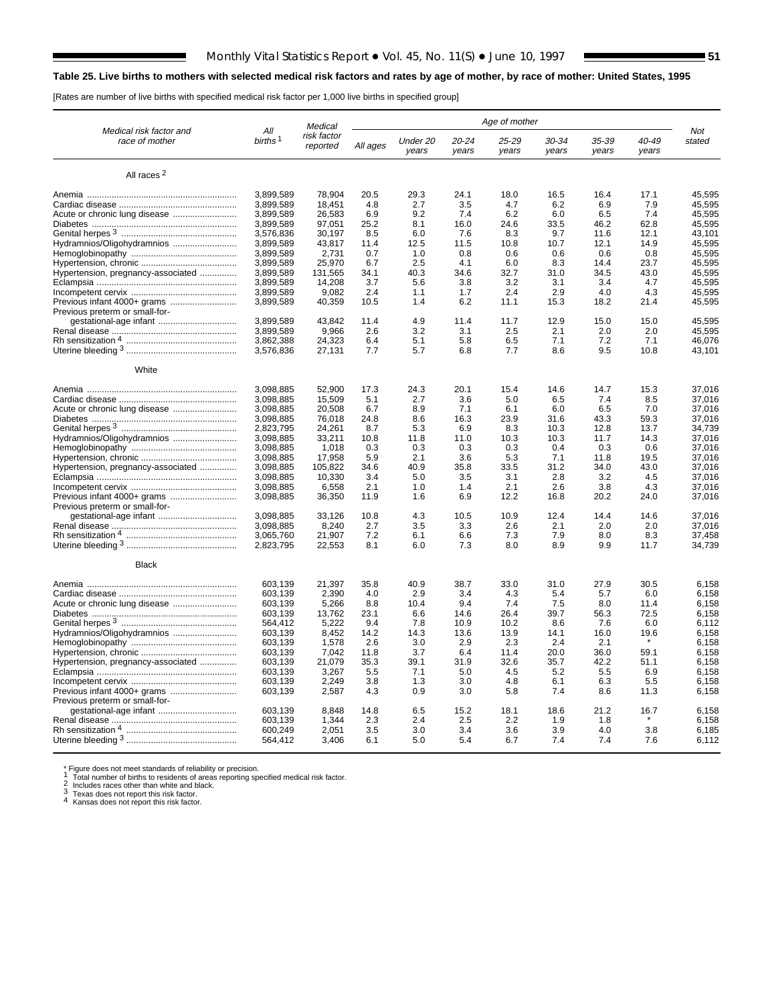# **Table 25. Live births to mothers with selected medical risk factors and rates by age of mother, by race of mother: United States, 1995**

[Rates are number of live births with specified medical risk factor per 1,000 live births in specified group]

|                                           |                            | Medical                 |              |                   |                    | Age of mother  |                    |                |                |                  |
|-------------------------------------------|----------------------------|-------------------------|--------------|-------------------|--------------------|----------------|--------------------|----------------|----------------|------------------|
| Medical risk factor and<br>race of mother | All<br>births <sup>1</sup> | risk factor<br>reported | All ages     | Under 20<br>years | $20 - 24$<br>years | 25-29<br>years | $30 - 34$<br>years | 35-39<br>years | 40-49<br>years | Not<br>stated    |
| All races <sup>2</sup>                    |                            |                         |              |                   |                    |                |                    |                |                |                  |
|                                           | 3.899.589                  | 78,904                  | 20.5         | 29.3              | 24.1               | 18.0           | 16.5               | 16.4           | 17.1           | 45,595           |
|                                           | 3,899,589                  | 18,451                  | 4.8          | 2.7               | 3.5                | 4.7            | 6.2                | 6.9            | 7.9            | 45,595           |
|                                           | 3,899,589                  | 26,583                  | 6.9          | 9.2               | 7.4                | 6.2            | 6.0                | 6.5            | 7.4            | 45,595           |
|                                           | 3.899.589                  | 97.051                  | 25.2         | 8.1               | 16.0               | 24.6           | 33.5               | 46.2           | 62.8           | 45.595           |
|                                           | 3,576,836                  | 30,197                  | 8.5          | 6.0               | 7.6                | 8.3            | 9.7                | 11.6           | 12.1           | 43,101           |
| Hydramnios/Oligohydramnios                | 3.899.589                  | 43.817                  | 11.4         | 12.5              | 11.5               | 10.8           | 10.7               | 12.1           | 14.9           | 45.595           |
|                                           | 3,899,589                  | 2,731                   | 0.7          | 1.0               | 0.8                | 0.6            | 0.6                | 0.6            | 0.8            | 45,595           |
|                                           | 3.899.589                  | 25.970                  | 6.7          | 2.5               | 4.1                | 6.0            | 8.3                | 14.4           | 23.7           | 45,595           |
| Hypertension, pregnancy-associated        | 3,899,589<br>3.899.589     | 131,565                 | 34.1<br>3.7  | 40.3<br>5.6       | 34.6               | 32.7<br>3.2    | 31.0<br>3.1        | 34.5<br>3.4    | 43.0<br>4.7    | 45,595<br>45,595 |
|                                           | 3,899,589                  | 14,208<br>9,082         | 2.4          | 1.1               | 3.8<br>1.7         | 2.4            | 2.9                | 4.0            | 4.3            | 45,595           |
|                                           | 3,899,589                  | 40,359                  | 10.5         | 1.4               | 6.2                | 11.1           | 15.3               | 18.2           | 21.4           | 45,595           |
| Previous preterm or small-for-            |                            |                         |              |                   |                    |                |                    |                |                |                  |
| gestational-age infant                    | 3.899.589                  | 43.842                  | 11.4         | 4.9               | 11.4               | 11.7           | 12.9               | 15.0           | 15.0           | 45.595           |
|                                           | 3,899,589                  | 9,966                   | 2.6          | 3.2               | 3.1                | 2.5            | 2.1                | 2.0            | 2.0            | 45,595           |
|                                           | 3,862,388                  | 24.323                  | 6.4          | 5.1               | 5.8                | 6.5            | 7.1                | 7.2            | 7.1            | 46,076           |
|                                           | 3,576,836                  | 27,131                  | 7.7          | 5.7               | 6.8                | 7.7            | 8.6                | 9.5            | 10.8           | 43,101           |
| White                                     |                            |                         |              |                   |                    |                |                    |                |                |                  |
|                                           | 3,098,885                  | 52,900                  | 17.3         | 24.3              | 20.1               | 15.4           | 14.6               | 14.7           | 15.3           | 37,016           |
|                                           | 3,098,885                  | 15,509                  | 5.1          | 2.7               | 3.6                | 5.0            | 6.5                | 7.4            | 8.5            | 37,016           |
|                                           | 3,098,885                  | 20,508                  | 6.7          | 8.9               | 7.1                | 6.1            | 6.0                | 6.5            | 7.0            | 37,016           |
|                                           | 3,098,885                  | 76,018                  | 24.8         | 8.6               | 16.3               | 23.9           | 31.6               | 43.3           | 59.3           | 37.016           |
|                                           | 2,823,795                  | 24,261                  | 8.7          | 5.3               | 6.9                | 8.3            | 10.3               | 12.8           | 13.7           | 34,739           |
| Hydramnios/Oligohydramnios                | 3,098,885                  | 33,211                  | 10.8         | 11.8              | 11.0               | 10.3           | 10.3               | 11.7           | 14.3           | 37,016           |
|                                           | 3,098,885                  | 1,018                   | 0.3          | 0.3               | 0.3                | 0.3            | 0.4                | 0.3            | 0.6            | 37,016           |
|                                           | 3,098,885                  | 17,958                  | 5.9          | 2.1               | 3.6                | 5.3            | 7.1                | 11.8           | 19.5           | 37,016           |
| Hypertension, pregnancy-associated        | 3.098.885<br>3,098,885     | 105.822<br>10,330       | 34.6<br>3.4  | 40.9<br>5.0       | 35.8<br>3.5        | 33.5<br>3.1    | 31.2<br>2.8        | 34.0<br>3.2    | 43.0<br>4.5    | 37.016<br>37,016 |
|                                           | 3.098.885                  | 6.558                   | 2.1          | 1.0               | 1.4                | 2.1            | 2.6                | 3.8            | 4.3            | 37.016           |
| Previous infant 4000+ grams               | 3,098,885                  | 36,350                  | 11.9         | 1.6               | 6.9                | 12.2           | 16.8               | 20.2           | 24.0           | 37,016           |
| Previous preterm or small-for-            |                            |                         |              |                   |                    |                |                    |                |                |                  |
| gestational-age infant                    | 3,098,885                  | 33,126                  | 10.8         | 4.3               | 10.5               | 10.9           | 12.4               | 14.4           | 14.6           | 37,016           |
|                                           | 3,098,885                  | 8,240                   | 2.7          | 3.5               | 3.3                | 2.6            | 2.1                | 2.0            | 2.0            | 37,016           |
|                                           | 3,065,760                  | 21,907                  | 7.2          | 6.1               | 6.6                | 7.3            | 7.9                | 8.0            | 8.3            | 37,458           |
|                                           | 2,823,795                  | 22,553                  | 8.1          | 6.0               | 7.3                | 8.0            | 8.9                | 9.9            | 11.7           | 34.739           |
| <b>Black</b>                              |                            |                         |              |                   |                    |                |                    |                |                |                  |
|                                           | 603.139                    | 21,397                  | 35.8         | 40.9              | 38.7               | 33.0           | 31.0               | 27.9           | 30.5           | 6,158            |
|                                           | 603.139                    | 2.390                   | 4.0          | 2.9               | 3.4                | 4.3            | 5.4                | 5.7            | 6.0            | 6,158            |
|                                           | 603,139                    | 5,266                   | 8.8          | 10.4              | 9.4                | 7.4            | 7.5                | 8.0            | 11.4           | 6,158            |
|                                           | 603,139                    | 13,762                  | 23.1         | 6.6               | 14.6               | 26.4           | 39.7               | 56.3           | 72.5           | 6,158            |
|                                           | 564,412                    | 5,222                   | 9.4          | 7.8               | 10.9               | 10.2           | 8.6                | 7.6            | 6.0            | 6,112            |
| Hydramnios/Oligohydramnios                | 603,139                    | 8,452                   | 14.2         | 14.3              | 13.6               | 13.9           | 14.1               | 16.0           | 19.6           | 6,158            |
|                                           | 603,139                    | 1,578                   | 2.6          | 3.0               | 2.9                | 2.3            | 2.4                | 2.1            |                | 6,158            |
| Hypertension, pregnancy-associated        | 603,139<br>603,139         | 7,042<br>21,079         | 11.8<br>35.3 | 3.7<br>39.1       | 6.4<br>31.9        | 11.4<br>32.6   | 20.0<br>35.7       | 36.0<br>42.2   | 59.1<br>51.1   | 6,158<br>6,158   |
|                                           | 603,139                    | 3,267                   | 5.5          | 7.1               | 5.0                | 4.5            | 5.2                | 5.5            | 6.9            | 6,158            |
|                                           | 603,139                    | 2,249                   | 3.8          | 1.3               | 3.0                | 4.8            | 6.1                | 6.3            | 5.5            | 6,158            |
|                                           | 603,139                    | 2,587                   | 4.3          | 0.9               | 3.0                | 5.8            | 7.4                | 8.6            | 11.3           | 6.158            |
| Previous preterm or small-for-            |                            |                         |              |                   |                    |                |                    |                |                |                  |
|                                           | 603.139                    | 8.848                   | 14.8         | 6.5               | 15.2               | 18.1           | 18.6               | 21.2           | 16.7           | 6.158            |
|                                           | 603,139                    | 1,344                   | 2.3          | 2.4               | 2.5                | 2.2            | 1.9                | 1.8            |                | 6,158            |
|                                           | 600,249                    | 2,051                   | 3.5          | 3.0               | 3.4                | 3.6            | 3.9                | 4.0            | 3.8            | 6,185            |
|                                           | 564,412                    | 3,406                   | 6.1          | 5.0               | 5.4                | 6.7            | 7.4                | 7.4            | 7.6            | 6,112            |

\* Figure does not meet standards of reliability or precision.<br>1 Total number of births to residents of areas reporting specified medical risk factor.<br>2 Includes races other than white and black.<br>3 Texas does not report thi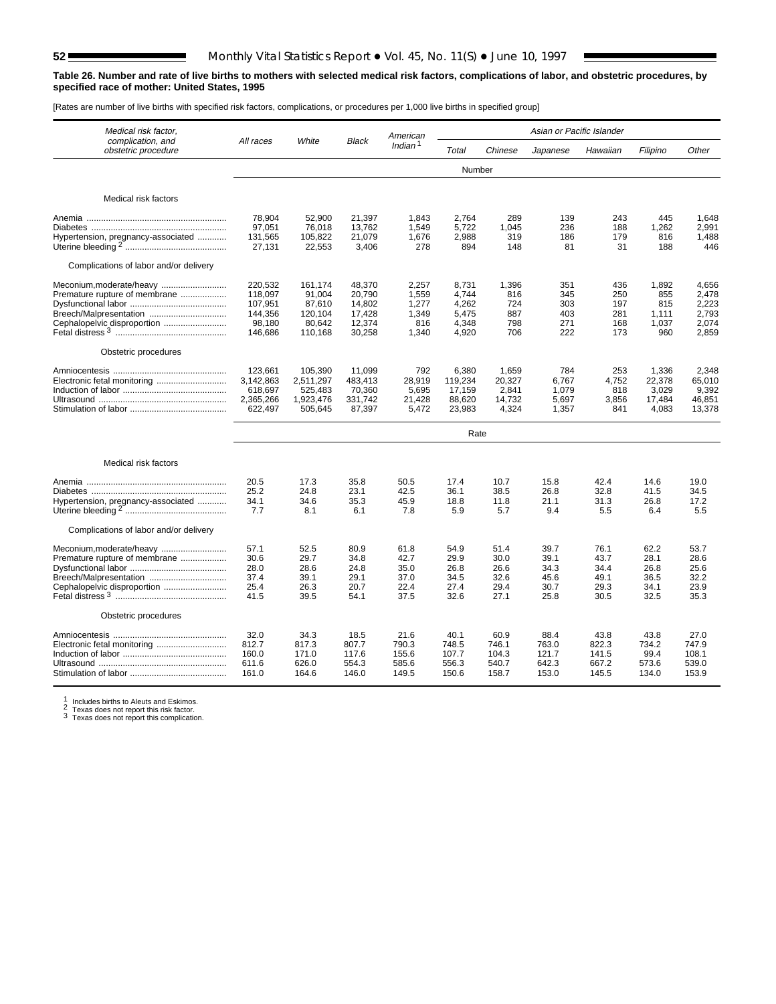#### **Table 26. Number and rate of live births to mothers with selected medical risk factors, complications of labor, and obstetric procedures, by specified race of mother: United States, 1995**

[Rates are number of live births with specified risk factors, complications, or procedures per 1,000 live births in specified group]

| Medical risk factor,                                  |                      |                      |                   | American            |                  |                 | Asian or Pacific Islander |              |                 |                 |
|-------------------------------------------------------|----------------------|----------------------|-------------------|---------------------|------------------|-----------------|---------------------------|--------------|-----------------|-----------------|
| complication, and<br>obstetric procedure              | All races            | White                | <b>Black</b>      | Indian <sup>1</sup> | Total            | Chinese         | Japanese                  | Hawaiian     | Filipino        | Other           |
|                                                       |                      |                      |                   |                     | Number           |                 |                           |              |                 |                 |
| Medical risk factors                                  |                      |                      |                   |                     |                  |                 |                           |              |                 |                 |
|                                                       |                      |                      |                   |                     |                  |                 |                           |              |                 |                 |
|                                                       | 78.904<br>97,051     | 52,900<br>76,018     | 21,397<br>13,762  | 1,843<br>1,549      | 2,764<br>5,722   | 289<br>1,045    | 139<br>236                | 243<br>188   | 445<br>1,262    | 1.648<br>2,991  |
| Hypertension, pregnancy-associated                    | 131,565              | 105,822              | 21,079            | 1,676               | 2,988            | 319             | 186                       | 179          | 816             | 1,488           |
|                                                       | 27,131               | 22,553               | 3,406             | 278                 | 894              | 148             | 81                        | 31           | 188             | 446             |
| Complications of labor and/or delivery                |                      |                      |                   |                     |                  |                 |                           |              |                 |                 |
| Meconium, moderate/heavy                              | 220,532              | 161,174              | 48,370            | 2,257               | 8,731            | 1,396           | 351                       | 436          | 1,892           | 4,656           |
| Premature rupture of membrane                         | 118.097              | 91.004               | 20,790            | 1,559               | 4,744            | 816             | 345                       | 250          | 855             | 2,478           |
| Breech/Malpresentation                                | 107,951<br>144,356   | 87,610<br>120,104    | 14,802<br>17,428  | 1,277<br>1,349      | 4,262<br>5,475   | 724<br>887      | 303<br>403                | 197<br>281   | 815<br>1.111    | 2,223<br>2.793  |
| Cephalopelvic disproportion                           | 98.180               | 80.642               | 12,374            | 816                 | 4.348            | 798             | 271                       | 168          | 1,037           | 2.074           |
|                                                       | 146.686              | 110,168              | 30,258            | 1,340               | 4,920            | 706             | 222                       | 173          | 960             | 2.859           |
| Obstetric procedures                                  |                      |                      |                   |                     |                  |                 |                           |              |                 |                 |
|                                                       | 123,661              | 105,390              | 11,099            | 792                 | 6,380            | 1,659           | 784                       | 253          | 1.336           | 2.348           |
|                                                       | 3,142,863            | 2,511,297            | 483,413           | 28,919              | 119,234          | 20,327          | 6,767                     | 4,752        | 22,378          | 65,010          |
|                                                       | 618,697<br>2,365,266 | 525,483<br>1,923,476 | 70,360<br>331,742 | 5,695<br>21,428     | 17,159<br>88,620 | 2,841<br>14,732 | 1,079<br>5,697            | 818<br>3,856 | 3,029<br>17,484 | 9,392<br>46,851 |
|                                                       | 622,497              | 505,645              | 87,397            | 5,472               | 23,983           | 4,324           | 1,357                     | 841          | 4,083           | 13,378          |
|                                                       |                      |                      |                   |                     | Rate             |                 |                           |              |                 |                 |
|                                                       |                      |                      |                   |                     |                  |                 |                           |              |                 |                 |
| Medical risk factors                                  |                      |                      |                   |                     |                  |                 |                           |              |                 |                 |
|                                                       | 20.5                 | 17.3                 | 35.8              | 50.5                | 17.4             | 10.7            | 15.8                      | 42.4         | 14.6            | 19.0            |
|                                                       | 25.2                 | 24.8                 | 23.1              | 42.5                | 36.1             | 38.5            | 26.8                      | 32.8         | 41.5            | 34.5            |
| Hypertension, pregnancy-associated                    | 34.1<br>7.7          | 34.6<br>8.1          | 35.3<br>6.1       | 45.9<br>7.8         | 18.8<br>5.9      | 11.8<br>5.7     | 21.1<br>9.4               | 31.3<br>5.5  | 26.8<br>6.4     | 17.2<br>5.5     |
| Complications of labor and/or delivery                |                      |                      |                   |                     |                  |                 |                           |              |                 |                 |
|                                                       | 57.1                 | 52.5                 | 80.9              | 61.8                | 54.9             | 51.4            | 39.7                      | 76.1         | 62.2            | 53.7            |
| Premature rupture of membrane                         | 30.6                 | 29.7                 | 34.8              | 42.7                | 29.9             | 30.0            | 39.1                      | 43.7         | 28.1            | 28.6            |
|                                                       | 28.0                 | 28.6                 | 24.8              | 35.0                | 26.8             | 26.6            | 34.3                      | 34.4         | 26.8            | 25.6            |
| Breech/Malpresentation<br>Cephalopelvic disproportion | 37.4<br>25.4         | 39.1<br>26.3         | 29.1<br>20.7      | 37.0<br>22.4        | 34.5<br>27.4     | 32.6<br>29.4    | 45.6<br>30.7              | 49.1<br>29.3 | 36.5<br>34.1    | 32.2<br>23.9    |
|                                                       | 41.5                 | 39.5                 | 54.1              | 37.5                | 32.6             | 27.1            | 25.8                      | 30.5         | 32.5            | 35.3            |
| Obstetric procedures                                  |                      |                      |                   |                     |                  |                 |                           |              |                 |                 |
|                                                       | 32.0                 | 34.3                 | 18.5              | 21.6                | 40.1             | 60.9            | 88.4                      | 43.8         | 43.8            | 27.0            |
|                                                       | 812.7                | 817.3                | 807.7             | 790.3               | 748.5            | 746.1           | 763.0                     | 822.3        | 734.2           | 747.9           |
|                                                       | 160.0                | 171.0                | 117.6             | 155.6               | 107.7            | 104.3           | 121.7                     | 141.5        | 99.4            | 108.1           |
|                                                       | 611.6                | 626.0                | 554.3             | 585.6               | 556.3            | 540.7           | 642.3                     | 667.2        | 573.6           | 539.0           |
|                                                       | 161.0                | 164.6                | 146.0             | 149.5               | 150.6            | 158.7           | 153.0                     | 145.5        | 134.0           | 153.9           |

<sup>1</sup> Includes births to Aleuts and Eskimos. 2 Texas does not report this risk factor. 3 Texas does not report this complication.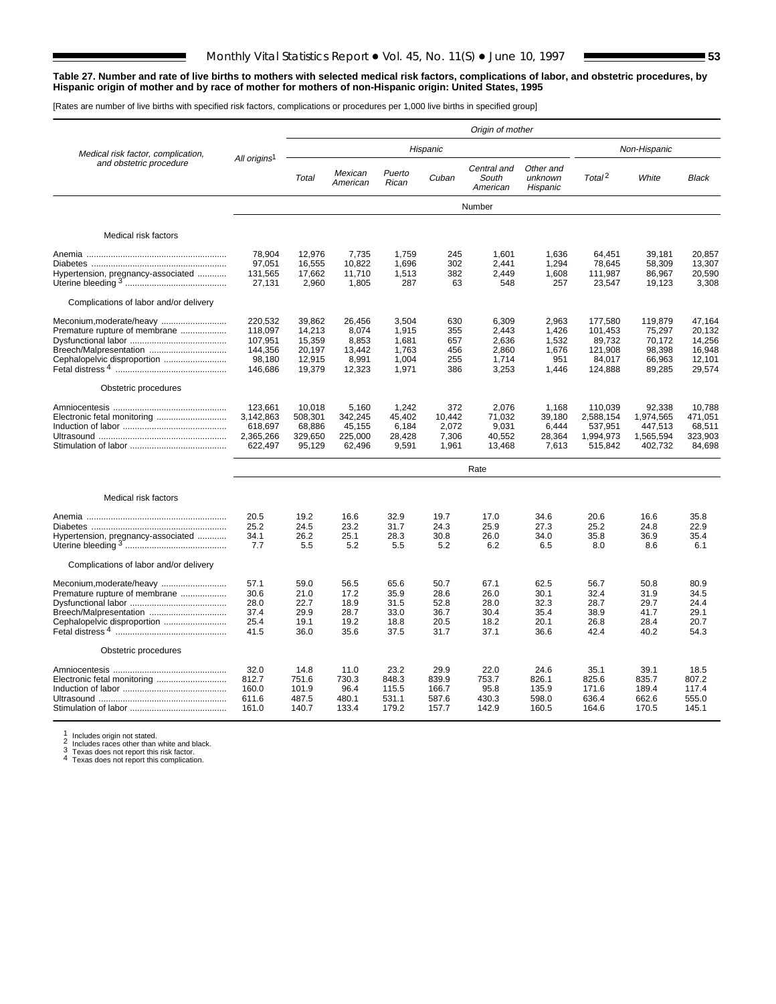#### **Table 27. Number and rate of live births to mothers with selected medical risk factors, complications of labor, and obstetric procedures, by Hispanic origin of mother and by race of mother for mothers of non-Hispanic origin: United States, 1995**

[Rates are number of live births with specified risk factors, complications or procedures per 1,000 live births in specified group]

|                                        |                          |         |                     |                 |          | Origin of mother                 |                                  |                    |              |              |
|----------------------------------------|--------------------------|---------|---------------------|-----------------|----------|----------------------------------|----------------------------------|--------------------|--------------|--------------|
| Medical risk factor, complication,     |                          |         |                     |                 | Hispanic |                                  |                                  |                    | Non-Hispanic |              |
| and obstetric procedure                | All origins <sup>1</sup> | Total   | Mexican<br>American | Puerto<br>Rican | Cuban    | Central and<br>South<br>American | Other and<br>unknown<br>Hispanic | Total <sup>2</sup> | White        | <b>Black</b> |
|                                        |                          |         |                     |                 |          | Number                           |                                  |                    |              |              |
| Medical risk factors                   |                          |         |                     |                 |          |                                  |                                  |                    |              |              |
|                                        | 78.904                   | 12.976  | 7,735               | 1.759           | 245      | 1.601                            | 1.636                            | 64.451             | 39.181       | 20.857       |
|                                        | 97.051                   | 16.555  | 10.822              | 1.696           | 302      | 2.441                            | 1.294                            | 78.645             | 58.309       | 13.307       |
| Hypertension, pregnancy-associated     | 131,565                  | 17,662  | 11.710              | 1.513           | 382      | 2.449                            | 1,608                            | 111.987            | 86,967       | 20.590       |
|                                        | 27,131                   | 2,960   | 1,805               | 287             | 63       | 548                              | 257                              | 23,547             | 19,123       | 3,308        |
| Complications of labor and/or delivery |                          |         |                     |                 |          |                                  |                                  |                    |              |              |
| Meconium, moderate/heavy               | 220.532                  | 39,862  | 26,456              | 3,504           | 630      | 6,309                            | 2,963                            | 177,580            | 119,879      | 47.164       |
| Premature rupture of membrane          | 118.097                  | 14,213  | 8.074               | 1.915           | 355      | 2.443                            | 1,426                            | 101,453            | 75,297       | 20.132       |
|                                        | 107.951                  | 15.359  | 8.853               | 1.681           | 657      | 2.636                            | 1.532                            | 89.732             | 70.172       | 14.256       |
| Breech/Malpresentation                 | 144.356                  | 20,197  | 13.442              | 1.763           | 456      | 2.860                            | 1.676                            | 121.908            | 98,398       | 16.948       |
| Cephalopelvic disproportion            | 98,180                   | 12,915  | 8,991               | 1,004           | 255      | 1,714                            | 951                              | 84,017             | 66,963       | 12,101       |
|                                        | 146,686                  | 19,379  | 12,323              | 1,971           | 386      | 3,253                            | 1,446                            | 124,888            | 89,285       | 29,574       |
| Obstetric procedures                   |                          |         |                     |                 |          |                                  |                                  |                    |              |              |
|                                        | 123.661                  | 10.018  | 5.160               | 1.242           | 372      | 2.076                            | 1.168                            | 110.039            | 92.338       | 10.788       |
|                                        | 3,142,863                | 508,301 | 342,245             | 45,402          | 10,442   | 71,032                           | 39,180                           | 2,588,154          | 1,974,565    | 471,051      |
|                                        | 618,697                  | 68,886  | 45,155              | 6.184           | 2.072    | 9.031                            | 6,444                            | 537,951            | 447.513      | 68.511       |
|                                        | 2,365,266                | 329,650 | 225,000             | 28,428          | 7,306    | 40,552                           | 28,364                           | 1,994,973          | 1,565,594    | 323,903      |
|                                        | 622,497                  | 95,129  | 62,496              | 9,591           | 1,961    | 13,468                           | 7,613                            | 515,842            | 402,732      | 84,698       |
|                                        |                          |         |                     |                 |          | Rate                             |                                  |                    |              |              |
| Medical risk factors                   |                          |         |                     |                 |          |                                  |                                  |                    |              |              |
|                                        |                          |         |                     |                 |          |                                  |                                  |                    |              |              |
|                                        | 20.5                     | 19.2    | 16.6                | 32.9            | 19.7     | 17.0                             | 34.6                             | 20.6               | 16.6         | 35.8         |
|                                        | 25.2                     | 24.5    | 23.2                | 31.7            | 24.3     | 25.9                             | 27.3                             | 25.2               | 24.8         | 22.9         |
| Hypertension, pregnancy-associated     | 34.1                     | 26.2    | 25.1                | 28.3            | 30.8     | 26.0                             | 34.0                             | 35.8               | 36.9         | 35.4         |
|                                        | 7.7                      | 5.5     | 5.2                 | 5.5             | 5.2      | 6.2                              | 6.5                              | 8.0                | 8.6          | 6.1          |
| Complications of labor and/or delivery |                          |         |                     |                 |          |                                  |                                  |                    |              |              |
| Meconium, moderate/heavy               | 57.1                     | 59.0    | 56.5                | 65.6            | 50.7     | 67.1                             | 62.5                             | 56.7               | 50.8         | 80.9         |
| Premature rupture of membrane          | 30.6                     | 21.0    | 17.2                | 35.9            | 28.6     | 26.0                             | 30.1                             | 32.4               | 31.9         | 34.5         |
|                                        | 28.0                     | 22.7    | 18.9                | 31.5            | 52.8     | 28.0                             | 32.3                             | 28.7               | 29.7         | 24.4         |
| Breech/Malpresentation                 | 37.4                     | 29.9    | 28.7                | 33.0            | 36.7     | 30.4                             | 35.4                             | 38.9               | 41.7         | 29.1         |
| Cephalopelvic disproportion            | 25.4                     | 19.1    | 19.2                | 18.8            | 20.5     | 18.2                             | 20.1                             | 26.8               | 28.4         | 20.7         |
|                                        | 41.5                     | 36.0    | 35.6                | 37.5            | 31.7     | 37.1                             | 36.6                             | 42.4               | 40.2         | 54.3         |
| Obstetric procedures                   |                          |         |                     |                 |          |                                  |                                  |                    |              |              |
|                                        | 32.0                     | 14.8    | 11.0                | 23.2            | 29.9     | 22.0                             | 24.6                             | 35.1               | 39.1         | 18.5         |
|                                        | 812.7                    | 751.6   | 730.3               | 848.3           | 839.9    | 753.7                            | 826.1                            | 825.6              | 835.7        | 807.2        |
|                                        | 160.0                    | 101.9   | 96.4                | 115.5           | 166.7    | 95.8                             | 135.9                            | 171.6              | 189.4        | 117.4        |
|                                        | 611.6                    | 487.5   | 480.1               | 531.1           | 587.6    | 430.3                            | 598.0                            | 636.4              | 662.6        | 555.0        |
|                                        | 161.0                    | 140.7   | 133.4               | 179.2           | 157.7    | 142.9                            | 160.5                            | 164.6              | 170.5        | 145.1        |
|                                        |                          |         |                     |                 |          |                                  |                                  |                    |              |              |

1 Includes origin not stated.<br>
2 Includes races other than white and black.<br>
3 Texas does not report this risk factor.<br>
4 Texas does not report this complication.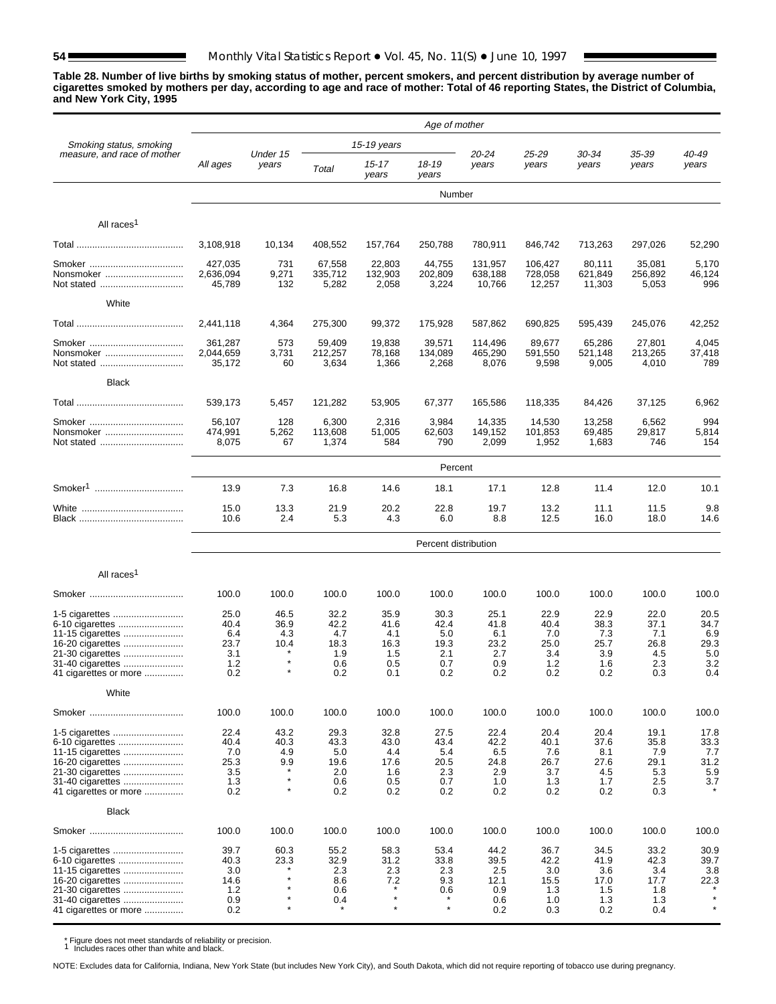**Table 28. Number of live births by smoking status of mother, percent smokers, and percent distribution by average number of cigarettes smoked by mothers per day, according to age and race of mother: Total of 46 reporting States, the District of Columbia, and New York City, 1995**

|                                           |                            |                    |                           |                        | Age of mother          |                            |                            |                           |                        |                     |
|-------------------------------------------|----------------------------|--------------------|---------------------------|------------------------|------------------------|----------------------------|----------------------------|---------------------------|------------------------|---------------------|
| Smoking status, smoking                   |                            |                    |                           | 15-19 years            |                        |                            |                            |                           |                        |                     |
| measure, and race of mother               | All ages                   | Under 15<br>years  | Total                     | $15 - 17$<br>years     | 18-19<br>years         | 20-24<br>years             | 25-29<br>years             | 30-34<br>years            | 35-39<br>years         | 40-49<br>years      |
|                                           |                            |                    |                           |                        | Number                 |                            |                            |                           |                        |                     |
| All races <sup>1</sup>                    |                            |                    |                           |                        |                        |                            |                            |                           |                        |                     |
|                                           | 3,108,918                  | 10,134             | 408,552                   | 157,764                | 250,788                | 780,911                    | 846,742                    | 713,263                   | 297,026                | 52,290              |
|                                           | 427,035                    | 731                | 67,558                    | 22,803                 | 44,755                 | 131,957                    | 106.427                    | 80,111                    | 35,081                 | 5,170               |
| Nonsmoker<br>Not stated                   | 2,636,094<br>45,789        | 9,271<br>132       | 335,712<br>5,282          | 132,903<br>2,058       | 202,809<br>3,224       | 638,188<br>10,766          | 728,058<br>12,257          | 621,849<br>11,303         | 256,892<br>5,053       | 46,124<br>996       |
| White                                     |                            |                    |                           |                        |                        |                            |                            |                           |                        |                     |
|                                           | 2,441,118                  | 4,364              | 275,300                   | 99,372                 | 175,928                | 587,862                    | 690,825                    | 595,439                   | 245,076                | 42,252              |
|                                           | 361,287                    | 573                | 59,409                    | 19,838                 | 39,571                 | 114,496                    | 89,677                     | 65,286                    | 27,801                 | 4,045               |
| Nonsmoker<br>Not stated                   | 2,044,659<br>35,172        | 3,731<br>60        | 212,257<br>3,634          | 78,168<br>1,366        | 134,089<br>2,268       | 465,290<br>8,076           | 591,550<br>9,598           | 521,148<br>9,005          | 213,265<br>4,010       | 37,418<br>789       |
| <b>Black</b>                              |                            |                    |                           |                        |                        |                            |                            |                           |                        |                     |
|                                           | 539,173                    | 5,457              | 121,282                   | 53,905                 | 67,377                 | 165,586                    | 118,335                    | 84,426                    | 37,125                 | 6,962               |
| Nonsmoker                                 | 56,107<br>474,991<br>8,075 | 128<br>5,262<br>67 | 6,300<br>113,608<br>1,374 | 2,316<br>51,005<br>584 | 3,984<br>62,603<br>790 | 14,335<br>149,152<br>2,099 | 14,530<br>101,853<br>1,952 | 13,258<br>69,485<br>1,683 | 6,562<br>29,817<br>746 | 994<br>5,814<br>154 |
|                                           |                            |                    |                           |                        | Percent                |                            |                            |                           |                        |                     |
| Smoker <sup>1</sup>                       | 13.9                       | 7.3                | 16.8                      | 14.6                   | 18.1                   | 17.1                       | 12.8                       | 11.4                      | 12.0                   | 10.1                |
|                                           | 15.0                       | 13.3               | 21.9                      | 20.2                   | 22.8                   | 19.7                       | 13.2                       | 11.1                      | 11.5                   | 9.8                 |
|                                           | 10.6                       | 2.4                | 5.3                       | 4.3                    | 6.0                    | 8.8                        | 12.5                       | 16.0                      | 18.0                   | 14.6                |
|                                           |                            |                    |                           |                        | Percent distribution   |                            |                            |                           |                        |                     |
| All races <sup>1</sup>                    |                            |                    |                           |                        |                        |                            |                            |                           |                        |                     |
|                                           | 100.0                      | 100.0              | 100.0                     | 100.0                  | 100.0                  | 100.0                      | 100.0                      | 100.0                     | 100.0                  | 100.0               |
| 1-5 cigarettes<br>6-10 cigarettes         | 25.0<br>40.4               | 46.5<br>36.9       | 32.2<br>42.2              | 35.9<br>41.6           | 30.3<br>42.4           | 25.1<br>41.8               | 22.9<br>40.4               | 22.9<br>38.3              | 22.0<br>37.1           | 20.5<br>34.7        |
| 11-15 cigarettes<br>16-20 cigarettes      | 6.4<br>23.7                | 4.3<br>10.4        | 4.7<br>18.3               | 4.1<br>16.3            | 5.0<br>19.3            | 6.1<br>23.2                | 7.0<br>25.0                | 7.3<br>25.7               | 7.1<br>26.8            | 6.9<br>29.3         |
| 21-30 cigarettes                          | 3.1                        |                    | 1.9                       | 1.5                    | 2.1                    | 2.7                        | 3.4                        | 3.9                       | 4.5                    | 5.0                 |
| 31-40 cigarettes<br>41 cigarettes or more | 1.2<br>0.2                 | $\star$            | 0.6<br>0.2                | 0.5<br>0.1             | 0.7<br>0.2             | 0.9<br>0.2                 | 1.2<br>0.2                 | 1.6<br>0.2                | 2.3<br>0.3             | 3.2<br>0.4          |
| White                                     |                            |                    |                           |                        |                        |                            |                            |                           |                        |                     |
|                                           | 100.0                      | 100.0              | 100.0                     | 100.0                  | 100.0                  | 100.0                      | 100.0                      | 100.0                     | 100.0                  | 100.0               |
| 1-5 cigarettes                            | 22.4<br>40.4               | 43.2<br>40.3       | 29.3<br>43.3              | 32.8<br>43.0           | 27.5<br>43.4           | 22.4<br>42.2               | 20.4<br>40.1               | 20.4<br>37.6              | 19.1                   | 17.8<br>33.3        |
| 6-10 cigarettes<br>11-15 cigarettes       | 7.0                        | 4.9                | 5.0                       | 4.4                    | 5.4                    | 6.5                        | 7.6                        | 8.1                       | 35.8<br>7.9            | 7.7                 |
| 16-20 cigarettes<br>21-30 cigarettes      | 25.3<br>3.5                | 9.9                | 19.6<br>2.0               | 17.6<br>1.6            | 20.5<br>2.3            | 24.8<br>2.9                | 26.7<br>3.7                | 27.6<br>4.5               | 29.1<br>5.3            | 31.2<br>5.9         |
| 31-40 cigarettes<br>41 cigarettes or more | 1.3<br>0.2                 | $\star$<br>$\star$ | 0.6<br>0.2                | 0.5<br>0.2             | 0.7<br>0.2             | 1.0<br>0.2                 | 1.3<br>0.2                 | 1.7<br>0.2                | 2.5<br>0.3             | 3.7                 |
| <b>Black</b>                              |                            |                    |                           |                        |                        |                            |                            |                           |                        |                     |
|                                           | 100.0                      | 100.0              | 100.0                     | 100.0                  | 100.0                  | 100.0                      | 100.0                      | 100.0                     | 100.0                  | 100.0               |
| 1-5 cigarettes                            | 39.7                       | 60.3               | 55.2                      | 58.3                   | 53.4                   | 44.2                       | 36.7                       | 34.5                      | 33.2                   | 30.9                |
| 6-10 cigarettes                           | 40.3                       | 23.3               | 32.9                      | 31.2<br>2.3            | 33.8<br>2.3            | 39.5                       | 42.2                       | 41.9                      | 42.3<br>3.4            | 39.7<br>3.8         |
| 11-15 cigarettes<br>16-20 cigarettes      | 3.0<br>14.6                | $\star$            | 2.3<br>8.6                | 7.2                    | 9.3                    | 2.5<br>12.1                | 3.0<br>15.5                | 3.6<br>17.0               | 17.7                   | 22.3                |
| 21-30 cigarettes                          | 1.2                        | $\star$<br>$\star$ | 0.6                       | $\star$                | 0.6<br>$\star$         | 0.9                        | 1.3                        | 1.5                       | 1.8                    | $\star$             |
| 31-40 cigarettes<br>41 cigarettes or more | 0.9<br>0.2                 | $\star$            | 0.4<br>$^\ast$            | $\star$                | $\star$                | 0.6<br>0.2                 | 1.0<br>0.3                 | 1.3<br>0.2                | 1.3<br>0.4             | $\star$             |

\* Figure does not meet standards of reliability or precision. <sup>1</sup> Includes races other than white and black.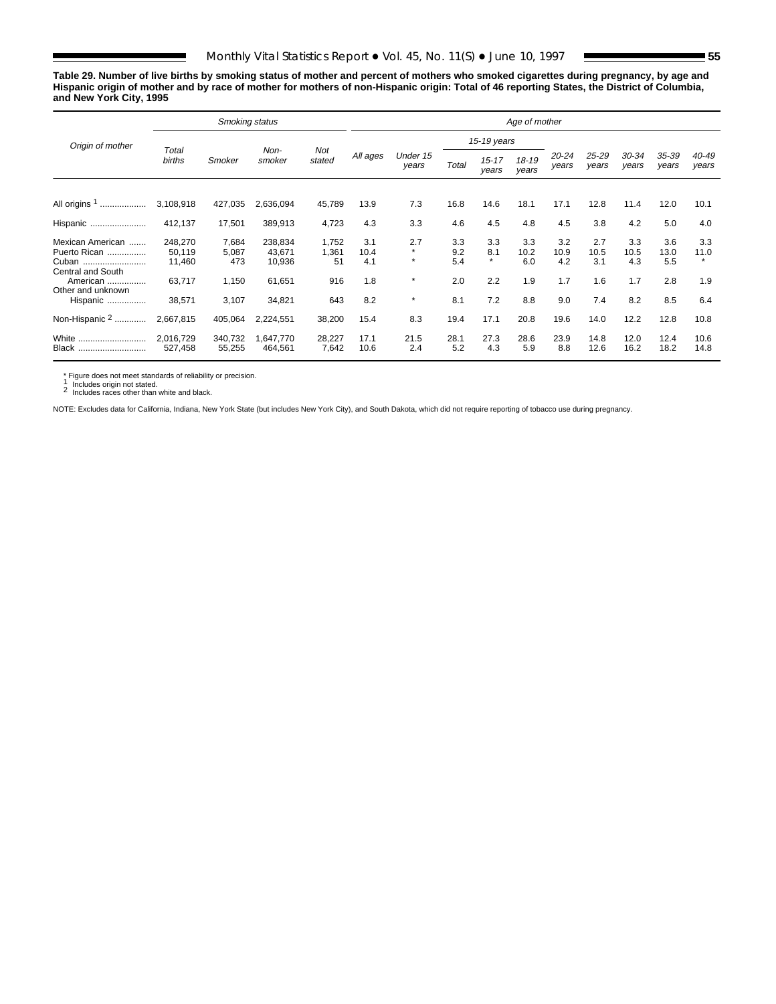**Table 29. Number of live births by smoking status of mother and percent of mothers who smoked cigarettes during pregnancy, by age and Hispanic origin of mother and by race of mother for mothers of non-Hispanic origin: Total of 46 reporting States, the District of Columbia, and New York City, 1995**

|                            |                      | Smoking status    |                      |                 |              |                    |             |                    | Age of mother  |                    |                    |                    |                |                |
|----------------------------|----------------------|-------------------|----------------------|-----------------|--------------|--------------------|-------------|--------------------|----------------|--------------------|--------------------|--------------------|----------------|----------------|
| Origin of mother           |                      |                   |                      |                 |              |                    |             | 15-19 years        |                |                    |                    |                    |                |                |
|                            | Total<br>births      | Smoker            | Non-<br>smoker       | Not<br>stated   | All ages     | Under 15<br>years  | Total       | $15 - 17$<br>vears | 18-19<br>years | $20 - 24$<br>years | $25 - 29$<br>years | $30 - 34$<br>years | 35-39<br>years | 40-49<br>years |
|                            |                      |                   |                      |                 |              |                    |             |                    |                |                    |                    |                    |                |                |
| All origins 1<br>          | 3,108,918            | 427,035           | 2,636,094            | 45,789          | 13.9         | 7.3                | 16.8        | 14.6               | 18.1           | 17.1               | 12.8               | 11.4               | 12.0           | 10.1           |
| Hispanic                   | 412,137              | 17,501            | 389,913              | 4,723           | 4.3          | 3.3                | 4.6         | 4.5                | 4.8            | 4.5                | 3.8                | 4.2                | 5.0            | 4.0            |
| Mexican American           | 248,270              | 7,684             | 238,834              | 1,752           | 3.1          | 2.7                | 3.3         | 3.3                | 3.3            | 3.2                | 2.7                | 3.3                | 3.6            | 3.3            |
| Puerto Rican               | 50,119               | 5,087             | 43,671               | 1,361           | 10.4         | $\star$<br>$\star$ | 9.2         | 8.1<br>$\star$     | 10.2           | 10.9               | 10.5               | 10.5               | 13.0           | 11.0           |
| Cuban<br>Central and South | 11,460               | 473               | 10,936               | 51              | 4.1          |                    | 5.4         |                    | 6.0            | 4.2                | 3.1                | 4.3                | 5.5            |                |
| American                   | 63,717               | 1,150             | 61,651               | 916             | 1.8          | $\star$            | 2.0         | 2.2                | 1.9            | 1.7                | 1.6                | 1.7                | 2.8            | 1.9            |
| Other and unknown          |                      |                   |                      |                 |              |                    |             |                    |                |                    |                    |                    |                |                |
| Hispanic                   | 38,571               | 3,107             | 34,821               | 643             | 8.2          | $\star$            | 8.1         | 7.2                | 8.8            | 9.0                | 7.4                | 8.2                | 8.5            | 6.4            |
| Non-Hispanic 2             | 2,667,815            | 405,064           | 2,224,551            | 38,200          | 15.4         | 8.3                | 19.4        | 17.1               | 20.8           | 19.6               | 14.0               | 12.2               | 12.8           | 10.8           |
| White<br><b>Black</b>      | 2,016,729<br>527,458 | 340,732<br>55,255 | 1,647,770<br>464,561 | 28,227<br>7,642 | 17.1<br>10.6 | 21.5<br>2.4        | 28.1<br>5.2 | 27.3<br>4.3        | 28.6<br>5.9    | 23.9<br>8.8        | 14.8<br>12.6       | 12.0<br>16.2       | 12.4<br>18.2   | 10.6<br>14.8   |

\* Figure does not meet standards of reliability or precision. <sup>1</sup> Includes origin not stated. <sup>2</sup> Includes races other than white and black.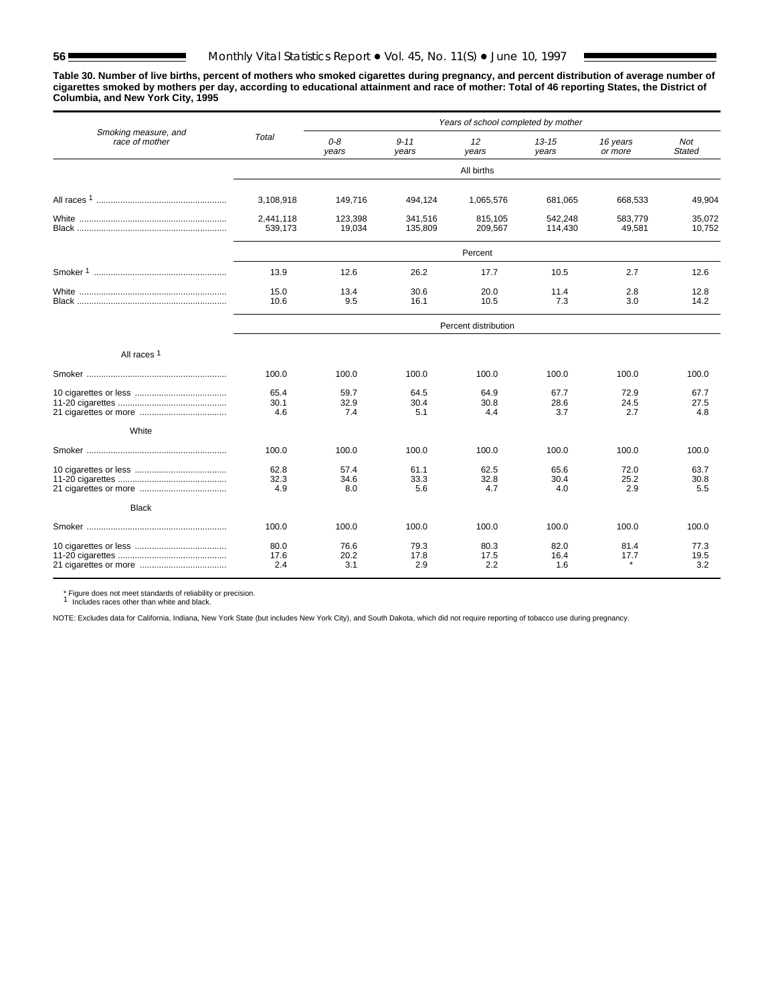**Table 30. Number of live births, percent of mothers who smoked cigarettes during pregnancy, and percent distribution of average number of cigarettes smoked by mothers per day, according to educational attainment and race of mother: Total of 46 reporting States, the District of Columbia, and New York City, 1995**

|                                        |                      |                     |                     | Years of school completed by mother |                     |                     |                      |
|----------------------------------------|----------------------|---------------------|---------------------|-------------------------------------|---------------------|---------------------|----------------------|
| Smoking measure, and<br>race of mother | Total                | $O - B$<br>vears    | $9 - 11$<br>vears   | 12<br>years                         | $13 - 15$<br>years  | 16 years<br>or more | Not<br><b>Stated</b> |
|                                        |                      |                     |                     | All births                          |                     |                     |                      |
|                                        | 3,108,918            | 149,716             | 494,124             | 1,065,576                           | 681,065             | 668,533             | 49.904               |
|                                        | 2.441.118<br>539,173 | 123.398<br>19,034   | 341.516<br>135,809  | 815.105<br>209,567                  | 542.248<br>114,430  | 583.779<br>49,581   | 35.072<br>10,752     |
|                                        |                      |                     |                     | Percent                             |                     |                     |                      |
|                                        | 13.9                 | 12.6                | 26.2                | 17.7                                | 10.5                | 2.7                 | 12.6                 |
|                                        | 15.0<br>10.6         | 13.4<br>9.5         | 30.6<br>16.1        | 20.0<br>10.5                        | 11.4<br>7.3         | 2.8<br>3.0          | 12.8<br>14.2         |
|                                        |                      |                     |                     | Percent distribution                |                     |                     |                      |
| All races <sup>1</sup>                 |                      |                     |                     |                                     |                     |                     |                      |
|                                        | 100.0                | 100.0               | 100.0               | 100.0                               | 100.0               | 100.0               | 100.0                |
|                                        | 65.4<br>30.1<br>4.6  | 59.7<br>32.9<br>7.4 | 64.5<br>30.4<br>5.1 | 64.9<br>30.8<br>4.4                 | 67.7<br>28.6<br>3.7 | 72.9<br>24.5<br>2.7 | 67.7<br>27.5<br>4.8  |
| White                                  |                      |                     |                     |                                     |                     |                     |                      |
|                                        | 100.0                | 100.0               | 100.0               | 100.0                               | 100.0               | 100.0               | 100.0                |
|                                        | 62.8<br>32.3<br>4.9  | 57.4<br>34.6<br>8.0 | 61.1<br>33.3<br>5.6 | 62.5<br>32.8<br>4.7                 | 65.6<br>30.4<br>4.0 | 72.0<br>25.2<br>2.9 | 63.7<br>30.8<br>5.5  |
| <b>Black</b>                           |                      |                     |                     |                                     |                     |                     |                      |
|                                        | 100.0                | 100.0               | 100.0               | 100.0                               | 100.0               | 100.0               | 100.0                |
|                                        | 80.0<br>17.6<br>2.4  | 76.6<br>20.2<br>3.1 | 79.3<br>17.8<br>2.9 | 80.3<br>17.5<br>2.2                 | 82.0<br>16.4<br>1.6 | 81.4<br>17.7        | 77.3<br>19.5<br>3.2  |

\* Figure does not meet standards of reliability or precision. <sup>1</sup> Includes races other than white and black.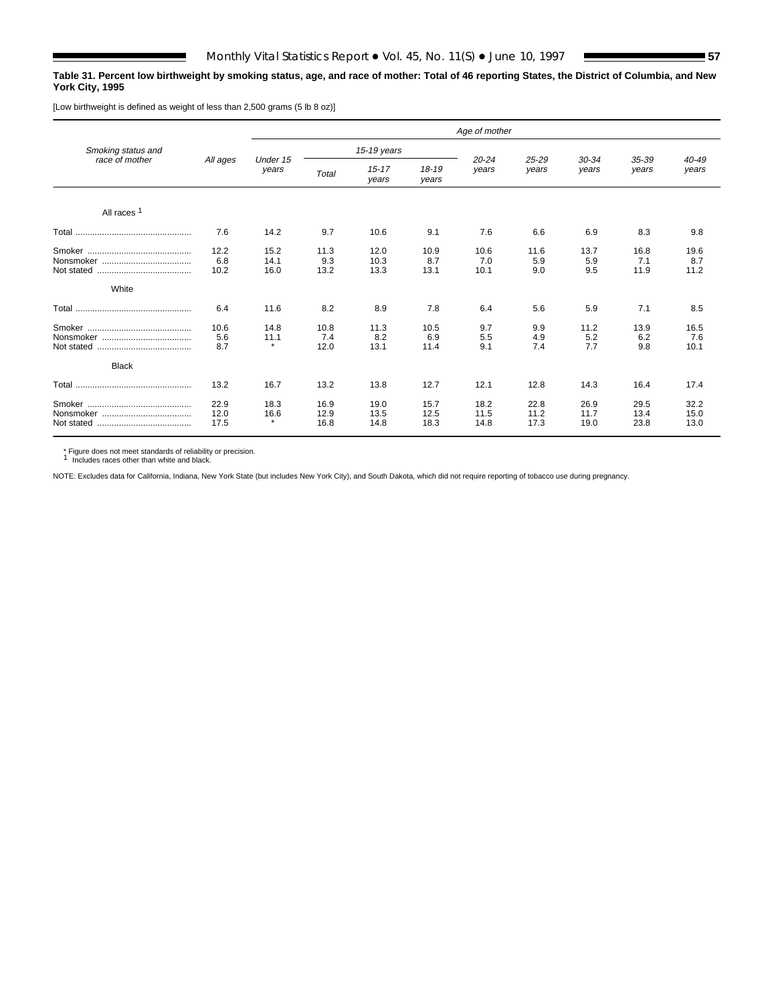### **Table 31. Percent low birthweight by smoking status, age, and race of mother: Total of 46 reporting States, the District of Columbia, and New York City, 1995**

[Low birthweight is defined as weight of less than 2,500 grams (5 lb 8 oz)]

|                        |                      |                         |                      |                      |                      | Age of mother        |                      |                      |                      |                      |
|------------------------|----------------------|-------------------------|----------------------|----------------------|----------------------|----------------------|----------------------|----------------------|----------------------|----------------------|
| Smoking status and     |                      |                         |                      | 15-19 years          |                      |                      |                      |                      |                      |                      |
| race of mother         | All ages             | Under 15<br>years       | Total                | $15 - 17$<br>years   | $18 - 19$<br>years   | $20 - 24$<br>years   | 25-29<br>years       | $30 - 34$<br>years   | 35-39<br>years       | 40-49<br>years       |
| All races <sup>1</sup> |                      |                         |                      |                      |                      |                      |                      |                      |                      |                      |
|                        | 7.6                  | 14.2                    | 9.7                  | 10.6                 | 9.1                  | 7.6                  | 6.6                  | 6.9                  | 8.3                  | 9.8                  |
|                        | 12.2<br>6.8<br>10.2  | 15.2<br>14.1<br>16.0    | 11.3<br>9.3<br>13.2  | 12.0<br>10.3<br>13.3 | 10.9<br>8.7<br>13.1  | 10.6<br>7.0<br>10.1  | 11.6<br>5.9<br>9.0   | 13.7<br>5.9<br>9.5   | 16.8<br>7.1<br>11.9  | 19.6<br>8.7<br>11.2  |
| White                  |                      |                         |                      |                      |                      |                      |                      |                      |                      |                      |
|                        | 6.4                  | 11.6                    | 8.2                  | 8.9                  | 7.8                  | 6.4                  | 5.6                  | 5.9                  | 7.1                  | 8.5                  |
| <b>Black</b>           | 10.6<br>5.6<br>8.7   | 14.8<br>11.1<br>$\star$ | 10.8<br>7.4<br>12.0  | 11.3<br>8.2<br>13.1  | 10.5<br>6.9<br>11.4  | 9.7<br>5.5<br>9.1    | 9.9<br>4.9<br>7.4    | 11.2<br>5.2<br>7.7   | 13.9<br>6.2<br>9.8   | 16.5<br>7.6<br>10.1  |
|                        | 13.2                 | 16.7                    | 13.2                 | 13.8                 | 12.7                 | 12.1                 | 12.8                 | 14.3                 | 16.4                 | 17.4                 |
|                        | 22.9<br>12.0<br>17.5 | 18.3<br>16.6<br>$\star$ | 16.9<br>12.9<br>16.8 | 19.0<br>13.5<br>14.8 | 15.7<br>12.5<br>18.3 | 18.2<br>11.5<br>14.8 | 22.8<br>11.2<br>17.3 | 26.9<br>11.7<br>19.0 | 29.5<br>13.4<br>23.8 | 32.2<br>15.0<br>13.0 |

\* Figure does not meet standards of reliability or precision. <sup>1</sup> Includes races other than white and black.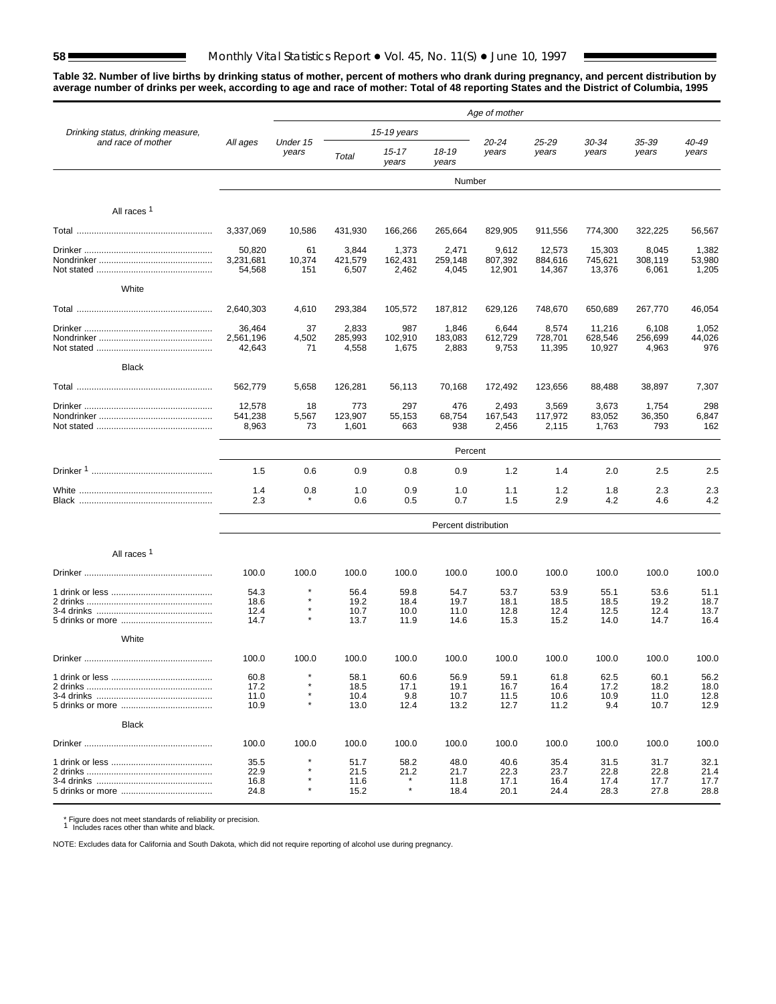# **58** Monthly Vital Statistics Report • Vol. 45, No. 11(S) • June 10, 1997

**Table 32. Number of live births by drinking status of mother, percent of mothers who drank during pregnancy, and percent distribution by average number of drinks per week, according to age and race of mother: Total of 48 reporting States and the District of Columbia, 1995**

|                                    |                               |                     |                              |                              |                              | Age of mother                |                              |                              |                              |                              |
|------------------------------------|-------------------------------|---------------------|------------------------------|------------------------------|------------------------------|------------------------------|------------------------------|------------------------------|------------------------------|------------------------------|
| Drinking status, drinking measure, |                               |                     |                              | 15-19 years                  |                              |                              |                              |                              |                              | 40-49<br>years               |
| and race of mother                 | All ages                      | Under 15<br>years   | Total                        | 15-17<br>years               | 18-19<br>years               | 20-24<br>years               | 25-29<br>years               | 30-34<br>years               | 35-39<br>years               |                              |
|                                    |                               |                     |                              |                              | Number                       |                              |                              |                              |                              |                              |
| All races <sup>1</sup>             |                               |                     |                              |                              |                              |                              |                              |                              |                              |                              |
|                                    | 3.337.069                     | 10,586              | 431,930                      | 166,266                      | 265,664                      | 829,905                      | 911,556                      | 774,300                      | 322,225                      | 56,567                       |
|                                    | 50,820<br>3,231,681<br>54,568 | 61<br>10,374<br>151 | 3,844<br>421,579<br>6,507    | 1,373<br>162,431<br>2,462    | 2,471<br>259,148<br>4,045    | 9,612<br>807,392<br>12,901   | 12,573<br>884,616<br>14,367  | 15,303<br>745,621<br>13,376  | 8,045<br>308,119<br>6,061    | 1,382<br>53,980<br>1,205     |
| White                              |                               |                     |                              |                              |                              |                              |                              |                              |                              |                              |
|                                    | 2,640,303                     | 4,610               | 293,384                      | 105,572                      | 187,812                      | 629,126                      | 748,670                      | 650,689                      | 267,770                      | 46,054                       |
|                                    | 36,464<br>2,561,196<br>42,643 | 37<br>4,502<br>71   | 2,833<br>285,993<br>4,558    | 987<br>102,910<br>1,675      | 1,846<br>183,083<br>2,883    | 6,644<br>612,729<br>9,753    | 8,574<br>728,701<br>11,395   | 11,216<br>628,546<br>10,927  | 6,108<br>256,699<br>4,963    | 1,052<br>44,026<br>976       |
| <b>Black</b>                       |                               |                     |                              |                              |                              |                              |                              |                              |                              |                              |
|                                    | 562,779                       | 5,658               | 126,281                      | 56,113                       | 70,168                       | 172,492                      | 123,656                      | 88,488                       | 38,897                       | 7,307                        |
|                                    | 12,578<br>541,238<br>8,963    | 18<br>5,567<br>73   | 773<br>123,907<br>1,601      | 297<br>55,153<br>663         | 476<br>68,754<br>938         | 2,493<br>167,543<br>2,456    | 3,569<br>117,972<br>2,115    | 3,673<br>83,052<br>1,763     | 1,754<br>36,350<br>793       | 298<br>6,847<br>162          |
|                                    |                               |                     |                              |                              | Percent                      |                              |                              |                              |                              |                              |
|                                    | 1.5                           | 0.6                 | 0.9                          | 0.8                          | 0.9                          | 1.2                          | 1.4                          | 2.0                          | 2.5                          | 2.5                          |
|                                    | 1.4<br>2.3                    | 0.8                 | 1.0<br>0.6                   | 0.9<br>0.5                   | 1.0<br>0.7                   | 1.1<br>1.5                   | 1.2<br>2.9                   | 1.8<br>4.2                   | 2.3<br>4.6                   | 2.3<br>4.2                   |
|                                    |                               |                     |                              |                              | Percent distribution         |                              |                              |                              |                              |                              |
| All races <sup>1</sup>             |                               |                     |                              |                              |                              |                              |                              |                              |                              |                              |
|                                    | 100.0                         | 100.0               | 100.0                        | 100.0                        | 100.0                        | 100.0                        | 100.0                        | 100.0                        | 100.0                        | 100.0                        |
|                                    | 54.3<br>18.6<br>12.4<br>14.7  | $\star$<br>$\star$  | 56.4<br>19.2<br>10.7<br>13.7 | 59.8<br>18.4<br>10.0<br>11.9 | 54.7<br>19.7<br>11.0<br>14.6 | 53.7<br>18.1<br>12.8<br>15.3 | 53.9<br>18.5<br>12.4<br>15.2 | 55.1<br>18.5<br>12.5<br>14.0 | 53.6<br>19.2<br>12.4<br>14.7 | 51.1<br>18.7<br>13.7<br>16.4 |
| White                              |                               |                     |                              |                              |                              |                              |                              |                              |                              |                              |
|                                    | 100.0                         | 100.0               | 100.0                        | 100.0                        | 100.0                        | 100.0                        | 100.0                        | 100.0                        | 100.0                        | 100.0                        |
|                                    | 60.8<br>17.2<br>11.0<br>10.9  |                     | 58.1<br>18.5<br>10.4<br>13.0 | 60.6<br>17.1<br>9.8<br>12.4  | 56.9<br>19.1<br>10.7<br>13.2 | 59.1<br>16.7<br>11.5<br>12.7 | 61.8<br>16.4<br>10.6<br>11.2 | 62.5<br>17.2<br>10.9<br>9.4  | 60.1<br>18.2<br>11.0<br>10.7 | 56.2<br>18.0<br>12.8<br>12.9 |
| <b>Black</b>                       |                               |                     |                              |                              |                              |                              |                              |                              |                              |                              |
|                                    | 100.0                         | 100.0               | 100.0                        | 100.0                        | 100.0                        | 100.0                        | 100.0                        | 100.0                        | 100.0                        | 100.0                        |
|                                    | 35.5<br>22.9<br>16.8<br>24.8  |                     | 51.7<br>21.5<br>11.6<br>15.2 | 58.2<br>21.2<br>$\star$      | 48.0<br>21.7<br>11.8<br>18.4 | 40.6<br>22.3<br>17.1<br>20.1 | 35.4<br>23.7<br>16.4<br>24.4 | 31.5<br>22.8<br>17.4<br>28.3 | 31.7<br>22.8<br>17.7<br>27.8 | 32.1<br>21.4<br>17.7<br>28.8 |

\* Figure does not meet standards of reliability or precision. <sup>1</sup> Includes races other than white and black.

NOTE: Excludes data for California and South Dakota, which did not require reporting of alcohol use during pregnancy.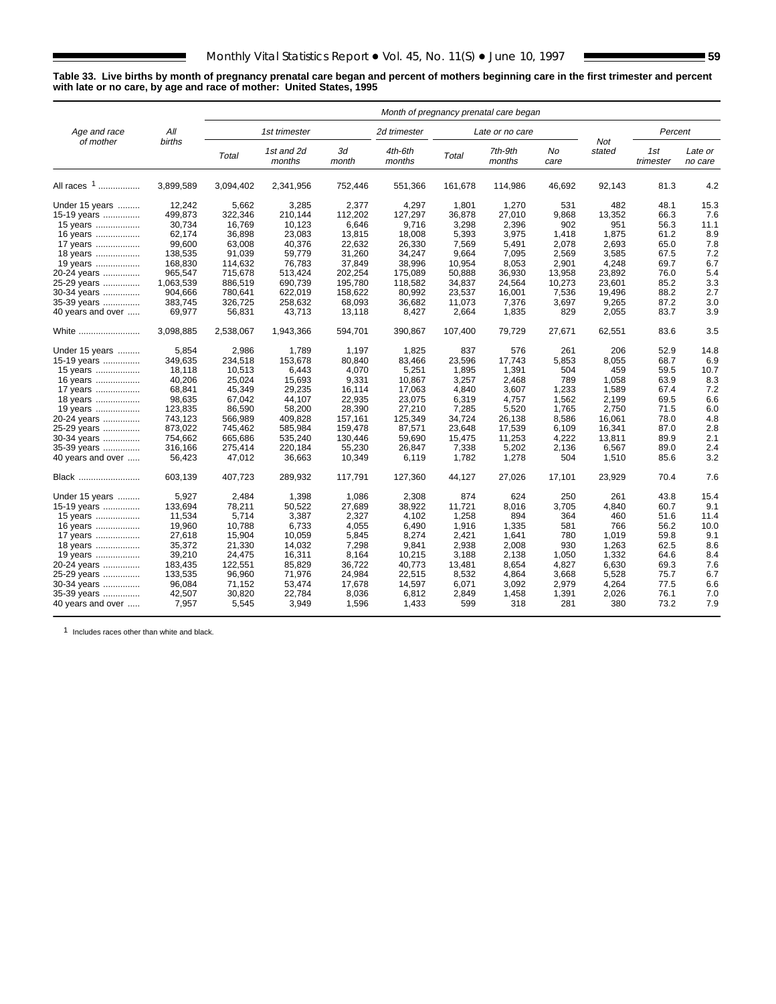### **Table 33. Live births by month of pregnancy prenatal care began and percent of mothers beginning care in the first trimester and percent with late or no care, by age and race of mother: United States, 1995**

|                   |           |           |                      |             | Month of pregnancy prenatal care began |         |                   |            |               |                  |                    |
|-------------------|-----------|-----------|----------------------|-------------|----------------------------------------|---------|-------------------|------------|---------------|------------------|--------------------|
| Age and race      | All       |           | 1st trimester        |             | 2d trimester                           |         | Late or no care   |            |               | Percent          |                    |
| of mother         | births    | Total     | 1st and 2d<br>months | 3d<br>month | 4th-6th<br>months                      | Total   | 7th-9th<br>months | No<br>care | Not<br>stated | 1st<br>trimester | Late or<br>no care |
| All races 1       | 3,899,589 | 3,094,402 | 2,341,956            | 752,446     | 551,366                                | 161,678 | 114,986           | 46,692     | 92,143        | 81.3             | 4.2                |
| Under 15 years    | 12,242    | 5,662     | 3,285                | 2,377       | 4,297                                  | 1.801   | 1,270             | 531        | 482           | 48.1             | 15.3               |
| 15-19 years       | 499,873   | 322,346   | 210,144              | 112,202     | 127,297                                | 36,878  | 27,010            | 9,868      | 13,352        | 66.3             | 7.6                |
| 15 years          | 30,734    | 16,769    | 10,123               | 6,646       | 9,716                                  | 3,298   | 2,396             | 902        | 951           | 56.3             | 11.1               |
| 16 years          | 62,174    | 36,898    | 23.083               | 13,815      | 18,008                                 | 5,393   | 3,975             | 1,418      | 1.875         | 61.2             | 8.9                |
| 17 years          | 99,600    | 63,008    | 40,376               | 22,632      | 26,330                                 | 7,569   | 5,491             | 2,078      | 2,693         | 65.0             | 7.8                |
| 18 years          | 138,535   | 91,039    | 59,779               | 31,260      | 34,247                                 | 9,664   | 7,095             | 2,569      | 3,585         | 67.5             | 7.2                |
| 19 years          | 168,830   | 114,632   | 76,783               | 37,849      | 38,996                                 | 10,954  | 8,053             | 2,901      | 4,248         | 69.7             | 6.7                |
| 20-24 years       | 965,547   | 715,678   | 513,424              | 202,254     | 175,089                                | 50.888  | 36,930            | 13,958     | 23,892        | 76.0             | 5.4                |
|                   | 1,063,539 | 886,519   | 690,739              | 195,780     | 118,582                                | 34,837  | 24,564            | 10,273     | 23,601        | 85.2             | 3.3                |
| 25-29 years       | 904,666   | 780,641   | 622.019              | 158,622     | 80,992                                 | 23,537  | 16,001            | 7,536      | 19,496        | 88.2             | 2.7                |
| 30-34 years       |           |           |                      |             |                                        |         |                   |            |               |                  | 3.0                |
| 35-39 years       | 383,745   | 326,725   | 258,632              | 68,093      | 36,682                                 | 11,073  | 7,376             | 3,697      | 9,265         | 87.2             |                    |
| 40 years and over | 69,977    | 56,831    | 43,713               | 13,118      | 8,427                                  | 2,664   | 1,835             | 829        | 2,055         | 83.7             | 3.9                |
| White             | 3,098,885 | 2,538,067 | 1,943,366            | 594,701     | 390,867                                | 107,400 | 79,729            | 27,671     | 62,551        | 83.6             | 3.5                |
| Under 15 years    | 5.854     | 2,986     | 1,789                | 1.197       | 1.825                                  | 837     | 576               | 261        | 206           | 52.9             | 14.8               |
| 15-19 years       | 349,635   | 234,518   | 153,678              | 80,840      | 83,466                                 | 23,596  | 17,743            | 5,853      | 8,055         | 68.7             | 6.9                |
| 15 years          | 18,118    | 10,513    | 6,443                | 4,070       | 5,251                                  | 1,895   | 1,391             | 504        | 459           | 59.5             | 10.7               |
| 16 years          | 40,206    | 25,024    | 15,693               | 9,331       | 10,867                                 | 3,257   | 2,468             | 789        | 1,058         | 63.9             | 8.3                |
| 17 years          | 68,841    | 45,349    | 29,235               | 16,114      | 17,063                                 | 4.840   | 3,607             | 1,233      | 1,589         | 67.4             | 7.2                |
| 18 years          | 98,635    | 67,042    | 44,107               | 22,935      | 23,075                                 | 6,319   | 4,757             | 1,562      | 2,199         | 69.5             | 6.6                |
| 19 years          | 123,835   | 86,590    | 58,200               | 28,390      | 27,210                                 | 7,285   | 5,520             | 1,765      | 2,750         | 71.5             | 6.0                |
| 20-24 years       | 743,123   | 566,989   | 409,828              | 157,161     | 125,349                                | 34,724  | 26,138            | 8,586      | 16,061        | 78.0             | 4.8                |
| 25-29 years       | 873,022   | 745,462   | 585,984              | 159,478     | 87,571                                 | 23.648  | 17,539            | 6,109      | 16,341        | 87.0             | 2.8                |
| 30-34 years       | 754,662   | 665,686   | 535,240              | 130,446     | 59,690                                 | 15,475  | 11,253            | 4,222      | 13,811        | 89.9             | 2.1                |
| 35-39 years       | 316,166   | 275,414   | 220,184              | 55,230      | 26,847                                 | 7,338   | 5,202             | 2,136      | 6,567         | 89.0             | 2.4                |
| 40 years and over | 56,423    | 47,012    | 36,663               | 10,349      | 6,119                                  | 1,782   | 1,278             | 504        | 1,510         | 85.6             | 3.2                |
| Black             | 603,139   | 407,723   | 289,932              | 117,791     | 127,360                                | 44,127  | 27,026            | 17,101     | 23,929        | 70.4             | 7.6                |
| Under 15 years    | 5,927     | 2,484     | 1,398                | 1,086       | 2,308                                  | 874     | 624               | 250        | 261           | 43.8             | 15.4               |
| 15-19 years       | 133,694   | 78,211    | 50,522               | 27,689      | 38,922                                 | 11,721  | 8,016             | 3,705      | 4,840         | 60.7             | 9.1                |
| 15 years          | 11,534    | 5,714     | 3,387                | 2,327       | 4,102                                  | 1,258   | 894               | 364        | 460           | 51.6             | 11.4               |
| 16 years          | 19,960    | 10,788    | 6,733                | 4,055       | 6,490                                  | 1,916   | 1,335             | 581        | 766           | 56.2             | 10.0               |
| 17 years          | 27,618    | 15,904    | 10,059               | 5,845       | 8,274                                  | 2,421   | 1,641             | 780        | 1,019         | 59.8             | 9.1                |
| 18 years          | 35,372    | 21,330    | 14,032               | 7,298       | 9,841                                  | 2,938   | 2,008             | 930        | 1,263         | 62.5             | 8.6                |
| 19 years          | 39,210    | 24,475    | 16,311               | 8,164       | 10,215                                 | 3,188   | 2,138             | 1,050      | 1,332         | 64.6             | 8.4                |
| 20-24 years       | 183,435   | 122,551   | 85,829               | 36,722      | 40,773                                 | 13,481  | 8,654             | 4,827      | 6,630         | 69.3             | 7.6                |
| 25-29 years       | 133,535   | 96,960    | 71,976               | 24,984      | 22,515                                 | 8,532   | 4,864             | 3,668      | 5,528         | 75.7             | 6.7                |
|                   | 96.084    | 71,152    | 53,474               | 17,678      | 14.597                                 | 6,071   | 3,092             | 2.979      | 4.264         | 77.5             | 6.6                |
| 30-34 years       | 42,507    | 30,820    | 22,784               | 8,036       | 6,812                                  | 2,849   | 1,458             | 1,391      | 2,026         | 76.1             | 7.0                |
| 35-39 years       | 7,957     | 5,545     | 3,949                | 1,596       |                                        | 599     | 318               | 281        | 380           | 73.2             | 7.9                |
| 40 years and over |           |           |                      |             | 1,433                                  |         |                   |            |               |                  |                    |

1 Includes races other than white and black.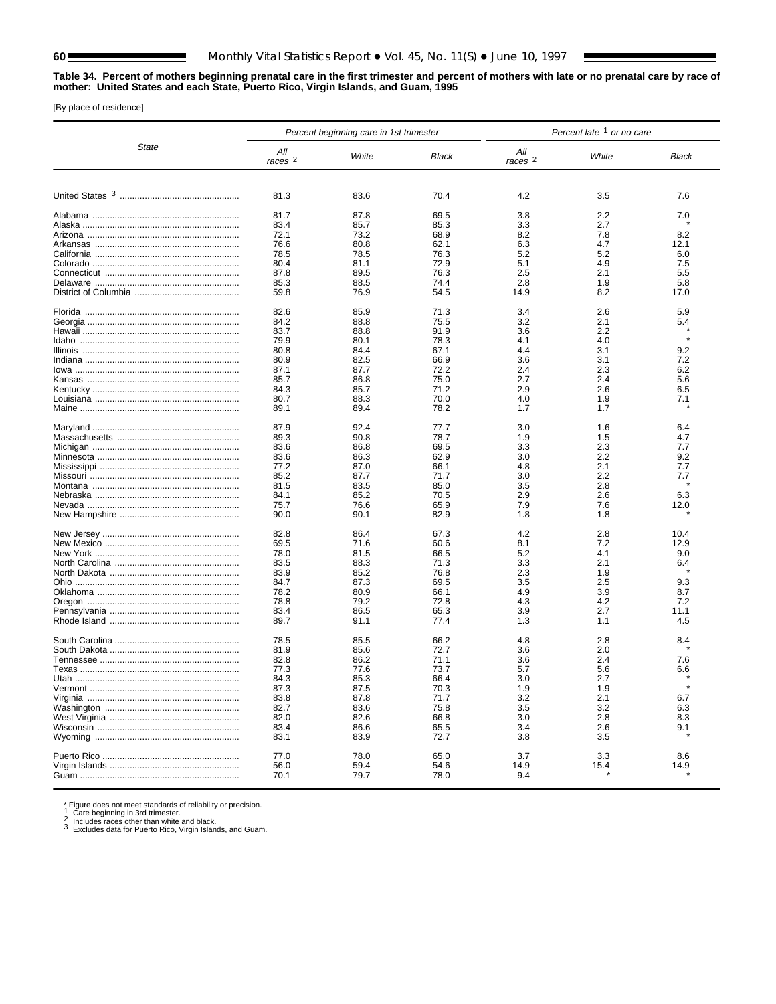### **Table 34. Percent of mothers beginning prenatal care in the first trimester and percent of mothers with late or no prenatal care by race of mother: United States and each State, Puerto Rico, Virgin Islands, and Guam, 1995**

[By place of residence]

|              | Percent late 1 or no care<br>Percent beginning care in 1st trimester |              |              |                    |            |              |  |  |
|--------------|----------------------------------------------------------------------|--------------|--------------|--------------------|------------|--------------|--|--|
| <b>State</b> | All<br>$races$ $2$                                                   | White        | Black        | All<br>$races$ $2$ | White      | <b>Black</b> |  |  |
|              | 81.3                                                                 | 83.6         | 70.4         | 4.2                | 3.5        | 7.6          |  |  |
|              | 81.7<br>83.4                                                         | 87.8<br>85.7 | 69.5<br>85.3 | 3.8<br>3.3         | 2.2<br>2.7 | 7.0          |  |  |
|              | 72.1                                                                 | 73.2         | 68.9         | 8.2                | 7.8        | 8.2          |  |  |
|              | 76.6                                                                 | 80.8         | 62.1         | 6.3                | 4.7        | 12.1         |  |  |
|              | 78.5                                                                 | 78.5         | 76.3         | 5.2                | 5.2        | 6.0          |  |  |
|              | 80.4<br>87.8                                                         | 81.1<br>89.5 | 72.9<br>76.3 | 5.1<br>2.5         | 4.9<br>2.1 | 7.5<br>5.5   |  |  |
|              | 85.3                                                                 | 88.5         | 74.4         | 2.8                | 1.9        | 5.8          |  |  |
|              | 59.8                                                                 | 76.9         | 54.5         | 14.9               | 8.2        | 17.0         |  |  |
|              | 82.6                                                                 | 85.9         | 71.3         | 3.4                | 2.6        | 5.9          |  |  |
|              | 84.2                                                                 | 88.8         | 75.5         | 3.2                | 2.1        | 5.4          |  |  |
|              | 83.7                                                                 | 88.8         | 91.9         | 3.6                | 2.2        | $\star$      |  |  |
|              | 79.9                                                                 | 80.1         | 78.3         | 4.1                | 4.0        |              |  |  |
|              | 80.8<br>80.9                                                         | 84.4<br>82.5 | 67.1<br>66.9 | 4.4<br>3.6         | 3.1<br>3.1 | 9.2<br>7.2   |  |  |
|              | 87.1                                                                 | 87.7         | 72.2         | 2.4                | 2.3        | 6.2          |  |  |
|              | 85.7                                                                 | 86.8         | 75.0         | 2.7                | 2.4        | 5.6          |  |  |
|              | 84.3                                                                 | 85.7         | 71.2         | 2.9                | 2.6        | 6.5          |  |  |
|              | 80.7                                                                 | 88.3         | 70.0         | 4.0                | 1.9        | 7.1          |  |  |
|              | 89.1                                                                 | 89.4         | 78.2         | 1.7                | 1.7        |              |  |  |
|              | 87.9                                                                 | 92.4         | 77.7         | 3.0                | 1.6        | 6.4          |  |  |
|              | 89.3                                                                 | 90.8         | 78.7         | 1.9                | 1.5        | 4.7          |  |  |
|              | 83.6                                                                 | 86.8         | 69.5         | 3.3                | 2.3        | 7.7          |  |  |
|              | 83.6                                                                 | 86.3         | 62.9         | 3.0                | 2.2        | 9.2          |  |  |
|              | 77.2                                                                 | 87.0         | 66.1         | 4.8                | 2.1        | 7.7          |  |  |
|              | 85.2                                                                 | 87.7         | 71.7         | 3.0                | 2.2        | 7.7          |  |  |
|              | 81.5<br>84.1                                                         | 83.5<br>85.2 | 85.0<br>70.5 | 3.5<br>2.9         | 2.8<br>2.6 | 6.3          |  |  |
|              | 75.7                                                                 | 76.6         | 65.9         | 7.9                | 7.6        | 12.0         |  |  |
|              | 90.0                                                                 | 90.1         | 82.9         | 1.8                | 1.8        |              |  |  |
|              | 82.8                                                                 | 86.4         | 67.3         | 4.2                | 2.8        | 10.4         |  |  |
|              | 69.5                                                                 | 71.6         | 60.6         | 8.1                | 7.2        | 12.9         |  |  |
|              | 78.0                                                                 | 81.5         | 66.5         | 5.2                | 4.1        | 9.0          |  |  |
|              | 83.5                                                                 | 88.3         | 71.3         | 3.3                | 2.1        | 6.4          |  |  |
|              | 83.9                                                                 | 85.2         | 76.8         | 2.3                | 1.9        |              |  |  |
|              | 84.7<br>78.2                                                         | 87.3<br>80.9 | 69.5<br>66.1 | 3.5<br>4.9         | 2.5<br>3.9 | 9.3<br>8.7   |  |  |
|              | 78.8                                                                 | 79.2         | 72.8         | 43                 | 4.2        | 7.2          |  |  |
|              | 83.4                                                                 | 86.5         | 65.3         | 3.9                | 2.7        | 11.1         |  |  |
|              | 89.7                                                                 | 91.1         | 77.4         | 1.3                | 1.1        | 4.5          |  |  |
|              | 78.5                                                                 | 85.5         | 66.2         | 48                 | 2.8        | 8.4          |  |  |
|              | 81.9                                                                 | 85.6         | 72.7         | 3.6                | 2.0        |              |  |  |
|              | 82.8                                                                 | 86.2         | 71.1         | 3.6                | 2.4        | 7.6          |  |  |
|              | 77.3                                                                 | 77.6         | 73.7         | 5.7                | 5.6        | 6.6          |  |  |
|              | 84.3<br>87.3                                                         | 85.3<br>87.5 | 66.4         | 3.0<br>1.9         | 2.7<br>1.9 |              |  |  |
|              | 83.8                                                                 | 87.8         | 70.3<br>71.7 | 3.2                | 2.1        | 6.7          |  |  |
|              | 82.7                                                                 | 83.6         | 75.8         | 3.5                | 3.2        | 6.3          |  |  |
|              | 82.0                                                                 | 82.6         | 66.8         | 3.0                | 2.8        | 8.3          |  |  |
|              | 83.4                                                                 | 86.6         | 65.5         | 3.4                | 2.6        | 9.1          |  |  |
|              | 83.1                                                                 | 83.9         | 72.7         | 3.8                | 3.5        |              |  |  |
|              | 77.0                                                                 | 78.0         | 65.0         | 3.7                | 3.3        | 8.6          |  |  |
|              | 56.0                                                                 | 59.4         | 54.6         | 14.9               | 15.4       | 14.9         |  |  |
|              | 70.1                                                                 | 79.7         | 78.0         | 9.4                |            |              |  |  |

\* Figure does not meet standards of reliability or precision. 1 Care beginning in 3rd trimester. 2 Includes races other than white and black. 3 Excludes data for Puerto Rico, Virgin Islands, and Guam.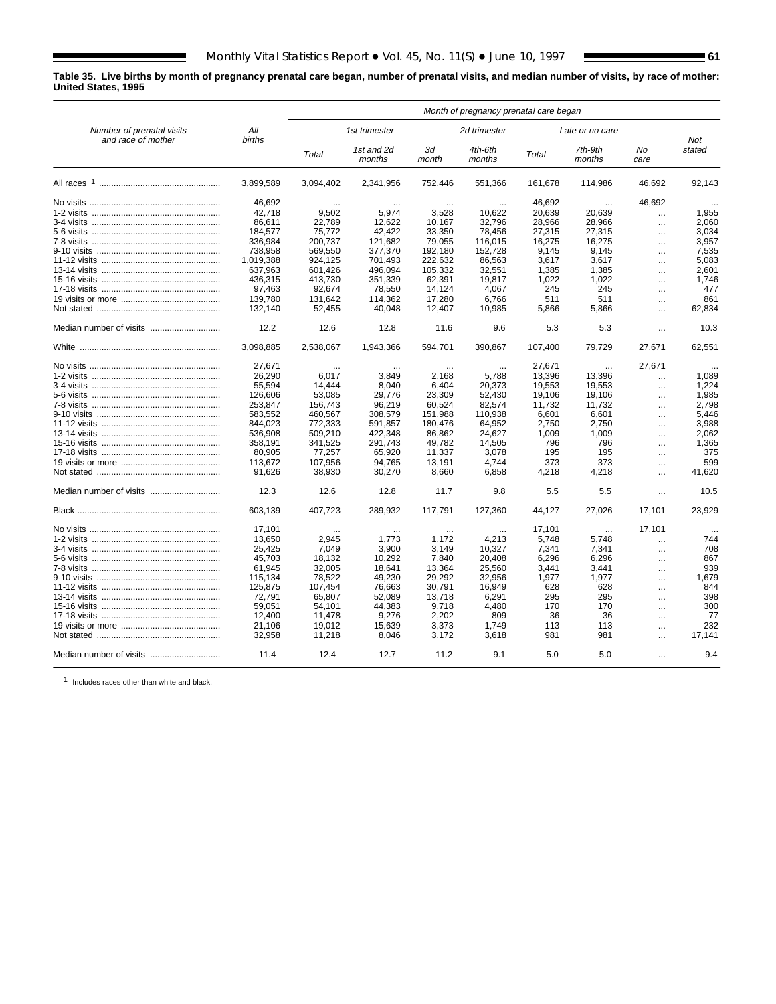**Table 35. Live births by month of pregnancy prenatal care began, number of prenatal visits, and median number of visits, by race of mother: United States, 1995**

|                           |               |           |                      |             | Month of pregnancy prenatal care began |         |                   |            |               |
|---------------------------|---------------|-----------|----------------------|-------------|----------------------------------------|---------|-------------------|------------|---------------|
| Number of prenatal visits | All           |           | 1st trimester        |             | 2d trimester                           |         | Late or no care   |            |               |
| and race of mother        | <b>births</b> | Total     | 1st and 2d<br>months | 3d<br>month | 4th-6th<br>months                      | Total   | 7th-9th<br>months | No<br>care | Not<br>stated |
|                           | 3.899.589     | 3,094,402 | 2,341,956            | 752,446     | 551,366                                | 161,678 | 114,986           | 46.692     | 92,143        |
|                           | 46.692        |           |                      |             |                                        | 46.692  |                   | 46.692     |               |
|                           | 42,718        | 9,502     | 5,974                | 3,528       | 10,622                                 | 20,639  | 20.639            | $\ddotsc$  | 1,955         |
|                           | 86,611        | 22,789    | 12,622               | 10,167      | 32,796                                 | 28,966  | 28,966            | $\ddotsc$  | 2,060         |
|                           | 184,577       | 75,772    | 42,422               | 33,350      | 78,456                                 | 27,315  | 27,315            | $\cdots$   | 3,034         |
|                           | 336,984       | 200,737   | 121.682              | 79.055      | 116,015                                | 16.275  | 16.275            | $\cdots$   | 3,957         |
|                           | 738,958       | 569,550   | 377,370              | 192,180     | 152,728                                | 9.145   | 9.145             | $\cdots$   | 7,535         |
|                           | 1,019,388     | 924,125   | 701,493              | 222,632     | 86,563                                 | 3,617   | 3,617             |            | 5,083         |
|                           |               |           |                      |             |                                        |         |                   | $\ddotsc$  |               |
|                           | 637,963       | 601,426   | 496.094              | 105,332     | 32,551                                 | 1,385   | 1,385             | $\ldots$   | 2,601         |
|                           | 436.315       | 413.730   | 351.339              | 62,391      | 19.817                                 | 1,022   | 1.022             | $\ddotsc$  | 1.746         |
|                           | 97,463        | 92.674    | 78,550               | 14.124      | 4.067                                  | 245     | 245               | $\cdots$   | 477           |
|                           | 139,780       | 131,642   | 114,362              | 17,280      | 6,766                                  | 511     | 511               | $\ddotsc$  | 861           |
|                           | 132.140       | 52.455    | 40.048               | 12.407      | 10.985                                 | 5.866   | 5,866             | $\ddotsc$  | 62.834        |
|                           | 12.2          | 12.6      | 12.8                 | 11.6        | 9.6                                    | 5.3     | 5.3               | $\ddotsc$  | 10.3          |
|                           | 3.098.885     | 2.538.067 | 1.943.366            | 594.701     | 390.867                                | 107.400 | 79.729            | 27.671     | 62,551        |
|                           | 27,671        |           |                      |             |                                        | 27,671  |                   | 27,671     |               |
|                           | 26,290        | 6,017     | 3.849                | 2,168       | 5,788                                  | 13,396  | 13,396            | $\ddotsc$  | 1,089         |
|                           | 55,594        | 14.444    | 8,040                | 6,404       | 20,373                                 | 19,553  | 19,553            | $\ddotsc$  | 1,224         |
|                           | 126,606       | 53,085    | 29,776               | 23,309      | 52,430                                 | 19,106  | 19,106            | $\ddotsc$  | 1,985         |
|                           | 253,847       | 156,743   | 96,219               | 60,524      | 82,574                                 | 11,732  | 11,732            | $\ddotsc$  | 2,798         |
|                           | 583.552       | 460.567   | 308.579              | 151.988     | 110.938                                | 6.601   | 6.601             | $\cdots$   | 5.446         |
|                           | 844.023       | 772.333   | 591.857              | 180.476     | 64.952                                 | 2.750   | 2.750             | $\ddotsc$  | 3.988         |
|                           | 536,908       | 509,210   | 422,348              | 86,862      | 24,627                                 | 1.009   | 1.009             | $\ddotsc$  | 2,062         |
|                           | 358,191       | 341,525   | 291,743              | 49,782      | 14,505                                 | 796     | 796               |            | 1,365         |
|                           |               |           |                      |             |                                        | 195     | 195               | $\cdots$   | 375           |
|                           | 80,905        | 77,257    | 65,920               | 11,337      | 3,078                                  |         |                   |            |               |
|                           | 113,672       | 107,956   | 94,765               | 13,191      | 4,744                                  | 373     | 373               | $\cdots$   | 599           |
|                           | 91,626        | 38,930    | 30,270               | 8,660       | 6,858                                  | 4,218   | 4,218             | $\cdots$   | 41,620        |
|                           | 12.3          | 12.6      | 12.8                 | 11.7        | 9.8                                    | 5.5     | 5.5               | $\ddotsc$  | 10.5          |
|                           | 603.139       | 407,723   | 289,932              | 117,791     | 127,360                                | 44,127  | 27,026            | 17,101     | 23,929        |
|                           | 17.101        |           |                      |             |                                        | 17,101  |                   | 17,101     |               |
|                           | 13,650        | 2,945     | 1,773                | 1,172       | 4,213                                  | 5,748   | 5,748             |            | 744           |
|                           | 25,425        | 7,049     | 3,900                | 3,149       | 10,327                                 | 7,341   | 7,341             | $\cdots$   | 708           |
|                           | 45.703        | 18.132    | 10.292               | 7,840       | 20.408                                 | 6.296   | 6.296             | $\cdots$   | 867           |
|                           | 61,945        | 32,005    | 18,641               | 13,364      | 25,560                                 | 3.441   | 3.441             | $\ddotsc$  | 939           |
|                           | 115,134       | 78,522    | 49,230               | 29,292      | 32,956                                 | 1,977   | 1,977             | $\ddotsc$  | 1,679         |
|                           | 125,875       | 107,454   | 76,663               | 30,791      | 16,949                                 | 628     | 628               |            | 844           |
|                           | 72.791        | 65.807    | 52.089               | 13.718      | 6.291                                  | 295     | 295               | $\cdots$   | 398           |
|                           |               | 54.101    |                      |             |                                        | 170     | 170               | $\cdots$   | 300           |
|                           | 59.051        |           | 44,383               | 9,718       | 4,480                                  |         |                   | $\ddotsc$  |               |
|                           | 12,400        | 11,478    | 9,276                | 2,202       | 809                                    | 36      | 36                | $\cdots$   | 77            |
|                           | 21.106        | 19.012    | 15.639               | 3.373       | 1.749                                  | 113     | 113               | $\cdots$   | 232           |
|                           | 32,958        | 11,218    | 8,046                | 3,172       | 3,618                                  | 981     | 981               | $\ddotsc$  | 17.141        |
|                           | 11.4          | 12.4      | 12.7                 | 11.2        | 9.1                                    | 5.0     | 5.0               | $\cdots$   | 9.4           |

1 Includes races other than white and black.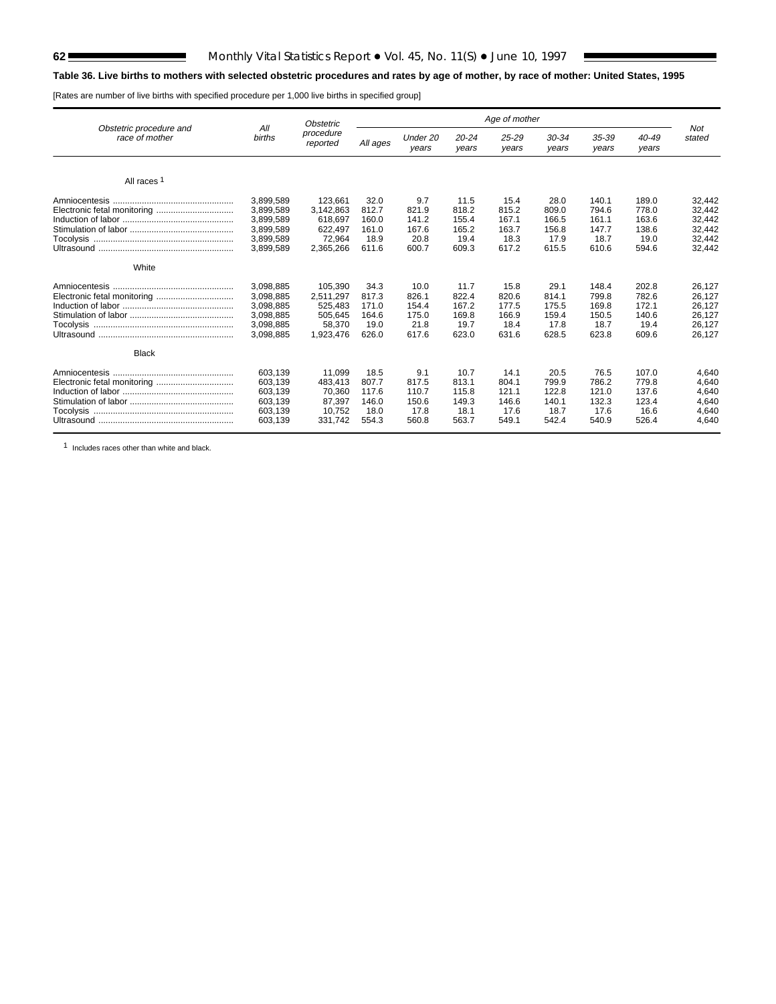$\blacksquare$ 

# **Table 36. Live births to mothers with selected obstetric procedures and rates by age of mother, by race of mother: United States, 1995**

[Rates are number of live births with specified procedure per 1,000 live births in specified group]

|                             |               | <b>Obstetric</b> | Age of mother |          |           |           |           |           |           |        |
|-----------------------------|---------------|------------------|---------------|----------|-----------|-----------|-----------|-----------|-----------|--------|
| Obstetric procedure and     | All           | procedure        | All ages      | Under 20 | $20 - 24$ | $25 - 29$ | $30 - 34$ | $35 - 39$ | $40 - 49$ | Not    |
| race of mother              | <b>births</b> | reported         |               | years    | years     | years     | years     | years     | years     | stated |
| All races <sup>1</sup>      |               |                  |               |          |           |           |           |           |           |        |
|                             | 3,899,589     | 123.661          | 32.0          | 9.7      | 11.5      | 15.4      | 28.0      | 140.1     | 189.0     | 32,442 |
| Electronic fetal monitoring | 3,899,589     | 3,142,863        | 812.7         | 821.9    | 818.2     | 815.2     | 809.0     | 794.6     | 778.0     | 32,442 |
|                             | 3,899,589     | 618.697          | 160.0         | 141.2    | 155.4     | 167.1     | 166.5     | 161.1     | 163.6     | 32,442 |
|                             | 3.899.589     | 622,497          | 161.0         | 167.6    | 165.2     | 163.7     | 156.8     | 147.7     | 138.6     | 32,442 |
|                             | 3,899,589     | 72.964           | 18.9          | 20.8     | 19.4      | 18.3      | 17.9      | 18.7      | 19.0      | 32,442 |
|                             | 3,899,589     | 2,365,266        | 611.6         | 600.7    | 609.3     | 617.2     | 615.5     | 610.6     | 594.6     | 32,442 |
| White                       |               |                  |               |          |           |           |           |           |           |        |
|                             | 3,098,885     | 105.390          | 34.3          | 10.0     | 11.7      | 15.8      | 29.1      | 148.4     | 202.8     | 26.127 |
| Electronic fetal monitoring | 3,098,885     | 2,511,297        | 817.3         | 826.1    | 822.4     | 820.6     | 814.1     | 799.8     | 782.6     | 26,127 |
|                             | 3,098,885     | 525.483          | 171.0         | 154.4    | 167.2     | 177.5     | 175.5     | 169.8     | 172.1     | 26,127 |
|                             | 3.098.885     | 505,645          | 164.6         | 175.0    | 169.8     | 166.9     | 159.4     | 150.5     | 140.6     | 26,127 |
|                             | 3,098,885     | 58,370           | 19.0          | 21.8     | 19.7      | 18.4      | 17.8      | 18.7      | 19.4      | 26,127 |
|                             | 3.098.885     | 1,923,476        | 626.0         | 617.6    | 623.0     | 631.6     | 628.5     | 623.8     | 609.6     | 26.127 |
| <b>Black</b>                |               |                  |               |          |           |           |           |           |           |        |
|                             | 603,139       | 11.099           | 18.5          | 9.1      | 10.7      | 14.1      | 20.5      | 76.5      | 107.0     | 4,640  |
| Electronic fetal monitoring | 603.139       | 483.413          | 807.7         | 817.5    | 813.1     | 804.1     | 799.9     | 786.2     | 779.8     | 4.640  |
|                             | 603,139       | 70,360           | 117.6         | 110.7    | 115.8     | 121.1     | 122.8     | 121.0     | 137.6     | 4,640  |
|                             | 603,139       | 87,397           | 146.0         | 150.6    | 149.3     | 146.6     | 140.1     | 132.3     | 123.4     | 4,640  |
|                             | 603,139       | 10,752           | 18.0          | 17.8     | 18.1      | 17.6      | 18.7      | 17.6      | 16.6      | 4,640  |
|                             | 603,139       | 331.742          | 554.3         | 560.8    | 563.7     | 549.1     | 542.4     | 540.9     | 526.4     | 4.640  |

1 Includes races other than white and black.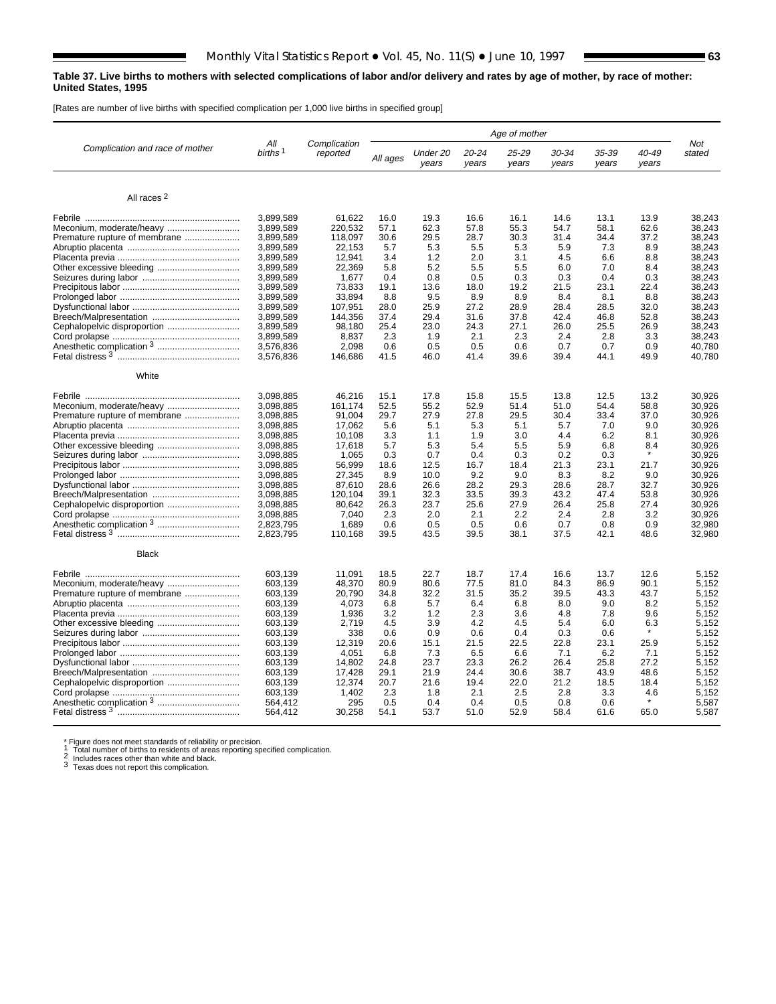### **Table 37. Live births to mothers with selected complications of labor and/or delivery and rates by age of mother, by race of mother: United States, 1995**

[Rates are number of live births with specified complication per 1,000 live births in specified group]

|                                 |                            | Complication |          |                   |                | Age of mother  |                |                |                | Not    |
|---------------------------------|----------------------------|--------------|----------|-------------------|----------------|----------------|----------------|----------------|----------------|--------|
| Complication and race of mother | All<br>births <sup>1</sup> | reported     | All ages | Under 20<br>vears | 20-24<br>years | 25-29<br>years | 30-34<br>years | 35-39<br>years | 40-49<br>vears | stated |
| All races <sup>2</sup>          |                            |              |          |                   |                |                |                |                |                |        |
|                                 | 3.899.589                  | 61,622       | 16.0     | 19.3              | 16.6           | 16.1           | 14.6           | 13.1           | 13.9           | 38.243 |
|                                 | 3,899,589                  | 220,532      | 57.1     | 62.3              | 57.8           | 55.3           | 54.7           | 58.1           | 62.6           | 38,243 |
| Premature rupture of membrane   | 3,899,589                  | 118,097      | 30.6     | 29.5              | 28.7           | 30.3           | 31.4           | 34.4           | 37.2           | 38,243 |
|                                 | 3,899,589                  | 22,153       | 5.7      | 5.3               | 5.5            | 5.3            | 5.9            | 7.3            | 8.9            | 38,243 |
|                                 | 3,899,589                  | 12,941       | 3.4      | 1.2               | 2.0            | 3.1            | 4.5            | 6.6            | 8.8            | 38,243 |
|                                 | 3,899,589                  | 22,369       | 5.8      | 5.2               | 5.5            | 5.5            | 6.0            | 7.0            | 8.4            | 38.243 |
|                                 | 3,899,589                  | 1,677        | 0.4      | 0.8               | 0.5            | 0.3            | 0.3            | 0.4            | 0.3            | 38.243 |
|                                 | 3,899,589                  | 73,833       | 19.1     | 13.6              | 18.0           | 19.2           | 21.5           | 23.1           | 22.4           | 38,243 |
|                                 | 3,899,589                  | 33.894       | 8.8      | 9.5               | 8.9            | 8.9            | 8.4            | 8.1            | 8.8            | 38,243 |
|                                 | 3,899,589                  | 107,951      | 28.0     | 25.9              | 27.2           | 28.9           | 28.4           | 28.5           | 32.0           | 38,243 |
|                                 | 3,899,589                  | 144,356      | 37.4     | 29.4              | 31.6           | 37.8           | 42.4           | 46.8           | 52.8           | 38,243 |
|                                 | 3,899,589                  | 98,180       | 25.4     | 23.0              | 24.3           | 27.1           | 26.0           | 25.5           | 26.9           | 38,243 |
|                                 | 3,899,589                  | 8,837        | 2.3      | 1.9               | 2.1            | 2.3            | 2.4            | 2.8            | 3.3            | 38,243 |
|                                 | 3,576,836                  | 2.098        | 0.6      | 0.5               | 0.5            | 0.6            | 0.7            | 0.7            | 0.9            | 40.780 |
|                                 | 3,576,836                  | 146,686      | 41.5     | 46.0              | 41.4           | 39.6           | 39.4           | 44.1           | 49.9           | 40,780 |
| White                           |                            |              |          |                   |                |                |                |                |                |        |
|                                 | 3.098.885                  | 46,216       | 15.1     | 17.8              | 15.8           | 15.5           | 13.8           | 12.5           | 13.2           | 30,926 |
|                                 | 3.098.885                  | 161.174      | 52.5     | 55.2              | 52.9           | 51.4           | 51.0           | 54.4           | 58.8           | 30.926 |
| Premature rupture of membrane   | 3.098.885                  | 91.004       | 29.7     | 27.9              | 27.8           | 29.5           | 30.4           | 33.4           | 37.0           | 30.926 |
|                                 | 3,098,885                  | 17,062       | 5.6      | 5.1               | 5.3            | 5.1            | 5.7            | 7.0            | 9.0            | 30,926 |
|                                 | 3,098,885                  | 10,108       | 3.3      | 1.1               | 1.9            | 3.0            | 4.4            | 6.2            | 8.1            | 30,926 |
|                                 | 3,098,885                  | 17,618       | 5.7      | 5.3               | 5.4            | 5.5            | 5.9            | 6.8            | 8.4            | 30,926 |
|                                 | 3,098,885                  | 1,065        | 0.3      | 0.7               | 0.4            | 0.3            | 0.2            | 0.3            |                | 30,926 |
|                                 | 3,098,885                  | 56,999       | 18.6     | 12.5              | 16.7           | 18.4           | 21.3           | 23.1           | 21.7           | 30,926 |
|                                 | 3,098,885                  | 27,345       | 8.9      | 10.0              | 9.2            | 9.0            | 8.3            | 8.2            | 9.0            | 30,926 |
|                                 | 3,098,885                  | 87.610       | 28.6     | 26.6              | 28.2           | 29.3           | 28.6           | 28.7           | 32.7           | 30.926 |
|                                 | 3,098,885                  | 120,104      | 39.1     | 32.3              | 33.5           | 39.3           | 43.2           | 47.4           | 53.8           | 30,926 |
|                                 | 3,098,885                  | 80,642       | 26.3     | 23.7              | 25.6           | 27.9           | 26.4           | 25.8           | 27.4           | 30,926 |
|                                 | 3,098,885                  | 7.040        | 2.3      | 2.0               | 2.1            | 2.2            | 2.4            | 2.8            | 3.2            | 30,926 |
|                                 | 2,823,795                  | 1,689        | 0.6      | 0.5               | 0.5            | 0.6            | 0.7            | 0.8            | 0.9            | 32,980 |
|                                 | 2,823,795                  | 110,168      | 39.5     | 43.5              | 39.5           | 38.1           | 37.5           | 42.1           | 48.6           | 32,980 |
| <b>Black</b>                    |                            |              |          |                   |                |                |                |                |                |        |
|                                 | 603,139                    | 11,091       | 18.5     | 22.7              | 18.7           | 17.4           | 16.6           | 13.7           | 12.6           | 5,152  |
|                                 | 603,139                    | 48,370       | 80.9     | 80.6              | 77.5           | 81.0           | 84.3           | 86.9           | 90.1           | 5,152  |
| Premature rupture of membrane   | 603,139                    | 20,790       | 34.8     | 32.2              | 31.5           | 35.2           | 39.5           | 43.3           | 43.7           | 5,152  |
|                                 | 603,139                    | 4.073        | 6.8      | 5.7               | 6.4            | 6.8            | 8.0            | 9.0            | 8.2            | 5,152  |
|                                 | 603,139                    | 1.936        | 3.2      | 1.2               | 2.3            | 3.6            | 4.8            | 7.8            | 9.6            | 5.152  |
| Other excessive bleeding        | 603,139                    | 2.719        | 4.5      | 3.9               | 4.2            | 4.5            | 5.4            | 6.0            | 6.3            | 5,152  |
|                                 | 603,139                    | 338          | 0.6      | 0.9               | 0.6            | 0.4            | 0.3            | 0.6            |                | 5,152  |
|                                 | 603,139                    | 12,319       | 20.6     | 15.1              | 21.5           | 22.5           | 22.8           | 23.1           | 25.9           | 5,152  |
|                                 | 603,139                    | 4,051        | 6.8      | 7.3               | 6.5            | 6.6            | 7.1            | 6.2            | 7.1            | 5,152  |
|                                 | 603,139                    | 14,802       | 24.8     | 23.7              | 23.3           | 26.2           | 26.4           | 25.8           | 27.2           | 5,152  |
|                                 | 603,139                    | 17,428       | 29.1     | 21.9              | 24.4           | 30.6           | 38.7           | 43.9           | 48.6           | 5,152  |
|                                 | 603,139                    | 12,374       | 20.7     | 21.6              | 19.4           | 22.0           | 21.2           | 18.5           | 18.4           | 5,152  |
|                                 | 603,139                    | 1.402        | 2.3      | 1.8               | 2.1            | 2.5            | 2.8            | 3.3            | 4.6            | 5,152  |
|                                 | 564,412                    | 295          | 0.5      | 0.4               | 0.4            | 0.5            | 0.8            | 0.6            | $\star$        | 5,587  |
|                                 | 564,412                    | 30,258       | 54.1     | 53.7              | 51.0           | 52.9           | 58.4           | 61.6           | 65.0           | 5,587  |
|                                 |                            |              |          |                   |                |                |                |                |                |        |

\* Figure does not meet standards of reliability or precision.<br>
1 Total number of births to residents of areas reporting specified complication.<br>
2 Includes races other than white and black.<br>
3 Texas does not report this c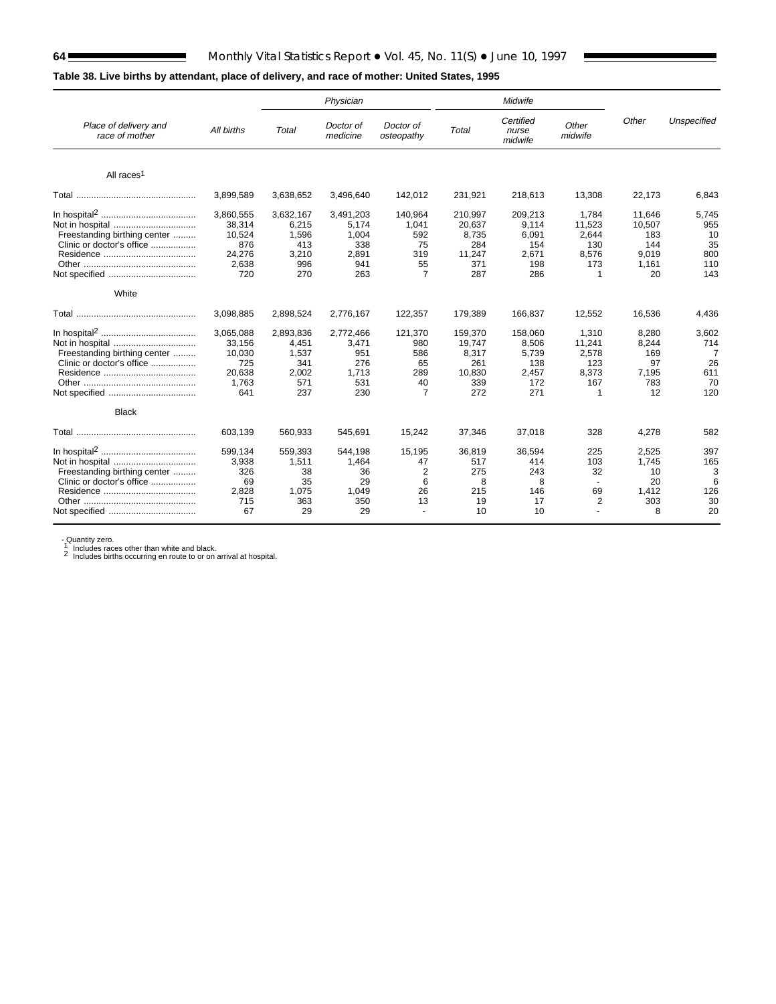Е

# **Table 38. Live births by attendant, place of delivery, and race of mother: United States, 1995**

|                                                                              |                                                                |                                                           | Physician                                                 |                                                           |                                                           | Midwife                                                 |                                                                 |                                                        |                                               |
|------------------------------------------------------------------------------|----------------------------------------------------------------|-----------------------------------------------------------|-----------------------------------------------------------|-----------------------------------------------------------|-----------------------------------------------------------|---------------------------------------------------------|-----------------------------------------------------------------|--------------------------------------------------------|-----------------------------------------------|
| Place of delivery and<br>race of mother                                      | All births                                                     | Total                                                     | Doctor of<br>medicine                                     | Doctor of<br>osteopathy                                   | Total                                                     | Certified<br>nurse<br>midwife                           | Other<br>midwife                                                | Other                                                  | Unspecified                                   |
| All races <sup>1</sup>                                                       |                                                                |                                                           |                                                           |                                                           |                                                           |                                                         |                                                                 |                                                        |                                               |
|                                                                              | 3,899,589                                                      | 3,638,652                                                 | 3,496,640                                                 | 142,012                                                   | 231,921                                                   | 218,613                                                 | 13,308                                                          | 22,173                                                 | 6,843                                         |
| Freestanding birthing center<br>Clinic or doctor's office                    | 3,860,555<br>38,314<br>10,524<br>876<br>24,276<br>2.638<br>720 | 3,632,167<br>6,215<br>1,596<br>413<br>3,210<br>996<br>270 | 3,491,203<br>5,174<br>1.004<br>338<br>2,891<br>941<br>263 | 140,964<br>1,041<br>592<br>75<br>319<br>55<br>7           | 210,997<br>20,637<br>8,735<br>284<br>11,247<br>371<br>287 | 209,213<br>9,114<br>6,091<br>154<br>2,671<br>198<br>286 | 1.784<br>11,523<br>2,644<br>130<br>8,576<br>173<br>1            | 11.646<br>10,507<br>183<br>144<br>9,019<br>1.161<br>20 | 5,745<br>955<br>10<br>35<br>800<br>110<br>143 |
| White                                                                        |                                                                |                                                           |                                                           |                                                           |                                                           |                                                         |                                                                 |                                                        |                                               |
|                                                                              | 3.098.885                                                      | 2,898,524                                                 | 2,776,167                                                 | 122,357                                                   | 179.389                                                   | 166.837                                                 | 12,552                                                          | 16,536                                                 | 4.436                                         |
| Not in hospital<br>Freestanding birthing center<br>Clinic or doctor's office | 3,065,088<br>33,156<br>10,030<br>725<br>20,638<br>1,763<br>641 | 2,893,836<br>4.451<br>1,537<br>341<br>2,002<br>571<br>237 | 2,772,466<br>3,471<br>951<br>276<br>1,713<br>531<br>230   | 121,370<br>980<br>586<br>65<br>289<br>40<br>7             | 159,370<br>19.747<br>8,317<br>261<br>10,830<br>339<br>272 | 158,060<br>8,506<br>5,739<br>138<br>2,457<br>172<br>271 | 1,310<br>11,241<br>2,578<br>123<br>8,373<br>167<br>$\mathbf{1}$ | 8,280<br>8,244<br>169<br>97<br>7,195<br>783<br>12      | 3,602<br>714<br>7<br>26<br>611<br>70<br>120   |
| <b>Black</b>                                                                 |                                                                |                                                           |                                                           |                                                           |                                                           |                                                         |                                                                 |                                                        |                                               |
|                                                                              | 603,139                                                        | 560,933                                                   | 545,691                                                   | 15,242                                                    | 37,346                                                    | 37,018                                                  | 328                                                             | 4,278                                                  | 582                                           |
| Freestanding birthing center<br>Clinic or doctor's office                    | 599.134<br>3,938<br>326<br>69<br>2,828<br>715<br>67            | 559,393<br>1,511<br>38<br>35<br>1,075<br>363<br>29        | 544,198<br>1,464<br>36<br>29<br>1,049<br>350<br>29        | 15,195<br>47<br>$\overline{2}$<br>6<br>26<br>13<br>$\sim$ | 36,819<br>517<br>275<br>8<br>215<br>19<br>10              | 36,594<br>414<br>243<br>8<br>146<br>17<br>10            | 225<br>103<br>32<br>$\sim$<br>69<br>2                           | 2,525<br>1,745<br>10<br>20<br>1,412<br>303<br>8        | 397<br>165<br>3<br>6<br>126<br>30<br>20       |

- Quantity zero.<br>1 Includes races other than white and black.<br>2 Includes births occurring en route to or on arrival at hospital.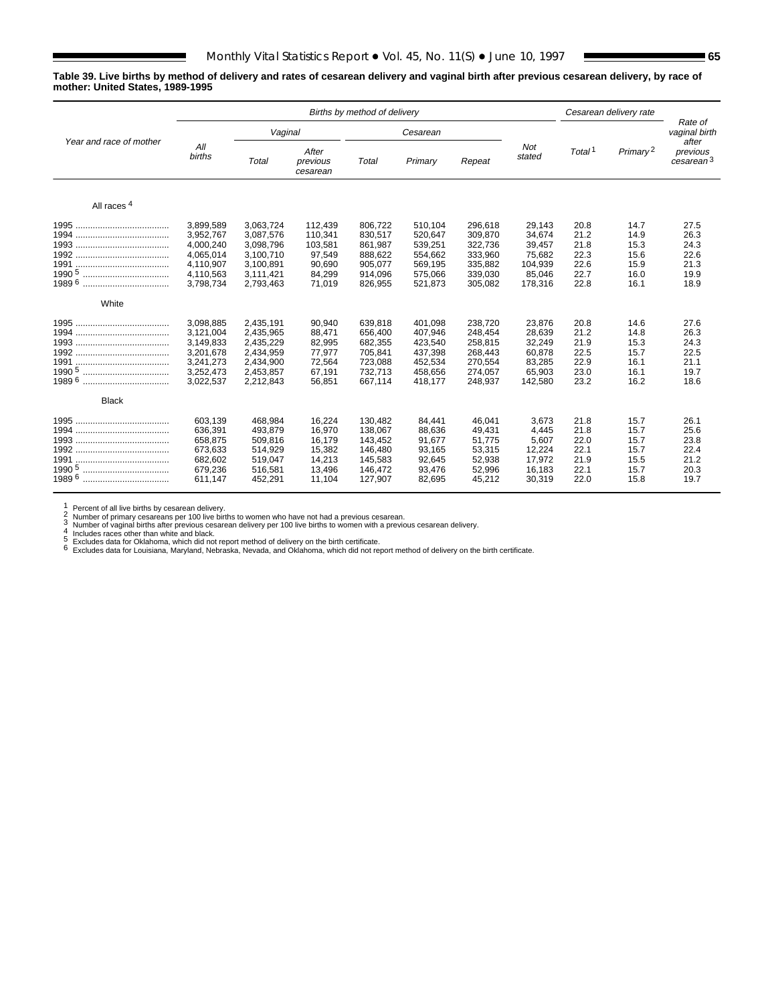### **Table 39. Live births by method of delivery and rates of cesarean delivery and vaginal birth after previous cesarean delivery, by race of mother: United States, 1989-1995**

|                                                             | Births by method of delivery                                                            |                                                                                         |                                                                       |                                                                           |                                                                           |                                                                           |                                                                      |                                                      | Cesarean delivery rate                               |                                                      |
|-------------------------------------------------------------|-----------------------------------------------------------------------------------------|-----------------------------------------------------------------------------------------|-----------------------------------------------------------------------|---------------------------------------------------------------------------|---------------------------------------------------------------------------|---------------------------------------------------------------------------|----------------------------------------------------------------------|------------------------------------------------------|------------------------------------------------------|------------------------------------------------------|
|                                                             |                                                                                         | Vaginal                                                                                 |                                                                       |                                                                           | Cesarean                                                                  |                                                                           |                                                                      |                                                      |                                                      | Rate of<br>vaginal birth                             |
| Year and race of mother                                     | All<br>births                                                                           | Total                                                                                   | After<br>previous<br>cesarean                                         | Total                                                                     | Primary                                                                   | Repeat                                                                    | Not<br>stated                                                        | Total <sup>1</sup>                                   | Primary <sup>2</sup>                                 | after<br>previous<br>cesarean <sup>3</sup>           |
| All races <sup>4</sup>                                      |                                                                                         |                                                                                         |                                                                       |                                                                           |                                                                           |                                                                           |                                                                      |                                                      |                                                      |                                                      |
| 1994<br>1993<br>1992<br>1991<br>1990 5<br><br>19896<br>     | 3,899,589<br>3,952,767<br>4,000,240<br>4,065,014<br>4,110,907<br>4,110,563<br>3,798,734 | 3,063,724<br>3,087,576<br>3,098,796<br>3,100,710<br>3,100,891<br>3,111,421<br>2,793,463 | 112,439<br>110,341<br>103,581<br>97,549<br>90,690<br>84,299<br>71,019 | 806,722<br>830,517<br>861,987<br>888,622<br>905.077<br>914,096<br>826,955 | 510,104<br>520,647<br>539,251<br>554,662<br>569,195<br>575,066<br>521,873 | 296,618<br>309,870<br>322,736<br>333,960<br>335,882<br>339,030<br>305,082 | 29,143<br>34,674<br>39,457<br>75,682<br>104,939<br>85,046<br>178,316 | 20.8<br>21.2<br>21.8<br>22.3<br>22.6<br>22.7<br>22.8 | 14.7<br>14.9<br>15.3<br>15.6<br>15.9<br>16.0<br>16.1 | 27.5<br>26.3<br>24.3<br>22.6<br>21.3<br>19.9<br>18.9 |
| White                                                       |                                                                                         |                                                                                         |                                                                       |                                                                           |                                                                           |                                                                           |                                                                      |                                                      |                                                      |                                                      |
| 1994<br>1992<br>1991<br>1990 <sup>5</sup><br><br>19896<br>  | 3,098,885<br>3,121,004<br>3,149,833<br>3,201,678<br>3,241,273<br>3,252,473<br>3,022,537 | 2,435,191<br>2,435,965<br>2,435,229<br>2,434,959<br>2,434,900<br>2,453,857<br>2,212,843 | 90,940<br>88,471<br>82,995<br>77,977<br>72,564<br>67,191<br>56,851    | 639,818<br>656,400<br>682,355<br>705,841<br>723,088<br>732,713<br>667,114 | 401.098<br>407,946<br>423,540<br>437,398<br>452,534<br>458,656<br>418,177 | 238.720<br>248,454<br>258,815<br>268,443<br>270,554<br>274,057<br>248,937 | 23,876<br>28,639<br>32,249<br>60,878<br>83,285<br>65,903<br>142,580  | 20.8<br>21.2<br>21.9<br>22.5<br>22.9<br>23.0<br>23.2 | 14.6<br>14.8<br>15.3<br>15.7<br>16.1<br>16.1<br>16.2 | 27.6<br>26.3<br>24.3<br>22.5<br>21.1<br>19.7<br>18.6 |
| <b>Black</b>                                                |                                                                                         |                                                                                         |                                                                       |                                                                           |                                                                           |                                                                           |                                                                      |                                                      |                                                      |                                                      |
| 1995<br>1994<br>1993<br>1992<br>1991<br>1990 5<br><br>19896 | 603,139<br>636,391<br>658.875<br>673,633<br>682,602<br>679,236<br>611.147               | 468,984<br>493.879<br>509.816<br>514,929<br>519,047<br>516,581<br>452,291               | 16,224<br>16,970<br>16.179<br>15,382<br>14,213<br>13,496<br>11.104    | 130,482<br>138,067<br>143.452<br>146,480<br>145,583<br>146,472<br>127.907 | 84,441<br>88,636<br>91.677<br>93,165<br>92,645<br>93,476<br>82,695        | 46,041<br>49,431<br>51.775<br>53,315<br>52,938<br>52,996<br>45,212        | 3,673<br>4,445<br>5,607<br>12,224<br>17,972<br>16,183<br>30,319      | 21.8<br>21.8<br>22.0<br>22.1<br>21.9<br>22.1<br>22.0 | 15.7<br>15.7<br>15.7<br>15.7<br>15.5<br>15.7<br>15.8 | 26.1<br>25.6<br>23.8<br>22.4<br>21.2<br>20.3<br>19.7 |

1 Percent of all live births by cesarean delivery.<br>
2 Number of primary cesareans per 100 live births to women who have not had a previous cesarean.<br>
3 Number of vaginal births after previous cesarean delivery per 100 liv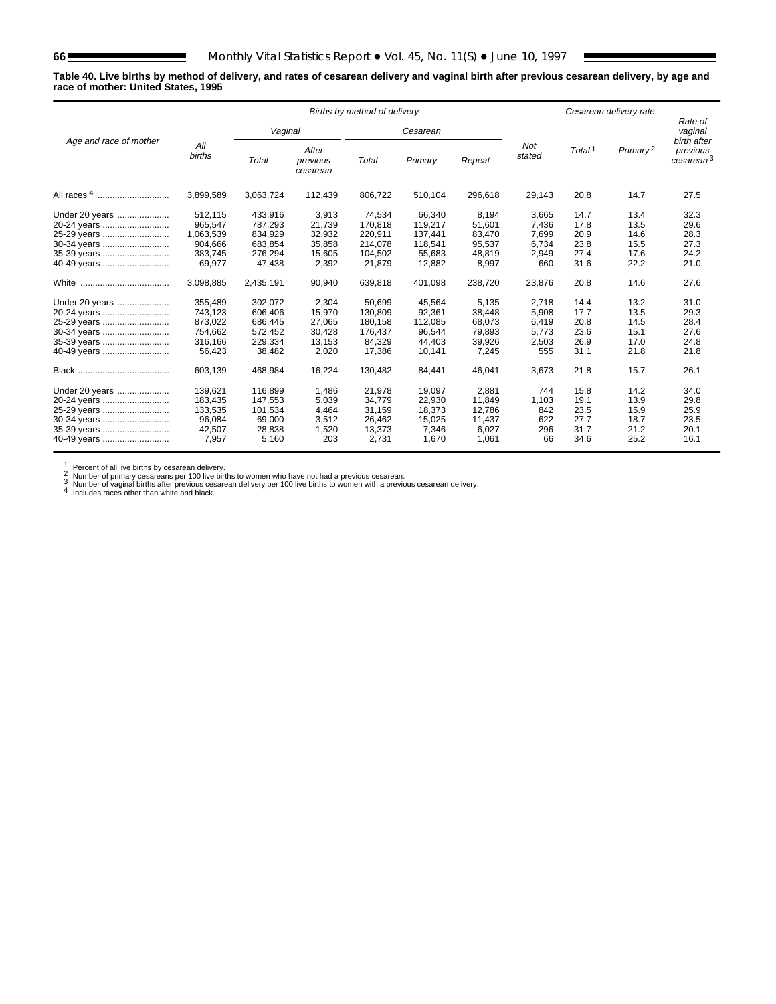**Table 40. Live births by method of delivery, and rates of cesarean delivery and vaginal birth after previous cesarean delivery, by age and race of mother: United States, 1995**

|                                                                                           |                                                                 | Births by method of delivery                                  |                                                        |                                                              |                                                             |                                                        |                                                  |                                              | Cesarean delivery rate                       |                                              |  |
|-------------------------------------------------------------------------------------------|-----------------------------------------------------------------|---------------------------------------------------------------|--------------------------------------------------------|--------------------------------------------------------------|-------------------------------------------------------------|--------------------------------------------------------|--------------------------------------------------|----------------------------------------------|----------------------------------------------|----------------------------------------------|--|
|                                                                                           |                                                                 | Vaginal                                                       |                                                        |                                                              | Cesarean                                                    |                                                        |                                                  |                                              |                                              | Rate of<br>vaginal<br>birth after            |  |
| Age and race of mother                                                                    | All<br>births                                                   | Total                                                         | After<br>previous<br>cesarean                          | Total                                                        | Primary                                                     | Repeat                                                 | <b>Not</b><br>stated                             | Total <sup>1</sup>                           | Primary <sup>2</sup>                         | previous<br>cesarean <sup>3</sup>            |  |
| All races 4                                                                               | 3,899,589                                                       | 3,063,724                                                     | 112,439                                                | 806,722                                                      | 510,104                                                     | 296,618                                                | 29,143                                           | 20.8                                         | 14.7                                         | 27.5                                         |  |
| Under 20 years<br>20-24 years<br>25-29 years<br>30-34 years<br>35-39 years<br>40-49 years | 512,115<br>965.547<br>1,063,539<br>904.666<br>383,745<br>69.977 | 433,916<br>787.293<br>834,929<br>683.854<br>276,294<br>47,438 | 3,913<br>21.739<br>32,932<br>35.858<br>15,605<br>2,392 | 74,534<br>170.818<br>220,911<br>214.078<br>104,502<br>21,879 | 66,340<br>119.217<br>137,441<br>118.541<br>55,683<br>12,882 | 8,194<br>51.601<br>83,470<br>95.537<br>48,819<br>8.997 | 3,665<br>7.436<br>7,699<br>6.734<br>2,949<br>660 | 14.7<br>17.8<br>20.9<br>23.8<br>27.4<br>31.6 | 13.4<br>13.5<br>14.6<br>15.5<br>17.6<br>22.2 | 32.3<br>29.6<br>28.3<br>27.3<br>24.2<br>21.0 |  |
|                                                                                           | 3.098.885                                                       | 2,435,191                                                     | 90,940                                                 | 639.818                                                      | 401,098                                                     | 238,720                                                | 23,876                                           | 20.8                                         | 14.6                                         | 27.6                                         |  |
| Under 20 years<br>20-24 years<br>25-29 years<br>30-34 years<br>35-39 years<br>40-49 years | 355.489<br>743,123<br>873,022<br>754.662<br>316,166<br>56,423   | 302.072<br>606.406<br>686,445<br>572,452<br>229,334<br>38,482 | 2.304<br>15,970<br>27,065<br>30.428<br>13,153<br>2,020 | 50.699<br>130.809<br>180,158<br>176,437<br>84,329<br>17,386  | 45.564<br>92,361<br>112,085<br>96.544<br>44,403<br>10,141   | 5.135<br>38,448<br>68,073<br>79.893<br>39,926<br>7,245 | 2.718<br>5.908<br>6,419<br>5.773<br>2,503<br>555 | 14.4<br>17.7<br>20.8<br>23.6<br>26.9<br>31.1 | 13.2<br>13.5<br>14.5<br>15.1<br>17.0<br>21.8 | 31.0<br>29.3<br>28.4<br>27.6<br>24.8<br>21.8 |  |
|                                                                                           | 603,139                                                         | 468,984                                                       | 16,224                                                 | 130,482                                                      | 84,441                                                      | 46,041                                                 | 3,673                                            | 21.8                                         | 15.7                                         | 26.1                                         |  |
| Under 20 years<br>20-24 years<br>25-29 years<br>30-34 years<br>35-39 years<br>40-49 years | 139,621<br>183,435<br>133,535<br>96.084<br>42,507<br>7.957      | 116,899<br>147,553<br>101,534<br>69,000<br>28,838<br>5,160    | 1,486<br>5,039<br>4,464<br>3,512<br>1,520<br>203       | 21,978<br>34,779<br>31,159<br>26.462<br>13,373<br>2.731      | 19,097<br>22,930<br>18,373<br>15.025<br>7,346<br>1.670      | 2,881<br>11.849<br>12,786<br>11.437<br>6,027<br>1.061  | 744<br>1,103<br>842<br>622<br>296<br>66          | 15.8<br>19.1<br>23.5<br>27.7<br>31.7<br>34.6 | 14.2<br>13.9<br>15.9<br>18.7<br>21.2<br>25.2 | 34.0<br>29.8<br>25.9<br>23.5<br>20.1<br>16.1 |  |

1 Percent of all live births by cesarean delivery.<br>
2 Number of primary cesareans per 100 live births to women who have not had a previous cesarean.<br>
3 Number of vaginal births after previous cesarean delivery per 100 liv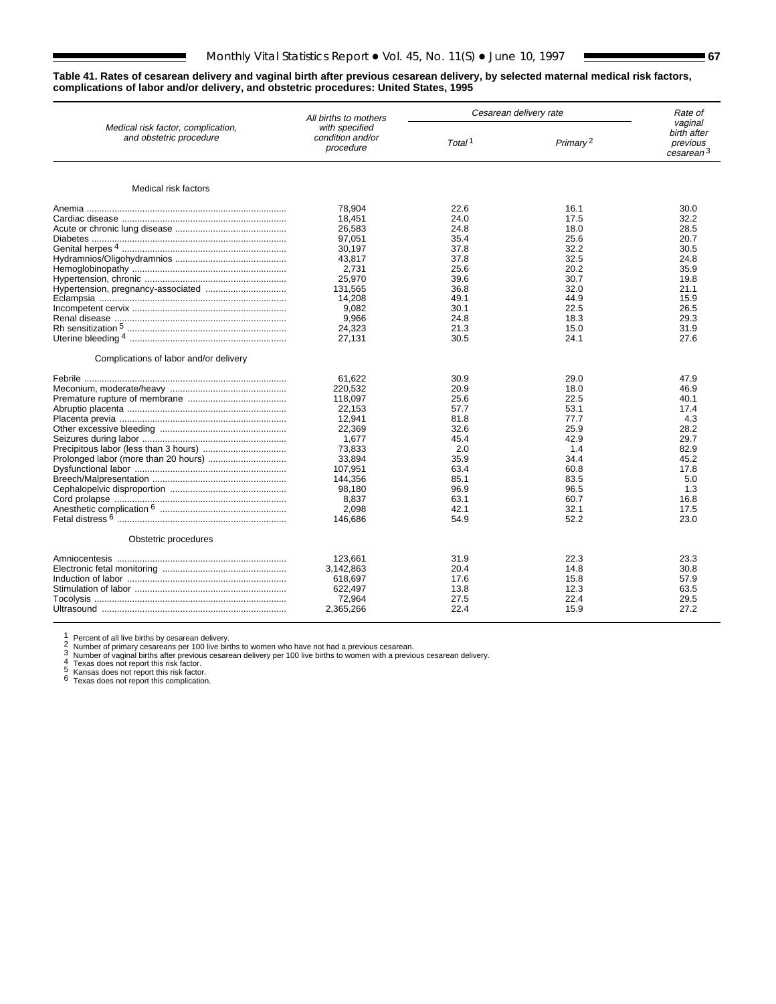### **Table 41. Rates of cesarean delivery and vaginal birth after previous cesarean delivery, by selected maternal medical risk factors, complications of labor and/or delivery, and obstetric procedures: United States, 1995**

|                                                               | All births to mothers                           |                    | Cesarean delivery rate | Rate of<br>vaginal                               |  |
|---------------------------------------------------------------|-------------------------------------------------|--------------------|------------------------|--------------------------------------------------|--|
| Medical risk factor, complication,<br>and obstetric procedure | with specified<br>condition and/or<br>procedure | Total <sup>1</sup> | Primary <sup>2</sup>   | birth after<br>previous<br>cesarean <sup>3</sup> |  |
| Medical risk factors                                          |                                                 |                    |                        |                                                  |  |
|                                                               | 78.904                                          | 22.6               | 16.1                   | 30.0                                             |  |
|                                                               | 18,451                                          | 24.0               | 17.5                   | 32.2                                             |  |
|                                                               | 26.583                                          | 24.8               |                        | 28.5                                             |  |
|                                                               |                                                 |                    | 18.0                   |                                                  |  |
|                                                               | 97,051                                          | 35.4               | 25.6                   | 20.7                                             |  |
|                                                               | 30.197                                          | 37.8               | 32.2                   | 30.5                                             |  |
|                                                               | 43,817                                          | 37.8               | 32.5                   | 24.8                                             |  |
|                                                               | 2.731                                           | 25.6               | 20.2                   | 35.9                                             |  |
|                                                               | 25,970                                          | 39.6               | 30.7                   | 19.8                                             |  |
|                                                               | 131.565                                         | 36.8               | 32.0                   | 21.1                                             |  |
|                                                               | 14,208                                          | 49.1               | 44.9                   | 15.9                                             |  |
|                                                               | 9,082                                           | 30.1               | 22.5                   | 26.5                                             |  |
|                                                               | 9,966                                           | 24.8               | 18.3                   | 29.3                                             |  |
|                                                               | 24,323                                          | 21.3               | 15.0                   | 31.9                                             |  |
|                                                               | 27,131                                          | 30.5               | 24.1                   | 27.6                                             |  |
| Complications of labor and/or delivery                        |                                                 |                    |                        |                                                  |  |
|                                                               | 61,622                                          | 30.9               | 29.0                   | 47.9                                             |  |
|                                                               | 220,532                                         | 20.9               | 18.0                   | 46.9                                             |  |
|                                                               | 118,097                                         | 25.6               | 22.5                   | 40.1                                             |  |
|                                                               | 22.153                                          | 57.7               | 53.1                   | 17.4                                             |  |
|                                                               | 12,941                                          | 81.8               | 77.7                   | 4.3                                              |  |
|                                                               | 22,369                                          | 32.6               | 25.9                   | 28.2                                             |  |
|                                                               | 1,677                                           | 45.4               | 42.9                   | 29.7                                             |  |
|                                                               | 73.833                                          | 2.0                | 1.4                    | 82.9                                             |  |
|                                                               | 33.894                                          | 35.9               | 34.4                   | 45.2                                             |  |
|                                                               | 107,951                                         | 63.4               | 60.8                   | 17.8                                             |  |
|                                                               | 144,356                                         | 85.1               | 83.5                   | 5.0                                              |  |
|                                                               |                                                 | 96.9               |                        | 1.3                                              |  |
|                                                               | 98,180                                          |                    | 96.5                   |                                                  |  |
|                                                               | 8,837                                           | 63.1               | 60.7                   | 16.8                                             |  |
|                                                               | 2.098                                           | 42.1               | 32.1                   | 17.5                                             |  |
|                                                               | 146,686                                         | 54.9               | 52.2                   | 23.0                                             |  |
| Obstetric procedures                                          |                                                 |                    |                        |                                                  |  |
|                                                               | 123.661                                         | 31.9               | 22.3                   | 23.3                                             |  |
|                                                               | 3.142.863                                       | 20.4               | 14.8                   | 30.8                                             |  |
|                                                               | 618.697                                         | 17.6               | 15.8                   | 57.9                                             |  |
|                                                               | 622,497                                         | 13.8               | 12.3                   | 63.5                                             |  |
|                                                               | 72,964                                          | 27.5               | 22.4                   | 29.5                                             |  |
|                                                               | 2,365,266                                       | 22.4               | 15.9                   | 27.2                                             |  |
|                                                               |                                                 |                    |                        |                                                  |  |

1 Percent of all live births by cesarean delivery.<br>
2 Number of primary cesareans per 100 live births to women who have not had a previous cesarean.<br>
3 Number of vaginal births after previous cesarean delivery per 100 liv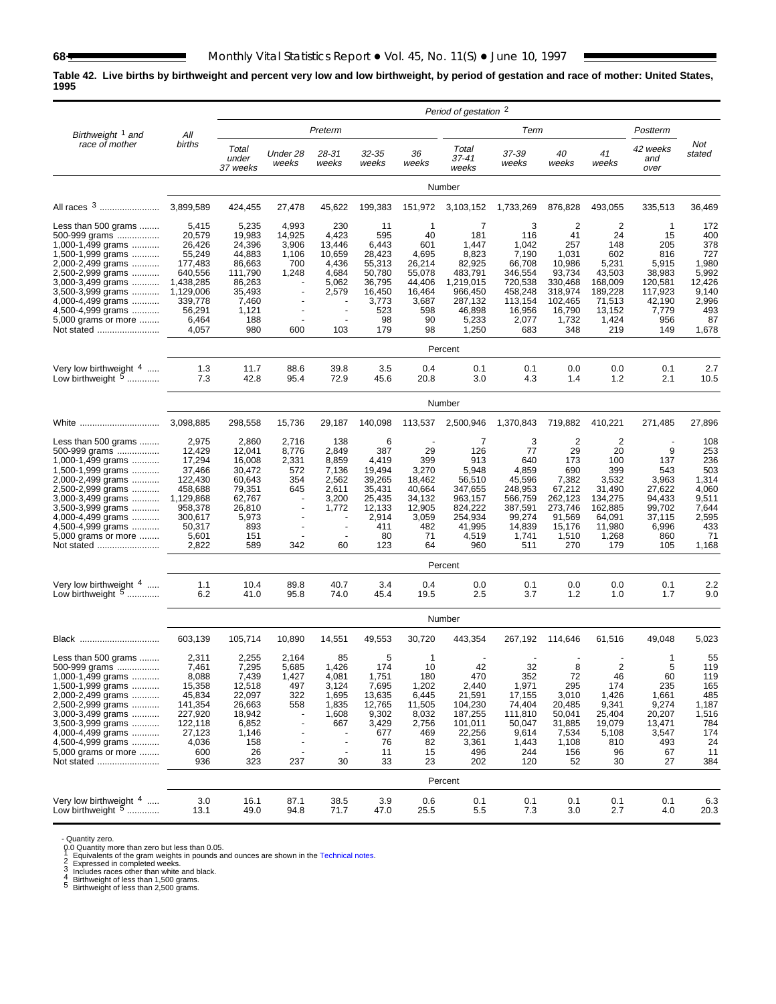## **Table 42. Live births by birthweight and percent very low and low birthweight, by period of gestation and race of mother: United States, 1995**

|                                                                                                                                                                                                                                                            |                                                                                                                            |                                                                                                              |                                                           |                                                                                               |                                                                                                   |                                                                                                  | Period of gestation <sup>2</sup>                                                                               |                                                                                                            |                                                                                                                     |                                                                                                                 |                                                                                                           |                                                                                              |
|------------------------------------------------------------------------------------------------------------------------------------------------------------------------------------------------------------------------------------------------------------|----------------------------------------------------------------------------------------------------------------------------|--------------------------------------------------------------------------------------------------------------|-----------------------------------------------------------|-----------------------------------------------------------------------------------------------|---------------------------------------------------------------------------------------------------|--------------------------------------------------------------------------------------------------|----------------------------------------------------------------------------------------------------------------|------------------------------------------------------------------------------------------------------------|---------------------------------------------------------------------------------------------------------------------|-----------------------------------------------------------------------------------------------------------------|-----------------------------------------------------------------------------------------------------------|----------------------------------------------------------------------------------------------|
| Birthweight 1 and                                                                                                                                                                                                                                          | All                                                                                                                        |                                                                                                              |                                                           | Preterm                                                                                       |                                                                                                   |                                                                                                  |                                                                                                                | Term                                                                                                       |                                                                                                                     |                                                                                                                 | Postterm                                                                                                  |                                                                                              |
| race of mother                                                                                                                                                                                                                                             | births                                                                                                                     | Total<br>under<br>37 weeks                                                                                   | Under 28<br>weeks                                         | 28-31<br>weeks                                                                                | 32-35<br>weeks                                                                                    | 36<br>weeks                                                                                      | Total<br>37-41<br>weeks                                                                                        | 37-39<br>weeks                                                                                             | 40<br>weeks                                                                                                         | 41<br>weeks                                                                                                     | 42 weeks<br>and<br>over                                                                                   | Not<br>stated                                                                                |
|                                                                                                                                                                                                                                                            |                                                                                                                            |                                                                                                              |                                                           |                                                                                               |                                                                                                   |                                                                                                  | Number                                                                                                         |                                                                                                            |                                                                                                                     |                                                                                                                 |                                                                                                           |                                                                                              |
| All races 3                                                                                                                                                                                                                                                | 3,899,589                                                                                                                  | 424,455                                                                                                      | 27,478                                                    | 45,622                                                                                        | 199,383                                                                                           | 151,972                                                                                          | 3,103,152                                                                                                      | 1,733,269                                                                                                  | 876,828                                                                                                             | 493,055                                                                                                         | 335,513                                                                                                   | 36,469                                                                                       |
| Less than 500 grams<br>500-999 grams<br>1,000-1,499 grams<br>1,500-1,999 grams<br>2,000-2,499 grams<br>2,500-2,999 grams<br>3,000-3,499 grams<br>3,500-3,999 grams<br>4,000-4,499 grams<br>4,500-4,999 grams<br>5,000 grams or more<br>Not stated          | 5,415<br>20,579<br>26,426<br>55,249<br>177,483<br>640.556<br>1,438,285<br>1,129,006<br>339,778<br>56,291<br>6,464<br>4,057 | 5,235<br>19,983<br>24,396<br>44,883<br>86,663<br>111,790<br>86,263<br>35,493<br>7,460<br>1,121<br>188<br>980 | 4,993<br>14,925<br>3,906<br>1,106<br>700<br>1,248<br>600  | 230<br>4,423<br>13,446<br>10,659<br>4,436<br>4,684<br>5,062<br>2,579<br>$\overline{a}$<br>103 | 11<br>595<br>6,443<br>28,423<br>55,313<br>50,780<br>36,795<br>16,450<br>3,773<br>523<br>98<br>179 | -1<br>40<br>601<br>4,695<br>26,214<br>55,078<br>44,406<br>16,464<br>3,687<br>598<br>90<br>98     | 7<br>181<br>1,447<br>8,823<br>82,925<br>483,791<br>1,219,015<br>966,450<br>287,132<br>46,898<br>5,233<br>1,250 | 3<br>116<br>1,042<br>7,190<br>66,708<br>346.554<br>720,538<br>458,248<br>113,154<br>16,956<br>2,077<br>683 | $\overline{2}$<br>41<br>257<br>1,031<br>10,986<br>93,734<br>330,468<br>318,974<br>102,465<br>16,790<br>1,732<br>348 | $\overline{2}$<br>24<br>148<br>602<br>5,231<br>43,503<br>168,009<br>189,228<br>71,513<br>13,152<br>1,424<br>219 | $\mathbf 1$<br>15<br>205<br>816<br>5,915<br>38,983<br>120.581<br>117,923<br>42,190<br>7,779<br>956<br>149 | 172<br>400<br>378<br>727<br>1,980<br>5,992<br>12,426<br>9,140<br>2,996<br>493<br>87<br>1,678 |
|                                                                                                                                                                                                                                                            |                                                                                                                            |                                                                                                              |                                                           |                                                                                               |                                                                                                   |                                                                                                  | Percent                                                                                                        |                                                                                                            |                                                                                                                     |                                                                                                                 |                                                                                                           |                                                                                              |
| Very low birthweight $4$<br>Low birthweight <sup>5</sup>                                                                                                                                                                                                   | 1.3<br>7.3                                                                                                                 | 11.7<br>42.8                                                                                                 | 88.6<br>95.4                                              | 39.8<br>72.9                                                                                  | 3.5<br>45.6                                                                                       | 0.4<br>20.8                                                                                      | 0.1<br>3.0                                                                                                     | 0.1<br>4.3                                                                                                 | 0.0<br>1.4                                                                                                          | 0.0<br>1.2                                                                                                      | 0.1<br>2.1                                                                                                | 2.7<br>10.5                                                                                  |
|                                                                                                                                                                                                                                                            |                                                                                                                            |                                                                                                              |                                                           |                                                                                               |                                                                                                   |                                                                                                  | Number                                                                                                         |                                                                                                            |                                                                                                                     |                                                                                                                 |                                                                                                           |                                                                                              |
| White                                                                                                                                                                                                                                                      | 3,098,885                                                                                                                  | 298,558                                                                                                      | 15,736                                                    | 29,187                                                                                        | 140,098                                                                                           | 113,537                                                                                          | 2,500,946                                                                                                      | 1,370,843                                                                                                  | 719,882                                                                                                             | 410,221                                                                                                         | 271,485                                                                                                   | 27,896                                                                                       |
| Less than 500 grams $\ldots$<br>500-999 grams<br>1,000-1,499 grams<br>1,500-1,999 grams<br>2,000-2,499 grams<br>2,500-2,999 grams<br>3,000-3,499 grams<br>3,500-3,999 grams<br>4,000-4,499 grams<br>4,500-4,999 grams<br>5,000 grams or more<br>Not stated | 2,975<br>12,429<br>17,294<br>37,466<br>122,430<br>458,688<br>1,129,868<br>958,378<br>300,617<br>50,317<br>5,601<br>2,822   | 2,860<br>12,041<br>16,008<br>30,472<br>60,643<br>79,351<br>62,767<br>26,810<br>5,973<br>893<br>151<br>589    | 2,716<br>8,776<br>2,331<br>572<br>354<br>645<br>342       | 138<br>2,849<br>8,859<br>7,136<br>2,562<br>2,611<br>3,200<br>1,772<br>60                      | 6<br>387<br>4,419<br>19,494<br>39,265<br>35,431<br>25,435<br>12,133<br>2,914<br>411<br>80<br>123  | 29<br>399<br>3,270<br>18,462<br>40,664<br>34,132<br>12,905<br>3,059<br>482<br>71<br>64           | 7<br>126<br>913<br>5,948<br>56,510<br>347,655<br>963,157<br>824,222<br>254,934<br>41,995<br>4,519<br>960       | 3<br>77<br>640<br>4,859<br>45,596<br>248,953<br>566,759<br>387,591<br>99,274<br>14,839<br>1,741<br>511     | 2<br>29<br>173<br>690<br>7,382<br>67,212<br>262,123<br>273,746<br>91,569<br>15,176<br>1,510<br>270                  | 2<br>20<br>100<br>399<br>3,532<br>31,490<br>134,275<br>162,885<br>64,091<br>11,980<br>1,268<br>179              | 9<br>137<br>543<br>3,963<br>27,622<br>94,433<br>99,702<br>37,115<br>6,996<br>860<br>105                   | 108<br>253<br>236<br>503<br>1,314<br>4,060<br>9,511<br>7,644<br>2,595<br>433<br>71<br>1,168  |
|                                                                                                                                                                                                                                                            |                                                                                                                            |                                                                                                              |                                                           |                                                                                               |                                                                                                   |                                                                                                  | Percent                                                                                                        |                                                                                                            |                                                                                                                     |                                                                                                                 |                                                                                                           |                                                                                              |
| Very low birthweight 4<br>Low birthweight $5$                                                                                                                                                                                                              | 1.1<br>6.2                                                                                                                 | 10.4<br>41.0                                                                                                 | 89.8<br>95.8                                              | 40.7<br>74.0                                                                                  | 3.4<br>45.4                                                                                       | 0.4<br>19.5                                                                                      | 0.0<br>2.5                                                                                                     | 0.1<br>3.7                                                                                                 | 0.0<br>1.2                                                                                                          | 0.0<br>1.0                                                                                                      | 0.1<br>1.7                                                                                                | 2.2<br>9.0                                                                                   |
|                                                                                                                                                                                                                                                            |                                                                                                                            |                                                                                                              |                                                           |                                                                                               |                                                                                                   |                                                                                                  | Number                                                                                                         |                                                                                                            |                                                                                                                     |                                                                                                                 |                                                                                                           |                                                                                              |
| Black                                                                                                                                                                                                                                                      | 603,139                                                                                                                    | 105,714                                                                                                      | 10,890                                                    | 14,551                                                                                        | 49,553                                                                                            | 30,720                                                                                           | 443,354                                                                                                        | 267,192                                                                                                    | 114,646                                                                                                             | 61,516                                                                                                          | 49,048                                                                                                    | 5,023                                                                                        |
| Less than 500 grams<br>500-999 grams<br>1,000-1,499 grams<br>1,500-1,999 grams<br>2,000-2,499 grams<br>2,500-2,999 grams<br>3,000-3,499 grams<br>3,500-3,999 grams<br>4,000-4,499 grams<br>4,500-4,999 grams<br>5,000 grams or more<br>Not stated          | 2,311<br>7,461<br>8,088<br>15,358<br>45,834<br>141,354<br>227,920<br>122,118<br>27,123<br>4,036<br>600<br>936              | 2,255<br>7,295<br>7,439<br>12,518<br>22,097<br>26,663<br>18,942<br>6,852<br>1,146<br>158<br>26<br>323        | 2,164<br>5,685<br>1,427<br>497<br>322<br>558<br>÷,<br>237 | 85<br>1,426<br>4,081<br>3,124<br>1,695<br>1,835<br>1,608<br>667<br>$\sim$<br>30               | 5<br>174<br>1,751<br>7,695<br>13,635<br>12,765<br>9,302<br>3,429<br>677<br>76<br>11<br>33         | $\mathbf{1}$<br>10<br>180<br>1,202<br>6,445<br>11,505<br>8,032<br>2,756<br>469<br>82<br>15<br>23 | 42<br>470<br>2,440<br>21,591<br>104,230<br>187,255<br>101,011<br>22,256<br>3,361<br>496<br>202                 | 32<br>352<br>1,971<br>17,155<br>74,404<br>111,810<br>50,047<br>9,614<br>1,443<br>244<br>120                | 8<br>72<br>295<br>3,010<br>20,485<br>50,041<br>31,885<br>7,534<br>1,108<br>156<br>52                                | $\overline{2}$<br>46<br>174<br>1,426<br>9,341<br>25,404<br>19,079<br>5,108<br>810<br>96<br>30                   | $\mathbf{1}$<br>5<br>60<br>235<br>1,661<br>9,274<br>20,207<br>13,471<br>3,547<br>493<br>67<br>27          | 55<br>119<br>119<br>165<br>485<br>1,187<br>1,516<br>784<br>174<br>24<br>11<br>384            |
|                                                                                                                                                                                                                                                            |                                                                                                                            |                                                                                                              |                                                           |                                                                                               |                                                                                                   |                                                                                                  | Percent                                                                                                        |                                                                                                            |                                                                                                                     |                                                                                                                 |                                                                                                           |                                                                                              |
| Very low birthweight $4$<br>Low birthweight 5                                                                                                                                                                                                              | 3.0<br>13.1                                                                                                                | 16.1<br>49.0                                                                                                 | 87.1<br>94.8                                              | 38.5<br>71.7                                                                                  | 3.9<br>47.0                                                                                       | 0.6<br>25.5                                                                                      | 0.1<br>5.5                                                                                                     | 0.1<br>7.3                                                                                                 | 0.1<br>3.0                                                                                                          | 0.1<br>2.7                                                                                                      | 0.1<br>4.0                                                                                                | 6.3<br>20.3                                                                                  |

- Quantity zero.<br>
0. Quantity more than zero but less than 0.05.<br>
1 Equivalents of the gram weights in pounds and ounces are shown in the [Technical notes.](#page-75-0)<br>
2 Expressed in completed weeks.<br>
3 Includes races other than white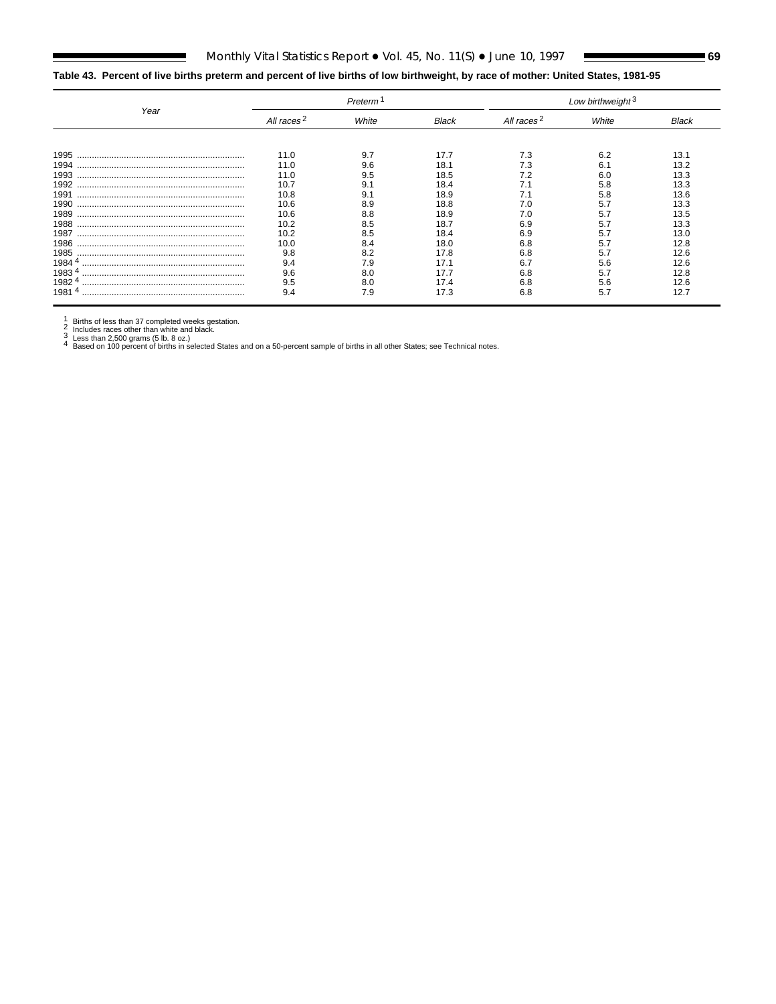# **Table 43. Percent of live births preterm and percent of live births of low birthweight, by race of mother: United States, 1981-95**

|        |                        | Preterm |              |                        | Low birthweight <sup>3</sup> |              |  |  |  |
|--------|------------------------|---------|--------------|------------------------|------------------------------|--------------|--|--|--|
| Year   | All races <sup>2</sup> | White   | <b>Black</b> | All races <sup>2</sup> | White                        | <b>Black</b> |  |  |  |
|        |                        |         |              |                        |                              |              |  |  |  |
| 1995   | 11.0                   | 9.7     | 17.7         | 7.3                    | 62                           | 13.1         |  |  |  |
| 1994   | 11.0                   | 9.6     | 18           | ΄.3                    | 6.1                          | 13.2         |  |  |  |
| 1993   | 11.0                   | 9.5     | 18.5         |                        |                              | 13.3         |  |  |  |
|        | 10.7                   |         | 18.4         |                        | 5.8                          | 13.3         |  |  |  |
| 1991   | 10.8                   |         | 18.9         |                        | 5 8                          | 13.6         |  |  |  |
| 1990   | 10.6                   | 8.9     | 18.8         | 7.0                    |                              | 13.3         |  |  |  |
|        | 10.6                   | 8.8     | 18.9         |                        |                              | 13.5         |  |  |  |
| 1988   | 10.2                   | 8.5     | 18.7         | 6.9                    | -5.7                         | 13.3         |  |  |  |
| 1987   | 10.2                   | 8.5     | 18.4         | 6.9                    | 57                           | 13.0         |  |  |  |
| 1986   | 10.0                   | 8.4     | 18.0         | 6.8                    |                              | 12.8         |  |  |  |
| 1985   | 9.8                    | 8.2     | 17.8         | 6.8                    | 5.                           | 12.6         |  |  |  |
| 1984 4 | 9.4                    | 7.9     | 17 ·         |                        | 56                           | 12.6         |  |  |  |
| 19834  | 9.6                    | 8.0     | 17.7         | 6.8                    | 5.7                          | 12.8         |  |  |  |
| 19824  | 9.5                    | 8.0     | 17.4         | 6.8                    |                              | 2.6          |  |  |  |
| 19814  | 9.4                    | 7.9     | 17.3         | 6.8                    | 5.7                          | 12.7         |  |  |  |

1 Births of less than 37 completed weeks gestation.<br>2 Includes races other than white and black.<br>3 Less than 2,500 grams (5 lb. 8 oz.)<br>4 Based on 100 percent of births in selected States and on a 50-percent sample of birt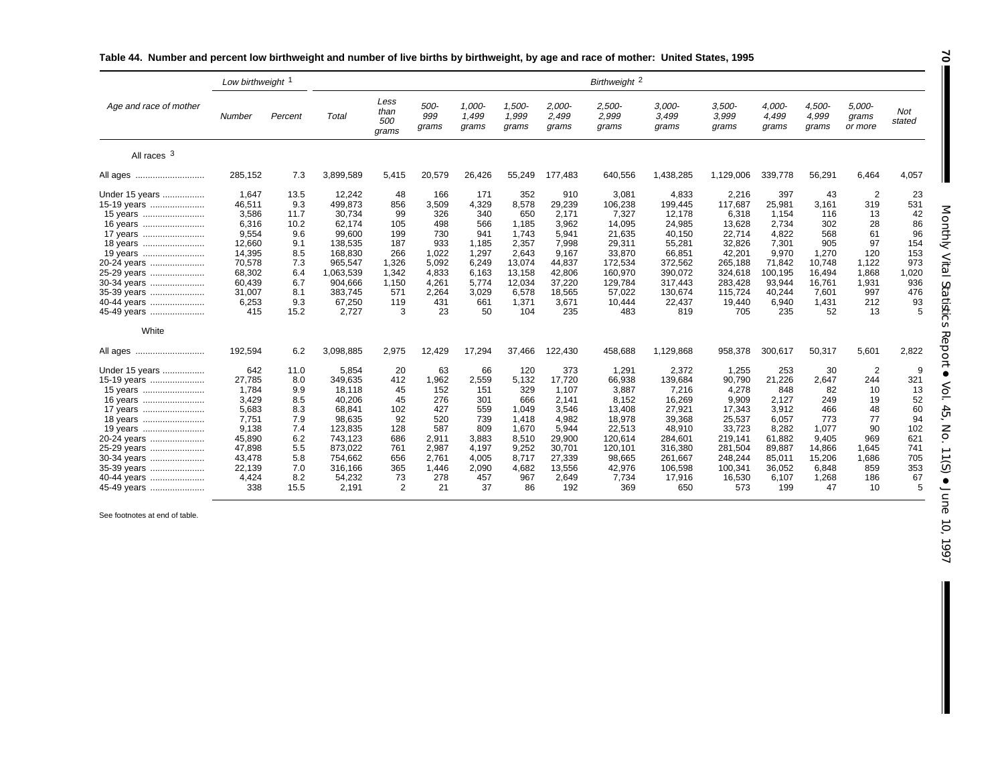|                                                                                                                                                                                     | Low birthweight                                                                                                        |                                                                                             | Birthweight <sup>2</sup>                                                                                                               |                                                                                           |                                                                                                    |                                                                                                      |                                                                                                                |                                                                                                                    |                                                                                                                               |                                                                                                                                 |                                                                                                                                |                                                                                                                     |                                                                                                        |                                                                                                  |                                                                                    |
|-------------------------------------------------------------------------------------------------------------------------------------------------------------------------------------|------------------------------------------------------------------------------------------------------------------------|---------------------------------------------------------------------------------------------|----------------------------------------------------------------------------------------------------------------------------------------|-------------------------------------------------------------------------------------------|----------------------------------------------------------------------------------------------------|------------------------------------------------------------------------------------------------------|----------------------------------------------------------------------------------------------------------------|--------------------------------------------------------------------------------------------------------------------|-------------------------------------------------------------------------------------------------------------------------------|---------------------------------------------------------------------------------------------------------------------------------|--------------------------------------------------------------------------------------------------------------------------------|---------------------------------------------------------------------------------------------------------------------|--------------------------------------------------------------------------------------------------------|--------------------------------------------------------------------------------------------------|------------------------------------------------------------------------------------|
| Age and race of mother                                                                                                                                                              | Number                                                                                                                 | Percent                                                                                     | Total                                                                                                                                  | Less<br>than<br>500<br>grams                                                              | 500-<br>999<br>grams                                                                               | 1,000-<br>1.499<br>grams                                                                             | 1,500-<br>1,999<br>grams                                                                                       | 2,000-<br>2,499<br>grams                                                                                           | 2,500-<br>2,999<br>grams                                                                                                      | $3,000-$<br>3,499<br>grams                                                                                                      | $3,500-$<br>3,999<br>grams                                                                                                     | 4,000-<br>4,499<br>grams                                                                                            | 4,500-<br>4,999<br>grams                                                                               | 5,000-<br>grams<br>or more                                                                       | <b>Not</b><br>stated                                                               |
| All races 3                                                                                                                                                                         |                                                                                                                        |                                                                                             |                                                                                                                                        |                                                                                           |                                                                                                    |                                                                                                      |                                                                                                                |                                                                                                                    |                                                                                                                               |                                                                                                                                 |                                                                                                                                |                                                                                                                     |                                                                                                        |                                                                                                  |                                                                                    |
| All ages                                                                                                                                                                            | 285,152                                                                                                                | 7.3                                                                                         | 3,899,589                                                                                                                              | 5,415                                                                                     | 20,579                                                                                             | 26,426                                                                                               | 55,249                                                                                                         | 177,483                                                                                                            | 640,556                                                                                                                       | 1,438,285                                                                                                                       | 1,129,006                                                                                                                      | 339,778                                                                                                             | 56,291                                                                                                 | 6,464                                                                                            | 4,057                                                                              |
| Under 15 years<br>15-19 years<br>15 years<br>16 years<br>17 years<br>18 years<br>19 years<br>20-24 years<br>25-29 years<br>30-34 years<br>35-39 years<br>40-44 years<br>45-49 years | 1,647<br>46,511<br>3,586<br>6,316<br>9,554<br>12,660<br>14,395<br>70,578<br>68,302<br>60,439<br>31,007<br>6,253<br>415 | 13.5<br>9.3<br>11.7<br>10.2<br>9.6<br>9.1<br>8.5<br>7.3<br>6.4<br>6.7<br>8.1<br>9.3<br>15.2 | 12,242<br>499,873<br>30,734<br>62,174<br>99,600<br>138,535<br>168,830<br>965,547<br>1,063,539<br>904,666<br>383,745<br>67,250<br>2,727 | 48<br>856<br>99<br>105<br>199<br>187<br>266<br>1,326<br>1,342<br>1,150<br>571<br>119<br>3 | 166<br>3,509<br>326<br>498<br>730<br>933<br>1,022<br>5,092<br>4,833<br>4,261<br>2.264<br>431<br>23 | 171<br>4,329<br>340<br>566<br>941<br>1,185<br>1,297<br>6,249<br>6,163<br>5,774<br>3,029<br>661<br>50 | 352<br>8,578<br>650<br>1.185<br>1.743<br>2,357<br>2.643<br>13,074<br>13,158<br>12,034<br>6,578<br>1,371<br>104 | 910<br>29,239<br>2,171<br>3,962<br>5,941<br>7,998<br>9,167<br>44,837<br>42,806<br>37,220<br>18,565<br>3,671<br>235 | 3,081<br>106,238<br>7,327<br>14,095<br>21.635<br>29,311<br>33,870<br>172,534<br>160,970<br>129,784<br>57,022<br>10,444<br>483 | 4,833<br>199,445<br>12,178<br>24,985<br>40.150<br>55,281<br>66,851<br>372,562<br>390,072<br>317,443<br>130,674<br>22,437<br>819 | 2,216<br>117,687<br>6,318<br>13,628<br>22,714<br>32,826<br>42,201<br>265,188<br>324,618<br>283.428<br>115,724<br>19,440<br>705 | 397<br>25,981<br>1,154<br>2,734<br>4.822<br>7,301<br>9,970<br>71.842<br>100,195<br>93,944<br>40,244<br>6,940<br>235 | 43<br>3,161<br>116<br>302<br>568<br>905<br>1.270<br>10.748<br>16,494<br>16,761<br>7,601<br>1,431<br>52 | 2<br>319<br>13<br>28<br>61<br>97<br>120<br>1,122<br>1,868<br>1,931<br>997<br>212<br>13           | 23<br>531<br>42<br>86<br>96<br>154<br>153<br>973<br>1,020<br>936<br>476<br>93<br>5 |
| White<br>All ages                                                                                                                                                                   | 192,594                                                                                                                | 6.2                                                                                         | 3,098,885                                                                                                                              | 2,975                                                                                     | 12,429                                                                                             | 17,294                                                                                               | 37.466                                                                                                         | 122,430                                                                                                            | 458,688                                                                                                                       | 1,129,868                                                                                                                       | 958,378                                                                                                                        | 300,617                                                                                                             | 50,317                                                                                                 | 5,601                                                                                            | 2,822                                                                              |
| Under 15 years<br>15-19 years<br>15 years<br>16 years<br>17 years<br>18 years<br>19 years<br>20-24 years<br>25-29 years<br>30-34 years<br>35-39 years<br>40-44 years<br>45-49 years | 642<br>27,785<br>1,784<br>3,429<br>5,683<br>7.751<br>9,138<br>45,890<br>47,898<br>43,478<br>22,139<br>4.424<br>338     | 11.0<br>8.0<br>9.9<br>8.5<br>8.3<br>7.9<br>7.4<br>6.2<br>5.5<br>5.8<br>7.0<br>8.2<br>15.5   | 5,854<br>349,635<br>18,118<br>40,206<br>68,841<br>98,635<br>123,835<br>743.123<br>873,022<br>754,662<br>316,166<br>54,232<br>2,191     | 20<br>412<br>45<br>45<br>102<br>92<br>128<br>686<br>761<br>656<br>365<br>73<br>2          | 63<br>1,962<br>152<br>276<br>427<br>520<br>587<br>2,911<br>2,987<br>2,761<br>1.446<br>278<br>21    | 66<br>2,559<br>151<br>301<br>559<br>739<br>809<br>3,883<br>4,197<br>4,005<br>2,090<br>457<br>37      | 120<br>5,132<br>329<br>666<br>1.049<br>1,418<br>1,670<br>8,510<br>9,252<br>8.717<br>4,682<br>967<br>86         | 373<br>17,720<br>1,107<br>2.141<br>3,546<br>4,982<br>5,944<br>29,900<br>30,701<br>27,339<br>13,556<br>2,649<br>192 | 1,291<br>66,938<br>3,887<br>8.152<br>13,408<br>18,978<br>22,513<br>120,614<br>120,101<br>98.665<br>42,976<br>7,734<br>369     | 2,372<br>139,684<br>7,216<br>16,269<br>27,921<br>39,368<br>48,910<br>284,601<br>316,380<br>261.667<br>106,598<br>17,916<br>650  | 1,255<br>90,790<br>4,278<br>9,909<br>17,343<br>25,537<br>33,723<br>219,141<br>281,504<br>248,244<br>100,341<br>16,530<br>573   | 253<br>21,226<br>848<br>2.127<br>3,912<br>6,057<br>8,282<br>61.882<br>89,887<br>85,011<br>36.052<br>6,107<br>199    | 30<br>2,647<br>82<br>249<br>466<br>773<br>1,077<br>9.405<br>14,866<br>15,206<br>6.848<br>1,268<br>47   | $\overline{2}$<br>244<br>10<br>19<br>48<br>77<br>90<br>969<br>1.645<br>1,686<br>859<br>186<br>10 | 9<br>321<br>13<br>52<br>60<br>94<br>102<br>621<br>741<br>705<br>353<br>67<br>5     |

# **Table 44. Number and percent low birthweight and number of live births by birthweight, by age and race of mother: United States, 1995**

See footnotes at end of table.

Monthly Vital StatisticsReport • Vol. 45, No. 11(S)  $\bullet$ June 10, 1997

I

**70**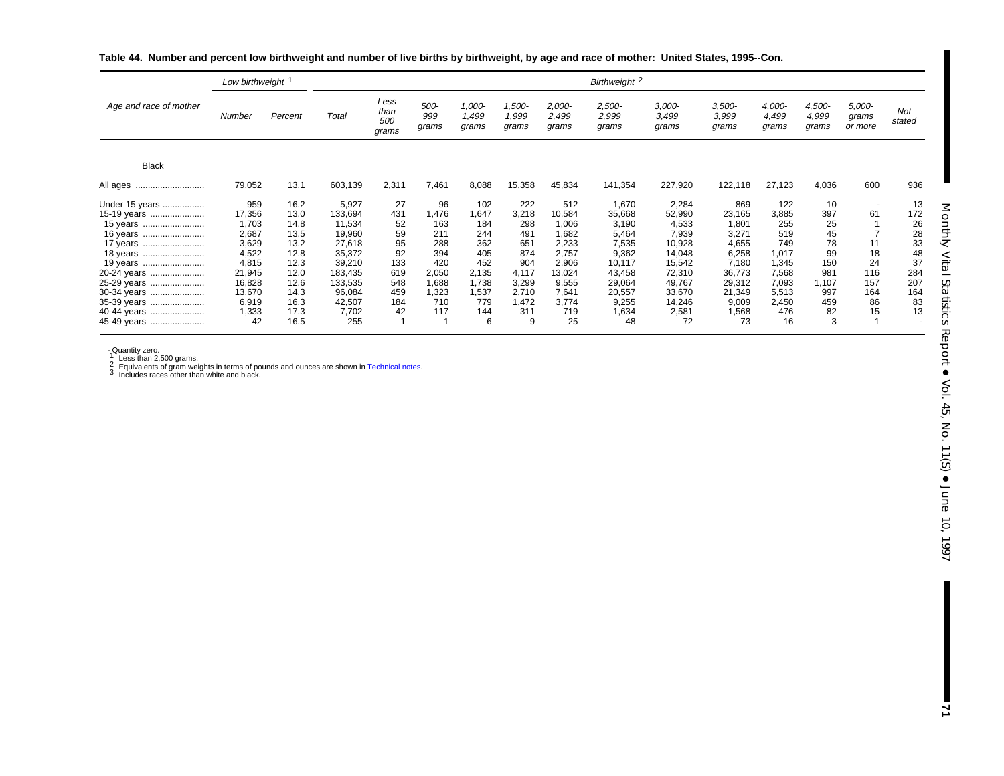|                        | Low birthweight 1 |              | Birthweight 2    |                              |                      |                          |                          |                            |                          |                            |                            |                          |                          |                            |                      |
|------------------------|-------------------|--------------|------------------|------------------------------|----------------------|--------------------------|--------------------------|----------------------------|--------------------------|----------------------------|----------------------------|--------------------------|--------------------------|----------------------------|----------------------|
| Age and race of mother | Number            | Percent      | Total            | Less<br>than<br>500<br>grams | 500-<br>999<br>grams | 1,000-<br>1,499<br>grams | 1,500-<br>1,999<br>grams | $2,000-$<br>2,499<br>grams | 2,500-<br>2,999<br>grams | $3,000-$<br>3,499<br>grams | $3,500-$<br>3,999<br>grams | 4,000-<br>4,499<br>grams | 4,500-<br>4,999<br>grams | 5,000-<br>grams<br>or more | <b>Not</b><br>stated |
| <b>Black</b>           |                   |              |                  |                              |                      |                          |                          |                            |                          |                            |                            |                          |                          |                            |                      |
| All ages<br>           | 79,052            | 13.1         | 603,139          | 2,311                        | 7,461                | 8,088                    | 15,358                   | 45,834                     | 141,354                  | 227,920                    | 122,118                    | 27,123                   | 4,036                    | 600                        | 936                  |
| Under 15 years         | 959               | 16.2         | 5,927            | 27                           | 96                   | 102                      | 222                      | 512                        | 1,670                    | 2,284                      | 869                        | 122                      | 10                       |                            | 13                   |
| 15-19 years            | 17,356            | 13.0         | 133,694          | 431                          | 1,476<br>163         | 1,647<br>184             | 3,218                    | 10,584                     | 35,668                   | 52,990                     | 23,165                     | 3,885<br>255             | 397                      | 61                         | 172                  |
| 15 years<br>16 years   | 1,703<br>2,687    | 14.8<br>13.5 | 11,534<br>19,960 | 52<br>59                     | 211                  | 244                      | 298<br>491               | 1,006<br>1,682             | 3,190<br>5,464           | 4,533<br>7,939             | 1,801<br>3,271             | 519                      | 25<br>45                 |                            | 26<br>28             |
| 17 years               | 3,629             | 13.2         | 27,618           | 95                           | 288                  | 362                      | 651                      | 2,233                      | 7,535                    | 10,928                     | 4,655                      | 749                      | 78                       |                            | 33                   |
| 18 years               | 4,522             | 12.8         | 35,372           | 92                           | 394                  | 405                      | 874                      | 2,757                      | 9,362                    | 14,048                     | 6,258                      | 1,017                    | 99                       | 18                         | 48                   |
| 19 years               | 4,815             | 12.3         | 39,210           | 133                          | 420                  | 452                      | 904                      | 2,906                      | 10,117                   | 15,542                     | 7,180                      | 1,345                    | 150                      | 24                         | 37                   |
| 20-24 years            | 21,945            | 12.0         | 183,435          | 619                          | 2,050                | 2,135                    | 4,117                    | 13,024                     | 43,458                   | 72,310                     | 36,773                     | 7,568                    | 981                      | 116                        | 284                  |
| 25-29 years            | 16,828            | 12.6         | 133,535          | 548                          | 1,688                | 1,738                    | 3,299                    | 9,555                      | 29,064                   | 49,767                     | 29,312                     | 7,093                    | 1,107                    | 157                        | 207                  |
| 30-34 years            | 13,670            | 14.3         | 96,084           | 459                          | 1,323                | 1,537                    | 2,710                    | 7,641                      | 20,557                   | 33,670                     | 21,349                     | 5,513                    | 997                      | 164                        | 164                  |
| 35-39 years            | 6,919             | 16.3         | 42,507           | 184                          | 710                  | 779                      | 1,472                    | 3,774                      | 9,255                    | 14,246                     | 9,009                      | 2,450                    | 459                      | 86                         | 83                   |
| 40-44 years            | 1,333             | 17.3         | 7,702            | 42                           | 117                  | 144                      | 311                      | 719                        | 1,634                    | 2,581                      | 1,568                      | 476                      | 82                       | 15                         | 13                   |
| 45-49 years            | 42                | 16.5         | 255              |                              |                      | 6                        | 9                        | 25                         | 48                       | 72                         | 73                         | 16                       | 3                        |                            |                      |

**Table 44. Number and percent low birthweight and number of live births by birthweight, by age and race of mother: United States, 1995--Con.**

- Quantity zero.<br>1 Less than 2,500 grams.<br>2 Equivalents of gram weights in terms of pounds and ounces are shown i[n Technical notes.](#page-75-0)<br>3 Includes races other than white and black.

**71**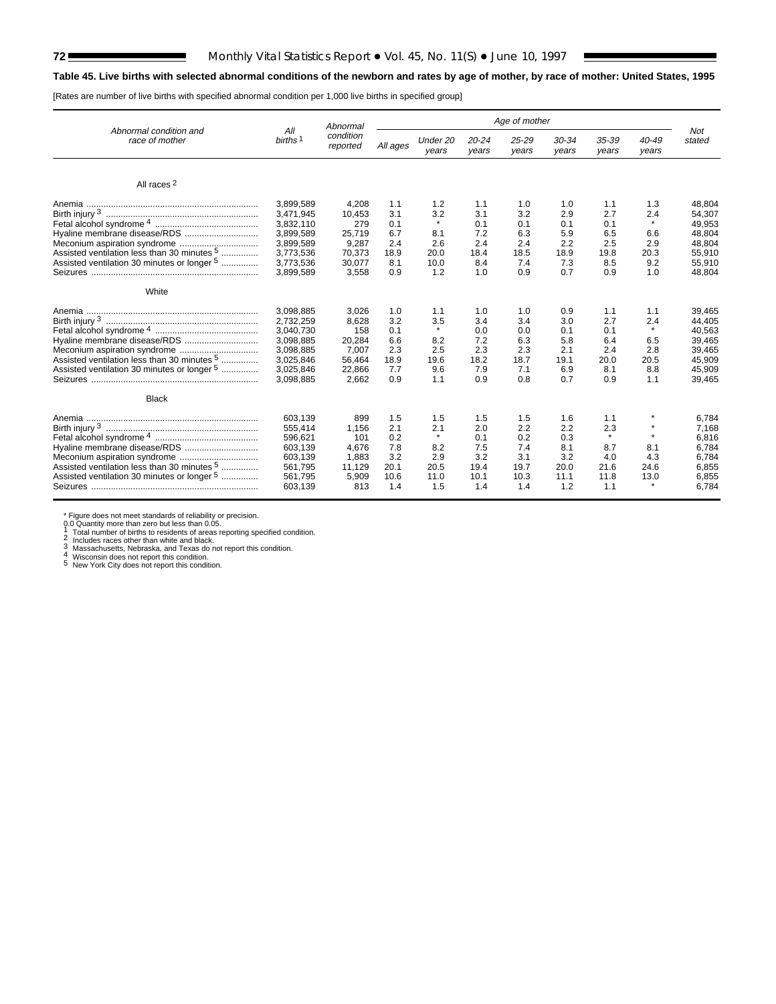# **72** Monthly Vital Statistics Report • Vol. 45, No. 11(S) • June 10, 1997

# **Table 45. Live births with selected abnormal conditions of the newborn and rates by age of mother, by race of mother: United States, 1995**

[Rates are number of live births with specified abnormal condition per 1,000 live births in specified group]

|                                                        |                            | Abnormal              | Age of mother |                   |                    |                |                |                |                |               |
|--------------------------------------------------------|----------------------------|-----------------------|---------------|-------------------|--------------------|----------------|----------------|----------------|----------------|---------------|
| Abnormal condition and<br>race of mother               | All<br>births <sup>1</sup> | condition<br>reported | All ages      | Under 20<br>years | $20 - 24$<br>years | 25-29<br>years | 30-34<br>years | 35-39<br>years | 40-49<br>years | Not<br>stated |
| All races <sup>2</sup>                                 |                            |                       |               |                   |                    |                |                |                |                |               |
|                                                        | 3,899,589                  | 4.208                 | 1.1           | 1.2               | 1.1                | 1.0            | 1.0            | 1.1            | 1.3            | 48.804        |
|                                                        | 3,471,945                  | 10,453                | 3.1           | 3.2               | 3.1                | 3.2            | 2.9            | 2.7            | 2.4            | 54,307        |
|                                                        | 3,832,110                  | 279                   | 0.1           |                   | 0.1                | 0.1            | 0.1            | 0.1            | $\star$        | 49,953        |
|                                                        | 3,899,589                  | 25.719                | 6.7           | 8.1               | 7.2                | 6.3            | 5.9            | 6.5            | 6.6            | 48,804        |
|                                                        | 3,899,589                  | 9,287                 | 2.4           | 2.6               | 2.4                | 2.4            | 2.2            | 2.5            | 2.9            | 48,804        |
| Assisted ventilation less than 30 minutes <sup>5</sup> | 3,773,536                  | 70.373                | 18.9          | 20.0              | 18.4               | 18.5           | 18.9           | 19.8           | 20.3           | 55,910        |
| Assisted ventilation 30 minutes or longer 5            | 3,773,536                  | 30,077                | 8.1           | 10.0              | 8.4                | 7.4            | 7.3            | 8.5            | 9.2            | 55,910        |
|                                                        | 3,899,589                  | 3,558                 | 0.9           | 1.2               | 1.0                | 0.9            | 0.7            | 0.9            | 1.0            | 48,804        |
| White                                                  |                            |                       |               |                   |                    |                |                |                |                |               |
|                                                        | 3,098,885                  | 3,026                 | 1.0           | 1.1               | 1.0                | 1.0            | 0.9            | 1.1            | 1.1            | 39,465        |
|                                                        | 2,732,259                  | 8.628                 | 3.2           | 3.5               | 3.4                | 3.4            | 3.0            | 2.7            | 2.4            | 44.405        |
|                                                        | 3,040,730                  | 158                   | 0.1           | $\star$           | 0.0                | 0.0            | 0.1            | 0.1            | $\star$        | 40,563        |
|                                                        | 3,098,885                  | 20.284                | 6.6           | 8.2               | 7.2                | 6.3            | 5.8            | 6.4            | 6.5            | 39,465        |
|                                                        | 3,098,885                  | 7.007                 | 2.3           | 2.5               | 2.3                | 2.3            | 2.1            | 2.4            | 2.8            | 39,465        |
| Assisted ventilation less than 30 minutes <sup>5</sup> | 3,025,846                  | 56,464                | 18.9          | 19.6              | 18.2               | 18.7           | 19.1           | 20.0           | 20.5           | 45,909        |
| Assisted ventilation 30 minutes or longer 5            | 3,025,846                  | 22,866                | 7.7           | 9.6               | 7.9                | 7.1            | 6.9            | 8.1            | 8.8            | 45,909        |
|                                                        | 3,098,885                  | 2,662                 | 0.9           | 1.1               | 0.9                | 0.8            | 0.7            | 0.9            | 1.1            | 39,465        |
| <b>Black</b>                                           |                            |                       |               |                   |                    |                |                |                |                |               |
|                                                        | 603,139                    | 899                   | 1.5           | 1.5               | 1.5                | 1.5            | 1.6            | 1.1            |                | 6,784         |
|                                                        | 555,414                    | 1.156                 | 2.1           | 2.1               | 2.0                | 2.2            | 2.2            | 2.3            |                | 7,168         |
|                                                        | 596,621                    | 101                   | 0.2           |                   | 0.1                | 0.2            | 0.3            | $\star$        | $\star$        | 6,816         |
|                                                        | 603,139                    | 4.676                 | 7.8           | 8.2               | 7.5                | 7.4            | 8.1            | 8.7            | 8.1            | 6,784         |
|                                                        | 603,139                    | 1,883                 | 3.2           | 2.9               | 3.2                | 3.1            | 3.2            | 4.0            | 4.3            | 6,784         |
| Assisted ventilation less than 30 minutes 5            | 561.795                    | 11.129                | 20.1          | 20.5              | 19.4               | 19.7           | 20.0           | 21.6           | 24.6           | 6,855         |
| Assisted ventilation 30 minutes or longer 5            | 561,795                    | 5,909                 | 10.6          | 11.0              | 10.1               | 10.3           | 11.1           | 11.8           | 13.0           | 6,855         |
|                                                        | 603,139                    | 813                   | 1.4           | 1.5               | 1.4                | 1.4            | 1.2            | 1.1            | $\star$        | 6.784         |
|                                                        |                            |                       |               |                   |                    |                |                |                |                |               |

\* Figure does not meet standards of reliability or precision.<br>
0.0 Quantity more than zero but less than 0.05.<br>
1 Total number of births to residents of areas reporting specified condition.<br>
2 Includes races other than whi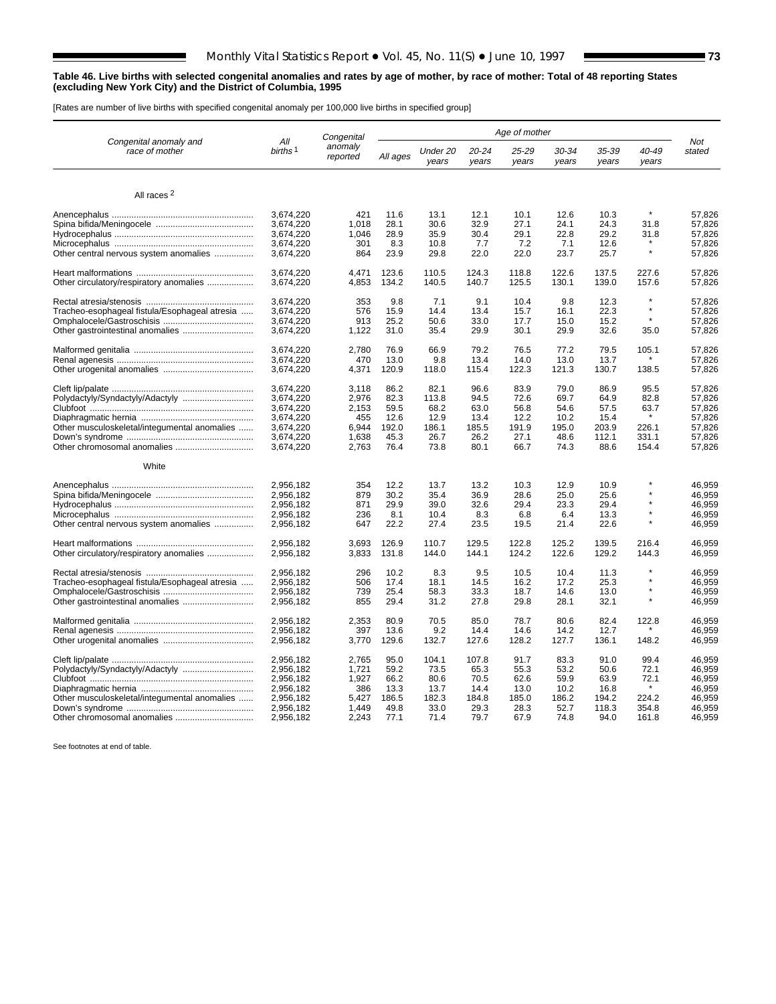#### **Table 46. Live births with selected congenital anomalies and rates by age of mother, by race of mother: Total of 48 reporting States (excluding New York City) and the District of Columbia, 1995**

[Rates are number of live births with specified congenital anomaly per 100,000 live births in specified group]

|                                               |                            | Congenital          | Age of mother |                   |                |                |                |                |                |                  |
|-----------------------------------------------|----------------------------|---------------------|---------------|-------------------|----------------|----------------|----------------|----------------|----------------|------------------|
| Congenital anomaly and<br>race of mother      | All<br>births <sup>1</sup> | anomaly<br>reported | All ages      | Under 20<br>years | 20-24<br>years | 25-29<br>years | 30-34<br>years | 35-39<br>years | 40-49<br>years | Not<br>stated    |
|                                               |                            |                     |               |                   |                |                |                |                |                |                  |
| All races <sup>2</sup>                        |                            |                     |               |                   |                |                |                |                |                |                  |
|                                               | 3,674,220                  | 421                 | 11.6          | 13.1              | 12.1           | 10.1           | 12.6           | 10.3           |                | 57,826           |
|                                               | 3,674,220                  | 1,018               | 28.1          | 30.6              | 32.9           | 27.1           | 24.1           | 24.3           | 31.8           | 57,826           |
|                                               | 3,674,220                  | 1,046               | 28.9          | 35.9              | 30.4           | 29.1           | 22.8           | 29.2           | 31.8           | 57,826           |
|                                               | 3,674,220                  | 301                 | 8.3           | 10.8              | 7.7            | 7.2            | 7.1            | 12.6           |                | 57,826           |
| Other central nervous system anomalies        | 3,674,220                  | 864                 | 23.9          | 29.8              | 22.0           | 22.0           | 23.7           | 25.7           | $\star$        | 57,826           |
|                                               | 3,674,220                  | 4,471               | 123.6         | 110.5             | 124.3          | 118.8          | 122.6          | 137.5          | 227.6          | 57,826           |
| Other circulatory/respiratory anomalies       | 3,674,220                  | 4,853               | 134.2         | 140.5             | 140.7          | 125.5          | 130.1          | 139.0          | 157.6          | 57,826           |
|                                               | 3,674,220                  | 353                 | 9.8           | 7.1               | 9.1            | 10.4           | 9.8            | 12.3           | $\star$        | 57.826           |
| Tracheo-esophageal fistula/Esophageal atresia | 3.674.220                  | 576                 | 15.9          | 14.4              | 13.4           | 15.7           | 16.1           | 22.3           | $\star$        | 57.826           |
|                                               | 3,674,220                  | 913                 | 25.2          | 50.6              | 33.0           | 17.7           | 15.0           | 15.2           |                | 57,826           |
|                                               | 3,674,220                  | 1,122               | 31.0          | 35.4              | 29.9           | 30.1           | 29.9           | 32.6           | 35.0           | 57,826           |
|                                               | 3,674,220                  | 2.780               | 76.9          | 66.9              | 79.2           | 76.5           | 77.2           | 79.5           | 105.1          | 57.826           |
|                                               | 3,674,220                  | 470                 | 13.0          | 9.8               | 13.4           | 14.0           | 13.0           | 13.7           |                | 57,826           |
|                                               | 3,674,220                  | 4,371               | 120.9         | 118.0             | 115.4          | 122.3          | 121.3          | 130.7          | 138.5          | 57,826           |
|                                               | 3,674,220                  | 3,118               | 86.2          | 82.1              | 96.6           | 83.9           | 79.0           | 86.9           | 95.5           | 57,826           |
| Polydactyly/Syndactyly/Adactyly               | 3,674,220                  | 2,976               | 82.3          | 113.8             | 94.5           | 72.6           | 69.7           | 64.9           | 82.8           | 57,826           |
|                                               | 3,674,220                  | 2,153               | 59.5          | 68.2              | 63.0           | 56.8           | 54.6           | 57.5           | 63.7           | 57,826           |
|                                               | 3,674,220                  | 455                 | 12.6          | 12.9              | 13.4           | 12.2           | 10.2           | 15.4           |                | 57,826           |
| Other musculoskeletal/integumental anomalies  | 3,674,220                  | 6,944               | 192.0         | 186.1             | 185.5          | 191.9          | 195.0          | 203.9          | 226.1          | 57,826           |
|                                               | 3,674,220                  | 1,638               | 45.3          | 26.7              | 26.2           | 27.1           | 48.6           | 112.1          | 331.1          | 57.826           |
|                                               | 3,674,220                  | 2,763               | 76.4          | 73.8              | 80.1           | 66.7           | 74.3           | 88.6           | 154.4          | 57,826           |
| White                                         |                            |                     |               |                   |                |                |                |                |                |                  |
|                                               | 2.956.182                  | 354                 | 12.2          | 13.7              | 13.2           | 10.3           | 12.9           | 10.9           |                | 46.959           |
|                                               | 2.956.182                  | 879                 | 30.2          | 35.4              | 36.9           | 28.6           | 25.0           | 25.6           |                | 46.959           |
|                                               | 2,956,182                  | 871                 | 29.9          | 39.0              | 32.6           | 29.4           | 23.3           | 29.4           |                | 46,959           |
|                                               | 2,956,182                  | 236                 | 8.1           | 10.4              | 8.3            | 6.8            | 6.4            | 13.3           |                | 46,959           |
| Other central nervous system anomalies        | 2,956,182                  | 647                 | 22.2          | 27.4              | 23.5           | 19.5           | 21.4           | 22.6           |                | 46,959           |
|                                               | 2.956.182                  | 3.693               | 126.9         | 110.7             | 129.5          | 122.8          | 125.2          | 139.5          | 216.4          | 46.959           |
| Other circulatory/respiratory anomalies       | 2,956,182                  | 3,833               | 131.8         | 144.0             | 144.1          | 124.2          | 122.6          | 129.2          | 144.3          | 46,959           |
|                                               | 2,956,182                  | 296                 | 10.2          | 8.3               | 9.5            | 10.5           | 10.4           | 11.3           |                | 46,959           |
| Tracheo-esophageal fistula/Esophageal atresia | 2,956,182                  | 506                 | 17.4          | 18.1              | 14.5           | 16.2           | 17.2           | 25.3           |                | 46,959           |
|                                               | 2,956,182                  | 739                 | 25.4          | 58.3              | 33.3           | 18.7           | 14.6           | 13.0           |                | 46,959           |
| Other gastrointestinal anomalies              | 2,956,182                  | 855                 | 29.4          | 31.2              | 27.8           | 29.8           | 28.1           | 32.1           |                | 46,959           |
|                                               | 2,956,182                  | 2,353               | 80.9          | 70.5              | 85.0           | 78.7           | 80.6           | 82.4           | 122.8          | 46,959           |
|                                               | 2,956,182                  | 397                 | 13.6          | 9.2               | 14.4           | 14.6           | 14.2           | 12.7           |                | 46.959           |
|                                               | 2,956,182                  | 3,770               | 129.6         | 132.7             | 127.6          | 128.2          | 127.7          | 136.1          | 148.2          | 46,959           |
|                                               | 2,956,182                  | 2,765               | 95.0          | 104.1             | 107.8          | 91.7           | 83.3           | 91.0           | 99.4           | 46,959           |
| Polydactyly/Syndactyly/Adactyly               | 2.956.182                  | 1,721               | 59.2          | 73.5              | 65.3           | 55.3           | 53.2           | 50.6           | 72.1           | 46.959           |
|                                               | 2,956,182                  | 1,927               | 66.2          | 80.6              | 70.5           | 62.6           | 59.9           | 63.9           | 72.1           | 46,959           |
|                                               | 2,956,182                  | 386                 | 13.3          | 13.7              | 14.4           | 13.0           | 10.2           | 16.8           |                | 46,959           |
| Other musculoskeletal/integumental anomalies  | 2,956,182                  | 5,427               | 186.5         | 182.3             | 184.8          | 185.0          | 186.2          | 194.2          | 224.2<br>354.8 | 46,959           |
| Other chromosomal anomalies                   | 2,956,182<br>2,956,182     | 1,449<br>2,243      | 49.8<br>77.1  | 33.0<br>71.4      | 29.3<br>79.7   | 28.3<br>67.9   | 52.7<br>74.8   | 118.3<br>94.0  | 161.8          | 46,959<br>46,959 |
|                                               |                            |                     |               |                   |                |                |                |                |                |                  |

See footnotes at end of table.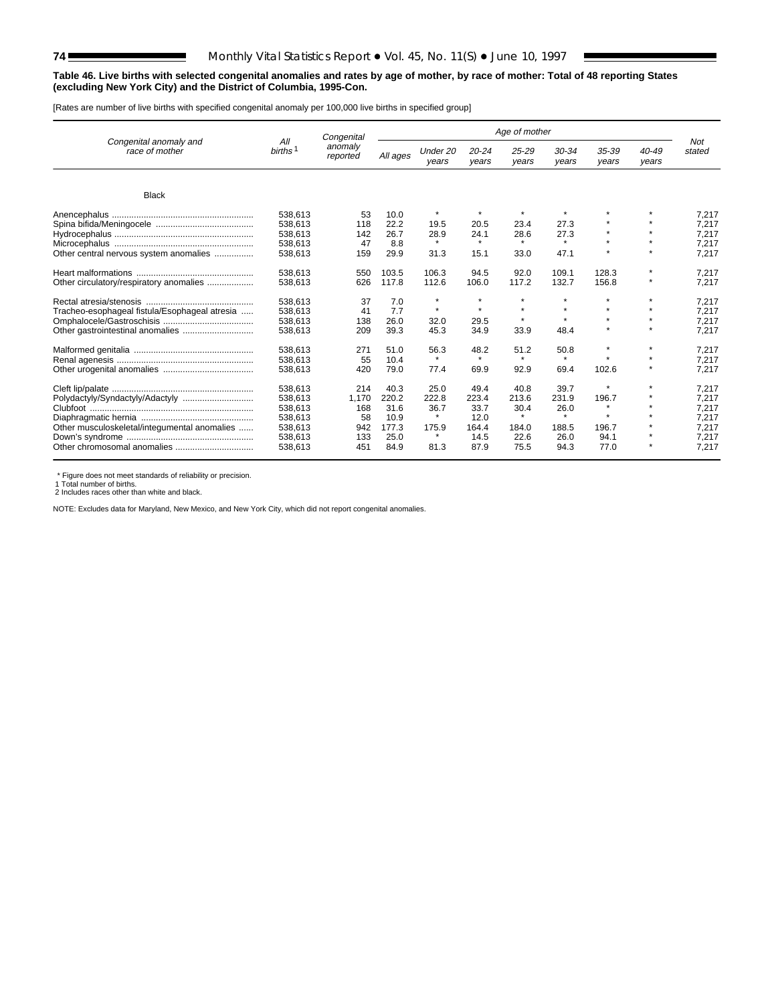#### **Table 46. Live births with selected congenital anomalies and rates by age of mother, by race of mother: Total of 48 reporting States (excluding New York City) and the District of Columbia, 1995-Con.**

[Rates are number of live births with specified congenital anomaly per 100,000 live births in specified group]

|                                               |                            | Congenital          | Age of mother |                   |                    |                |                    |                |                |               |
|-----------------------------------------------|----------------------------|---------------------|---------------|-------------------|--------------------|----------------|--------------------|----------------|----------------|---------------|
| Congenital anomaly and<br>race of mother      | All<br>births <sup>1</sup> | anomaly<br>reported | All ages      | Under 20<br>years | $20 - 24$<br>years | 25-29<br>years | $30 - 34$<br>years | 35-39<br>years | 40-49<br>years | Not<br>stated |
| <b>Black</b>                                  |                            |                     |               |                   |                    |                |                    |                |                |               |
|                                               |                            |                     |               |                   |                    |                |                    |                |                |               |
|                                               | 538,613                    | 53                  | 10.0          | $\star$           | $\star$            | $\star$        |                    |                |                | 7,217         |
|                                               | 538,613                    | 118                 | 22.2          | 19.5              | 20.5               | 23.4           | 27.3               |                |                | 7,217         |
|                                               | 538,613                    | 142                 | 26.7          | 28.9              | 24.1               | 28.6           | 27.3               |                |                | 7.217         |
|                                               | 538,613                    | 47                  | 8.8           | $\star$           | $\star$            | $\star$        | $\star$            |                |                | 7.217         |
| Other central nervous system anomalies        | 538,613                    | 159                 | 29.9          | 31.3              | 15.1               | 33.0           | 47.1               | $\bullet$      | $\star$        | 7.217         |
|                                               | 538,613                    | 550                 | 103.5         | 106.3             | 94.5               | 92.0           | 109.1              | 128.3          | $\star$        | 7,217         |
| Other circulatory/respiratory anomalies       | 538,613                    | 626                 | 117.8         | 112.6             | 106.0              | 117.2          | 132.7              | 156.8          | $\star$        | 7,217         |
|                                               | 538,613                    | 37                  | 7.0           | $\star$           | $\star$            | $\star$        | $\star$            | $\star$        |                | 7,217         |
| Tracheo-esophageal fistula/Esophageal atresia | 538,613                    | 41                  | 7.7           | $\star$           | $\star$            | $\bullet$      | $\bullet$          | ٠              |                | 7.217         |
|                                               | 538,613                    | 138                 | 26.0          | 32.0              | 29.5               | $\bullet$      | $\bullet$          |                |                | 7.217         |
| Other gastrointestinal anomalies              | 538,613                    | 209                 | 39.3          | 45.3              | 34.9               | 33.9           | 48.4               |                |                | 7.217         |
|                                               | 538,613                    | 271                 | 51.0          | 56.3              | 48.2               | 51.2           | 50.8               | $\star$        | $\star$        | 7,217         |
|                                               | 538,613                    | 55                  | 10.4          | $\star$           | $\star$            | $\star$        | $\star$            | ٠              |                | 7,217         |
|                                               | 538,613                    | 420                 | 79.0          | 77.4              | 69.9               | 92.9           | 69.4               | 102.6          |                | 7.217         |
|                                               | 538,613                    | 214                 | 40.3          | 25.0              | 49.4               | 40.8           | 39.7               | $\star$        | $\star$        | 7.217         |
|                                               | 538,613                    | 1,170               | 220.2         | 222.8             | 223.4              | 213.6          | 231.9              | 196.7          |                | 7,217         |
|                                               | 538,613                    | 168                 | 31.6          | 36.7              | 33.7               | 30.4           | 26.0               | $\star$        |                | 7,217         |
|                                               | 538,613                    | 58                  | 10.9          | $\star$           | 12.0               | $\star$        | $\star$            | ٠              |                | 7.217         |
| Other musculoskeletal/integumental anomalies  | 538.613                    | 942                 | 177.3         | 175.9             | 164.4              | 184.0          | 188.5              | 196.7          |                | 7.217         |
|                                               | 538,613                    | 133                 | 25.0          | $\star$           | 14.5               | 22.6           | 26.0               | 94.1           |                | 7,217         |
|                                               | 538,613                    | 451                 | 84.9          | 81.3              | 87.9               | 75.5           | 94.3               | 77.0           |                | 7,217         |

\* Figure does not meet standards of reliability or precision.

1 Total number of births. 2 Includes races other than white and black.

NOTE: Excludes data for Maryland, New Mexico, and New York City, which did not report congenital anomalies.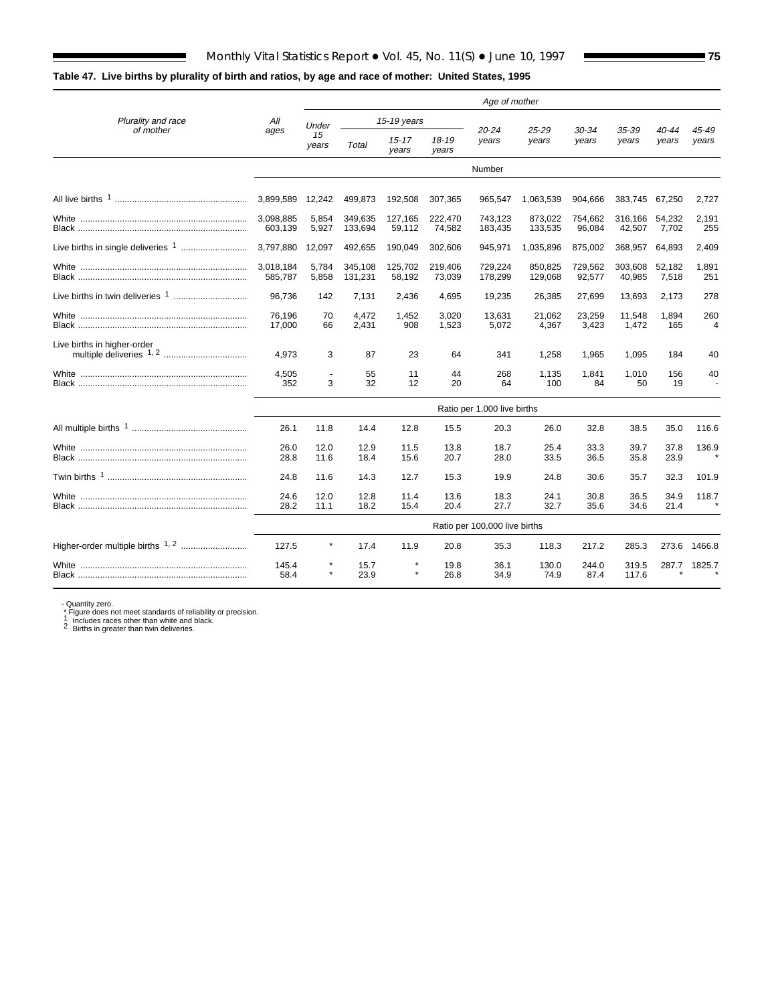# **Table 47. Live births by plurality of birth and ratios, by age and race of mother: United States, 1995**

|                                               |                      | Age of mother               |                    |                    |                   |                               |                    |                   |                   |                 |                       |
|-----------------------------------------------|----------------------|-----------------------------|--------------------|--------------------|-------------------|-------------------------------|--------------------|-------------------|-------------------|-----------------|-----------------------|
| Plurality and race                            | All                  | Under                       |                    | 15-19 years        |                   |                               |                    |                   |                   |                 |                       |
| of mother                                     | ages                 | 15<br>years                 | Total              | $15 - 17$<br>vears | 18-19<br>vears    | 20-24<br>years                | 25-29<br>years     | 30-34<br>years    | 35-39<br>years    | 40-44<br>years  | 45-49<br>years        |
|                                               |                      |                             |                    |                    |                   | Number                        |                    |                   |                   |                 |                       |
|                                               | 3,899,589            | 12,242                      | 499,873            | 192,508            | 307,365           | 965,547                       | 1,063,539          | 904,666           | 383,745 67,250    |                 | 2,727                 |
|                                               | 3,098,885<br>603,139 | 5,854<br>5,927              | 349,635<br>133,694 | 127,165<br>59,112  | 222,470<br>74,582 | 743,123<br>183,435            | 873,022<br>133,535 | 754,662<br>96,084 | 316,166<br>42,507 | 54,232<br>7,702 | 2,191<br>255          |
| Live births in single deliveries <sup>1</sup> | 3.797.880            | 12,097                      | 492,655            | 190.049            | 302,606           | 945,971                       | 1,035,896          | 875,002           | 368,957           | 64,893          | 2,409                 |
|                                               | 3,018,184<br>585,787 | 5,784<br>5,858              | 345,108<br>131,231 | 125,702<br>58,192  | 219,406<br>73,039 | 729,224<br>178,299            | 850,825<br>129,068 | 729,562<br>92,577 | 303,608<br>40,985 | 52,182<br>7,518 | 1,891<br>251          |
|                                               | 96.736               | 142                         | 7,131              | 2,436              | 4,695             | 19,235                        | 26,385             | 27,699            | 13,693            | 2.173           | 278                   |
|                                               | 76.196<br>17,000     | 70<br>66                    | 4.472<br>2,431     | 1,452<br>908       | 3.020<br>1,523    | 13.631<br>5,072               | 21,062<br>4,367    | 23,259<br>3,423   | 11,548<br>1,472   | 1.894<br>165    | 260<br>$\overline{4}$ |
| Live births in higher-order                   | 4.973                | 3                           | 87                 | 23                 | 64                | 341                           | 1,258              | 1,965             | 1,095             | 184             | 40                    |
|                                               | 4,505<br>352         | 3                           | 55<br>32           | 11<br>12           | 44<br>20          | 268<br>64                     | 1,135<br>100       | 1,841<br>84       | 1,010<br>50       | 156<br>19       | 40                    |
|                                               |                      | Ratio per 1,000 live births |                    |                    |                   |                               |                    |                   |                   |                 |                       |
|                                               | 26.1                 | 11.8                        | 14.4               | 12.8               | 15.5              | 20.3                          | 26.0               | 32.8              | 38.5              | 35.0            | 116.6                 |
|                                               | 26.0<br>28.8         | 12.0<br>11.6                | 12.9<br>18.4       | 11.5<br>15.6       | 13.8<br>20.7      | 18.7<br>28.0                  | 25.4<br>33.5       | 33.3<br>36.5      | 39.7<br>35.8      | 37.8<br>23.9    | 136.9                 |
|                                               | 24.8                 | 11.6                        | 14.3               | 12.7               | 15.3              | 19.9                          | 24.8               | 30.6              | 35.7              | 32.3            | 101.9                 |
|                                               | 24.6<br>28.2         | 12.0<br>11.1                | 12.8<br>18.2       | 11.4<br>15.4       | 13.6<br>20.4      | 18.3<br>27.7                  | 24.1<br>32.7       | 30.8<br>35.6      | 36.5<br>34.6      | 34.9<br>21.4    | 118.7                 |
|                                               |                      |                             |                    |                    |                   | Ratio per 100,000 live births |                    |                   |                   |                 |                       |
| Higher-order multiple births <sup>1, 2</sup>  | 127.5                | $\star$                     | 17.4               | 11.9               | 20.8              | 35.3                          | 118.3              | 217.2             | 285.3             | 273.6           | 1466.8                |
|                                               | 145.4<br>58.4        |                             | 15.7<br>23.9       | $\star$            | 19.8<br>26.8      | 36.1<br>34.9                  | 130.0<br>74.9      | 244.0<br>87.4     | 319.5<br>117.6    | 287.7           | 1825.7                |

- Quantity zero. \* Figure does not meet standards of reliability or precision. 1 Includes races other than white and black. 2 Births in greater than twin deliveries.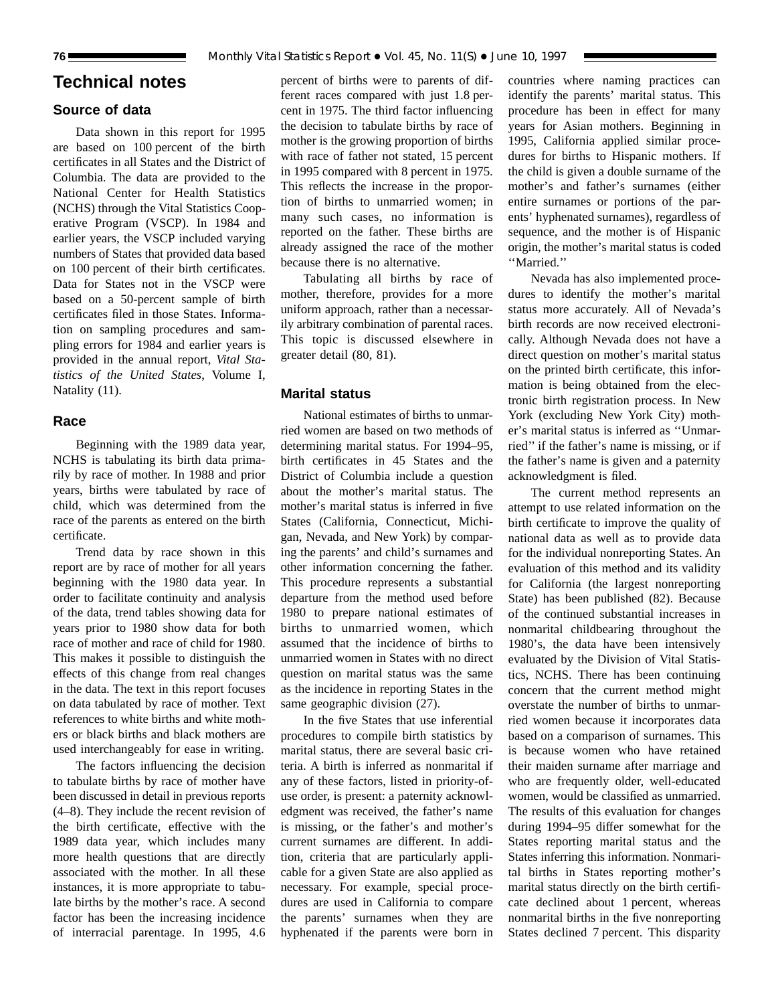# **Technical notes**

# **Source of data**

Data shown in this report for 1995 are based on 100 percent of the birth certificates in all States and the District of Columbia. The data are provided to the National Center for Health Statistics (NCHS) through the Vital Statistics Cooperative Program (VSCP). In 1984 and earlier years, the VSCP included varying numbers of States that provided data based on 100 percent of their birth certificates. Data for States not in the VSCP were based on a 50-percent sample of birth certificates filed in those States. Information on sampling procedures and sampling errors for 1984 and earlier years is provided in the annual report, *Vital Statistics of the United States*, Volume I, Natality (11).

#### **Race**

Beginning with the 1989 data year, NCHS is tabulating its birth data primarily by race of mother. In 1988 and prior years, births were tabulated by race of child, which was determined from the race of the parents as entered on the birth certificate.

Trend data by race shown in this report are by race of mother for all years beginning with the 1980 data year. In order to facilitate continuity and analysis of the data, trend tables showing data for years prior to 1980 show data for both race of mother and race of child for 1980. This makes it possible to distinguish the effects of this change from real changes in the data. The text in this report focuses on data tabulated by race of mother. Text references to white births and white mothers or black births and black mothers are used interchangeably for ease in writing.

The factors influencing the decision to tabulate births by race of mother have been discussed in detail in previous reports (4–8). They include the recent revision of the birth certificate, effective with the 1989 data year, which includes many more health questions that are directly associated with the mother. In all these instances, it is more appropriate to tabulate births by the mother's race. A second factor has been the increasing incidence of interracial parentage. In 1995, 4.6

percent of births were to parents of different races compared with just 1.8 percent in 1975. The third factor influencing the decision to tabulate births by race of mother is the growing proportion of births with race of father not stated, 15 percent in 1995 compared with 8 percent in 1975. This reflects the increase in the proportion of births to unmarried women; in many such cases, no information is reported on the father. These births are already assigned the race of the mother because there is no alternative.

Tabulating all births by race of mother, therefore, provides for a more uniform approach, rather than a necessarily arbitrary combination of parental races. This topic is discussed elsewhere in greater detail (80, 81).

# **Marital status**

National estimates of births to unmarried women are based on two methods of determining marital status. For 1994–95, birth certificates in 45 States and the District of Columbia include a question about the mother's marital status. The mother's marital status is inferred in five States (California, Connecticut, Michigan, Nevada, and New York) by comparing the parents' and child's surnames and other information concerning the father. This procedure represents a substantial departure from the method used before 1980 to prepare national estimates of births to unmarried women, which assumed that the incidence of births to unmarried women in States with no direct question on marital status was the same as the incidence in reporting States in the same geographic division (27).

In the five States that use inferential procedures to compile birth statistics by marital status, there are several basic criteria. A birth is inferred as nonmarital if any of these factors, listed in priority-ofuse order, is present: a paternity acknowledgment was received, the father's name is missing, or the father's and mother's current surnames are different. In addition, criteria that are particularly applicable for a given State are also applied as necessary. For example, special procedures are used in California to compare the parents' surnames when they are hyphenated if the parents were born in

countries where naming practices can identify the parents' marital status. This procedure has been in effect for many years for Asian mothers. Beginning in 1995, California applied similar procedures for births to Hispanic mothers. If the child is given a double surname of the mother's and father's surnames (either entire surnames or portions of the parents' hyphenated surnames), regardless of sequence, and the mother is of Hispanic origin, the mother's marital status is coded ''Married.''

Nevada has also implemented procedures to identify the mother's marital status more accurately. All of Nevada's birth records are now received electronically. Although Nevada does not have a direct question on mother's marital status on the printed birth certificate, this information is being obtained from the electronic birth registration process. In New York (excluding New York City) mother's marital status is inferred as ''Unmarried'' if the father's name is missing, or if the father's name is given and a paternity acknowledgment is filed.

The current method represents an attempt to use related information on the birth certificate to improve the quality of national data as well as to provide data for the individual nonreporting States. An evaluation of this method and its validity for California (the largest nonreporting State) has been published (82). Because of the continued substantial increases in nonmarital childbearing throughout the 1980's, the data have been intensively evaluated by the Division of Vital Statistics, NCHS. There has been continuing concern that the current method might overstate the number of births to unmarried women because it incorporates data based on a comparison of surnames. This is because women who have retained their maiden surname after marriage and who are frequently older, well-educated women, would be classified as unmarried. The results of this evaluation for changes during 1994–95 differ somewhat for the States reporting marital status and the States inferring this information. Nonmarital births in States reporting mother's marital status directly on the birth certificate declined about 1 percent, whereas nonmarital births in the five nonreporting States declined 7 percent. This disparity

<span id="page-75-0"></span>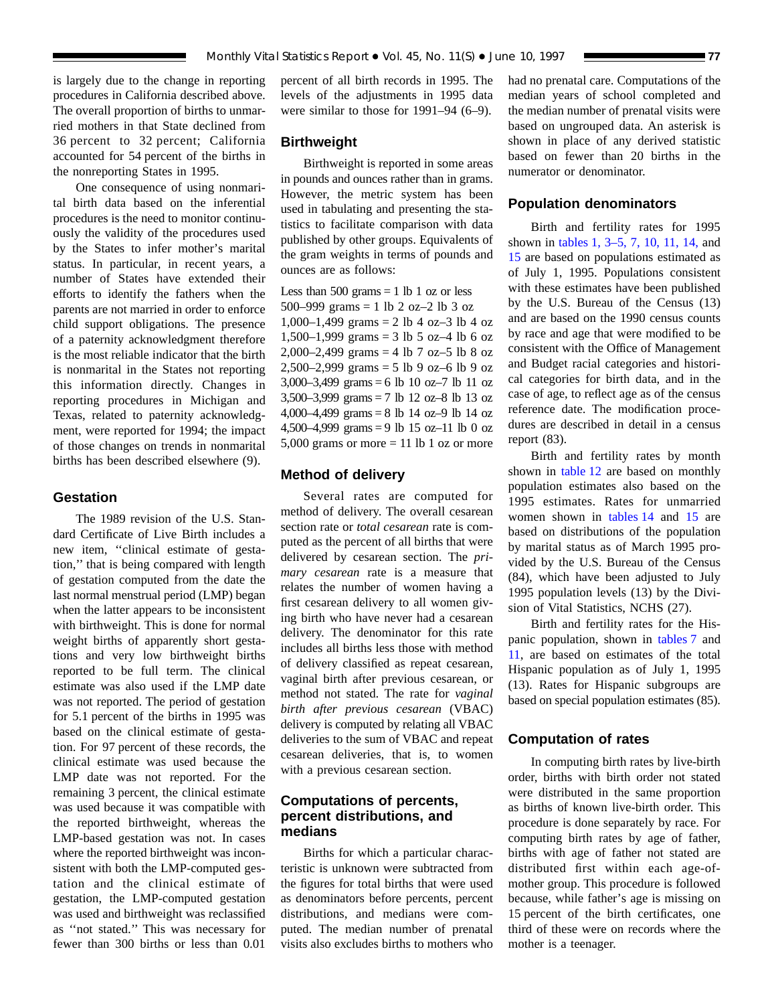is largely due to the change in reporting procedures in California described above. The overall proportion of births to unmarried mothers in that State declined from 36 percent to 32 percent; California accounted for 54 percent of the births in the nonreporting States in 1995.

One consequence of using nonmarital birth data based on the inferential procedures is the need to monitor continuously the validity of the procedures used by the States to infer mother's marital status. In particular, in recent years, a number of States have extended their efforts to identify the fathers when the parents are not married in order to enforce child support obligations. The presence of a paternity acknowledgment therefore is the most reliable indicator that the birth is nonmarital in the States not reporting this information directly. Changes in reporting procedures in Michigan and Texas, related to paternity acknowledgment, were reported for 1994; the impact of those changes on trends in nonmarital births has been described elsewhere (9).

#### **Gestation**

The 1989 revision of the U.S. Standard Certificate of Live Birth includes a new item, ''clinical estimate of gestation,'' that is being compared with length of gestation computed from the date the last normal menstrual period (LMP) began when the latter appears to be inconsistent with birthweight. This is done for normal weight births of apparently short gestations and very low birthweight births reported to be full term. The clinical estimate was also used if the LMP date was not reported. The period of gestation for 5.1 percent of the births in 1995 was based on the clinical estimate of gestation. For 97 percent of these records, the clinical estimate was used because the LMP date was not reported. For the remaining 3 percent, the clinical estimate was used because it was compatible with the reported birthweight, whereas the LMP-based gestation was not. In cases where the reported birthweight was inconsistent with both the LMP-computed gestation and the clinical estimate of gestation, the LMP-computed gestation was used and birthweight was reclassified as ''not stated.'' This was necessary for fewer than 300 births or less than 0.01

percent of all birth records in 1995. The levels of the adjustments in 1995 data were similar to those for 1991–94 (6–9).

# **Birthweight**

Birthweight is reported in some areas in pounds and ounces rather than in grams. However, the metric system has been used in tabulating and presenting the statistics to facilitate comparison with data published by other groups. Equivalents of the gram weights in terms of pounds and ounces are as follows:

Less than  $500$  grams  $= 1$  lb 1 oz or less 500–999 grams = 1 lb 2 oz–2 lb 3 oz 1,000–1,499 grams = 2 lb 4 oz–3 lb 4 oz 1,500–1,999 grams = 3 lb 5 oz–4 lb 6 oz 2,000–2,499 grams = 4 lb 7 oz–5 lb 8 oz 2,500–2,999 grams = 5 lb 9 oz–6 lb 9 oz 3,000–3,499 grams = 6 lb 10 oz–7 lb 11 oz 3,500–3,999 grams = 7 lb 12 oz–8 lb 13 oz 4,000–4,499 grams = 8 lb 14 oz–9 lb 14 oz 4,500–4,999 grams = 9 lb 15 oz–11 lb 0 oz 5,000 grams or more  $= 11$  lb 1 oz or more

#### **Method of delivery**

Several rates are computed for method of delivery. The overall cesarean section rate or *total cesarean* rate is computed as the percent of all births that were delivered by cesarean section. The *primary cesarean* rate is a measure that relates the number of women having a first cesarean delivery to all women giving birth who have never had a cesarean delivery. The denominator for this rate includes all births less those with method of delivery classified as repeat cesarean, vaginal birth after previous cesarean, or method not stated. The rate for *vaginal birth after previous cesarean* (VBAC) delivery is computed by relating all VBAC deliveries to the sum of VBAC and repeat cesarean deliveries, that is, to women with a previous cesarean section.

# **Computations of percents, percent distributions, and medians**

Births for which a particular characteristic is unknown were subtracted from the figures for total births that were used as denominators before percents, percent distributions, and medians were computed. The median number of prenatal visits also excludes births to mothers who had no prenatal care. Computations of the median years of school completed and the median number of prenatal visits were based on ungrouped data. An asterisk is shown in place of any derived statistic based on fewer than 20 births in the numerator or denominator.

# **Population denominators**

Birth and fertility rates for 1995 shown in [tables 1,](#page-24-0) [3–5,](#page-26-0) [7,](#page-33-0) [10, 11,](#page-37-0) [14,](#page-39-0) and [15](#page-40-0) are based on populations estimated as of July 1, 1995. Populations consistent with these estimates have been published by the U.S. Bureau of the Census (13) and are based on the 1990 census counts by race and age that were modified to be consistent with the Office of Management and Budget racial categories and historical categories for birth data, and in the case of age, to reflect age as of the census reference date. The modification procedures are described in detail in a census report (83).

Birth and fertility rates by month shown in [table 12](#page-38-0) are based on monthly population estimates also based on the 1995 estimates. Rates for unmarried women shown in [tables 14](#page-39-0) and [15](#page-40-0) are based on distributions of the population by marital status as of March 1995 provided by the U.S. Bureau of the Census (84), which have been adjusted to July 1995 population levels (13) by the Division of Vital Statistics, NCHS (27).

Birth and fertility rates for the Hispanic population, shown in [tables 7](#page-33-0) and [11,](#page-37-0) are based on estimates of the total Hispanic population as of July 1, 1995 (13). Rates for Hispanic subgroups are based on special population estimates (85).

# **Computation of rates**

In computing birth rates by live-birth order, births with birth order not stated were distributed in the same proportion as births of known live-birth order. This procedure is done separately by race. For computing birth rates by age of father, births with age of father not stated are distributed first within each age-ofmother group. This procedure is followed because, while father's age is missing on 15 percent of the birth certificates, one third of these were on records where the mother is a teenager.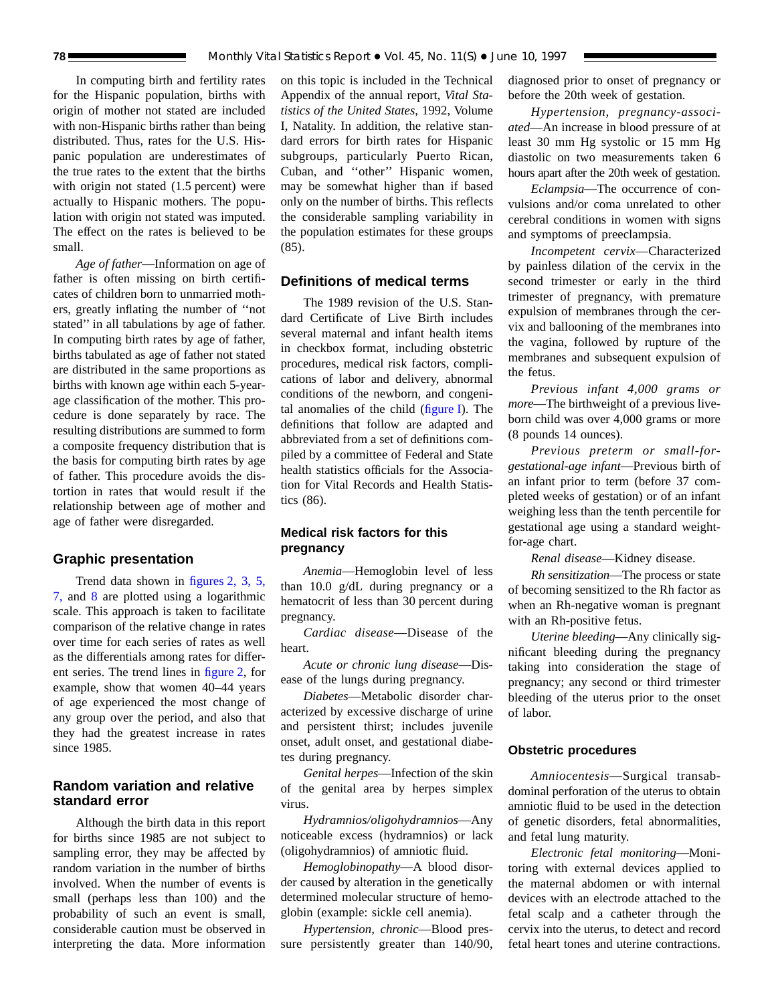In computing birth and fertility rates for the Hispanic population, births with origin of mother not stated are included with non-Hispanic births rather than being distributed. Thus, rates for the U.S. Hispanic population are underestimates of the true rates to the extent that the births with origin not stated  $(1.5$  percent) were actually to Hispanic mothers. The population with origin not stated was imputed. The effect on the rates is believed to be small.

*Age of father*—Information on age of father is often missing on birth certificates of children born to unmarried mothers, greatly inflating the number of ''not stated'' in all tabulations by age of father. In computing birth rates by age of father, births tabulated as age of father not stated are distributed in the same proportions as births with known age within each 5-yearage classification of the mother. This procedure is done separately by race. The resulting distributions are summed to form a composite frequency distribution that is the basis for computing birth rates by age of father. This procedure avoids the distortion in rates that would result if the relationship between age of mother and age of father were disregarded.

# **Graphic presentation**

Trend data shown in [figures 2,](#page-3-0) [3,](#page-7-0) [5,](#page-12-0) [7,](#page-15-0) and [8](#page-17-0) are plotted using a logarithmic scale. This approach is taken to facilitate comparison of the relative change in rates over time for each series of rates as well as the differentials among rates for different series. The trend lines in [figure 2,](#page-3-0) for example, show that women 40–44 years of age experienced the most change of any group over the period, and also that they had the greatest increase in rates since 1985.

# **Random variation and relative standard error**

Although the birth data in this report for births since 1985 are not subject to sampling error, they may be affected by random variation in the number of births involved. When the number of events is small (perhaps less than 100) and the probability of such an event is small, considerable caution must be observed in interpreting the data. More information on this topic is included in the Technical Appendix of the annual report, *Vital Statistics of the United States*, 1992, Volume I, Natality. In addition, the relative standard errors for birth rates for Hispanic subgroups, particularly Puerto Rican, Cuban, and ''other'' Hispanic women, may be somewhat higher than if based only on the number of births. This reflects the considerable sampling variability in the population estimates for these groups (85).

# **Definitions of medical terms**

The 1989 revision of the U.S. Standard Certificate of Live Birth includes several maternal and infant health items in checkbox format, including obstetric procedures, medical risk factors, complications of labor and delivery, abnormal conditions of the newborn, and congenital anomalies of the child [\(figure I\).](#page-78-0) The definitions that follow are adapted and abbreviated from a set of definitions compiled by a committee of Federal and State health statistics officials for the Association for Vital Records and Health Statistics (86).

# **Medical risk factors for this pregnancy**

*Anemia*—Hemoglobin level of less than 10.0 g/dL during pregnancy or a hematocrit of less than 30 percent during pregnancy.

*Cardiac disease*—Disease of the heart.

*Acute or chronic lung disease*—Disease of the lungs during pregnancy.

*Diabetes*—Metabolic disorder characterized by excessive discharge of urine and persistent thirst; includes juvenile onset, adult onset, and gestational diabetes during pregnancy.

*Genital herpes*—Infection of the skin of the genital area by herpes simplex virus.

*Hydramnios/oligohydramnios*—Any noticeable excess (hydramnios) or lack (oligohydramnios) of amniotic fluid.

*Hemoglobinopathy*—A blood disorder caused by alteration in the genetically determined molecular structure of hemoglobin (example: sickle cell anemia).

*Hypertension, chronic*—Blood pressure persistently greater than 140/90, diagnosed prior to onset of pregnancy or before the 20th week of gestation.

*Hypertension, pregnancy-associated*—An increase in blood pressure of at least 30 mm Hg systolic or 15 mm Hg diastolic on two measurements taken 6 hours apart after the 20th week of gestation.

*Eclampsia*—The occurrence of convulsions and/or coma unrelated to other cerebral conditions in women with signs and symptoms of preeclampsia.

*Incompetent cervix*—Characterized by painless dilation of the cervix in the second trimester or early in the third trimester of pregnancy, with premature expulsion of membranes through the cervix and ballooning of the membranes into the vagina, followed by rupture of the membranes and subsequent expulsion of the fetus.

*Previous infant 4,000 grams or more*—The birthweight of a previous liveborn child was over 4,000 grams or more (8 pounds 14 ounces).

*Previous preterm or small-forgestational-age infant*—Previous birth of an infant prior to term (before 37 completed weeks of gestation) or of an infant weighing less than the tenth percentile for gestational age using a standard weightfor-age chart.

*Renal disease*—Kidney disease.

*Rh sensitization*—The process or state of becoming sensitized to the Rh factor as when an Rh-negative woman is pregnant with an Rh-positive fetus.

*Uterine bleeding*—Any clinically significant bleeding during the pregnancy taking into consideration the stage of pregnancy; any second or third trimester bleeding of the uterus prior to the onset of labor.

#### **Obstetric procedures**

*Amniocentesis*—Surgical transabdominal perforation of the uterus to obtain amniotic fluid to be used in the detection of genetic disorders, fetal abnormalities, and fetal lung maturity.

*Electronic fetal monitoring*—Monitoring with external devices applied to the maternal abdomen or with internal devices with an electrode attached to the fetal scalp and a catheter through the cervix into the uterus, to detect and record fetal heart tones and uterine contractions.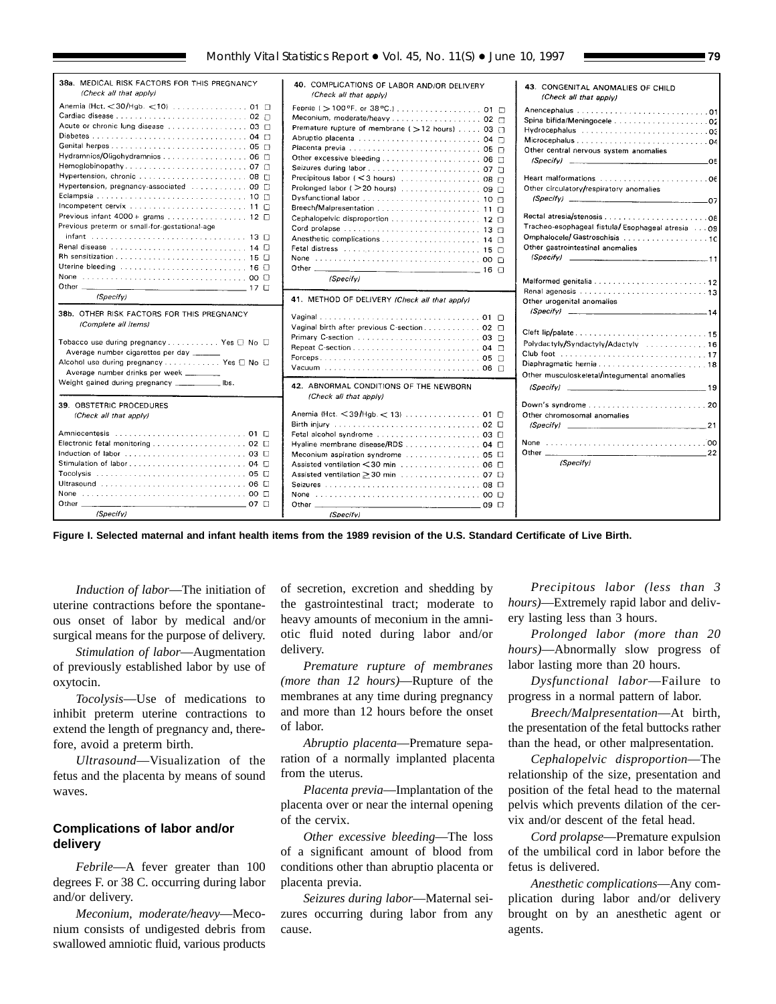<span id="page-78-0"></span>

| 38a. MEDICAL RISK FACTORS FOR THIS PREGNANCY<br>(Check all that apply)                                                                                                                                                                            | 40. COMPLICATIONS OF LABOR AND/OR DELIVERY<br>(Check all that apply)                                                                                                                      | 43. CONGENITAL ANOMALIES OF CHILD<br>(Check all that apply)                                                                                             |
|---------------------------------------------------------------------------------------------------------------------------------------------------------------------------------------------------------------------------------------------------|-------------------------------------------------------------------------------------------------------------------------------------------------------------------------------------------|---------------------------------------------------------------------------------------------------------------------------------------------------------|
| Anemia (Hct. < 30/Hgb. <10) 01 □<br>Diabetes  04<br>Hydramnios/Oligohydramnios 06<br>Hypertension, pregnancy-associated  09 m<br>Previous infant $4000 +$ grams 12 $\Box$<br>Previous preterm or small-for-gestational-age                        | Meconium, moderate/heavy 02<br>Premature rupture of membrane ( > 12 hours) 03 [<br>Prolonged labor ( > 20 hours) 09 □<br>Breech/Malpresentation  11 n<br>Cephalopelvic disproportion 12 0 | Other central nervous system anomalies<br>$(Specify)$ 05<br>Other circulatory/respiratory anomalies<br>Tracheo-esophageal fistula/Esophageal atresia 09 |
| Renal disease  14 0                                                                                                                                                                                                                               | Fetal distress (2000) 2000 (2000) 2000 (2000) 2000 (2000) 2000 (2000) 2000 (2000) 2000 (2000) 2000 (2000) 2000<br>(Specify)                                                               | Other gastrointestinal anomalies<br>$(Specify)$ 11                                                                                                      |
| (Specify)                                                                                                                                                                                                                                         | 41. METHOD OF DELIVERY (Check all that apply)                                                                                                                                             | Other urogenital anomalies                                                                                                                              |
| 38b. OTHER RISK FACTORS FOR THIS PREGNANCY<br>(Complete all items)<br>Tobacco use during pregnancy Yes $\Box$ No $\Box$<br>Average number cigarettes per day<br>Alcohol use during pregnancy Yes □ No □<br>Average number drinks per week _______ | Vaginal birth after previous C-section 02                                                                                                                                                 | Polydactyly/Syndactyly/Adactyly 16<br>Diaphragmatic hernia18<br>Other musculoskeletal/integumental anomalies                                            |
| Weight gained during pregnancy ____________ lbs.                                                                                                                                                                                                  | 42. ABNORMAL CONDITIONS OF THE NEWBORN<br>(Check all that apply)                                                                                                                          | $(Specify)$ 19                                                                                                                                          |
| 39. OBSTETRIC PROCEDURES<br>(Check all that apply)                                                                                                                                                                                                | Anemia (Hct. < 39/Hgb. < 13) 01 □                                                                                                                                                         | Other chromosomal anomalies<br>$\langle Specify \rangle$<br>21                                                                                          |
| Induction of labor  03 0<br>None 00 □<br>$07$ $\Box$<br>(Specify)                                                                                                                                                                                 | Hyaline membrane disease/RDS 04 □<br>Assisted ventilation < 30 min 06 □<br>(Specify)                                                                                                      | 22<br>(Specify)                                                                                                                                         |

**Figure I. Selected maternal and infant health items from the 1989 revision of the U.S. Standard Certificate of Live Birth.**

*Induction of labor*—The initiation of uterine contractions before the spontaneous onset of labor by medical and/or surgical means for the purpose of delivery.

*Stimulation of labor*—Augmentation of previously established labor by use of oxytocin.

*Tocolysis*—Use of medications to inhibit preterm uterine contractions to extend the length of pregnancy and, therefore, avoid a preterm birth.

*Ultrasound*—Visualization of the fetus and the placenta by means of sound waves.

# **Complications of labor and/or delivery**

*Febrile*—A fever greater than 100 degrees F. or 38 C. occurring during labor and/or delivery.

*Meconium, moderate/heavy*—Meconium consists of undigested debris from swallowed amniotic fluid, various products of secretion, excretion and shedding by the gastrointestinal tract; moderate to heavy amounts of meconium in the amniotic fluid noted during labor and/or delivery.

*Premature rupture of membranes (more than 12 hours)*—Rupture of the membranes at any time during pregnancy and more than 12 hours before the onset of labor.

*Abruptio placenta*—Premature separation of a normally implanted placenta from the uterus.

*Placenta previa*—Implantation of the placenta over or near the internal opening of the cervix.

*Other excessive bleeding*—The loss of a significant amount of blood from conditions other than abruptio placenta or placenta previa.

*Seizures during labor*—Maternal seizures occurring during labor from any cause.

*Precipitous labor (less than 3 hours)*—Extremely rapid labor and delivery lasting less than 3 hours.

*Prolonged labor (more than 20 hours)*—Abnormally slow progress of labor lasting more than 20 hours.

*Dysfunctional labor*—Failure to progress in a normal pattern of labor.

*Breech/Malpresentation*—At birth, the presentation of the fetal buttocks rather than the head, or other malpresentation.

*Cephalopelvic disproportion*—The relationship of the size, presentation and position of the fetal head to the maternal pelvis which prevents dilation of the cervix and/or descent of the fetal head.

*Cord prolapse*—Premature expulsion of the umbilical cord in labor before the fetus is delivered.

*Anesthetic complications*—Any complication during labor and/or delivery brought on by an anesthetic agent or agents.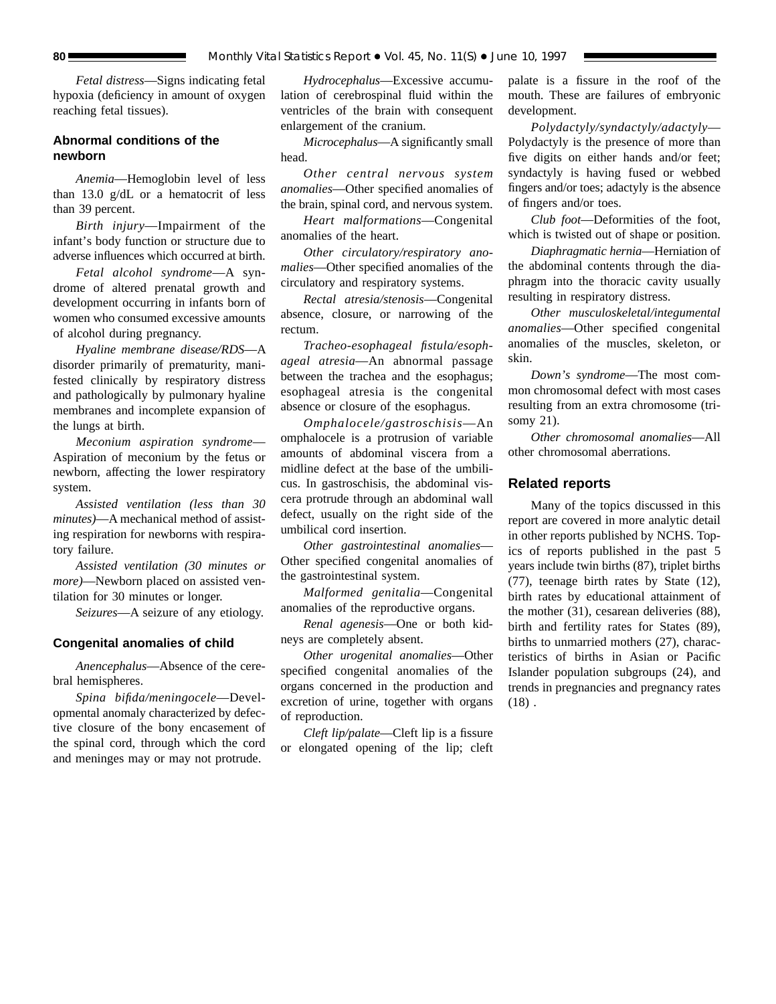*Fetal distress*—Signs indicating fetal hypoxia (deficiency in amount of oxygen reaching fetal tissues).

# **Abnormal conditions of the newborn**

*Anemia*—Hemoglobin level of less than 13.0 g/dL or a hematocrit of less than 39 percent.

*Birth injury*—Impairment of the infant's body function or structure due to adverse influences which occurred at birth.

*Fetal alcohol syndrome*—A syndrome of altered prenatal growth and development occurring in infants born of women who consumed excessive amounts of alcohol during pregnancy.

*Hyaline membrane disease/RDS*—A disorder primarily of prematurity, manifested clinically by respiratory distress and pathologically by pulmonary hyaline membranes and incomplete expansion of the lungs at birth.

*Meconium aspiration syndrome*— Aspiration of meconium by the fetus or newborn, affecting the lower respiratory system.

*Assisted ventilation (less than 30 minutes)*—A mechanical method of assisting respiration for newborns with respiratory failure.

*Assisted ventilation (30 minutes or more)*—Newborn placed on assisted ventilation for 30 minutes or longer.

*Seizures*—A seizure of any etiology.

### **Congenital anomalies of child**

*Anencephalus*—Absence of the cerebral hemispheres.

*Spina bifida/meningocele*—Developmental anomaly characterized by defective closure of the bony encasement of the spinal cord, through which the cord and meninges may or may not protrude.

*Hydrocephalus*—Excessive accumulation of cerebrospinal fluid within the ventricles of the brain with consequent enlargement of the cranium.

*Microcephalus*—A significantly small head.

*Other central nervous system anomalies*—Other specified anomalies of the brain, spinal cord, and nervous system.

*Heart malformations*—Congenital anomalies of the heart.

*Other circulatory/respiratory anomalies*—Other specified anomalies of the circulatory and respiratory systems.

*Rectal atresia/stenosis*—Congenital absence, closure, or narrowing of the rectum.

*Tracheo-esophageal fistula/esophageal atresia*—An abnormal passage between the trachea and the esophagus; esophageal atresia is the congenital absence or closure of the esophagus.

*Omphalocele/gastroschisis*—An omphalocele is a protrusion of variable amounts of abdominal viscera from a midline defect at the base of the umbilicus. In gastroschisis, the abdominal viscera protrude through an abdominal wall defect, usually on the right side of the umbilical cord insertion.

*Other gastrointestinal anomalies*— Other specified congenital anomalies of the gastrointestinal system.

*Malformed genitalia*—Congenital anomalies of the reproductive organs.

*Renal agenesis*—One or both kidneys are completely absent.

*Other urogenital anomalies*—Other specified congenital anomalies of the organs concerned in the production and excretion of urine, together with organs of reproduction.

*Cleft lip/palate*—Cleft lip is a fissure or elongated opening of the lip; cleft palate is a fissure in the roof of the mouth. These are failures of embryonic development.

*Polydactyly/syndactyly/adactyly*— Polydactyly is the presence of more than five digits on either hands and/or feet; syndactyly is having fused or webbed fingers and/or toes; adactyly is the absence of fingers and/or toes.

*Club foot*—Deformities of the foot, which is twisted out of shape or position.

*Diaphragmatic hernia*—Herniation of the abdominal contents through the diaphragm into the thoracic cavity usually resulting in respiratory distress.

*Other musculoskeletal/integumental anomalies*—Other specified congenital anomalies of the muscles, skeleton, or skin.

*Down's syndrome*—The most common chromosomal defect with most cases resulting from an extra chromosome (trisomy 21).

*Other chromosomal anomalies*—All other chromosomal aberrations.

#### **Related reports**

Many of the topics discussed in this report are covered in more analytic detail in other reports published by NCHS. Topics of reports published in the past 5 years include twin births (87), triplet births (77), teenage birth rates by State (12), birth rates by educational attainment of the mother (31), cesarean deliveries (88), birth and fertility rates for States (89), births to unmarried mothers (27), characteristics of births in Asian or Pacific Islander population subgroups (24), and trends in pregnancies and pregnancy rates  $(18)$ .